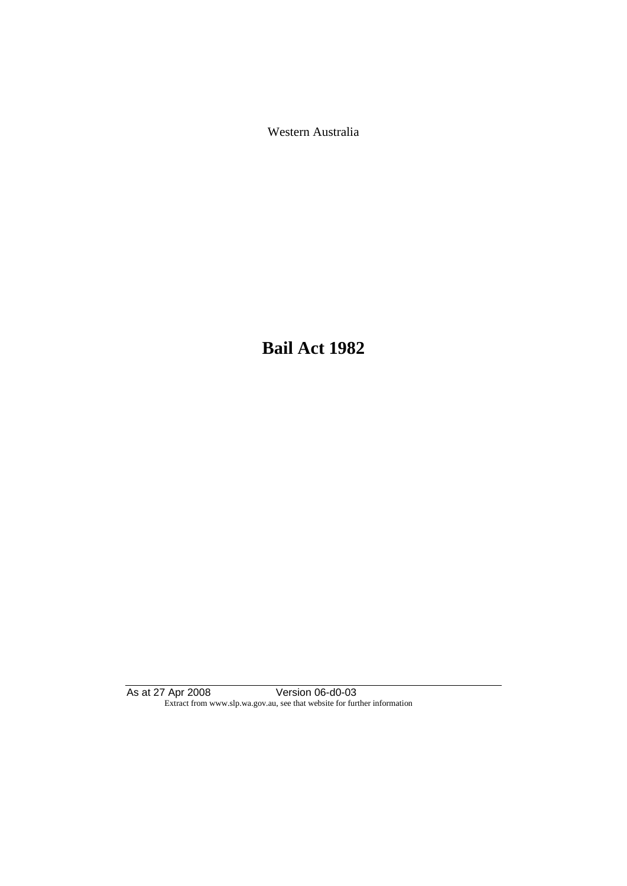Western Australia

**Bail Act 1982**

As at 27 Apr 2008 Version 06-d0-03 Extract from www.slp.wa.gov.au, see that website for further information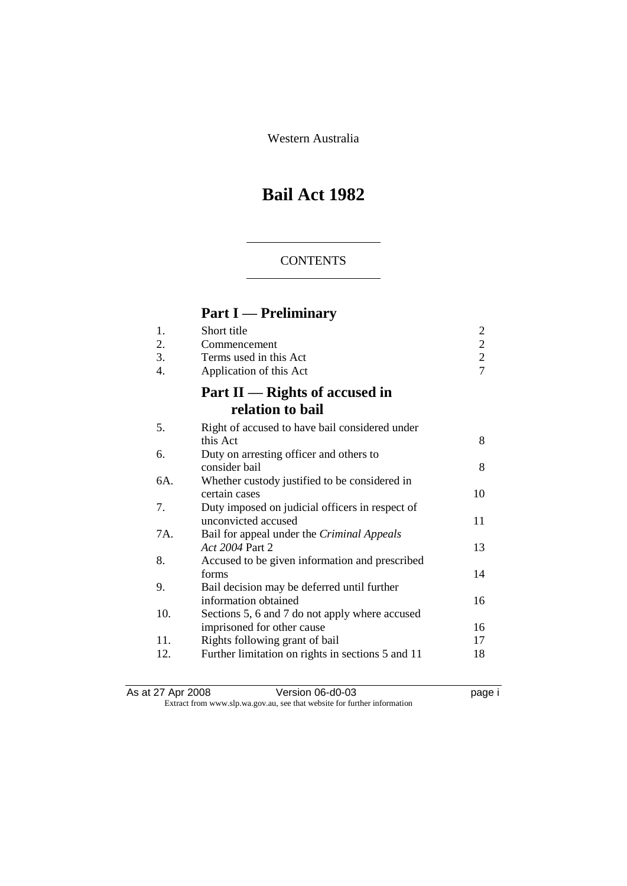Western Australia

# **Bail Act 1982**

### **CONTENTS**

# **Part I — Preliminary**

| 1.<br>2.<br>3.<br>4. | Short title<br>Commencement<br>Terms used in this Act<br>Application of this Act | $\overline{\mathbf{c}}$<br>$\frac{2}{2}$<br>$\overline{7}$ |
|----------------------|----------------------------------------------------------------------------------|------------------------------------------------------------|
|                      | Part $II$ — Rights of accused in<br>relation to bail                             |                                                            |
| 5.                   | Right of accused to have bail considered under                                   |                                                            |
|                      | this Act                                                                         | 8                                                          |
| 6.                   | Duty on arresting officer and others to<br>consider bail                         | 8                                                          |
| 6A.                  | Whether custody justified to be considered in                                    |                                                            |
|                      | certain cases                                                                    | 10                                                         |
| 7.                   | Duty imposed on judicial officers in respect of                                  |                                                            |
|                      | unconvicted accused                                                              | 11                                                         |
| 7A.                  | Bail for appeal under the Criminal Appeals<br>Act 2004 Part 2                    | 13                                                         |
| 8.                   | Accused to be given information and prescribed                                   |                                                            |
|                      | forms                                                                            | 14                                                         |
| 9.                   | Bail decision may be deferred until further                                      |                                                            |
|                      | information obtained                                                             | 16                                                         |
| 10.                  | Sections 5, 6 and 7 do not apply where accused                                   |                                                            |
|                      | imprisoned for other cause                                                       | 16                                                         |
| 11.                  | Rights following grant of bail                                                   | 17                                                         |
| 12.                  | Further limitation on rights in sections 5 and 11                                | 18                                                         |
|                      |                                                                                  |                                                            |

| As at 27 Apr 2008 | Version 06-d0-03                                                         | page i |  |
|-------------------|--------------------------------------------------------------------------|--------|--|
|                   | Extract from www.slp.wa.gov.au, see that website for further information |        |  |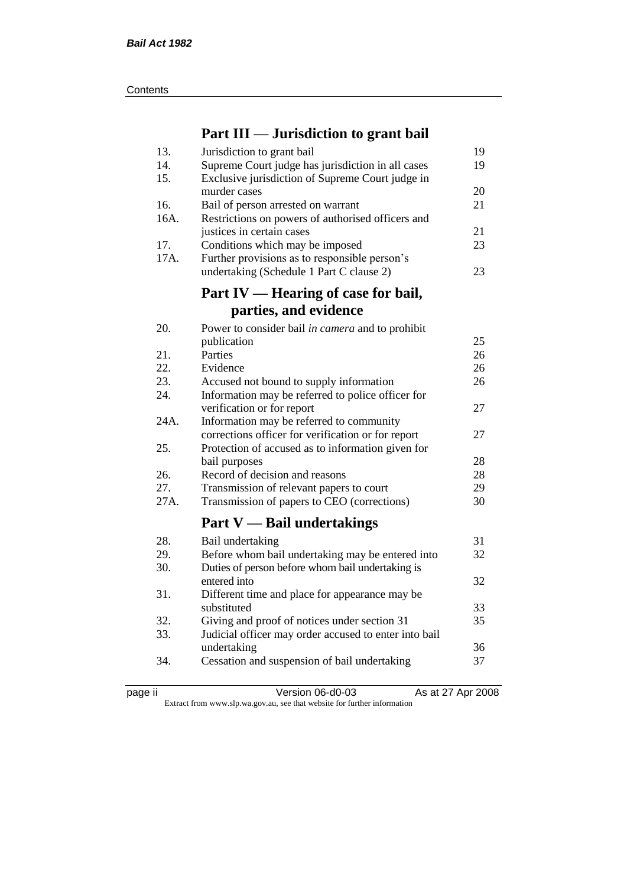| Contents |
|----------|
|----------|

## **Part III — Jurisdiction to grant bail**

| 13.  | Jurisdiction to grant bail                            | 19       |
|------|-------------------------------------------------------|----------|
| 14.  | Supreme Court judge has jurisdiction in all cases     | 19       |
| 15.  | Exclusive jurisdiction of Supreme Court judge in      |          |
|      | murder cases                                          | 20       |
| 16.  | Bail of person arrested on warrant                    | 21       |
| 16A. | Restrictions on powers of authorised officers and     |          |
|      | justices in certain cases                             | 21       |
| 17.  | Conditions which may be imposed                       | 23       |
| 17A. | Further provisions as to responsible person's         |          |
|      | undertaking (Schedule 1 Part C clause 2)              | 23       |
|      | Part IV — Hearing of case for bail,                   |          |
|      | parties, and evidence                                 |          |
| 20.  |                                                       |          |
|      | Power to consider bail in camera and to prohibit      |          |
| 21.  | publication                                           | 25<br>26 |
|      | Parties                                               |          |
| 22.  | Evidence                                              | 26<br>26 |
| 23.  | Accused not bound to supply information               |          |
| 24.  | Information may be referred to police officer for     | 27       |
|      | verification or for report                            |          |
| 24A. | Information may be referred to community              | 27       |
|      | corrections officer for verification or for report    |          |
| 25.  | Protection of accused as to information given for     | 28       |
| 26.  | bail purposes                                         |          |
| 27.  | Record of decision and reasons                        | 28<br>29 |
|      | Transmission of relevant papers to court              |          |
| 27A. | Transmission of papers to CEO (corrections)           | 30       |
|      | <b>Part V</b> — Bail undertakings                     |          |
| 28.  | Bail undertaking                                      | 31       |
| 29.  | Before whom bail undertaking may be entered into      | 32       |
| 30.  | Duties of person before whom bail undertaking is      |          |
|      | entered into                                          | 32       |
| 31.  | Different time and place for appearance may be        |          |
|      | substituted                                           | 33       |
| 32.  | Giving and proof of notices under section 31          | 35       |
| 33.  | Judicial officer may order accused to enter into bail |          |
|      | undertaking                                           | 36       |
| 34.  | Cessation and suspension of bail undertaking          | 37       |
|      |                                                       |          |

|  | ٠. |  |
|--|----|--|
|--|----|--|

page ii Version 06-d0-03 As at 27 Apr 2008

Extract from www.slp.wa.gov.au, see that website for further information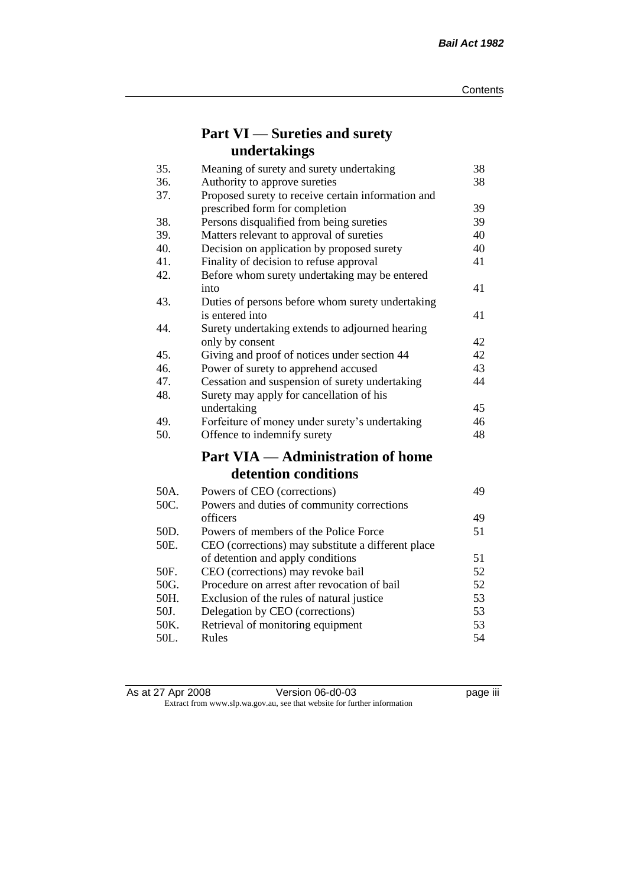## **Part VI — Sureties and surety undertakings**

| 35.  | Meaning of surety and surety undertaking           | 38 |
|------|----------------------------------------------------|----|
| 36.  | Authority to approve sureties                      | 38 |
| 37.  | Proposed surety to receive certain information and |    |
|      | prescribed form for completion                     | 39 |
| 38.  | Persons disqualified from being sureties           | 39 |
| 39.  | Matters relevant to approval of sureties           | 40 |
| 40.  | Decision on application by proposed surety         | 40 |
| 41.  | Finality of decision to refuse approval            | 41 |
| 42.  | Before whom surety undertaking may be entered      |    |
|      | into                                               | 41 |
| 43.  | Duties of persons before whom surety undertaking   |    |
|      | is entered into                                    | 41 |
| 44.  | Surety undertaking extends to adjourned hearing    |    |
|      | only by consent                                    | 42 |
| 45.  | Giving and proof of notices under section 44       | 42 |
| 46.  | Power of surety to apprehend accused               | 43 |
| 47.  | Cessation and suspension of surety undertaking     | 44 |
| 48.  | Surety may apply for cancellation of his           |    |
|      | undertaking                                        | 45 |
| 49.  | Forfeiture of money under surety's undertaking     | 46 |
| 50.  | Offence to indemnify surety                        | 48 |
|      | <b>Part VIA — Administration of home</b>           |    |
|      | detention conditions                               |    |
| 50A. | Powers of CEO (corrections)                        | 49 |
| 50C. | Powers and duties of community corrections         |    |
|      | officers                                           | 49 |
| 50D. | Powers of members of the Police Force              | 51 |
| 50E. | CEO (corrections) may substitute a different place |    |
|      | of detention and apply conditions                  | 51 |
| 50F. | CEO (corrections) may revoke bail                  | 52 |
| 50G. | Procedure on arrest after revocation of bail       | 52 |
| 50H. | Exclusion of the rules of natural justice          | 53 |
| 50J. | Delegation by CEO (corrections)                    | 53 |
| 50K. | Retrieval of monitoring equipment                  | 53 |
| 50L. | Rules                                              | 54 |

| As at 27 Apr 2008 | Version 06-d0-03                                                         | <br>page III |
|-------------------|--------------------------------------------------------------------------|--------------|
|                   | Extract from www.slp.wa.gov.au, see that website for further information |              |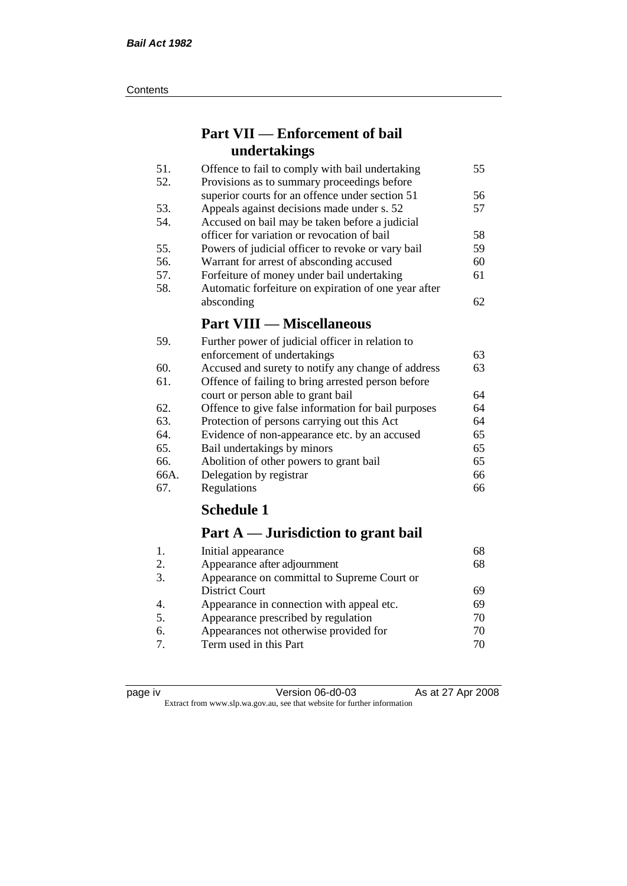#### **Contents**

## **Part VII — Enforcement of bail undertakings**

| Offence to fail to comply with bail undertaking      | 55 |
|------------------------------------------------------|----|
| Provisions as to summary proceedings before          |    |
| superior courts for an offence under section 51      | 56 |
| Appeals against decisions made under s. 52           | 57 |
| Accused on bail may be taken before a judicial       |    |
| officer for variation or revocation of bail          | 58 |
| Powers of judicial officer to revoke or vary bail    | 59 |
| Warrant for arrest of absconding accused             | 60 |
| Forfeiture of money under bail undertaking           | 61 |
| Automatic forfeiture on expiration of one year after |    |
| absconding                                           | 62 |
| <b>Part VIII — Miscellaneous</b>                     |    |
|                                                      |    |

| 59.  | Further power of judicial officer in relation to    |    |
|------|-----------------------------------------------------|----|
|      | enforcement of undertakings                         | 63 |
| 60.  | Accused and surety to notify any change of address  | 63 |
| 61.  | Offence of failing to bring arrested person before  |    |
|      | court or person able to grant bail                  | 64 |
| 62.  | Offence to give false information for bail purposes | 64 |
| 63.  | Protection of persons carrying out this Act         | 64 |
| 64.  | Evidence of non-appearance etc. by an accused       | 65 |
| 65.  | Bail undertakings by minors                         | 65 |
| 66.  | Abolition of other powers to grant bail             | 65 |
| 66A. | Delegation by registrar                             | 66 |
| 67.  | Regulations                                         | 66 |

## **Schedule 1**

## **Part A — Jurisdiction to grant bail**

| 1.               | Initial appearance                          | 68 |
|------------------|---------------------------------------------|----|
| 2.               | Appearance after adjournment                | 68 |
| 3.               | Appearance on committal to Supreme Court or |    |
|                  | <b>District Court</b>                       | 69 |
| $\overline{4}$ . | Appearance in connection with appeal etc.   | 69 |
| 5.               | Appearance prescribed by regulation         | 70 |
| 6.               | Appearances not otherwise provided for      | 70 |
| $\tau$           | Term used in this Part                      | 70 |
|                  |                                             |    |

| ⋍<br>IC.<br>и |  |
|---------------|--|
|               |  |
|               |  |

Version 06-d0-03 As at 27 Apr 2008 Extract from www.slp.wa.gov.au, see that website for further information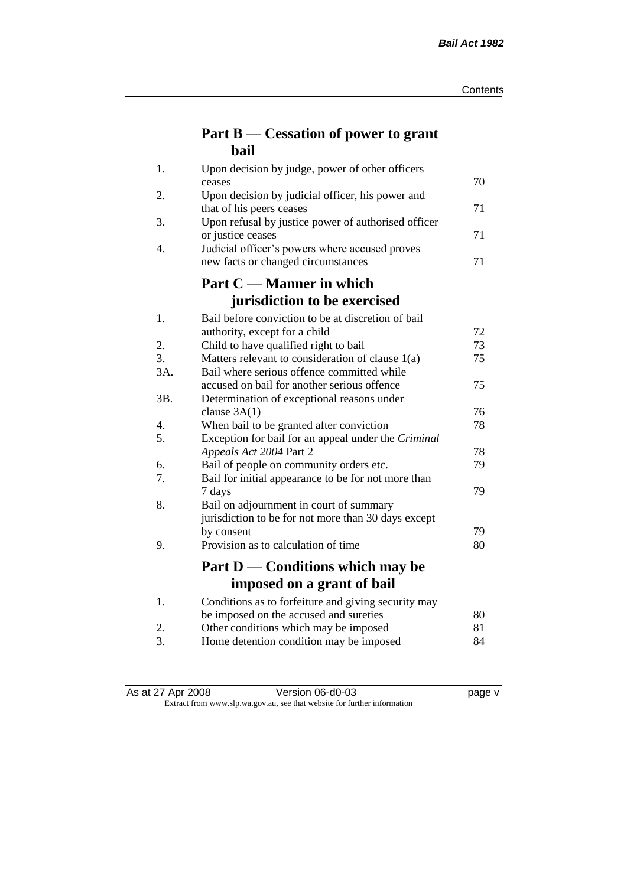## **Part B — Cessation of power to grant bail**

| 1.  | Upon decision by judge, power of other officers                                 |    |
|-----|---------------------------------------------------------------------------------|----|
|     | ceases                                                                          | 70 |
| 2.  | Upon decision by judicial officer, his power and                                | 71 |
| 3.  | that of his peers ceases<br>Upon refusal by justice power of authorised officer |    |
|     | or justice ceases                                                               | 71 |
| 4.  | Judicial officer's powers where accused proves                                  |    |
|     | new facts or changed circumstances                                              | 71 |
|     | Part C — Manner in which                                                        |    |
|     | jurisdiction to be exercised                                                    |    |
| 1.  | Bail before conviction to be at discretion of bail                              |    |
|     | authority, except for a child                                                   | 72 |
| 2.  | Child to have qualified right to bail                                           | 73 |
| 3.  | Matters relevant to consideration of clause 1(a)                                | 75 |
| 3A. | Bail where serious offence committed while                                      |    |
|     | accused on bail for another serious offence                                     | 75 |
| 3B. | Determination of exceptional reasons under                                      |    |
|     | clause $3A(1)$                                                                  | 76 |
| 4.  | When bail to be granted after conviction                                        | 78 |
| 5.  | Exception for bail for an appeal under the Criminal                             |    |
|     | Appeals Act 2004 Part 2                                                         | 78 |
| 6.  | Bail of people on community orders etc.                                         | 79 |
| 7.  | Bail for initial appearance to be for not more than                             | 79 |
| 8.  | 7 days<br>Bail on adjournment in court of summary                               |    |
|     | jurisdiction to be for not more than 30 days except                             |    |
|     | by consent                                                                      | 79 |
| 9.  | Provision as to calculation of time                                             | 80 |
|     |                                                                                 |    |
|     | Part D — Conditions which may be                                                |    |
|     | imposed on a grant of bail                                                      |    |
| 1.  | Conditions as to forfeiture and giving security may                             |    |
|     | be imposed on the accused and sureties                                          | 80 |
| 2.  | Other conditions which may be imposed                                           | 81 |
| 3.  | Home detention condition may be imposed                                         | 84 |

As at 27 Apr 2008 **Version 06-d0-03 page v** Extract from www.slp.wa.gov.au, see that website for further information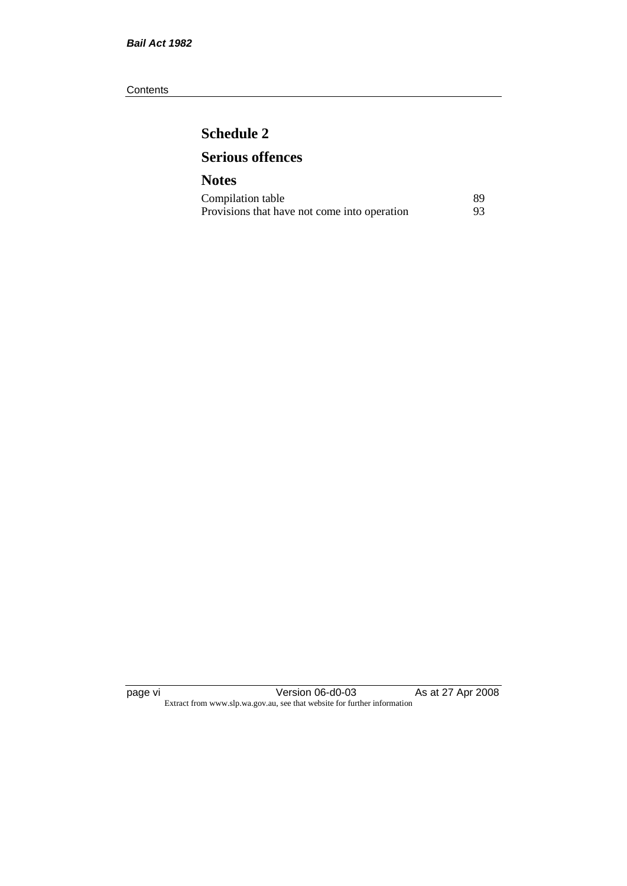#### **Contents**

## **Schedule 2 Serious offences**

#### **Notes** Compilation table 89<br>Provisions that have not come into operation 93 Provisions that have not come into operation

page vi Version 06-d0-03 As at 27 Apr 2008 Extract from www.slp.wa.gov.au, see that website for further information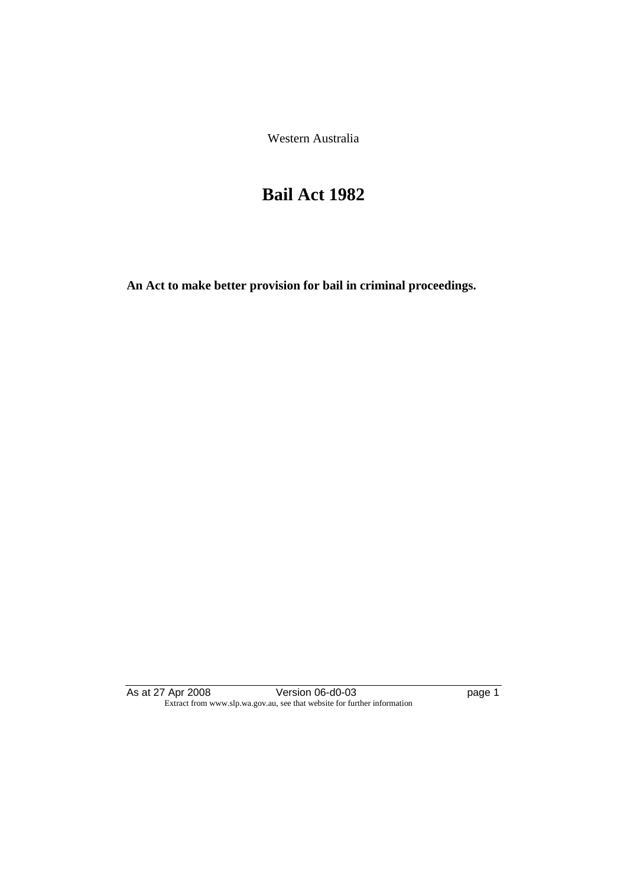Western Australia

# **Bail Act 1982**

**An Act to make better provision for bail in criminal proceedings.** 

As at 27 Apr 2008 Version 06-d0-03 page 1 Extract from www.slp.wa.gov.au, see that website for further information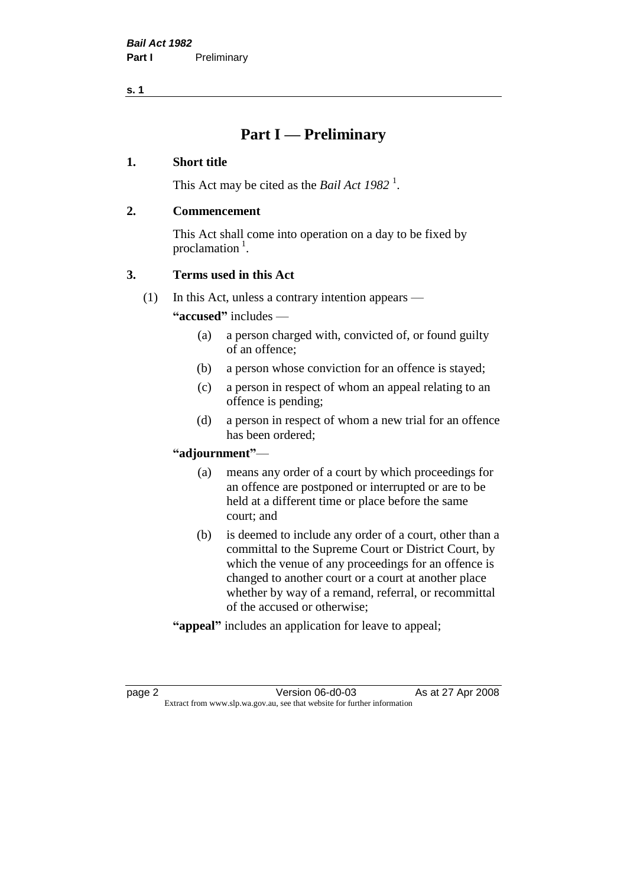## **Part I — Preliminary**

#### **1. Short title**

This Act may be cited as the *Bail Act* 1982<sup>1</sup>.

#### **2. Commencement**

This Act shall come into operation on a day to be fixed by proclamation  $<sup>1</sup>$ .</sup>

#### **3. Terms used in this Act**

(1) In this Act, unless a contrary intention appears —

**"accused"** includes —

- (a) a person charged with, convicted of, or found guilty of an offence;
- (b) a person whose conviction for an offence is stayed;
- (c) a person in respect of whom an appeal relating to an offence is pending;
- (d) a person in respect of whom a new trial for an offence has been ordered;

#### **"adjournment"**—

- (a) means any order of a court by which proceedings for an offence are postponed or interrupted or are to be held at a different time or place before the same court; and
- (b) is deemed to include any order of a court, other than a committal to the Supreme Court or District Court, by which the venue of any proceedings for an offence is changed to another court or a court at another place whether by way of a remand, referral, or recommittal of the accused or otherwise;
- **"appeal"** includes an application for leave to appeal;

page 2 **Version 06-d0-03** As at 27 Apr 2008 Extract from www.slp.wa.gov.au, see that website for further information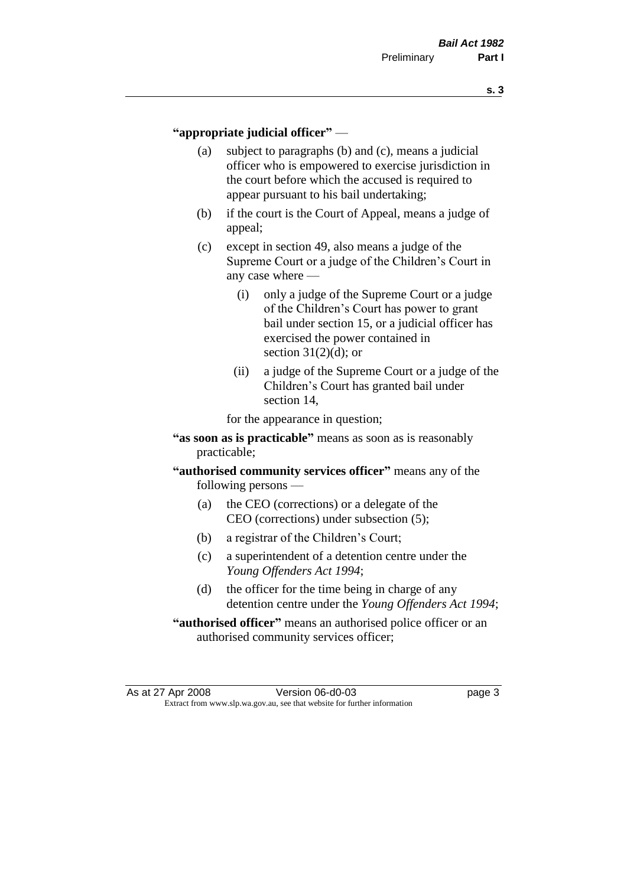#### **"appropriate judicial officer"** —

- (a) subject to paragraphs (b) and (c), means a judicial officer who is empowered to exercise jurisdiction in the court before which the accused is required to appear pursuant to his bail undertaking;
- (b) if the court is the Court of Appeal, means a judge of appeal;
- (c) except in section 49, also means a judge of the Supreme Court or a judge of the Children's Court in any case where —
	- (i) only a judge of the Supreme Court or a judge of the Children's Court has power to grant bail under section 15, or a judicial officer has exercised the power contained in section  $31(2)(d)$ ; or
	- (ii) a judge of the Supreme Court or a judge of the Children's Court has granted bail under section 14,

for the appearance in question;

- **"as soon as is practicable"** means as soon as is reasonably practicable;
- **"authorised community services officer"** means any of the following persons —
	- (a) the CEO (corrections) or a delegate of the CEO (corrections) under subsection (5);
	- (b) a registrar of the Children's Court;
	- (c) a superintendent of a detention centre under the *Young Offenders Act 1994*;
	- (d) the officer for the time being in charge of any detention centre under the *Young Offenders Act 1994*;
- **"authorised officer"** means an authorised police officer or an authorised community services officer;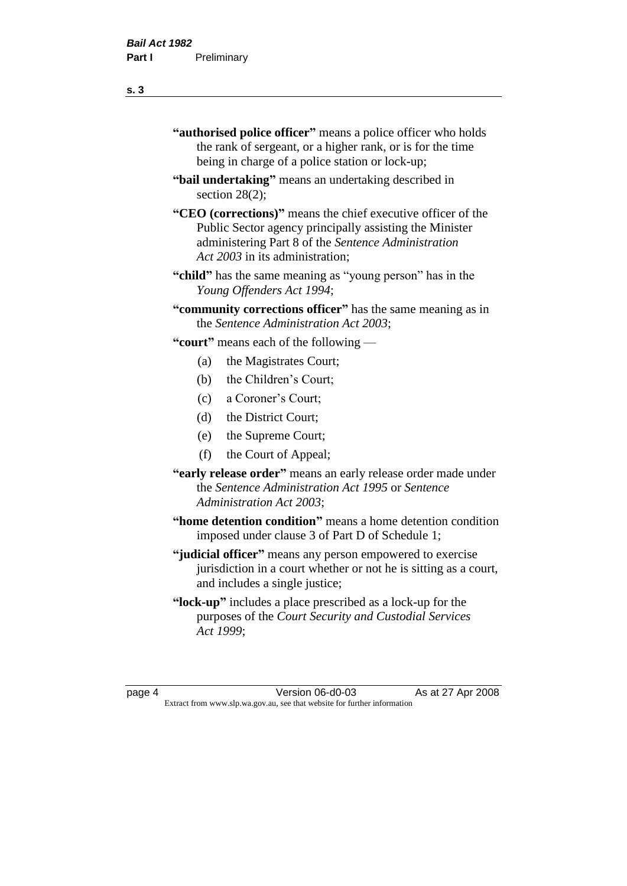- **"authorised police officer"** means a police officer who holds the rank of sergeant, or a higher rank, or is for the time being in charge of a police station or lock-up;
- **"bail undertaking"** means an undertaking described in section 28(2):
- **"CEO (corrections)"** means the chief executive officer of the Public Sector agency principally assisting the Minister administering Part 8 of the *Sentence Administration Act 2003* in its administration;
- **"child"** has the same meaning as "young person" has in the *Young Offenders Act 1994*;
- **"community corrections officer"** has the same meaning as in the *Sentence Administration Act 2003*;

**"court"** means each of the following —

- (a) the Magistrates Court;
- (b) the Children's Court;
- (c) a Coroner's Court;
- (d) the District Court;
- (e) the Supreme Court;
- (f) the Court of Appeal;
- **"early release order"** means an early release order made under the *Sentence Administration Act 1995* or *Sentence Administration Act 2003*;
- **"home detention condition"** means a home detention condition imposed under clause 3 of Part D of Schedule 1;
- **"judicial officer"** means any person empowered to exercise jurisdiction in a court whether or not he is sitting as a court, and includes a single justice;
- **"lock-up"** includes a place prescribed as a lock-up for the purposes of the *Court Security and Custodial Services Act 1999*;

page 4 Version 06-d0-03 As at 27 Apr 2008 Extract from www.slp.wa.gov.au, see that website for further information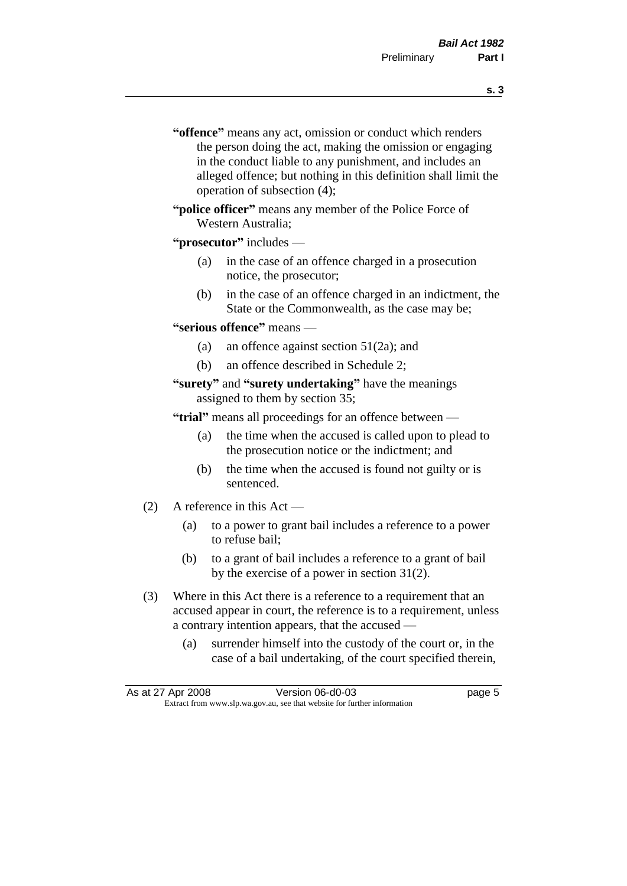- **s. 3**
- **"offence"** means any act, omission or conduct which renders the person doing the act, making the omission or engaging in the conduct liable to any punishment, and includes an alleged offence; but nothing in this definition shall limit the operation of subsection (4);
- **"police officer"** means any member of the Police Force of Western Australia;

#### **"prosecutor"** includes —

- (a) in the case of an offence charged in a prosecution notice, the prosecutor;
- (b) in the case of an offence charged in an indictment, the State or the Commonwealth, as the case may be;

#### **"serious offence"** means —

- (a) an offence against section 51(2a); and
- (b) an offence described in Schedule 2;

#### **"surety"** and **"surety undertaking"** have the meanings assigned to them by section 35;

**"trial"** means all proceedings for an offence between —

- (a) the time when the accused is called upon to plead to the prosecution notice or the indictment; and
- (b) the time when the accused is found not guilty or is sentenced.
- (2) A reference in this Act
	- (a) to a power to grant bail includes a reference to a power to refuse bail;
	- (b) to a grant of bail includes a reference to a grant of bail by the exercise of a power in section 31(2).
- (3) Where in this Act there is a reference to a requirement that an accused appear in court, the reference is to a requirement, unless a contrary intention appears, that the accused —
	- (a) surrender himself into the custody of the court or, in the case of a bail undertaking, of the court specified therein,

| As at 27 Apr 2008                                                        | Version 06-d0-03 | page 5 |
|--------------------------------------------------------------------------|------------------|--------|
| Extract from www.slp.wa.gov.au, see that website for further information |                  |        |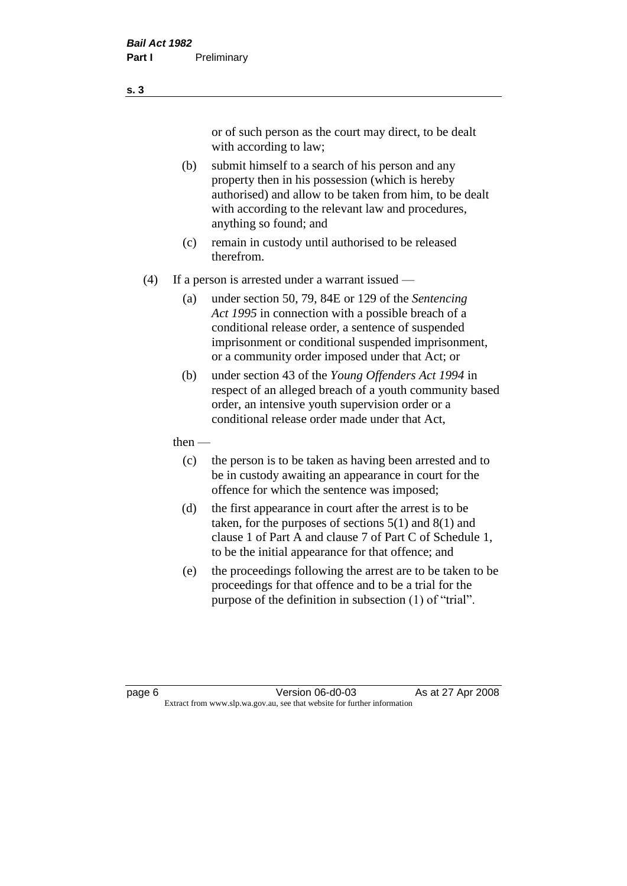or of such person as the court may direct, to be dealt with according to law;

(b) submit himself to a search of his person and any property then in his possession (which is hereby authorised) and allow to be taken from him, to be dealt with according to the relevant law and procedures, anything so found; and

- (c) remain in custody until authorised to be released therefrom.
- (4) If a person is arrested under a warrant issued
	- (a) under section 50, 79, 84E or 129 of the *Sentencing Act 1995* in connection with a possible breach of a conditional release order, a sentence of suspended imprisonment or conditional suspended imprisonment, or a community order imposed under that Act; or
	- (b) under section 43 of the *Young Offenders Act 1994* in respect of an alleged breach of a youth community based order, an intensive youth supervision order or a conditional release order made under that Act,
	- then
		- (c) the person is to be taken as having been arrested and to be in custody awaiting an appearance in court for the offence for which the sentence was imposed;
		- (d) the first appearance in court after the arrest is to be taken, for the purposes of sections  $5(1)$  and  $8(1)$  and clause 1 of Part A and clause 7 of Part C of Schedule 1, to be the initial appearance for that offence; and
		- (e) the proceedings following the arrest are to be taken to be proceedings for that offence and to be a trial for the purpose of the definition in subsection (1) of "trial".

page 6 **Version 06-d0-03** As at 27 Apr 2008 Extract from www.slp.wa.gov.au, see that website for further information

**s. 3**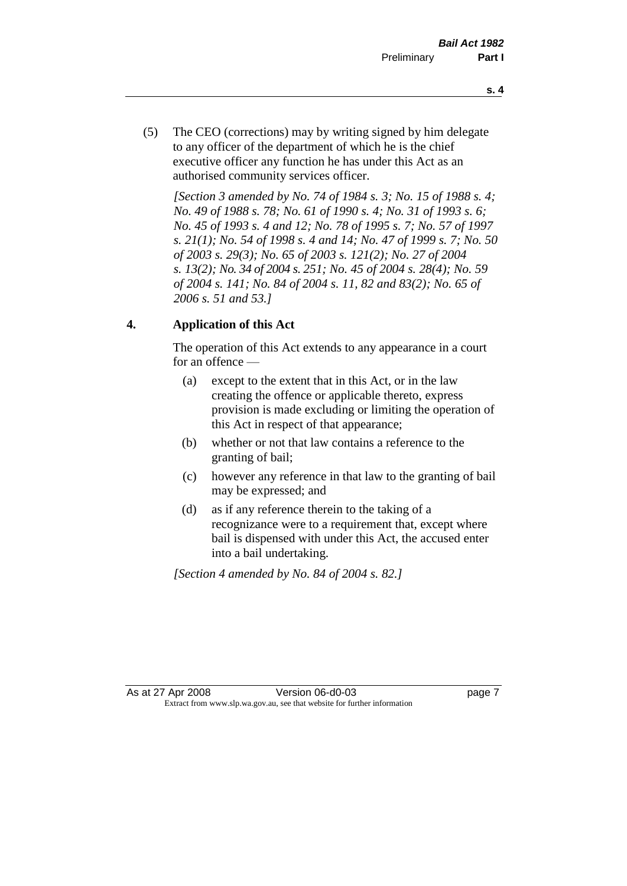- **s. 4**
- (5) The CEO (corrections) may by writing signed by him delegate to any officer of the department of which he is the chief executive officer any function he has under this Act as an authorised community services officer.

*[Section 3 amended by No. 74 of 1984 s. 3; No. 15 of 1988 s. 4; No. 49 of 1988 s. 78; No. 61 of 1990 s. 4; No. 31 of 1993 s. 6; No. 45 of 1993 s. 4 and 12; No. 78 of 1995 s. 7; No. 57 of 1997 s. 21(1); No. 54 of 1998 s. 4 and 14; No. 47 of 1999 s. 7; No. 50 of 2003 s. 29(3); No. 65 of 2003 s. 121(2); No. 27 of 2004 s. 13(2); No. 34 of 2004 s. 251; No. 45 of 2004 s. 28(4); No. 59 of 2004 s. 141; No. 84 of 2004 s. 11, 82 and 83(2); No. 65 of 2006 s. 51 and 53.]* 

#### **4. Application of this Act**

The operation of this Act extends to any appearance in a court for an offence —

- (a) except to the extent that in this Act, or in the law creating the offence or applicable thereto, express provision is made excluding or limiting the operation of this Act in respect of that appearance;
- (b) whether or not that law contains a reference to the granting of bail;
- (c) however any reference in that law to the granting of bail may be expressed; and
- (d) as if any reference therein to the taking of a recognizance were to a requirement that, except where bail is dispensed with under this Act, the accused enter into a bail undertaking.

*[Section 4 amended by No. 84 of 2004 s. 82.]*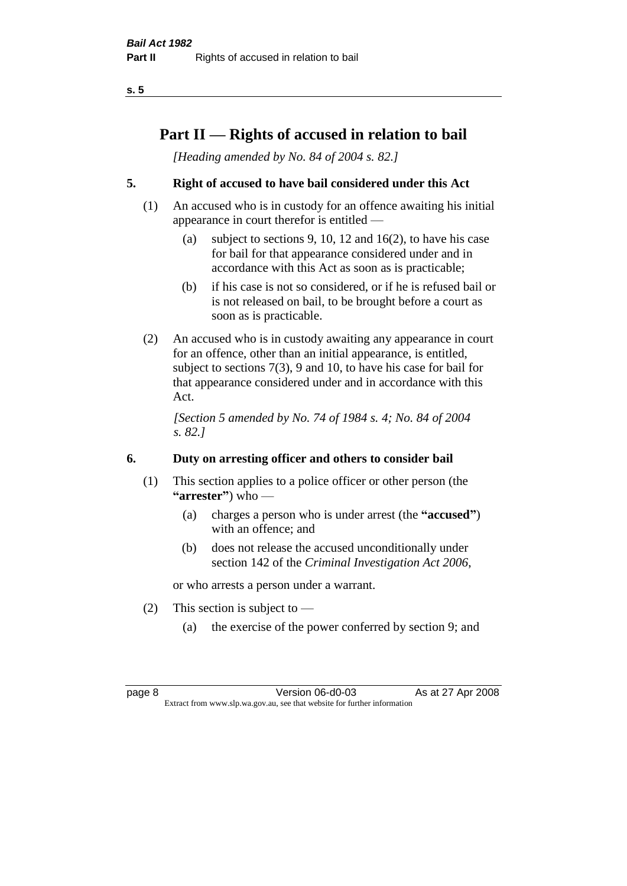## **Part II — Rights of accused in relation to bail**

*[Heading amended by No. 84 of 2004 s. 82.]* 

#### **5. Right of accused to have bail considered under this Act**

- (1) An accused who is in custody for an offence awaiting his initial appearance in court therefor is entitled —
	- (a) subject to sections 9, 10, 12 and 16(2), to have his case for bail for that appearance considered under and in accordance with this Act as soon as is practicable;
	- (b) if his case is not so considered, or if he is refused bail or is not released on bail, to be brought before a court as soon as is practicable.
- (2) An accused who is in custody awaiting any appearance in court for an offence, other than an initial appearance, is entitled, subject to sections 7(3), 9 and 10, to have his case for bail for that appearance considered under and in accordance with this Act.

*[Section 5 amended by No. 74 of 1984 s. 4; No. 84 of 2004 s. 82.]* 

#### **6. Duty on arresting officer and others to consider bail**

- (1) This section applies to a police officer or other person (the **"arrester"**) who —
	- (a) charges a person who is under arrest (the **"accused"**) with an offence; and
	- (b) does not release the accused unconditionally under section 142 of the *Criminal Investigation Act 2006*,

or who arrests a person under a warrant.

- (2) This section is subject to  $-$ 
	- (a) the exercise of the power conferred by section 9; and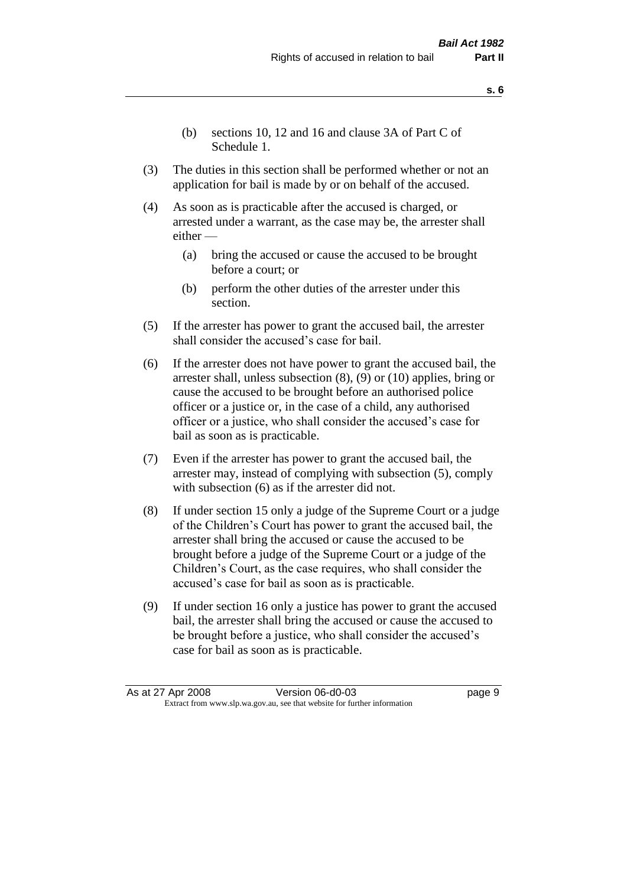- (b) sections 10, 12 and 16 and clause 3A of Part C of Schedule 1.
- (3) The duties in this section shall be performed whether or not an application for bail is made by or on behalf of the accused.
- (4) As soon as is practicable after the accused is charged, or arrested under a warrant, as the case may be, the arrester shall either —
	- (a) bring the accused or cause the accused to be brought before a court; or
	- (b) perform the other duties of the arrester under this section.
- (5) If the arrester has power to grant the accused bail, the arrester shall consider the accused's case for bail.
- (6) If the arrester does not have power to grant the accused bail, the arrester shall, unless subsection (8), (9) or (10) applies, bring or cause the accused to be brought before an authorised police officer or a justice or, in the case of a child, any authorised officer or a justice, who shall consider the accused's case for bail as soon as is practicable.
- (7) Even if the arrester has power to grant the accused bail, the arrester may, instead of complying with subsection (5), comply with subsection (6) as if the arrester did not.
- (8) If under section 15 only a judge of the Supreme Court or a judge of the Children's Court has power to grant the accused bail, the arrester shall bring the accused or cause the accused to be brought before a judge of the Supreme Court or a judge of the Children's Court, as the case requires, who shall consider the accused's case for bail as soon as is practicable.
- (9) If under section 16 only a justice has power to grant the accused bail, the arrester shall bring the accused or cause the accused to be brought before a justice, who shall consider the accused's case for bail as soon as is practicable.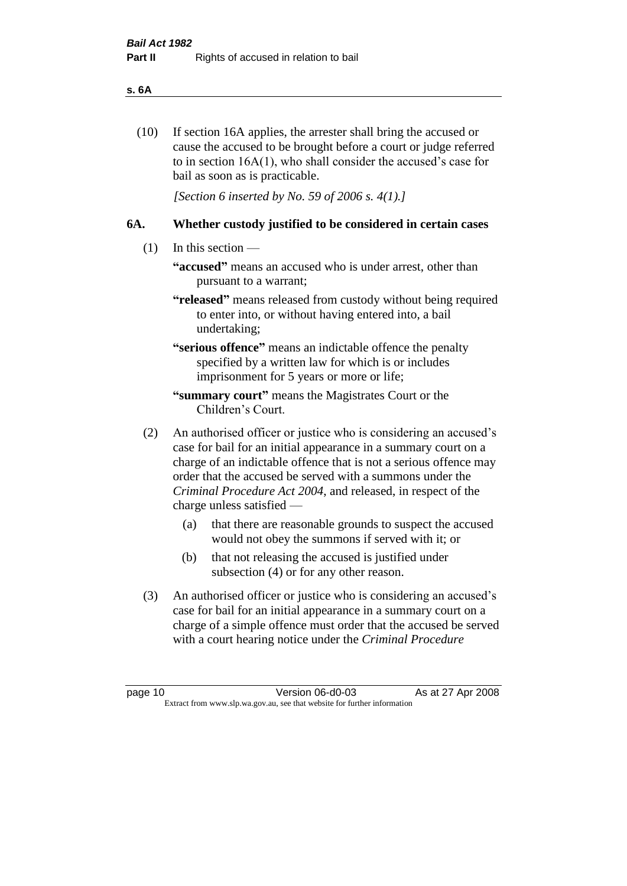#### **s. 6A**

(10) If section 16A applies, the arrester shall bring the accused or cause the accused to be brought before a court or judge referred to in section 16A(1), who shall consider the accused's case for bail as soon as is practicable.

*[Section 6 inserted by No. 59 of 2006 s. 4(1).]* 

#### **6A. Whether custody justified to be considered in certain cases**

- (1) In this section
	- **"accused"** means an accused who is under arrest, other than pursuant to a warrant;
	- **"released"** means released from custody without being required to enter into, or without having entered into, a bail undertaking;

**"serious offence"** means an indictable offence the penalty specified by a written law for which is or includes imprisonment for 5 years or more or life;

- **"summary court"** means the Magistrates Court or the Children's Court.
- (2) An authorised officer or justice who is considering an accused's case for bail for an initial appearance in a summary court on a charge of an indictable offence that is not a serious offence may order that the accused be served with a summons under the *Criminal Procedure Act 2004*, and released, in respect of the charge unless satisfied —
	- (a) that there are reasonable grounds to suspect the accused would not obey the summons if served with it; or
	- (b) that not releasing the accused is justified under subsection (4) or for any other reason.
- (3) An authorised officer or justice who is considering an accused's case for bail for an initial appearance in a summary court on a charge of a simple offence must order that the accused be served with a court hearing notice under the *Criminal Procedure*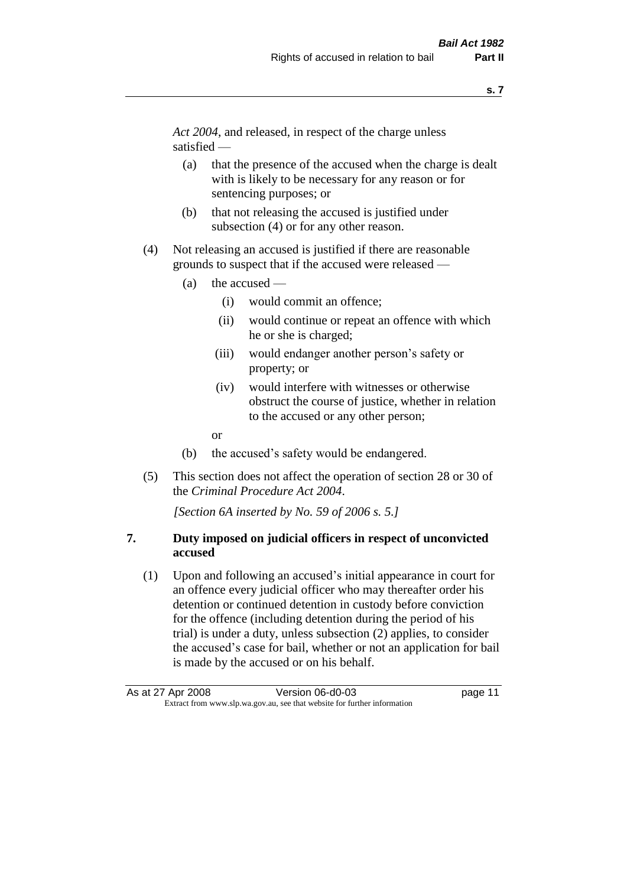*Act 2004*, and released, in respect of the charge unless satisfied —

- (a) that the presence of the accused when the charge is dealt with is likely to be necessary for any reason or for sentencing purposes; or
- (b) that not releasing the accused is justified under subsection (4) or for any other reason.
- (4) Not releasing an accused is justified if there are reasonable grounds to suspect that if the accused were released —
	- (a) the accused
		- (i) would commit an offence;
		- (ii) would continue or repeat an offence with which he or she is charged;
		- (iii) would endanger another person's safety or property; or
		- (iv) would interfere with witnesses or otherwise obstruct the course of justice, whether in relation to the accused or any other person;
		- or
	- (b) the accused's safety would be endangered.
- (5) This section does not affect the operation of section 28 or 30 of the *Criminal Procedure Act 2004*.

*[Section 6A inserted by No. 59 of 2006 s. 5.]* 

#### **7. Duty imposed on judicial officers in respect of unconvicted accused**

(1) Upon and following an accused's initial appearance in court for an offence every judicial officer who may thereafter order his detention or continued detention in custody before conviction for the offence (including detention during the period of his trial) is under a duty, unless subsection (2) applies, to consider the accused's case for bail, whether or not an application for bail is made by the accused or on his behalf.

As at 27 Apr 2008 Version 06-d0-03 page 11 Extract from www.slp.wa.gov.au, see that website for further information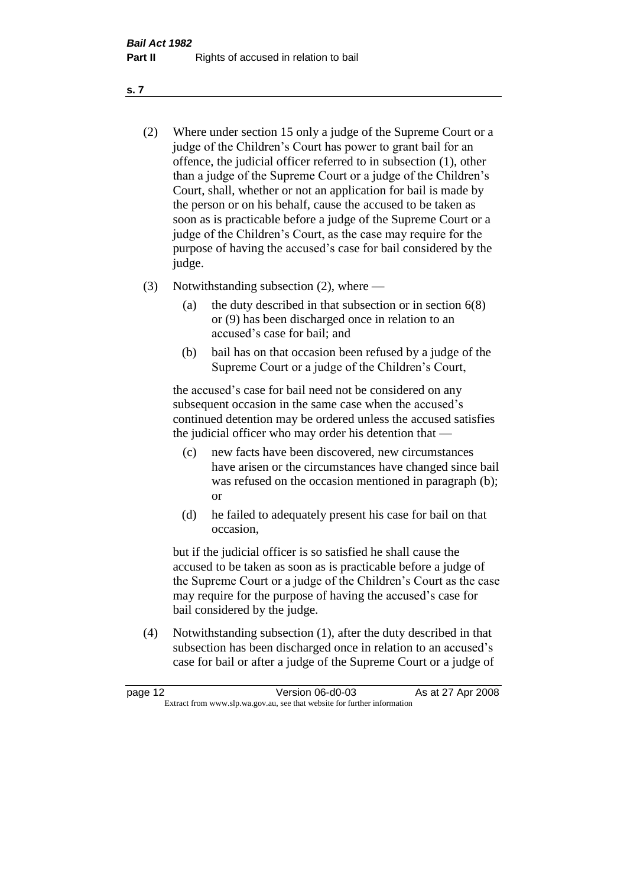- (2) Where under section 15 only a judge of the Supreme Court or a judge of the Children's Court has power to grant bail for an offence, the judicial officer referred to in subsection (1), other than a judge of the Supreme Court or a judge of the Children's Court, shall, whether or not an application for bail is made by the person or on his behalf, cause the accused to be taken as soon as is practicable before a judge of the Supreme Court or a judge of the Children's Court, as the case may require for the purpose of having the accused's case for bail considered by the judge.
- (3) Notwithstanding subsection (2), where
	- (a) the duty described in that subsection or in section 6(8) or (9) has been discharged once in relation to an accused's case for bail; and
	- (b) bail has on that occasion been refused by a judge of the Supreme Court or a judge of the Children's Court,

the accused's case for bail need not be considered on any subsequent occasion in the same case when the accused's continued detention may be ordered unless the accused satisfies the judicial officer who may order his detention that —

- (c) new facts have been discovered, new circumstances have arisen or the circumstances have changed since bail was refused on the occasion mentioned in paragraph (b); or
- (d) he failed to adequately present his case for bail on that occasion,

but if the judicial officer is so satisfied he shall cause the accused to be taken as soon as is practicable before a judge of the Supreme Court or a judge of the Children's Court as the case may require for the purpose of having the accused's case for bail considered by the judge.

(4) Notwithstanding subsection (1), after the duty described in that subsection has been discharged once in relation to an accused's case for bail or after a judge of the Supreme Court or a judge of

| page 12 | Version 06-d0-03                                                         | As at 27 Apr 2008 |
|---------|--------------------------------------------------------------------------|-------------------|
|         | Extract from www.slp.wa.gov.au, see that website for further information |                   |

**s. 7**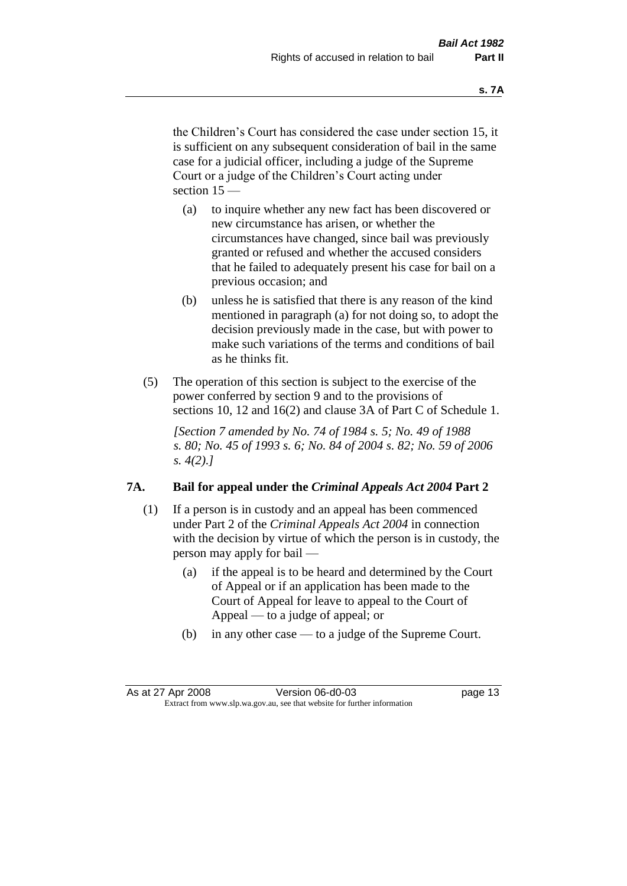the Children's Court has considered the case under section 15, it is sufficient on any subsequent consideration of bail in the same case for a judicial officer, including a judge of the Supreme Court or a judge of the Children's Court acting under section 15 —

- (a) to inquire whether any new fact has been discovered or new circumstance has arisen, or whether the circumstances have changed, since bail was previously granted or refused and whether the accused considers that he failed to adequately present his case for bail on a previous occasion; and
- (b) unless he is satisfied that there is any reason of the kind mentioned in paragraph (a) for not doing so, to adopt the decision previously made in the case, but with power to make such variations of the terms and conditions of bail as he thinks fit.
- (5) The operation of this section is subject to the exercise of the power conferred by section 9 and to the provisions of sections 10, 12 and 16(2) and clause 3A of Part C of Schedule 1.

*[Section 7 amended by No. 74 of 1984 s. 5; No. 49 of 1988 s. 80; No. 45 of 1993 s. 6; No. 84 of 2004 s. 82; No. 59 of 2006 s. 4(2).]* 

#### **7A. Bail for appeal under the** *Criminal Appeals Act 2004* **Part 2**

- (1) If a person is in custody and an appeal has been commenced under Part 2 of the *Criminal Appeals Act 2004* in connection with the decision by virtue of which the person is in custody, the person may apply for bail —
	- (a) if the appeal is to be heard and determined by the Court of Appeal or if an application has been made to the Court of Appeal for leave to appeal to the Court of Appeal — to a judge of appeal; or
	- (b) in any other case to a judge of the Supreme Court.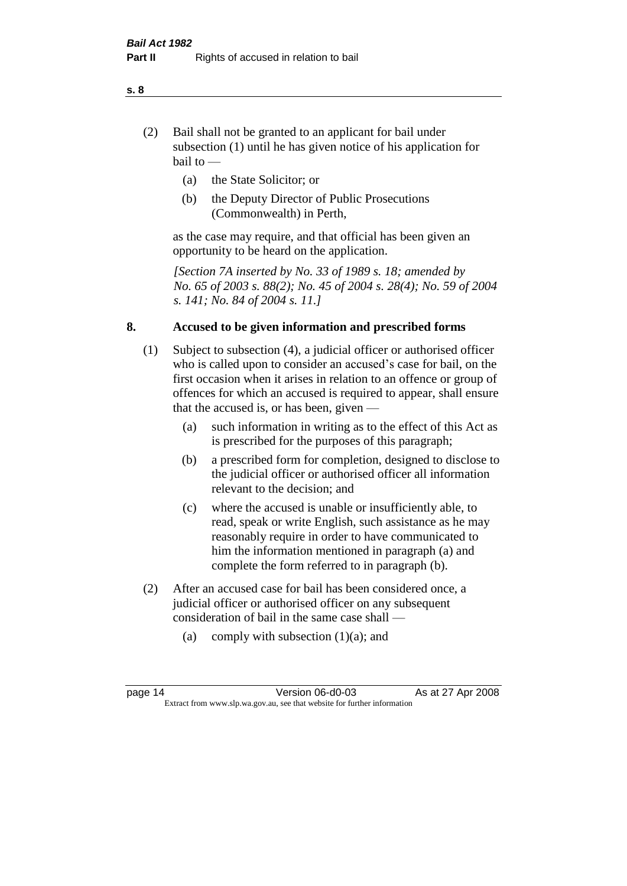- (2) Bail shall not be granted to an applicant for bail under subsection (1) until he has given notice of his application for bail to —
	- (a) the State Solicitor; or
	- (b) the Deputy Director of Public Prosecutions (Commonwealth) in Perth,

as the case may require, and that official has been given an opportunity to be heard on the application.

*[Section 7A inserted by No. 33 of 1989 s. 18; amended by No. 65 of 2003 s. 88(2); No. 45 of 2004 s. 28(4); No. 59 of 2004 s. 141; No. 84 of 2004 s. 11.]* 

#### **8. Accused to be given information and prescribed forms**

- (1) Subject to subsection (4), a judicial officer or authorised officer who is called upon to consider an accused's case for bail, on the first occasion when it arises in relation to an offence or group of offences for which an accused is required to appear, shall ensure that the accused is, or has been, given —
	- (a) such information in writing as to the effect of this Act as is prescribed for the purposes of this paragraph;
	- (b) a prescribed form for completion, designed to disclose to the judicial officer or authorised officer all information relevant to the decision; and
	- (c) where the accused is unable or insufficiently able, to read, speak or write English, such assistance as he may reasonably require in order to have communicated to him the information mentioned in paragraph (a) and complete the form referred to in paragraph (b).
- (2) After an accused case for bail has been considered once, a judicial officer or authorised officer on any subsequent consideration of bail in the same case shall —
	- (a) comply with subsection  $(1)(a)$ ; and

#### **s. 8**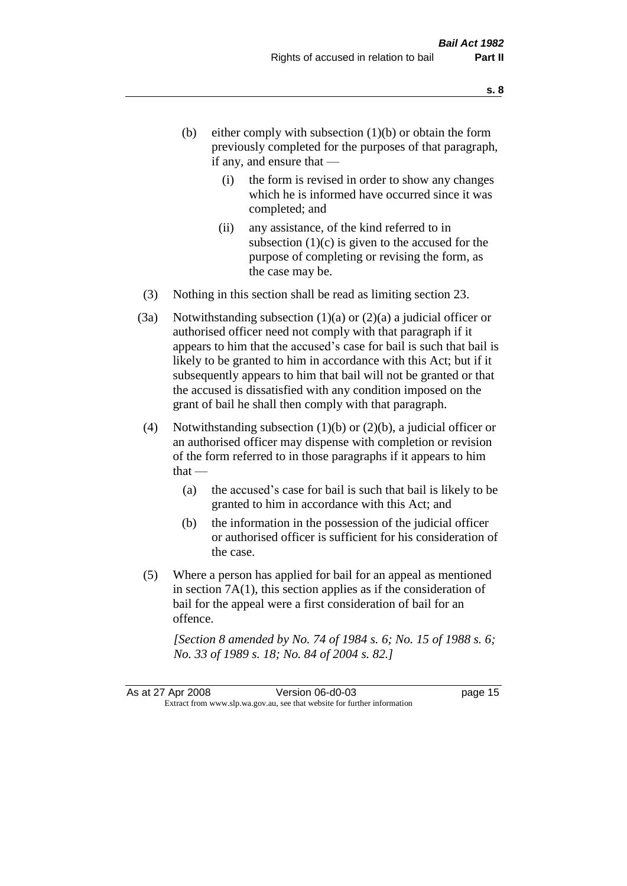- (b) either comply with subsection  $(1)(b)$  or obtain the form previously completed for the purposes of that paragraph, if any, and ensure that —
	- (i) the form is revised in order to show any changes which he is informed have occurred since it was completed; and
	- (ii) any assistance, of the kind referred to in subsection  $(1)(c)$  is given to the accused for the purpose of completing or revising the form, as the case may be.
- (3) Nothing in this section shall be read as limiting section 23.
- (3a) Notwithstanding subsection  $(1)(a)$  or  $(2)(a)$  a judicial officer or authorised officer need not comply with that paragraph if it appears to him that the accused's case for bail is such that bail is likely to be granted to him in accordance with this Act; but if it subsequently appears to him that bail will not be granted or that the accused is dissatisfied with any condition imposed on the grant of bail he shall then comply with that paragraph.
- (4) Notwithstanding subsection  $(1)(b)$  or  $(2)(b)$ , a judicial officer or an authorised officer may dispense with completion or revision of the form referred to in those paragraphs if it appears to him  $that -$ 
	- (a) the accused's case for bail is such that bail is likely to be granted to him in accordance with this Act; and
	- (b) the information in the possession of the judicial officer or authorised officer is sufficient for his consideration of the case.
- (5) Where a person has applied for bail for an appeal as mentioned in section 7A(1), this section applies as if the consideration of bail for the appeal were a first consideration of bail for an offence.

*[Section 8 amended by No. 74 of 1984 s. 6; No. 15 of 1988 s. 6; No. 33 of 1989 s. 18; No. 84 of 2004 s. 82.]*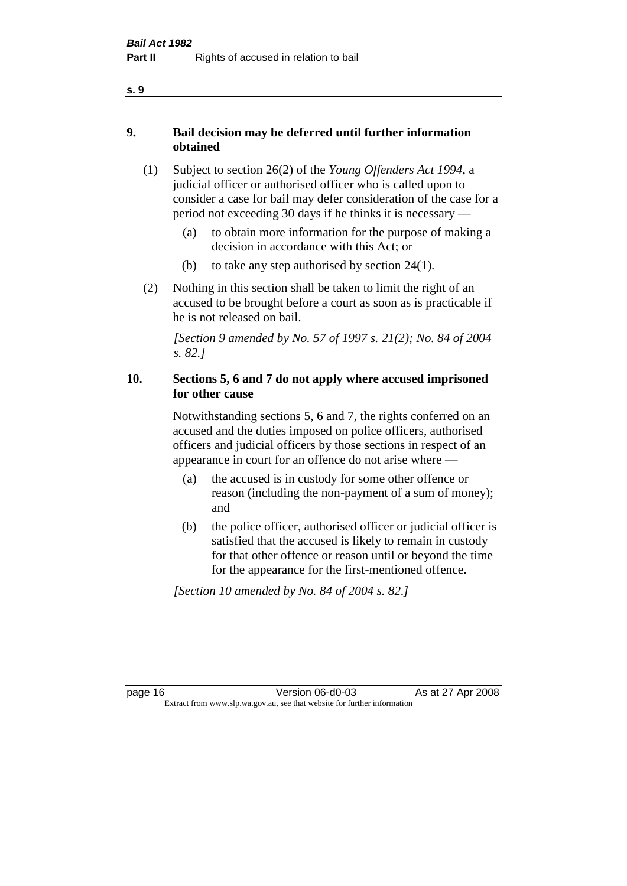#### **9. Bail decision may be deferred until further information obtained**

- (1) Subject to section 26(2) of the *Young Offenders Act 1994*, a judicial officer or authorised officer who is called upon to consider a case for bail may defer consideration of the case for a period not exceeding 30 days if he thinks it is necessary —
	- (a) to obtain more information for the purpose of making a decision in accordance with this Act; or
	- (b) to take any step authorised by section 24(1).
- (2) Nothing in this section shall be taken to limit the right of an accused to be brought before a court as soon as is practicable if he is not released on bail.

*[Section 9 amended by No. 57 of 1997 s. 21(2); No. 84 of 2004 s. 82.]*

#### **10. Sections 5, 6 and 7 do not apply where accused imprisoned for other cause**

Notwithstanding sections 5, 6 and 7, the rights conferred on an accused and the duties imposed on police officers, authorised officers and judicial officers by those sections in respect of an appearance in court for an offence do not arise where —

- (a) the accused is in custody for some other offence or reason (including the non-payment of a sum of money); and
- (b) the police officer, authorised officer or judicial officer is satisfied that the accused is likely to remain in custody for that other offence or reason until or beyond the time for the appearance for the first-mentioned offence.

*[Section 10 amended by No. 84 of 2004 s. 82.]*

**s. 9**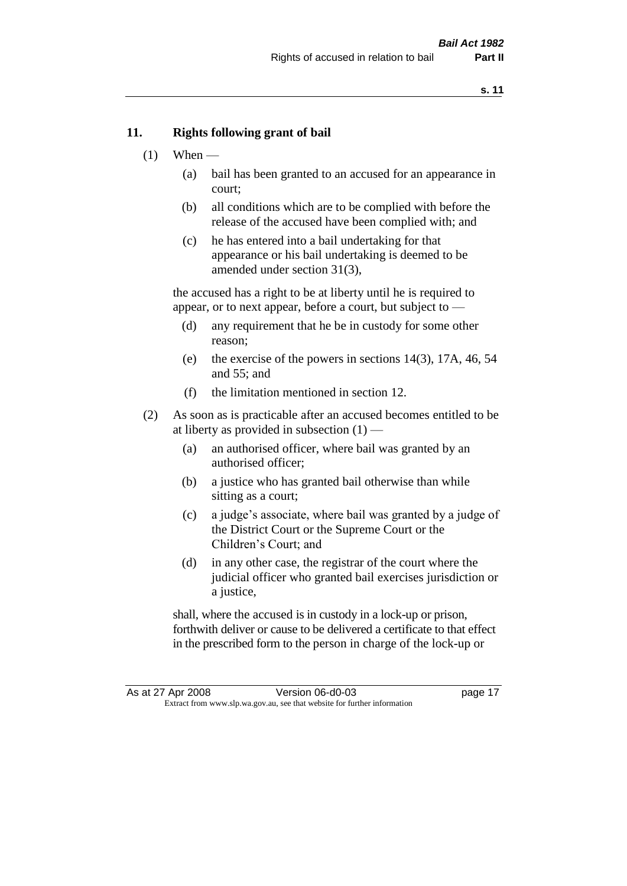#### **11. Rights following grant of bail**

- $(1)$  When
	- (a) bail has been granted to an accused for an appearance in court;
	- (b) all conditions which are to be complied with before the release of the accused have been complied with; and
	- (c) he has entered into a bail undertaking for that appearance or his bail undertaking is deemed to be amended under section 31(3),

the accused has a right to be at liberty until he is required to appear, or to next appear, before a court, but subject to —

- (d) any requirement that he be in custody for some other reason;
- (e) the exercise of the powers in sections 14(3), 17A, 46, 54 and 55; and
- (f) the limitation mentioned in section 12.
- (2) As soon as is practicable after an accused becomes entitled to be at liberty as provided in subsection  $(1)$  —
	- (a) an authorised officer, where bail was granted by an authorised officer;
	- (b) a justice who has granted bail otherwise than while sitting as a court;
	- (c) a judge's associate, where bail was granted by a judge of the District Court or the Supreme Court or the Children's Court; and
	- (d) in any other case, the registrar of the court where the judicial officer who granted bail exercises jurisdiction or a justice,

shall, where the accused is in custody in a lock-up or prison, forthwith deliver or cause to be delivered a certificate to that effect in the prescribed form to the person in charge of the lock-up or

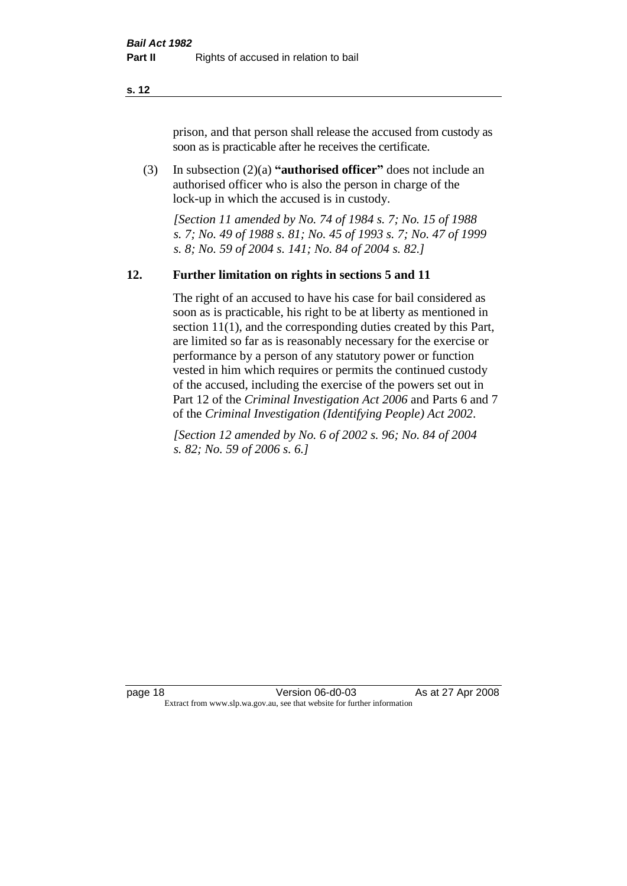prison, and that person shall release the accused from custody as soon as is practicable after he receives the certificate.

(3) In subsection (2)(a) **"authorised officer"** does not include an authorised officer who is also the person in charge of the lock-up in which the accused is in custody.

*[Section 11 amended by No. 74 of 1984 s. 7; No. 15 of 1988 s. 7; No. 49 of 1988 s. 81; No. 45 of 1993 s. 7; No. 47 of 1999 s. 8; No. 59 of 2004 s. 141; No. 84 of 2004 s. 82.]* 

#### **12. Further limitation on rights in sections 5 and 11**

The right of an accused to have his case for bail considered as soon as is practicable, his right to be at liberty as mentioned in section 11(1), and the corresponding duties created by this Part, are limited so far as is reasonably necessary for the exercise or performance by a person of any statutory power or function vested in him which requires or permits the continued custody of the accused, including the exercise of the powers set out in Part 12 of the *Criminal Investigation Act 2006* and Parts 6 and 7 of the *Criminal Investigation (Identifying People) Act 2002*.

*[Section 12 amended by No. 6 of 2002 s. 96; No. 84 of 2004 s. 82; No. 59 of 2006 s. 6.]*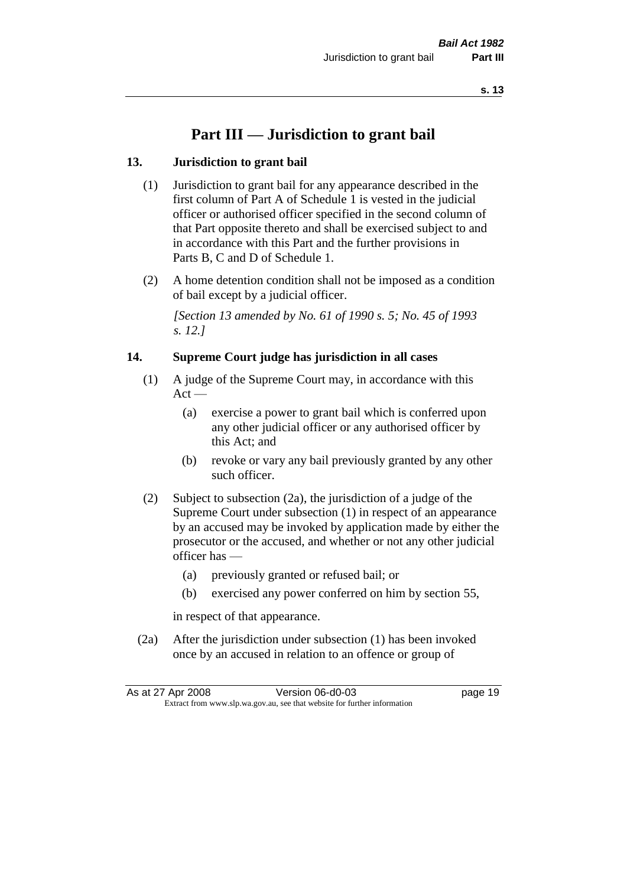## **Part III — Jurisdiction to grant bail**

#### **13. Jurisdiction to grant bail**

- (1) Jurisdiction to grant bail for any appearance described in the first column of Part A of Schedule 1 is vested in the judicial officer or authorised officer specified in the second column of that Part opposite thereto and shall be exercised subject to and in accordance with this Part and the further provisions in Parts B, C and D of Schedule 1.
- (2) A home detention condition shall not be imposed as a condition of bail except by a judicial officer.

*[Section 13 amended by No. 61 of 1990 s. 5; No. 45 of 1993 s. 12.]* 

#### **14. Supreme Court judge has jurisdiction in all cases**

- (1) A judge of the Supreme Court may, in accordance with this  $Act -$ 
	- (a) exercise a power to grant bail which is conferred upon any other judicial officer or any authorised officer by this Act; and
	- (b) revoke or vary any bail previously granted by any other such officer.
- (2) Subject to subsection (2a), the jurisdiction of a judge of the Supreme Court under subsection (1) in respect of an appearance by an accused may be invoked by application made by either the prosecutor or the accused, and whether or not any other judicial officer has —
	- (a) previously granted or refused bail; or
	- (b) exercised any power conferred on him by section 55,

in respect of that appearance.

(2a) After the jurisdiction under subsection (1) has been invoked once by an accused in relation to an offence or group of

| As at 27 Apr 2008                                                        |  | Version 06-d0-03 | page 19 |
|--------------------------------------------------------------------------|--|------------------|---------|
| Extract from www.slp.wa.gov.au, see that website for further information |  |                  |         |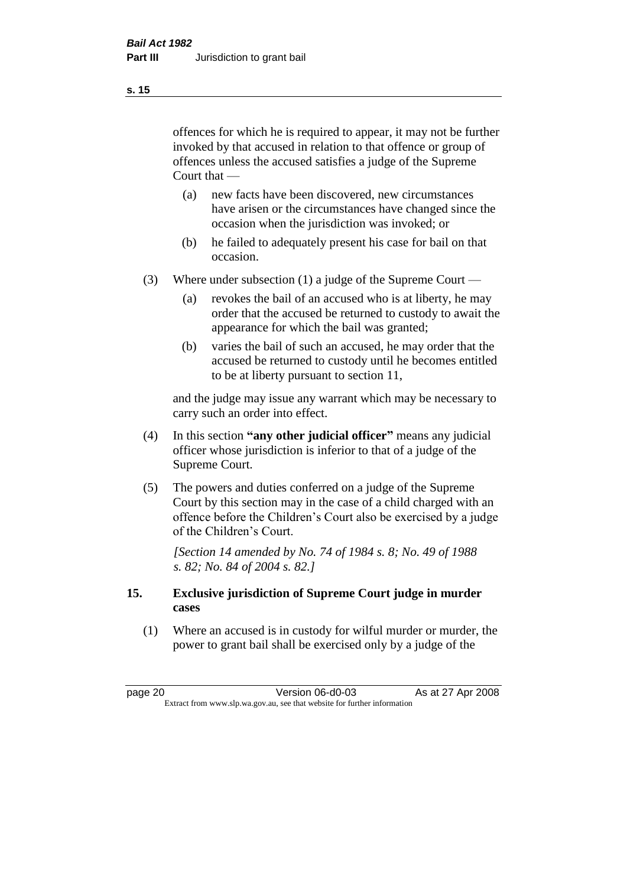offences for which he is required to appear, it may not be further invoked by that accused in relation to that offence or group of offences unless the accused satisfies a judge of the Supreme Court that —

- (a) new facts have been discovered, new circumstances have arisen or the circumstances have changed since the occasion when the jurisdiction was invoked; or
- (b) he failed to adequately present his case for bail on that occasion.
- (3) Where under subsection (1) a judge of the Supreme Court
	- (a) revokes the bail of an accused who is at liberty, he may order that the accused be returned to custody to await the appearance for which the bail was granted;
	- (b) varies the bail of such an accused, he may order that the accused be returned to custody until he becomes entitled to be at liberty pursuant to section 11,

and the judge may issue any warrant which may be necessary to carry such an order into effect.

- (4) In this section **"any other judicial officer"** means any judicial officer whose jurisdiction is inferior to that of a judge of the Supreme Court.
- (5) The powers and duties conferred on a judge of the Supreme Court by this section may in the case of a child charged with an offence before the Children's Court also be exercised by a judge of the Children's Court.

*[Section 14 amended by No. 74 of 1984 s. 8; No. 49 of 1988 s. 82; No. 84 of 2004 s. 82.]* 

#### **15. Exclusive jurisdiction of Supreme Court judge in murder cases**

(1) Where an accused is in custody for wilful murder or murder, the power to grant bail shall be exercised only by a judge of the

**s. 15**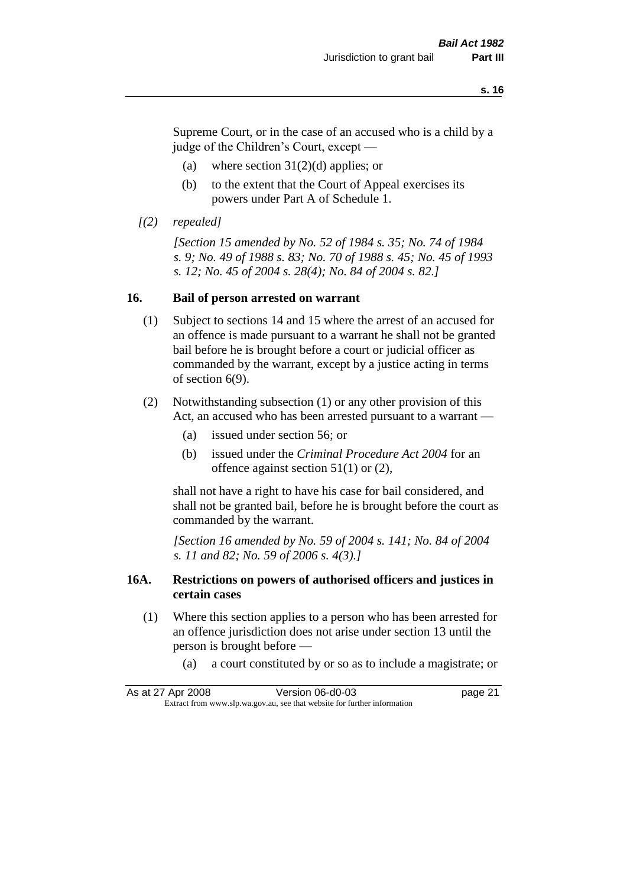Supreme Court, or in the case of an accused who is a child by a judge of the Children's Court, except —

- (a) where section  $31(2)(d)$  applies; or
- (b) to the extent that the Court of Appeal exercises its powers under Part A of Schedule 1.

```
[(2) repealed]
```
*[Section 15 amended by No. 52 of 1984 s. 35; No. 74 of 1984 s. 9; No. 49 of 1988 s. 83; No. 70 of 1988 s. 45; No. 45 of 1993 s. 12; No. 45 of 2004 s. 28(4); No. 84 of 2004 s. 82.]* 

#### **16. Bail of person arrested on warrant**

- (1) Subject to sections 14 and 15 where the arrest of an accused for an offence is made pursuant to a warrant he shall not be granted bail before he is brought before a court or judicial officer as commanded by the warrant, except by a justice acting in terms of section 6(9).
- (2) Notwithstanding subsection (1) or any other provision of this Act, an accused who has been arrested pursuant to a warrant —
	- (a) issued under section 56; or
	- (b) issued under the *Criminal Procedure Act 2004* for an offence against section 51(1) or (2),

shall not have a right to have his case for bail considered, and shall not be granted bail, before he is brought before the court as commanded by the warrant.

*[Section 16 amended by No. 59 of 2004 s. 141; No. 84 of 2004 s. 11 and 82; No. 59 of 2006 s. 4(3).]*

#### **16A. Restrictions on powers of authorised officers and justices in certain cases**

- (1) Where this section applies to a person who has been arrested for an offence jurisdiction does not arise under section 13 until the person is brought before —
	- (a) a court constituted by or so as to include a magistrate; or

As at 27 Apr 2008 Version 06-d0-03 page 21 Extract from www.slp.wa.gov.au, see that website for further information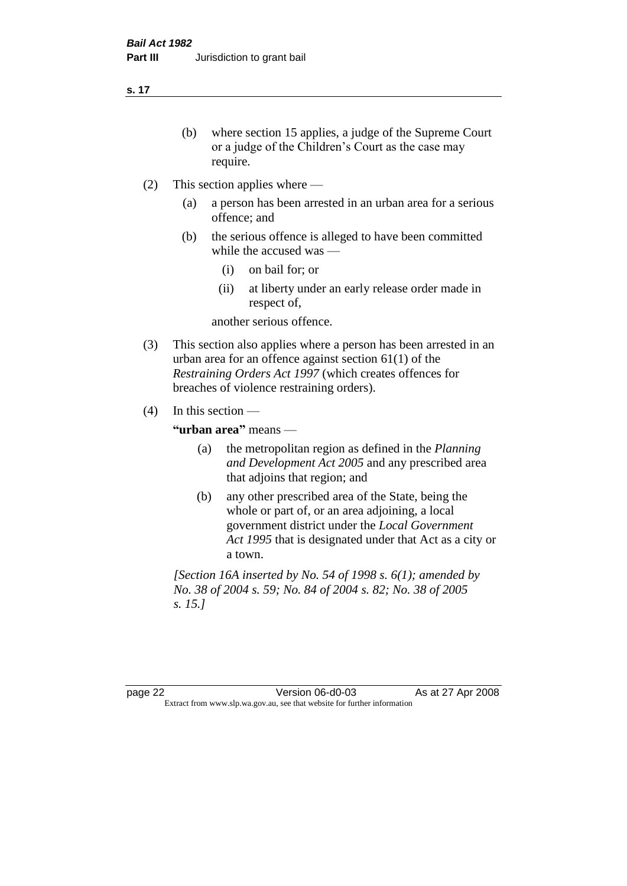- (b) where section 15 applies, a judge of the Supreme Court or a judge of the Children's Court as the case may require.
- (2) This section applies where
	- (a) a person has been arrested in an urban area for a serious offence; and
	- (b) the serious offence is alleged to have been committed while the accused was —
		- (i) on bail for; or
		- (ii) at liberty under an early release order made in respect of,

another serious offence.

- (3) This section also applies where a person has been arrested in an urban area for an offence against section 61(1) of the *Restraining Orders Act 1997* (which creates offences for breaches of violence restraining orders).
- (4) In this section —

**"urban area"** means —

- (a) the metropolitan region as defined in the *Planning and Development Act 2005* and any prescribed area that adjoins that region; and
- (b) any other prescribed area of the State, being the whole or part of, or an area adjoining, a local government district under the *Local Government Act 1995* that is designated under that Act as a city or a town.

*[Section 16A inserted by No. 54 of 1998 s. 6(1); amended by No. 38 of 2004 s. 59; No. 84 of 2004 s. 82; No. 38 of 2005 s. 15.]*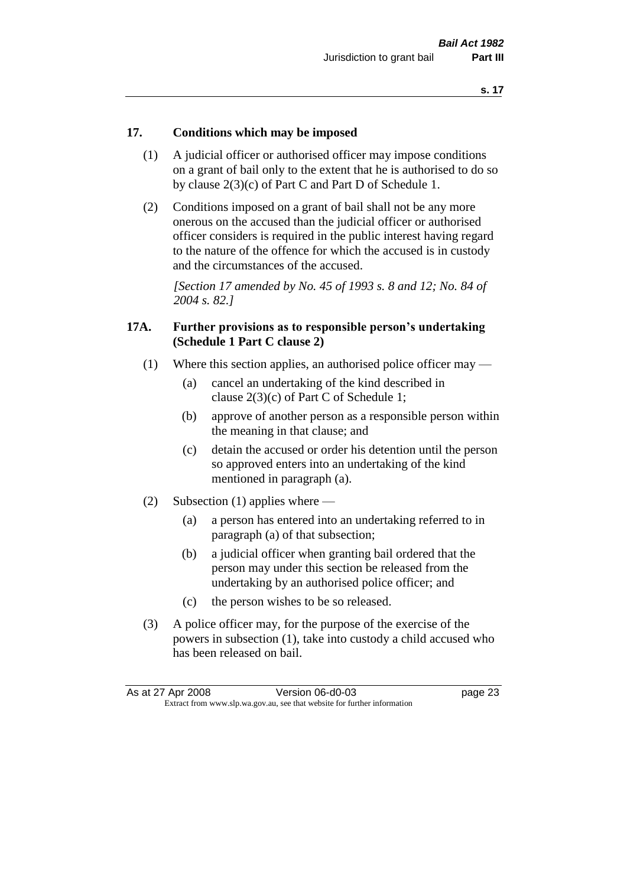#### **17. Conditions which may be imposed**

- (1) A judicial officer or authorised officer may impose conditions on a grant of bail only to the extent that he is authorised to do so by clause 2(3)(c) of Part C and Part D of Schedule 1.
- (2) Conditions imposed on a grant of bail shall not be any more onerous on the accused than the judicial officer or authorised officer considers is required in the public interest having regard to the nature of the offence for which the accused is in custody and the circumstances of the accused.

*[Section 17 amended by No. 45 of 1993 s. 8 and 12; No. 84 of 2004 s. 82.]* 

#### **17A. Further provisions as to responsible person's undertaking (Schedule 1 Part C clause 2)**

- (1) Where this section applies, an authorised police officer may
	- (a) cancel an undertaking of the kind described in clause 2(3)(c) of Part C of Schedule 1;
	- (b) approve of another person as a responsible person within the meaning in that clause; and
	- (c) detain the accused or order his detention until the person so approved enters into an undertaking of the kind mentioned in paragraph (a).
- (2) Subsection (1) applies where
	- (a) a person has entered into an undertaking referred to in paragraph (a) of that subsection;
	- (b) a judicial officer when granting bail ordered that the person may under this section be released from the undertaking by an authorised police officer; and
	- (c) the person wishes to be so released.
- (3) A police officer may, for the purpose of the exercise of the powers in subsection (1), take into custody a child accused who has been released on bail.

| As at 27 Apr 2008                                                        | Version 06-d0-03 | page 23 |
|--------------------------------------------------------------------------|------------------|---------|
| Extract from www.slp.wa.gov.au, see that website for further information |                  |         |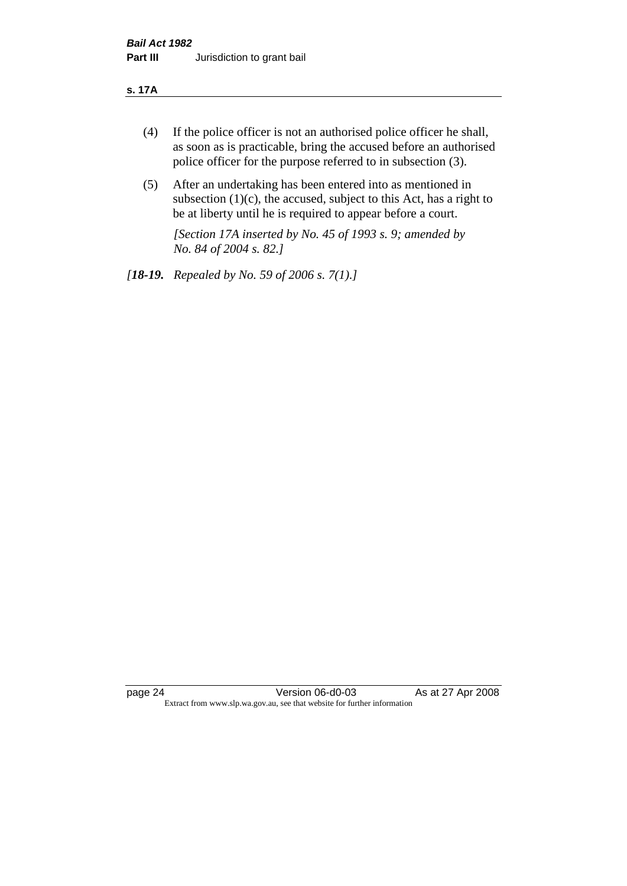#### **s. 17A**

- (4) If the police officer is not an authorised police officer he shall, as soon as is practicable, bring the accused before an authorised police officer for the purpose referred to in subsection (3).
- (5) After an undertaking has been entered into as mentioned in subsection  $(1)(c)$ , the accused, subject to this Act, has a right to be at liberty until he is required to appear before a court.

*[Section 17A inserted by No. 45 of 1993 s. 9; amended by No. 84 of 2004 s. 82.]* 

*[18-19. Repealed by No. 59 of 2006 s. 7(1).]*

page 24 Version 06-d0-03 As at 27 Apr 2008 Extract from www.slp.wa.gov.au, see that website for further information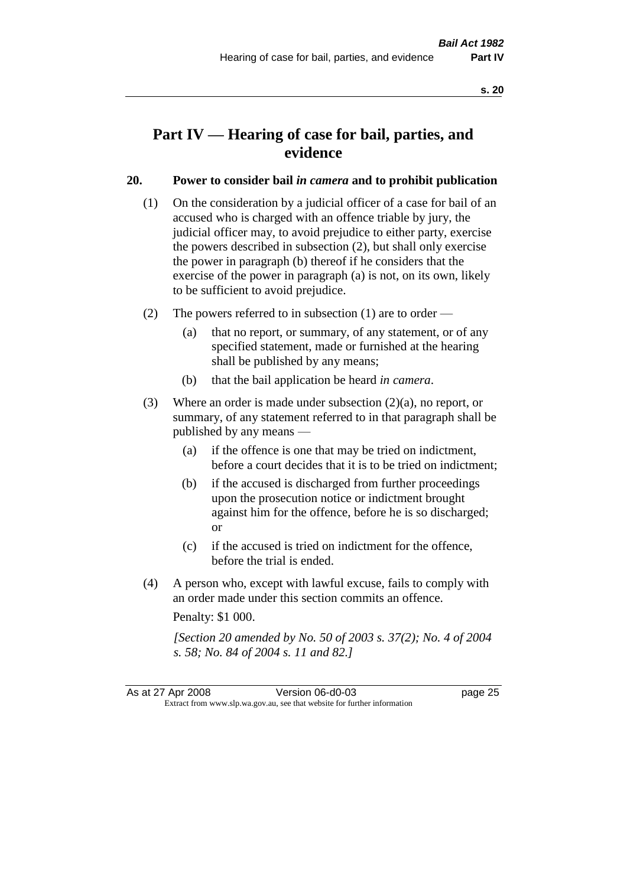## **Part IV — Hearing of case for bail, parties, and evidence**

#### **20. Power to consider bail** *in camera* **and to prohibit publication**

- (1) On the consideration by a judicial officer of a case for bail of an accused who is charged with an offence triable by jury, the judicial officer may, to avoid prejudice to either party, exercise the powers described in subsection (2), but shall only exercise the power in paragraph (b) thereof if he considers that the exercise of the power in paragraph (a) is not, on its own, likely to be sufficient to avoid prejudice.
- (2) The powers referred to in subsection (1) are to order
	- (a) that no report, or summary, of any statement, or of any specified statement, made or furnished at the hearing shall be published by any means;
	- (b) that the bail application be heard *in camera*.
- (3) Where an order is made under subsection (2)(a), no report, or summary, of any statement referred to in that paragraph shall be published by any means —
	- (a) if the offence is one that may be tried on indictment, before a court decides that it is to be tried on indictment;
	- (b) if the accused is discharged from further proceedings upon the prosecution notice or indictment brought against him for the offence, before he is so discharged; or
	- (c) if the accused is tried on indictment for the offence, before the trial is ended.
- (4) A person who, except with lawful excuse, fails to comply with an order made under this section commits an offence.

Penalty: \$1 000.

*[Section 20 amended by No. 50 of 2003 s. 37(2); No. 4 of 2004 s. 58; No. 84 of 2004 s. 11 and 82.]*

As at 27 Apr 2008 Version 06-d0-03 page 25 Extract from www.slp.wa.gov.au, see that website for further information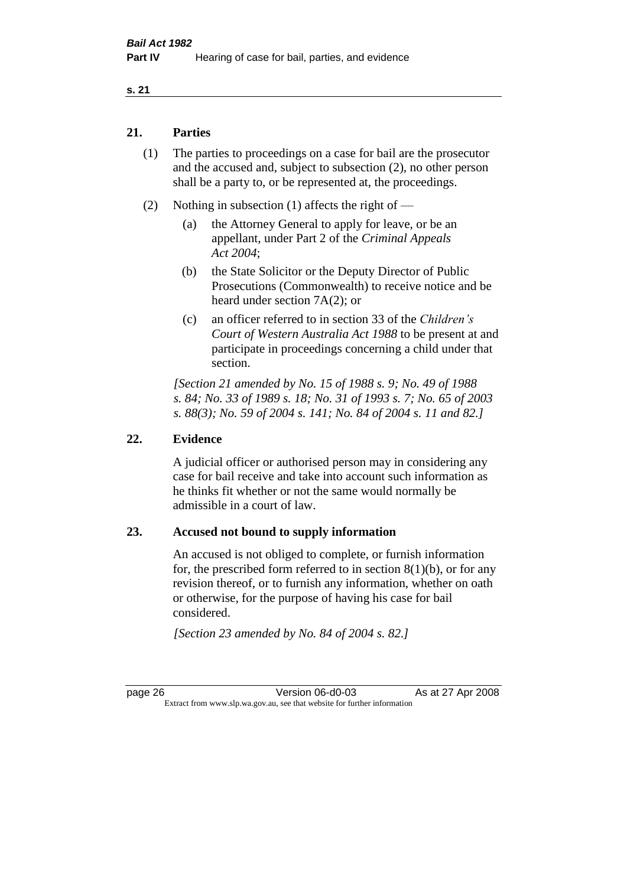#### **21. Parties**

- (1) The parties to proceedings on a case for bail are the prosecutor and the accused and, subject to subsection (2), no other person shall be a party to, or be represented at, the proceedings.
- (2) Nothing in subsection (1) affects the right of
	- (a) the Attorney General to apply for leave, or be an appellant, under Part 2 of the *Criminal Appeals Act 2004*;
	- (b) the State Solicitor or the Deputy Director of Public Prosecutions (Commonwealth) to receive notice and be heard under section 7A(2); or
	- (c) an officer referred to in section 33 of the *Children's Court of Western Australia Act 1988* to be present at and participate in proceedings concerning a child under that section.

*[Section 21 amended by No. 15 of 1988 s. 9; No. 49 of 1988 s. 84; No. 33 of 1989 s. 18; No. 31 of 1993 s. 7; No. 65 of 2003 s. 88(3); No. 59 of 2004 s. 141; No. 84 of 2004 s. 11 and 82.]* 

#### **22. Evidence**

A judicial officer or authorised person may in considering any case for bail receive and take into account such information as he thinks fit whether or not the same would normally be admissible in a court of law.

#### **23. Accused not bound to supply information**

An accused is not obliged to complete, or furnish information for, the prescribed form referred to in section  $8(1)(b)$ , or for any revision thereof, or to furnish any information, whether on oath or otherwise, for the purpose of having his case for bail considered.

*[Section 23 amended by No. 84 of 2004 s. 82.]* 

page 26 Version 06-d0-03 As at 27 Apr 2008 Extract from www.slp.wa.gov.au, see that website for further information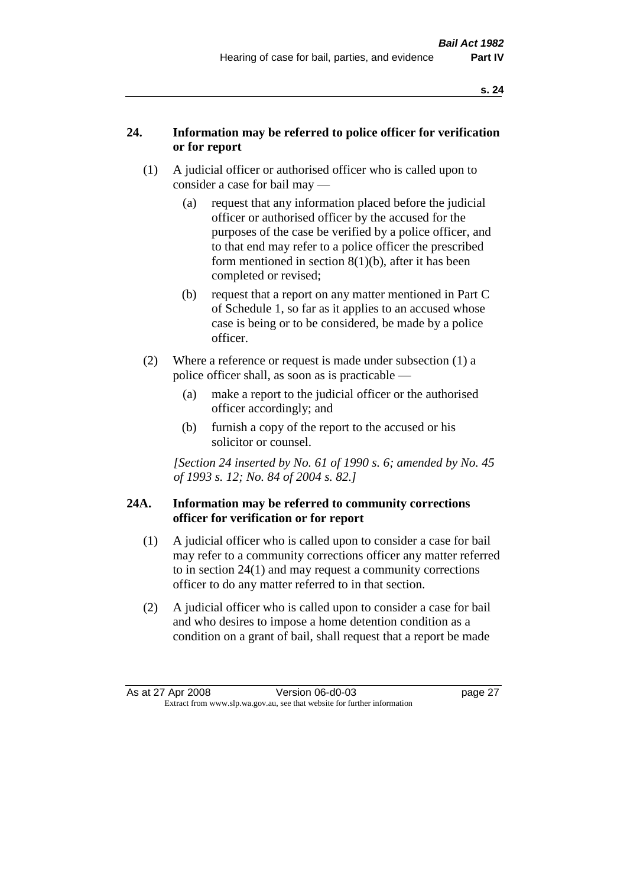#### **24. Information may be referred to police officer for verification or for report**

- (1) A judicial officer or authorised officer who is called upon to consider a case for bail may —
	- (a) request that any information placed before the judicial officer or authorised officer by the accused for the purposes of the case be verified by a police officer, and to that end may refer to a police officer the prescribed form mentioned in section 8(1)(b), after it has been completed or revised;
	- (b) request that a report on any matter mentioned in Part C of Schedule 1, so far as it applies to an accused whose case is being or to be considered, be made by a police officer.
- (2) Where a reference or request is made under subsection (1) a police officer shall, as soon as is practicable —
	- (a) make a report to the judicial officer or the authorised officer accordingly; and
	- (b) furnish a copy of the report to the accused or his solicitor or counsel.

*[Section 24 inserted by No. 61 of 1990 s. 6; amended by No. 45 of 1993 s. 12; No. 84 of 2004 s. 82.]* 

#### **24A. Information may be referred to community corrections officer for verification or for report**

- (1) A judicial officer who is called upon to consider a case for bail may refer to a community corrections officer any matter referred to in section 24(1) and may request a community corrections officer to do any matter referred to in that section.
- (2) A judicial officer who is called upon to consider a case for bail and who desires to impose a home detention condition as a condition on a grant of bail, shall request that a report be made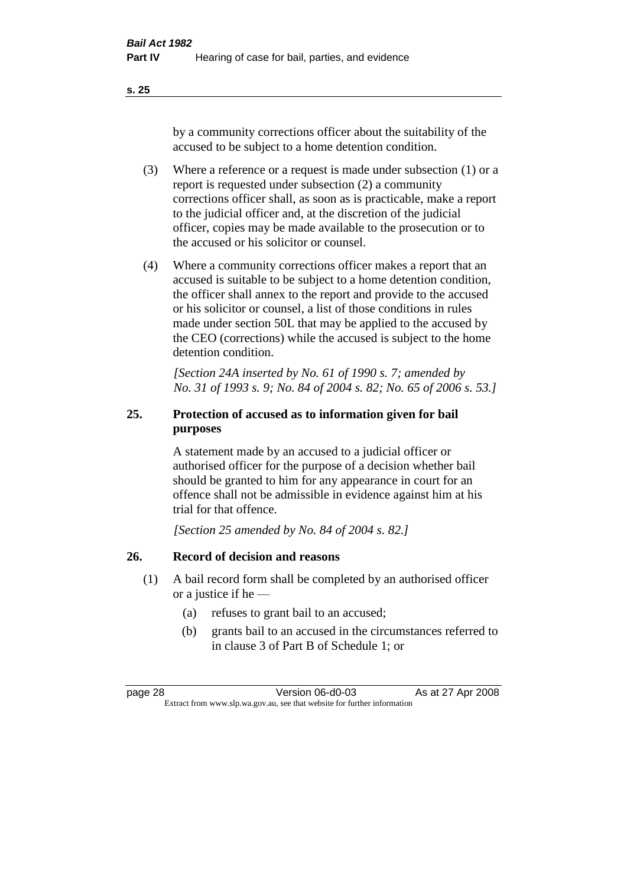by a community corrections officer about the suitability of the accused to be subject to a home detention condition.

- (3) Where a reference or a request is made under subsection (1) or a report is requested under subsection (2) a community corrections officer shall, as soon as is practicable, make a report to the judicial officer and, at the discretion of the judicial officer, copies may be made available to the prosecution or to the accused or his solicitor or counsel.
- (4) Where a community corrections officer makes a report that an accused is suitable to be subject to a home detention condition, the officer shall annex to the report and provide to the accused or his solicitor or counsel, a list of those conditions in rules made under section 50L that may be applied to the accused by the CEO (corrections) while the accused is subject to the home detention condition.

*[Section 24A inserted by No. 61 of 1990 s. 7; amended by No. 31 of 1993 s. 9; No. 84 of 2004 s. 82; No. 65 of 2006 s. 53.]* 

#### **25. Protection of accused as to information given for bail purposes**

A statement made by an accused to a judicial officer or authorised officer for the purpose of a decision whether bail should be granted to him for any appearance in court for an offence shall not be admissible in evidence against him at his trial for that offence.

*[Section 25 amended by No. 84 of 2004 s. 82.]* 

#### **26. Record of decision and reasons**

- (1) A bail record form shall be completed by an authorised officer or a justice if he —
	- (a) refuses to grant bail to an accused;
	- (b) grants bail to an accused in the circumstances referred to in clause 3 of Part B of Schedule 1; or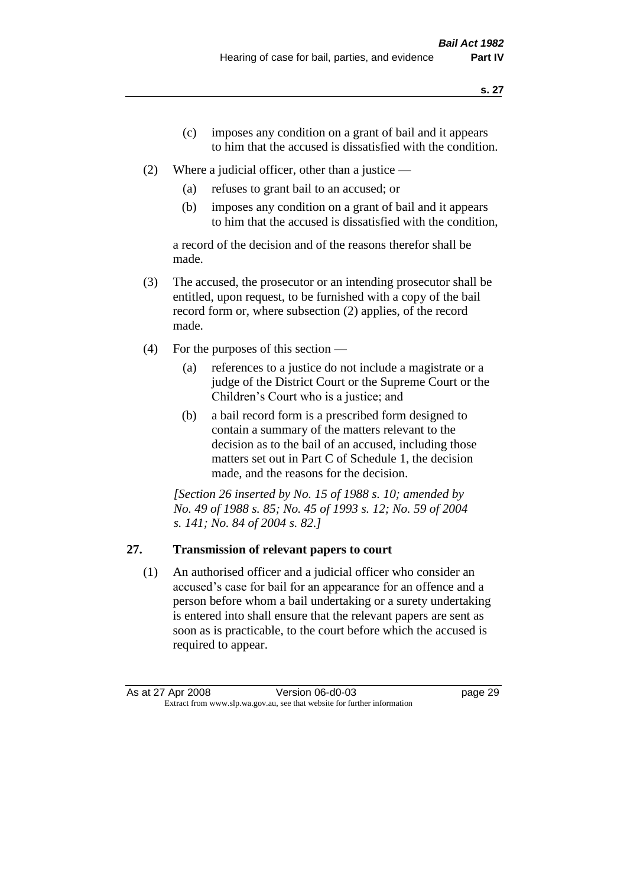- (c) imposes any condition on a grant of bail and it appears to him that the accused is dissatisfied with the condition.
- (2) Where a judicial officer, other than a justice
	- (a) refuses to grant bail to an accused; or
	- (b) imposes any condition on a grant of bail and it appears to him that the accused is dissatisfied with the condition,

a record of the decision and of the reasons therefor shall be made.

- (3) The accused, the prosecutor or an intending prosecutor shall be entitled, upon request, to be furnished with a copy of the bail record form or, where subsection (2) applies, of the record made.
- (4) For the purposes of this section
	- (a) references to a justice do not include a magistrate or a judge of the District Court or the Supreme Court or the Children's Court who is a justice; and
	- (b) a bail record form is a prescribed form designed to contain a summary of the matters relevant to the decision as to the bail of an accused, including those matters set out in Part C of Schedule 1, the decision made, and the reasons for the decision.

*[Section 26 inserted by No. 15 of 1988 s. 10; amended by No. 49 of 1988 s. 85; No. 45 of 1993 s. 12; No. 59 of 2004 s. 141; No. 84 of 2004 s. 82.]* 

# **27. Transmission of relevant papers to court**

(1) An authorised officer and a judicial officer who consider an accused's case for bail for an appearance for an offence and a person before whom a bail undertaking or a surety undertaking is entered into shall ensure that the relevant papers are sent as soon as is practicable, to the court before which the accused is required to appear.

As at 27 Apr 2008 Version 06-d0-03 page 29 Extract from www.slp.wa.gov.au, see that website for further information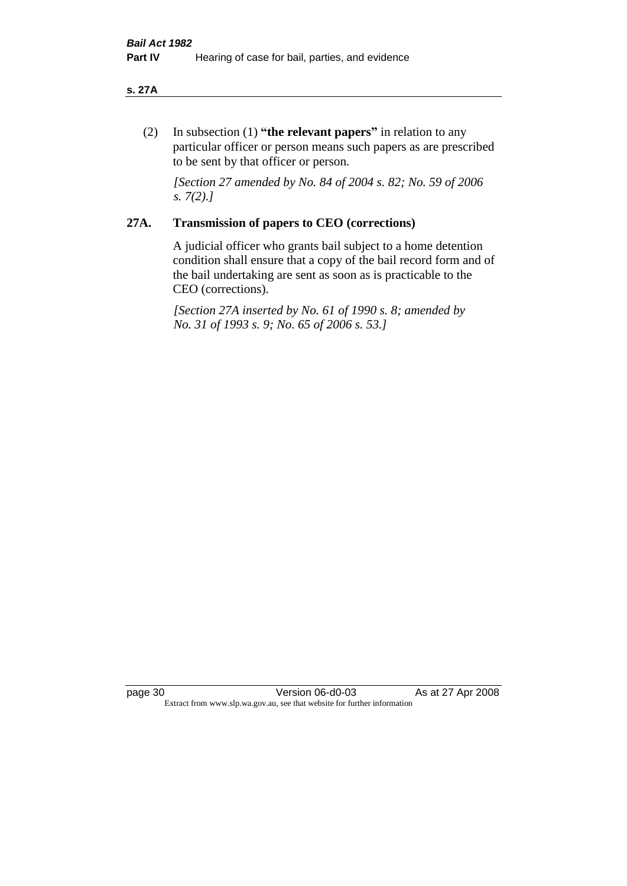#### **s. 27A**

(2) In subsection (1) **"the relevant papers"** in relation to any particular officer or person means such papers as are prescribed to be sent by that officer or person.

*[Section 27 amended by No. 84 of 2004 s. 82; No. 59 of 2006 s. 7(2).]* 

## **27A. Transmission of papers to CEO (corrections)**

A judicial officer who grants bail subject to a home detention condition shall ensure that a copy of the bail record form and of the bail undertaking are sent as soon as is practicable to the CEO (corrections).

*[Section 27A inserted by No. 61 of 1990 s. 8; amended by No. 31 of 1993 s. 9; No. 65 of 2006 s. 53.]* 

page 30 Version 06-d0-03 As at 27 Apr 2008 Extract from www.slp.wa.gov.au, see that website for further information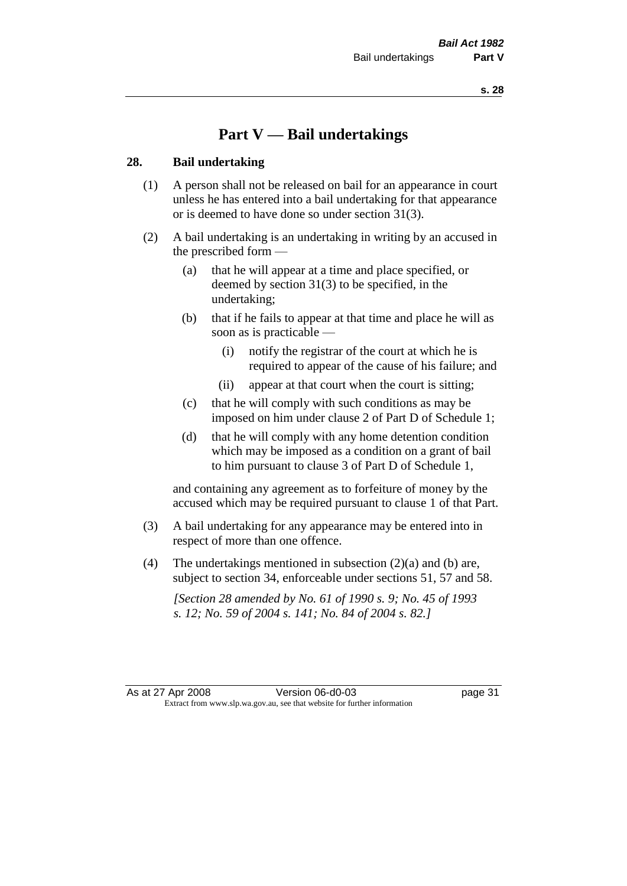# **Part V — Bail undertakings**

#### **28. Bail undertaking**

- (1) A person shall not be released on bail for an appearance in court unless he has entered into a bail undertaking for that appearance or is deemed to have done so under section 31(3).
- (2) A bail undertaking is an undertaking in writing by an accused in the prescribed form —
	- (a) that he will appear at a time and place specified, or deemed by section 31(3) to be specified, in the undertaking;
	- (b) that if he fails to appear at that time and place he will as soon as is practicable —
		- (i) notify the registrar of the court at which he is required to appear of the cause of his failure; and
		- (ii) appear at that court when the court is sitting;
	- (c) that he will comply with such conditions as may be imposed on him under clause 2 of Part D of Schedule 1;
	- (d) that he will comply with any home detention condition which may be imposed as a condition on a grant of bail to him pursuant to clause 3 of Part D of Schedule 1,

and containing any agreement as to forfeiture of money by the accused which may be required pursuant to clause 1 of that Part.

- (3) A bail undertaking for any appearance may be entered into in respect of more than one offence.
- (4) The undertakings mentioned in subsection  $(2)(a)$  and (b) are, subject to section 34, enforceable under sections 51, 57 and 58.

*[Section 28 amended by No. 61 of 1990 s. 9; No. 45 of 1993 s. 12; No. 59 of 2004 s. 141; No. 84 of 2004 s. 82.]*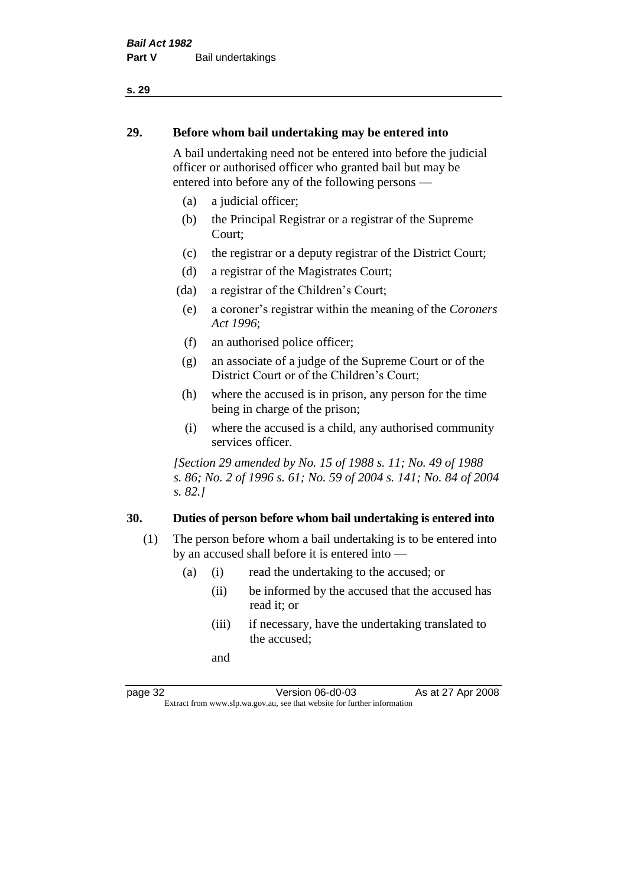#### **29. Before whom bail undertaking may be entered into**

A bail undertaking need not be entered into before the judicial officer or authorised officer who granted bail but may be entered into before any of the following persons —

- (a) a judicial officer;
- (b) the Principal Registrar or a registrar of the Supreme Court;
- (c) the registrar or a deputy registrar of the District Court;
- (d) a registrar of the Magistrates Court;
- (da) a registrar of the Children's Court;
- (e) a coroner's registrar within the meaning of the *Coroners Act 1996*;
- (f) an authorised police officer;
- (g) an associate of a judge of the Supreme Court or of the District Court or of the Children's Court;
- (h) where the accused is in prison, any person for the time being in charge of the prison;
- (i) where the accused is a child, any authorised community services officer.

*[Section 29 amended by No. 15 of 1988 s. 11; No. 49 of 1988 s. 86; No. 2 of 1996 s. 61; No. 59 of 2004 s. 141; No. 84 of 2004 s. 82.]* 

#### **30. Duties of person before whom bail undertaking is entered into**

- (1) The person before whom a bail undertaking is to be entered into by an accused shall before it is entered into —
	- (a) (i) read the undertaking to the accused; or
		- (ii) be informed by the accused that the accused has read it; or
		- (iii) if necessary, have the undertaking translated to the accused;

and

page 32 Version 06-d0-03 As at 27 Apr 2008 Extract from www.slp.wa.gov.au, see that website for further information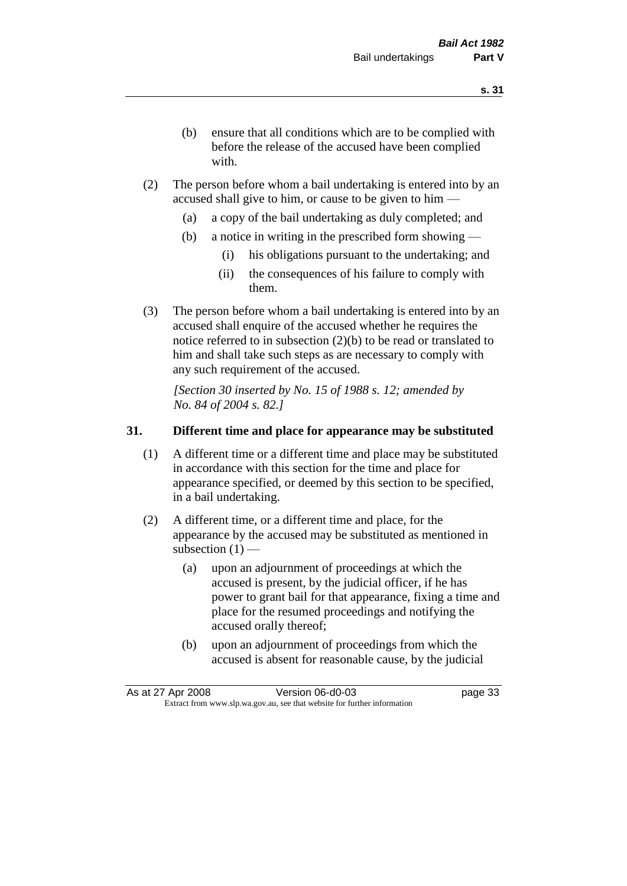- (b) ensure that all conditions which are to be complied with before the release of the accused have been complied with.
- (2) The person before whom a bail undertaking is entered into by an accused shall give to him, or cause to be given to him —
	- (a) a copy of the bail undertaking as duly completed; and
	- (b) a notice in writing in the prescribed form showing
		- (i) his obligations pursuant to the undertaking; and
		- (ii) the consequences of his failure to comply with them.
- (3) The person before whom a bail undertaking is entered into by an accused shall enquire of the accused whether he requires the notice referred to in subsection (2)(b) to be read or translated to him and shall take such steps as are necessary to comply with any such requirement of the accused.

*[Section 30 inserted by No. 15 of 1988 s. 12; amended by No. 84 of 2004 s. 82.]* 

## **31. Different time and place for appearance may be substituted**

- (1) A different time or a different time and place may be substituted in accordance with this section for the time and place for appearance specified, or deemed by this section to be specified, in a bail undertaking.
- (2) A different time, or a different time and place, for the appearance by the accused may be substituted as mentioned in subsection  $(1)$  —
	- (a) upon an adjournment of proceedings at which the accused is present, by the judicial officer, if he has power to grant bail for that appearance, fixing a time and place for the resumed proceedings and notifying the accused orally thereof;
	- (b) upon an adjournment of proceedings from which the accused is absent for reasonable cause, by the judicial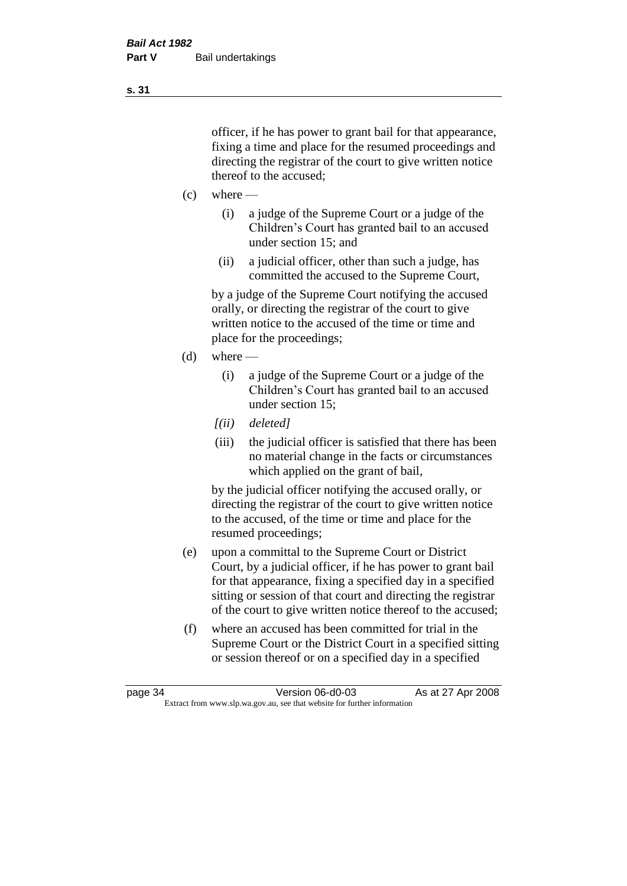officer, if he has power to grant bail for that appearance, fixing a time and place for the resumed proceedings and directing the registrar of the court to give written notice thereof to the accused;

- $(c)$  where
	- (i) a judge of the Supreme Court or a judge of the Children's Court has granted bail to an accused under section 15; and
	- (ii) a judicial officer, other than such a judge, has committed the accused to the Supreme Court,

by a judge of the Supreme Court notifying the accused orally, or directing the registrar of the court to give written notice to the accused of the time or time and place for the proceedings;

- (d) where
	- (i) a judge of the Supreme Court or a judge of the Children's Court has granted bail to an accused under section 15;
	- *[(ii) deleted]*
	- (iii) the judicial officer is satisfied that there has been no material change in the facts or circumstances which applied on the grant of bail,

by the judicial officer notifying the accused orally, or directing the registrar of the court to give written notice to the accused, of the time or time and place for the resumed proceedings;

- (e) upon a committal to the Supreme Court or District Court, by a judicial officer, if he has power to grant bail for that appearance, fixing a specified day in a specified sitting or session of that court and directing the registrar of the court to give written notice thereof to the accused;
- (f) where an accused has been committed for trial in the Supreme Court or the District Court in a specified sitting or session thereof or on a specified day in a specified

**s. 31**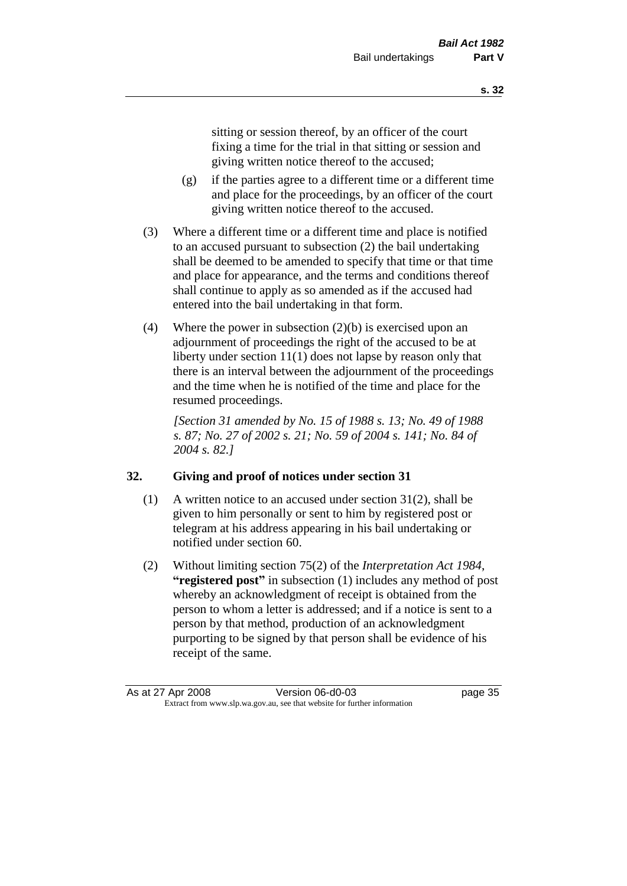sitting or session thereof, by an officer of the court fixing a time for the trial in that sitting or session and giving written notice thereof to the accused;

- (g) if the parties agree to a different time or a different time and place for the proceedings, by an officer of the court giving written notice thereof to the accused.
- (3) Where a different time or a different time and place is notified to an accused pursuant to subsection (2) the bail undertaking shall be deemed to be amended to specify that time or that time and place for appearance, and the terms and conditions thereof shall continue to apply as so amended as if the accused had entered into the bail undertaking in that form.
- (4) Where the power in subsection (2)(b) is exercised upon an adjournment of proceedings the right of the accused to be at liberty under section 11(1) does not lapse by reason only that there is an interval between the adjournment of the proceedings and the time when he is notified of the time and place for the resumed proceedings.

*[Section 31 amended by No. 15 of 1988 s. 13; No. 49 of 1988 s. 87; No. 27 of 2002 s. 21; No. 59 of 2004 s. 141; No. 84 of 2004 s. 82.]* 

# **32. Giving and proof of notices under section 31**

- (1) A written notice to an accused under section 31(2), shall be given to him personally or sent to him by registered post or telegram at his address appearing in his bail undertaking or notified under section 60.
- (2) Without limiting section 75(2) of the *Interpretation Act 1984*, **"registered post"** in subsection (1) includes any method of post whereby an acknowledgment of receipt is obtained from the person to whom a letter is addressed; and if a notice is sent to a person by that method, production of an acknowledgment purporting to be signed by that person shall be evidence of his receipt of the same.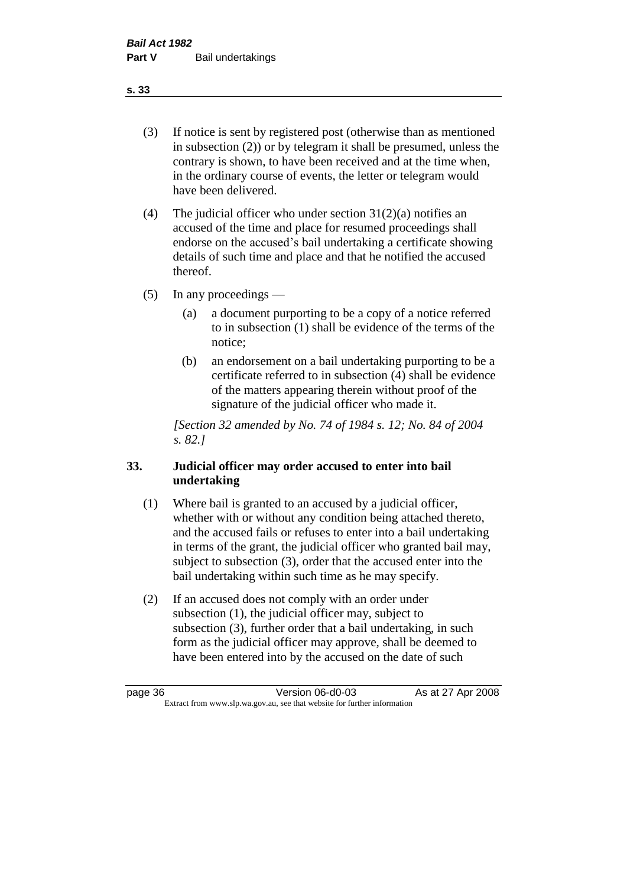(3) If notice is sent by registered post (otherwise than as mentioned in subsection (2)) or by telegram it shall be presumed, unless the contrary is shown, to have been received and at the time when, in the ordinary course of events, the letter or telegram would have been delivered.

(4) The judicial officer who under section  $31(2)(a)$  notifies an accused of the time and place for resumed proceedings shall endorse on the accused's bail undertaking a certificate showing details of such time and place and that he notified the accused thereof.

(5) In any proceedings —

- (a) a document purporting to be a copy of a notice referred to in subsection (1) shall be evidence of the terms of the notice;
- (b) an endorsement on a bail undertaking purporting to be a certificate referred to in subsection (4) shall be evidence of the matters appearing therein without proof of the signature of the judicial officer who made it.

*[Section 32 amended by No. 74 of 1984 s. 12; No. 84 of 2004 s. 82.]* 

# **33. Judicial officer may order accused to enter into bail undertaking**

- (1) Where bail is granted to an accused by a judicial officer, whether with or without any condition being attached thereto, and the accused fails or refuses to enter into a bail undertaking in terms of the grant, the judicial officer who granted bail may, subject to subsection (3), order that the accused enter into the bail undertaking within such time as he may specify.
- (2) If an accused does not comply with an order under subsection (1), the judicial officer may, subject to subsection (3), further order that a bail undertaking, in such form as the judicial officer may approve, shall be deemed to have been entered into by the accused on the date of such

**s. 33**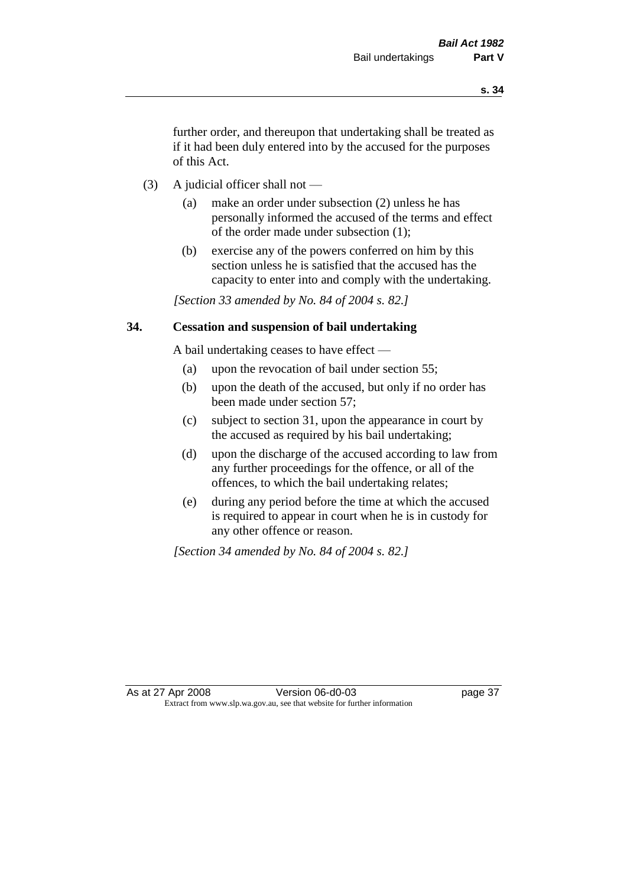further order, and thereupon that undertaking shall be treated as if it had been duly entered into by the accused for the purposes of this Act.

- (3) A judicial officer shall not
	- (a) make an order under subsection (2) unless he has personally informed the accused of the terms and effect of the order made under subsection (1);
	- (b) exercise any of the powers conferred on him by this section unless he is satisfied that the accused has the capacity to enter into and comply with the undertaking.

*[Section 33 amended by No. 84 of 2004 s. 82.]* 

## **34. Cessation and suspension of bail undertaking**

A bail undertaking ceases to have effect —

- (a) upon the revocation of bail under section 55;
- (b) upon the death of the accused, but only if no order has been made under section 57;
- (c) subject to section 31, upon the appearance in court by the accused as required by his bail undertaking;
- (d) upon the discharge of the accused according to law from any further proceedings for the offence, or all of the offences, to which the bail undertaking relates;
- (e) during any period before the time at which the accused is required to appear in court when he is in custody for any other offence or reason.

*[Section 34 amended by No. 84 of 2004 s. 82.]*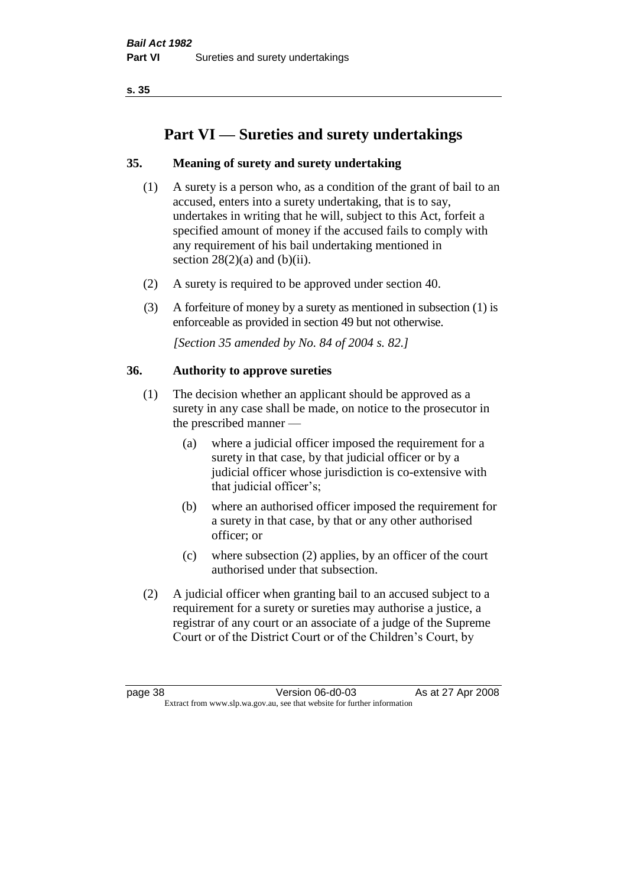# **Part VI — Sureties and surety undertakings**

# **35. Meaning of surety and surety undertaking**

- (1) A surety is a person who, as a condition of the grant of bail to an accused, enters into a surety undertaking, that is to say, undertakes in writing that he will, subject to this Act, forfeit a specified amount of money if the accused fails to comply with any requirement of his bail undertaking mentioned in section  $28(2)(a)$  and  $(b)(ii)$ .
- (2) A surety is required to be approved under section 40.
- (3) A forfeiture of money by a surety as mentioned in subsection (1) is enforceable as provided in section 49 but not otherwise.

*[Section 35 amended by No. 84 of 2004 s. 82.]* 

# **36. Authority to approve sureties**

- (1) The decision whether an applicant should be approved as a surety in any case shall be made, on notice to the prosecutor in the prescribed manner —
	- (a) where a judicial officer imposed the requirement for a surety in that case, by that judicial officer or by a judicial officer whose jurisdiction is co-extensive with that judicial officer's;
	- (b) where an authorised officer imposed the requirement for a surety in that case, by that or any other authorised officer; or
	- (c) where subsection (2) applies, by an officer of the court authorised under that subsection.
- (2) A judicial officer when granting bail to an accused subject to a requirement for a surety or sureties may authorise a justice, a registrar of any court or an associate of a judge of the Supreme Court or of the District Court or of the Children's Court, by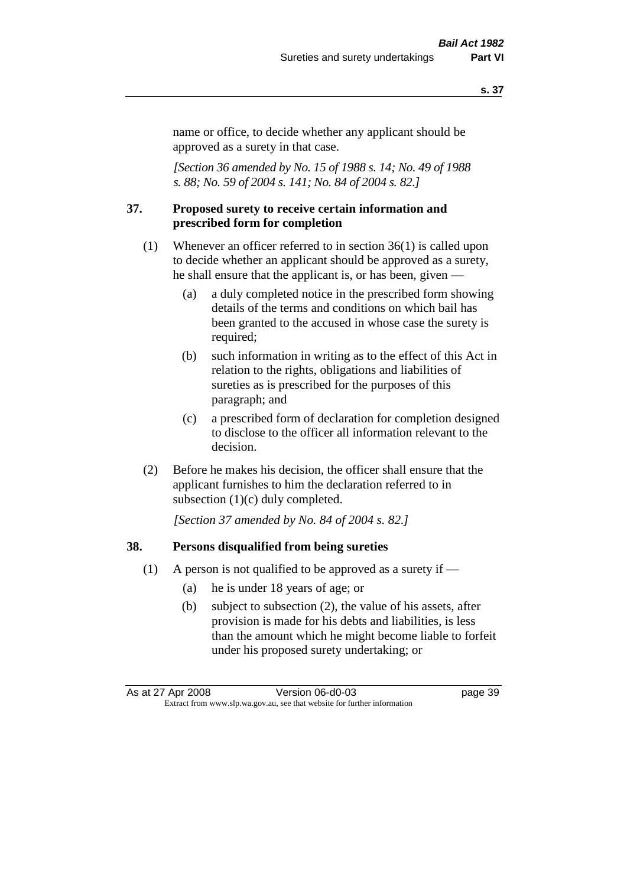name or office, to decide whether any applicant should be approved as a surety in that case.

*[Section 36 amended by No. 15 of 1988 s. 14; No. 49 of 1988 s. 88; No. 59 of 2004 s. 141; No. 84 of 2004 s. 82.]* 

#### **37. Proposed surety to receive certain information and prescribed form for completion**

- (1) Whenever an officer referred to in section 36(1) is called upon to decide whether an applicant should be approved as a surety, he shall ensure that the applicant is, or has been, given —
	- (a) a duly completed notice in the prescribed form showing details of the terms and conditions on which bail has been granted to the accused in whose case the surety is required;
	- (b) such information in writing as to the effect of this Act in relation to the rights, obligations and liabilities of sureties as is prescribed for the purposes of this paragraph; and
	- (c) a prescribed form of declaration for completion designed to disclose to the officer all information relevant to the decision.
- (2) Before he makes his decision, the officer shall ensure that the applicant furnishes to him the declaration referred to in subsection (1)(c) duly completed.

*[Section 37 amended by No. 84 of 2004 s. 82.]* 

#### **38. Persons disqualified from being sureties**

- (1) A person is not qualified to be approved as a surety if  $-$ 
	- (a) he is under 18 years of age; or
	- (b) subject to subsection (2), the value of his assets, after provision is made for his debts and liabilities, is less than the amount which he might become liable to forfeit under his proposed surety undertaking; or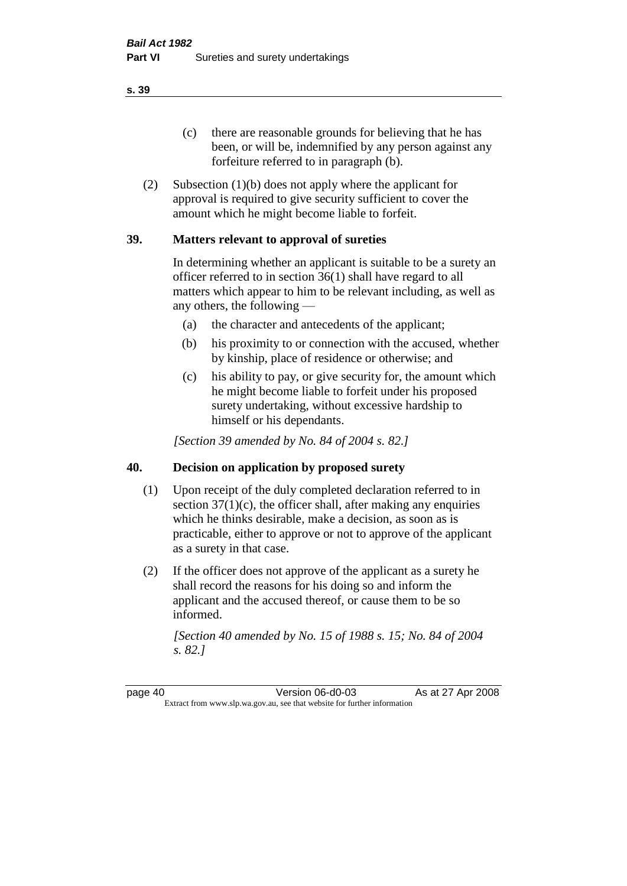(c) there are reasonable grounds for believing that he has been, or will be, indemnified by any person against any forfeiture referred to in paragraph (b).

(2) Subsection (1)(b) does not apply where the applicant for approval is required to give security sufficient to cover the amount which he might become liable to forfeit.

## **39. Matters relevant to approval of sureties**

In determining whether an applicant is suitable to be a surety an officer referred to in section 36(1) shall have regard to all matters which appear to him to be relevant including, as well as any others, the following —

- (a) the character and antecedents of the applicant;
- (b) his proximity to or connection with the accused, whether by kinship, place of residence or otherwise; and
- (c) his ability to pay, or give security for, the amount which he might become liable to forfeit under his proposed surety undertaking, without excessive hardship to himself or his dependants.

*[Section 39 amended by No. 84 of 2004 s. 82.]* 

## **40. Decision on application by proposed surety**

- (1) Upon receipt of the duly completed declaration referred to in section  $37(1)(c)$ , the officer shall, after making any enquiries which he thinks desirable, make a decision, as soon as is practicable, either to approve or not to approve of the applicant as a surety in that case.
- (2) If the officer does not approve of the applicant as a surety he shall record the reasons for his doing so and inform the applicant and the accused thereof, or cause them to be so informed.

*[Section 40 amended by No. 15 of 1988 s. 15; No. 84 of 2004 s. 82.]* 

page 40 Version 06-d0-03 As at 27 Apr 2008 Extract from www.slp.wa.gov.au, see that website for further information

**s. 39**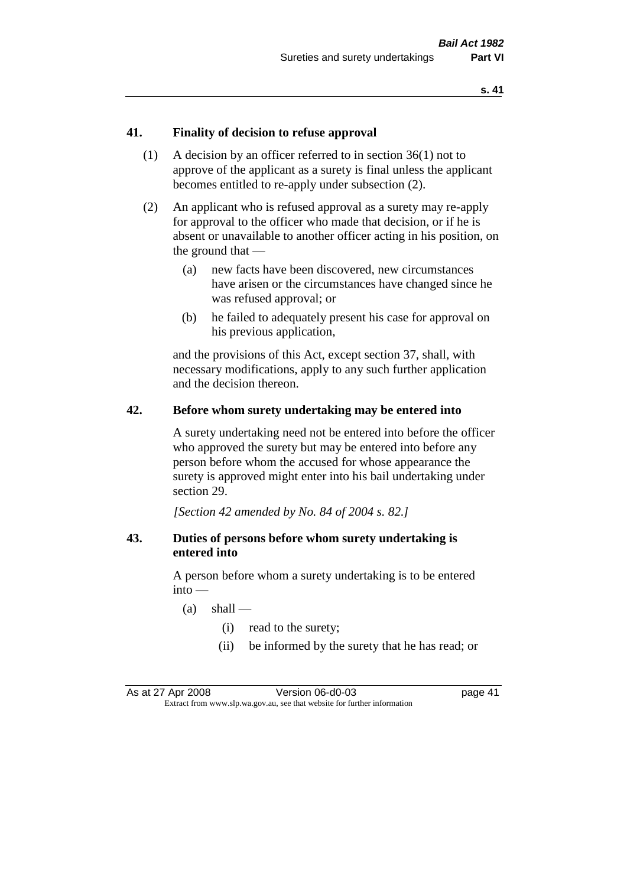## **41. Finality of decision to refuse approval**

- (1) A decision by an officer referred to in section 36(1) not to approve of the applicant as a surety is final unless the applicant becomes entitled to re-apply under subsection (2).
- (2) An applicant who is refused approval as a surety may re-apply for approval to the officer who made that decision, or if he is absent or unavailable to another officer acting in his position, on the ground that —
	- (a) new facts have been discovered, new circumstances have arisen or the circumstances have changed since he was refused approval; or
	- (b) he failed to adequately present his case for approval on his previous application,

and the provisions of this Act, except section 37, shall, with necessary modifications, apply to any such further application and the decision thereon.

#### **42. Before whom surety undertaking may be entered into**

A surety undertaking need not be entered into before the officer who approved the surety but may be entered into before any person before whom the accused for whose appearance the surety is approved might enter into his bail undertaking under section 29.

*[Section 42 amended by No. 84 of 2004 s. 82.]* 

## **43. Duties of persons before whom surety undertaking is entered into**

A person before whom a surety undertaking is to be entered into —

- $(a)$  shall
	- (i) read to the surety;
	- (ii) be informed by the surety that he has read; or

As at 27 Apr 2008 Version 06-d0-03 page 41 Extract from www.slp.wa.gov.au, see that website for further information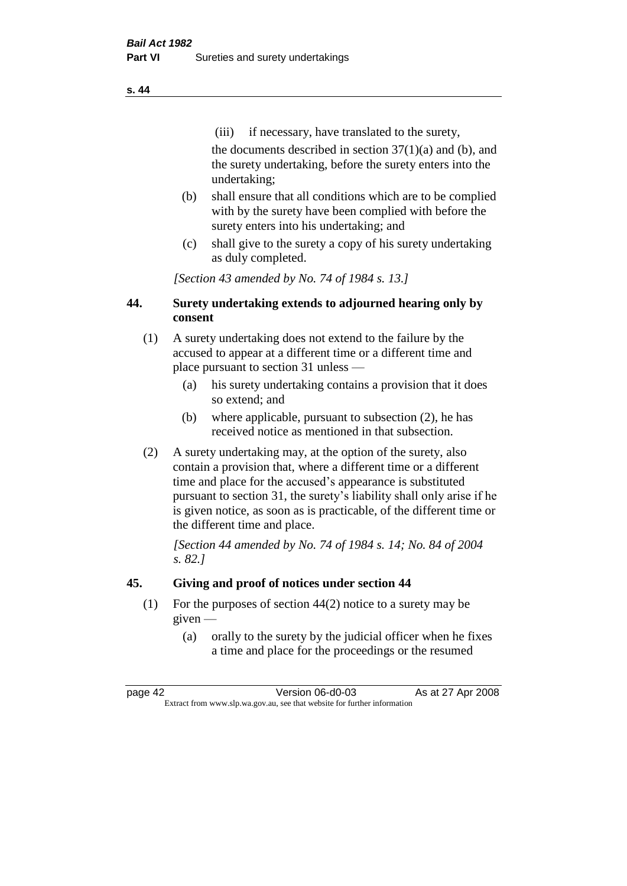(iii) if necessary, have translated to the surety, the documents described in section  $37(1)(a)$  and (b), and the surety undertaking, before the surety enters into the undertaking;

- (b) shall ensure that all conditions which are to be complied with by the surety have been complied with before the surety enters into his undertaking; and
- (c) shall give to the surety a copy of his surety undertaking as duly completed.

*[Section 43 amended by No. 74 of 1984 s. 13.]* 

# **44. Surety undertaking extends to adjourned hearing only by consent**

- (1) A surety undertaking does not extend to the failure by the accused to appear at a different time or a different time and place pursuant to section 31 unless —
	- (a) his surety undertaking contains a provision that it does so extend; and
	- (b) where applicable, pursuant to subsection (2), he has received notice as mentioned in that subsection.
- (2) A surety undertaking may, at the option of the surety, also contain a provision that, where a different time or a different time and place for the accused's appearance is substituted pursuant to section 31, the surety's liability shall only arise if he is given notice, as soon as is practicable, of the different time or the different time and place.

*[Section 44 amended by No. 74 of 1984 s. 14; No. 84 of 2004 s. 82.]* 

# **45. Giving and proof of notices under section 44**

- (1) For the purposes of section 44(2) notice to a surety may be given —
	- (a) orally to the surety by the judicial officer when he fixes a time and place for the proceedings or the resumed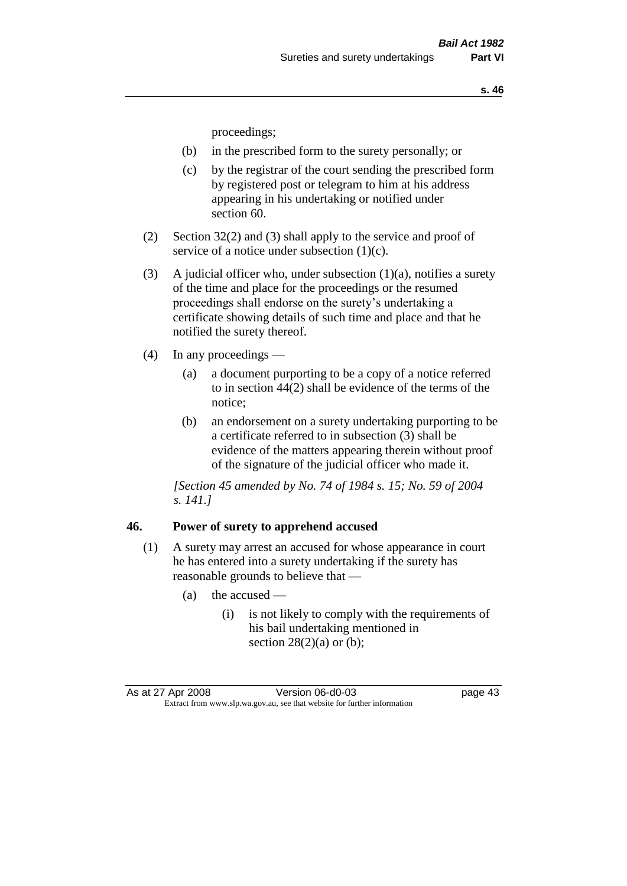proceedings;

- (b) in the prescribed form to the surety personally; or
- (c) by the registrar of the court sending the prescribed form by registered post or telegram to him at his address appearing in his undertaking or notified under section 60.
- (2) Section 32(2) and (3) shall apply to the service and proof of service of a notice under subsection (1)(c).
- (3) A judicial officer who, under subsection  $(1)(a)$ , notifies a surety of the time and place for the proceedings or the resumed proceedings shall endorse on the surety's undertaking a certificate showing details of such time and place and that he notified the surety thereof.
- (4) In any proceedings
	- (a) a document purporting to be a copy of a notice referred to in section 44(2) shall be evidence of the terms of the notice;
	- (b) an endorsement on a surety undertaking purporting to be a certificate referred to in subsection (3) shall be evidence of the matters appearing therein without proof of the signature of the judicial officer who made it.

*[Section 45 amended by No. 74 of 1984 s. 15; No. 59 of 2004 s. 141.]* 

#### **46. Power of surety to apprehend accused**

- (1) A surety may arrest an accused for whose appearance in court he has entered into a surety undertaking if the surety has reasonable grounds to believe that —
	- (a) the accused
		- (i) is not likely to comply with the requirements of his bail undertaking mentioned in section  $28(2)(a)$  or (b);

As at 27 Apr 2008 Version 06-d0-03 page 43 Extract from www.slp.wa.gov.au, see that website for further information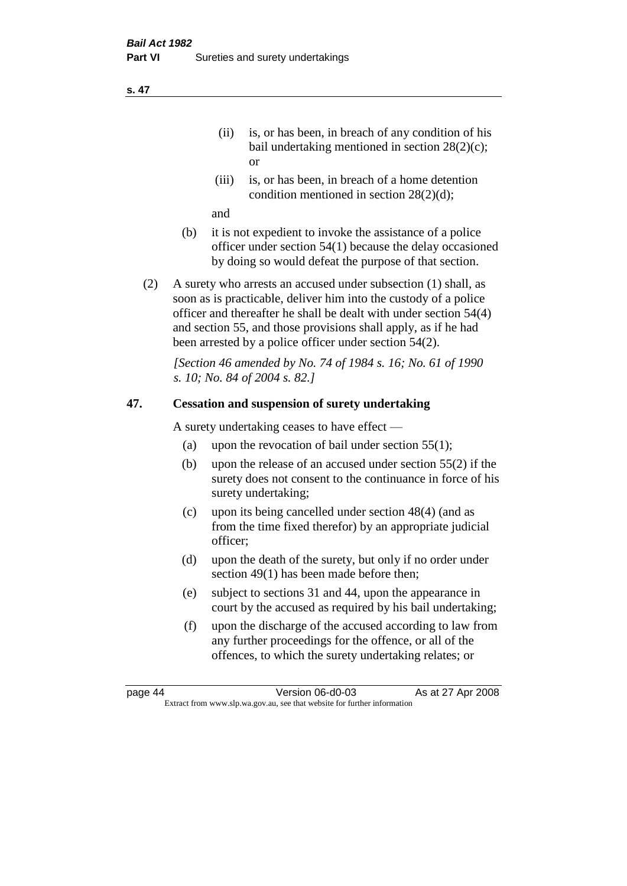- (ii) is, or has been, in breach of any condition of his bail undertaking mentioned in section 28(2)(c); or
- (iii) is, or has been, in breach of a home detention condition mentioned in section 28(2)(d);

and

- (b) it is not expedient to invoke the assistance of a police officer under section 54(1) because the delay occasioned by doing so would defeat the purpose of that section.
- (2) A surety who arrests an accused under subsection (1) shall, as soon as is practicable, deliver him into the custody of a police officer and thereafter he shall be dealt with under section 54(4) and section 55, and those provisions shall apply, as if he had been arrested by a police officer under section 54(2).

*[Section 46 amended by No. 74 of 1984 s. 16; No. 61 of 1990 s. 10; No. 84 of 2004 s. 82.]* 

# **47. Cessation and suspension of surety undertaking**

A surety undertaking ceases to have effect —

- (a) upon the revocation of bail under section  $55(1)$ ;
- (b) upon the release of an accused under section 55(2) if the surety does not consent to the continuance in force of his surety undertaking;
- (c) upon its being cancelled under section 48(4) (and as from the time fixed therefor) by an appropriate judicial officer;
- (d) upon the death of the surety, but only if no order under section 49(1) has been made before then;
- (e) subject to sections 31 and 44, upon the appearance in court by the accused as required by his bail undertaking;
- (f) upon the discharge of the accused according to law from any further proceedings for the offence, or all of the offences, to which the surety undertaking relates; or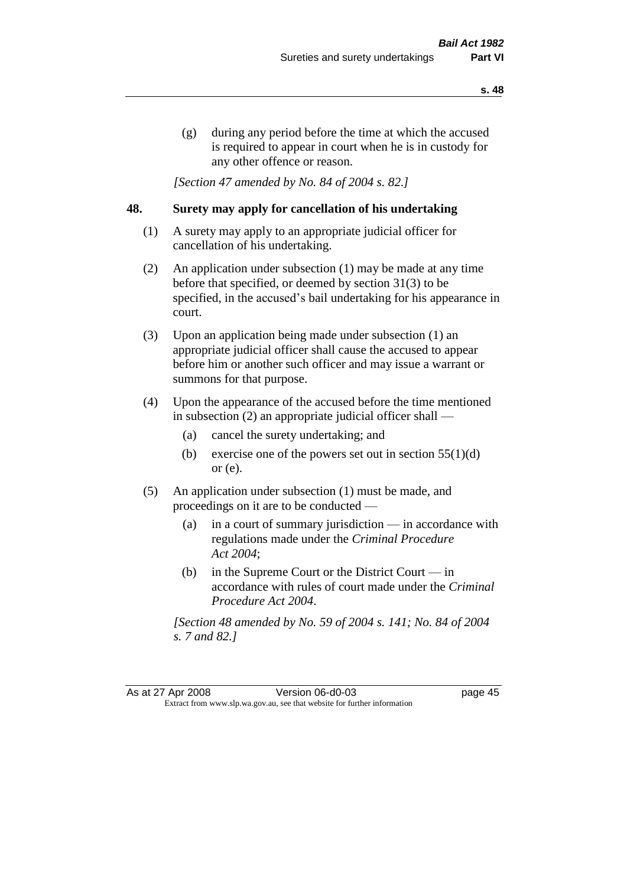(g) during any period before the time at which the accused is required to appear in court when he is in custody for any other offence or reason.

*[Section 47 amended by No. 84 of 2004 s. 82.]* 

## **48. Surety may apply for cancellation of his undertaking**

- (1) A surety may apply to an appropriate judicial officer for cancellation of his undertaking.
- (2) An application under subsection (1) may be made at any time before that specified, or deemed by section 31(3) to be specified, in the accused's bail undertaking for his appearance in court.
- (3) Upon an application being made under subsection (1) an appropriate judicial officer shall cause the accused to appear before him or another such officer and may issue a warrant or summons for that purpose.
- (4) Upon the appearance of the accused before the time mentioned in subsection (2) an appropriate judicial officer shall —
	- (a) cancel the surety undertaking; and
	- (b) exercise one of the powers set out in section  $55(1)(d)$ or (e).
- (5) An application under subsection (1) must be made, and proceedings on it are to be conducted —
	- (a) in a court of summary jurisdiction in accordance with regulations made under the *Criminal Procedure Act 2004*;
	- (b) in the Supreme Court or the District Court  $-\text{in}$ accordance with rules of court made under the *Criminal Procedure Act 2004*.

*[Section 48 amended by No. 59 of 2004 s. 141; No. 84 of 2004 s. 7 and 82.]*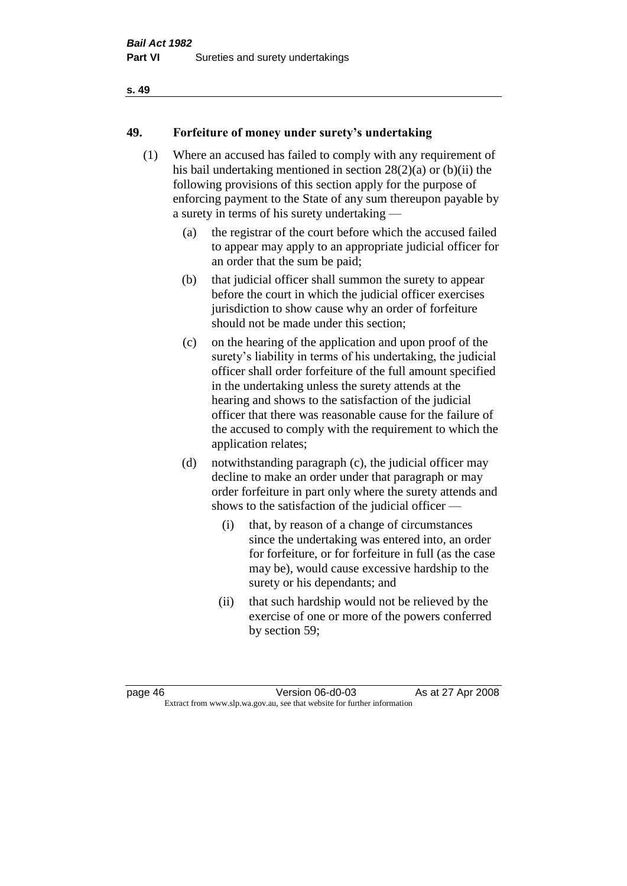# **49. Forfeiture of money under surety's undertaking**

- (1) Where an accused has failed to comply with any requirement of his bail undertaking mentioned in section 28(2)(a) or (b)(ii) the following provisions of this section apply for the purpose of enforcing payment to the State of any sum thereupon payable by a surety in terms of his surety undertaking —
	- (a) the registrar of the court before which the accused failed to appear may apply to an appropriate judicial officer for an order that the sum be paid;
	- (b) that judicial officer shall summon the surety to appear before the court in which the judicial officer exercises jurisdiction to show cause why an order of forfeiture should not be made under this section;
	- (c) on the hearing of the application and upon proof of the surety's liability in terms of his undertaking, the judicial officer shall order forfeiture of the full amount specified in the undertaking unless the surety attends at the hearing and shows to the satisfaction of the judicial officer that there was reasonable cause for the failure of the accused to comply with the requirement to which the application relates;
	- (d) notwithstanding paragraph (c), the judicial officer may decline to make an order under that paragraph or may order forfeiture in part only where the surety attends and shows to the satisfaction of the judicial officer —
		- (i) that, by reason of a change of circumstances since the undertaking was entered into, an order for forfeiture, or for forfeiture in full (as the case may be), would cause excessive hardship to the surety or his dependants; and
		- (ii) that such hardship would not be relieved by the exercise of one or more of the powers conferred by section 59;

page 46 Version 06-d0-03 As at 27 Apr 2008 Extract from www.slp.wa.gov.au, see that website for further information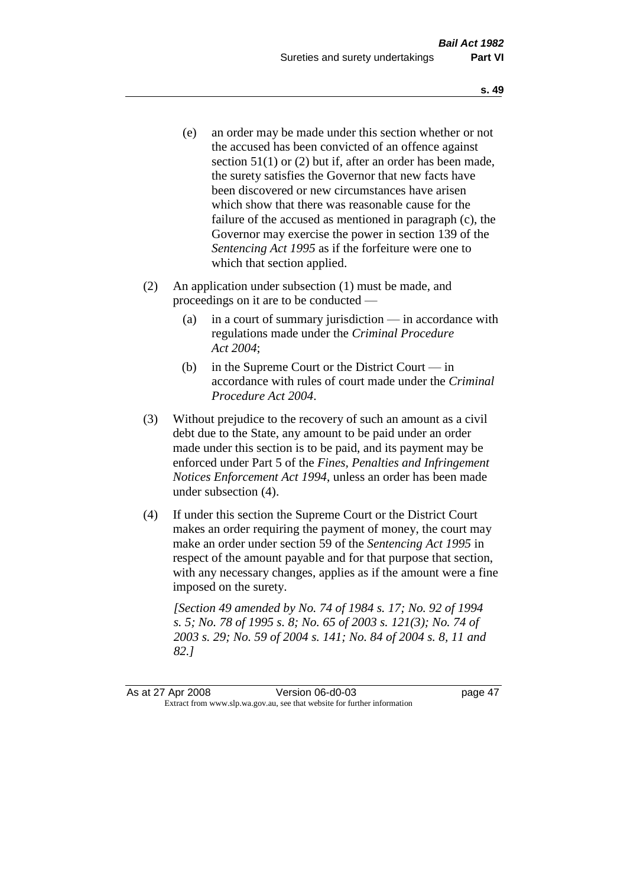- (e) an order may be made under this section whether or not the accused has been convicted of an offence against section 51(1) or (2) but if, after an order has been made, the surety satisfies the Governor that new facts have been discovered or new circumstances have arisen which show that there was reasonable cause for the failure of the accused as mentioned in paragraph (c), the Governor may exercise the power in section 139 of the *Sentencing Act 1995* as if the forfeiture were one to which that section applied.
- (2) An application under subsection (1) must be made, and proceedings on it are to be conducted —
	- (a) in a court of summary jurisdiction in accordance with regulations made under the *Criminal Procedure Act 2004*;
	- (b) in the Supreme Court or the District Court in accordance with rules of court made under the *Criminal Procedure Act 2004*.
- (3) Without prejudice to the recovery of such an amount as a civil debt due to the State, any amount to be paid under an order made under this section is to be paid, and its payment may be enforced under Part 5 of the *Fines, Penalties and Infringement Notices Enforcement Act 1994*, unless an order has been made under subsection (4).
- (4) If under this section the Supreme Court or the District Court makes an order requiring the payment of money, the court may make an order under section 59 of the *Sentencing Act 1995* in respect of the amount payable and for that purpose that section, with any necessary changes, applies as if the amount were a fine imposed on the surety.

*[Section 49 amended by No. 74 of 1984 s. 17; No. 92 of 1994 s. 5; No. 78 of 1995 s. 8; No. 65 of 2003 s. 121(3); No. 74 of 2003 s. 29; No. 59 of 2004 s. 141; No. 84 of 2004 s. 8, 11 and 82.]*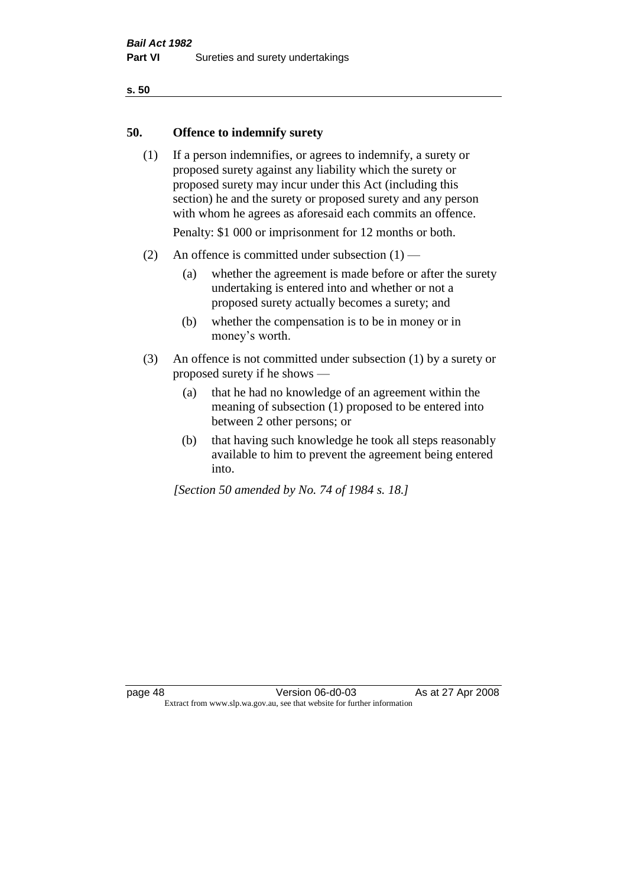#### **50. Offence to indemnify surety**

(1) If a person indemnifies, or agrees to indemnify, a surety or proposed surety against any liability which the surety or proposed surety may incur under this Act (including this section) he and the surety or proposed surety and any person with whom he agrees as aforesaid each commits an offence.

Penalty: \$1 000 or imprisonment for 12 months or both.

- (2) An offence is committed under subsection  $(1)$ 
	- (a) whether the agreement is made before or after the surety undertaking is entered into and whether or not a proposed surety actually becomes a surety; and
	- (b) whether the compensation is to be in money or in money's worth.
- (3) An offence is not committed under subsection (1) by a surety or proposed surety if he shows —
	- (a) that he had no knowledge of an agreement within the meaning of subsection (1) proposed to be entered into between 2 other persons; or
	- (b) that having such knowledge he took all steps reasonably available to him to prevent the agreement being entered into.

*[Section 50 amended by No. 74 of 1984 s. 18.]*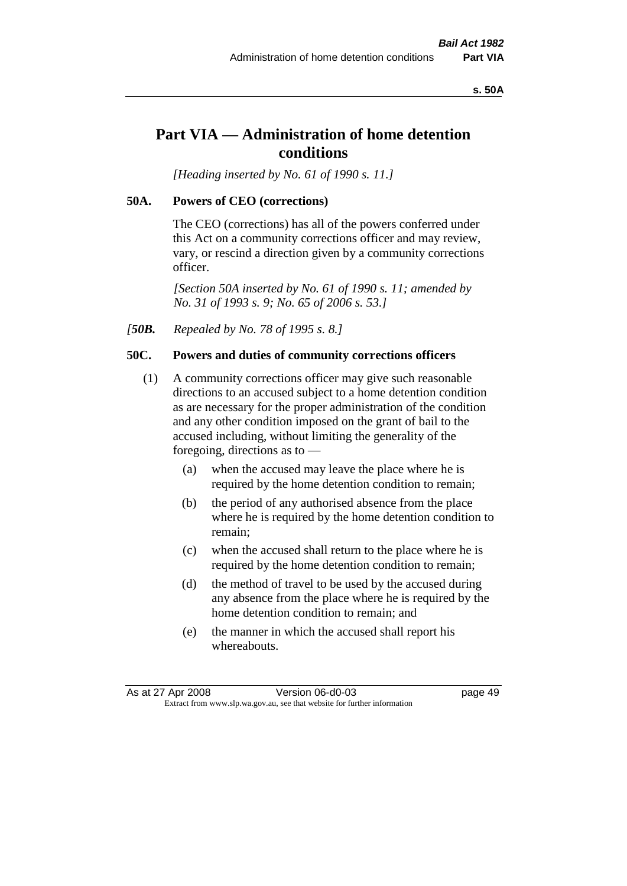#### **s. 50A**

# **Part VIA — Administration of home detention conditions**

*[Heading inserted by No. 61 of 1990 s. 11.]* 

#### **50A. Powers of CEO (corrections)**

The CEO (corrections) has all of the powers conferred under this Act on a community corrections officer and may review, vary, or rescind a direction given by a community corrections officer.

*[Section 50A inserted by No. 61 of 1990 s. 11; amended by No. 31 of 1993 s. 9; No. 65 of 2006 s. 53.]* 

*[50B. Repealed by No. 78 of 1995 s. 8.]* 

#### **50C. Powers and duties of community corrections officers**

- (1) A community corrections officer may give such reasonable directions to an accused subject to a home detention condition as are necessary for the proper administration of the condition and any other condition imposed on the grant of bail to the accused including, without limiting the generality of the foregoing, directions as to —
	- (a) when the accused may leave the place where he is required by the home detention condition to remain;
	- (b) the period of any authorised absence from the place where he is required by the home detention condition to remain;
	- (c) when the accused shall return to the place where he is required by the home detention condition to remain;
	- (d) the method of travel to be used by the accused during any absence from the place where he is required by the home detention condition to remain; and
	- (e) the manner in which the accused shall report his whereabouts.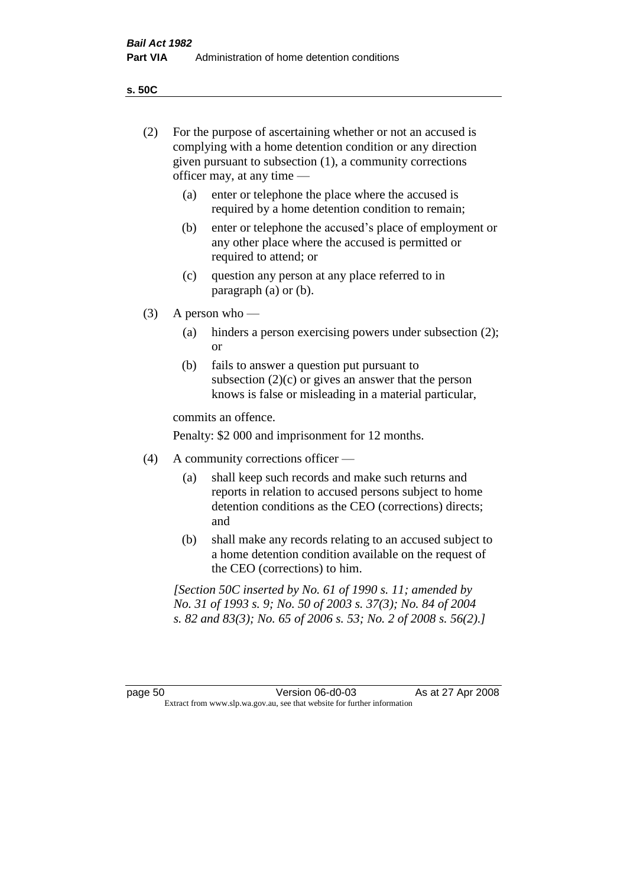**s. 50C**

| (2)     | For the purpose of ascertaining whether or not an accused is<br>complying with a home detention condition or any direction<br>given pursuant to subsection (1), a community corrections<br>officer may, at any time — |                                                                                                                                                                                              |  |
|---------|-----------------------------------------------------------------------------------------------------------------------------------------------------------------------------------------------------------------------|----------------------------------------------------------------------------------------------------------------------------------------------------------------------------------------------|--|
|         | (a)                                                                                                                                                                                                                   | enter or telephone the place where the accused is<br>required by a home detention condition to remain;                                                                                       |  |
|         | (b)                                                                                                                                                                                                                   | enter or telephone the accused's place of employment or<br>any other place where the accused is permitted or<br>required to attend; or                                                       |  |
|         | (c)                                                                                                                                                                                                                   | question any person at any place referred to in<br>paragraph $(a)$ or $(b)$ .                                                                                                                |  |
| (3)     | A person who $-$                                                                                                                                                                                                      |                                                                                                                                                                                              |  |
|         | (a)                                                                                                                                                                                                                   | hinders a person exercising powers under subsection (2);<br><sub>or</sub>                                                                                                                    |  |
|         | (b)                                                                                                                                                                                                                   | fails to answer a question put pursuant to<br>subsection $(2)(c)$ or gives an answer that the person<br>knows is false or misleading in a material particular,                               |  |
|         | commits an offence.                                                                                                                                                                                                   |                                                                                                                                                                                              |  |
|         |                                                                                                                                                                                                                       | Penalty: \$2 000 and imprisonment for 12 months.                                                                                                                                             |  |
| (4)     | A community corrections officer -                                                                                                                                                                                     |                                                                                                                                                                                              |  |
|         | (a)                                                                                                                                                                                                                   | shall keep such records and make such returns and<br>reports in relation to accused persons subject to home<br>detention conditions as the CEO (corrections) directs;<br>and                 |  |
|         | (b)                                                                                                                                                                                                                   | shall make any records relating to an accused subject to<br>a home detention condition available on the request of<br>the CEO (corrections) to him.                                          |  |
|         |                                                                                                                                                                                                                       | [Section 50C inserted by No. 61 of 1990 s. 11; amended by<br>No. 31 of 1993 s. 9; No. 50 of 2003 s. 37(3); No. 84 of 2004<br>s. 82 and 83(3); No. 65 of 2006 s. 53; No. 2 of 2008 s. 56(2).] |  |
|         |                                                                                                                                                                                                                       |                                                                                                                                                                                              |  |
| page 50 |                                                                                                                                                                                                                       | Version 06-d0-03<br>As at 27 Apr 2008<br>Extract from www.slp.wa.gov.au, see that website for further information                                                                            |  |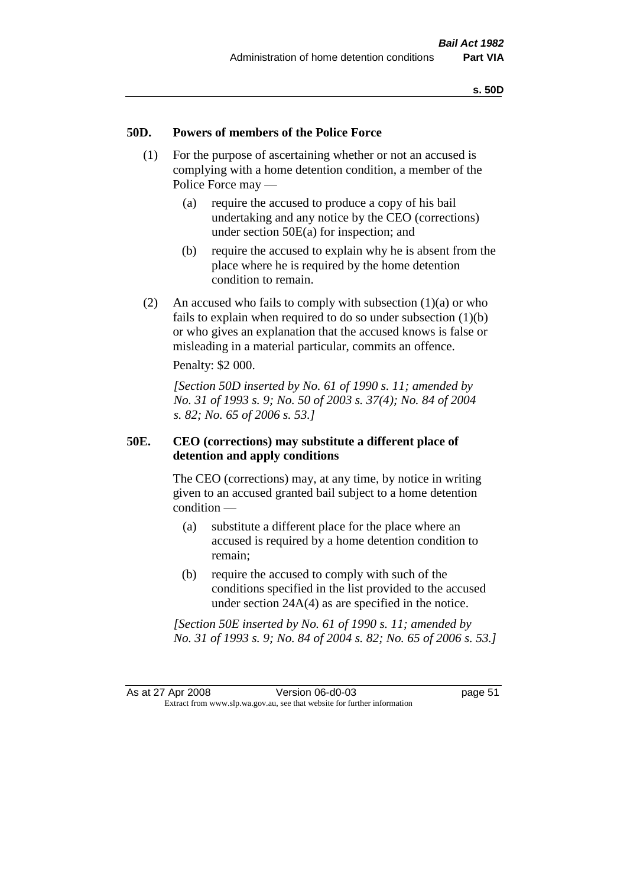#### **50D. Powers of members of the Police Force**

- (1) For the purpose of ascertaining whether or not an accused is complying with a home detention condition, a member of the Police Force may —
	- (a) require the accused to produce a copy of his bail undertaking and any notice by the CEO (corrections) under section 50E(a) for inspection; and
	- (b) require the accused to explain why he is absent from the place where he is required by the home detention condition to remain.
- (2) An accused who fails to comply with subsection  $(1)(a)$  or who fails to explain when required to do so under subsection  $(1)(b)$ or who gives an explanation that the accused knows is false or misleading in a material particular, commits an offence.

Penalty: \$2 000.

*[Section 50D inserted by No. 61 of 1990 s. 11; amended by No. 31 of 1993 s. 9; No. 50 of 2003 s. 37(4); No. 84 of 2004 s. 82; No. 65 of 2006 s. 53.]* 

## **50E. CEO (corrections) may substitute a different place of detention and apply conditions**

The CEO (corrections) may, at any time, by notice in writing given to an accused granted bail subject to a home detention condition —

- (a) substitute a different place for the place where an accused is required by a home detention condition to remain;
- (b) require the accused to comply with such of the conditions specified in the list provided to the accused under section 24A(4) as are specified in the notice.

*[Section 50E inserted by No. 61 of 1990 s. 11; amended by No. 31 of 1993 s. 9; No. 84 of 2004 s. 82; No. 65 of 2006 s. 53.]* 

As at 27 Apr 2008 Version 06-d0-03 page 51 Extract from www.slp.wa.gov.au, see that website for further information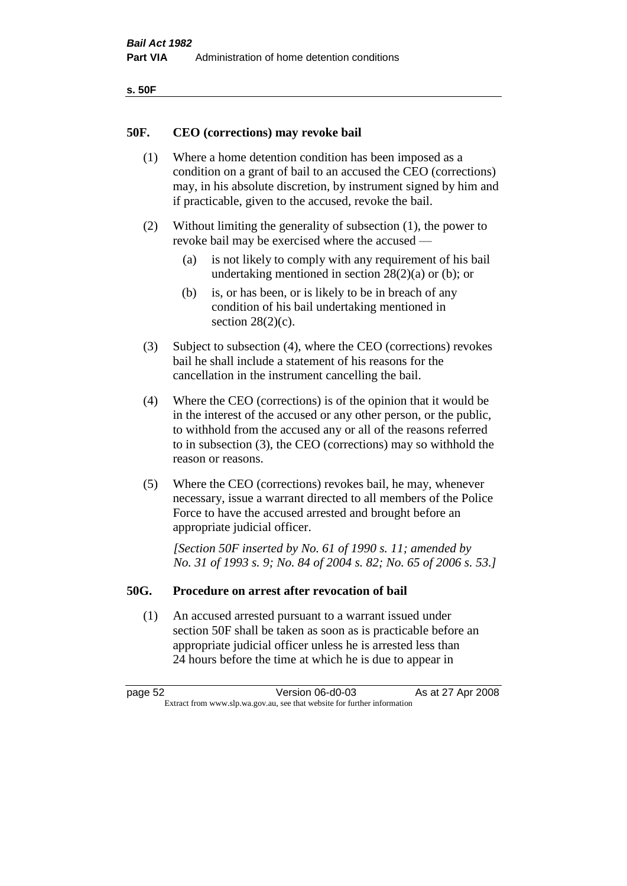| ۰.<br>×<br>-<br>۰.<br>× |  |
|-------------------------|--|
|-------------------------|--|

#### **50F. CEO (corrections) may revoke bail**

- (1) Where a home detention condition has been imposed as a condition on a grant of bail to an accused the CEO (corrections) may, in his absolute discretion, by instrument signed by him and if practicable, given to the accused, revoke the bail.
- (2) Without limiting the generality of subsection (1), the power to revoke bail may be exercised where the accused —
	- (a) is not likely to comply with any requirement of his bail undertaking mentioned in section  $28(2)(a)$  or (b); or
	- (b) is, or has been, or is likely to be in breach of any condition of his bail undertaking mentioned in section  $28(2)(c)$ .
- (3) Subject to subsection (4), where the CEO (corrections) revokes bail he shall include a statement of his reasons for the cancellation in the instrument cancelling the bail.
- (4) Where the CEO (corrections) is of the opinion that it would be in the interest of the accused or any other person, or the public, to withhold from the accused any or all of the reasons referred to in subsection (3), the CEO (corrections) may so withhold the reason or reasons.
- (5) Where the CEO (corrections) revokes bail, he may, whenever necessary, issue a warrant directed to all members of the Police Force to have the accused arrested and brought before an appropriate judicial officer.

*[Section 50F inserted by No. 61 of 1990 s. 11; amended by No. 31 of 1993 s. 9; No. 84 of 2004 s. 82; No. 65 of 2006 s. 53.]* 

#### **50G. Procedure on arrest after revocation of bail**

(1) An accused arrested pursuant to a warrant issued under section 50F shall be taken as soon as is practicable before an appropriate judicial officer unless he is arrested less than 24 hours before the time at which he is due to appear in

page 52 Version 06-d0-03 As at 27 Apr 2008 Extract from www.slp.wa.gov.au, see that website for further information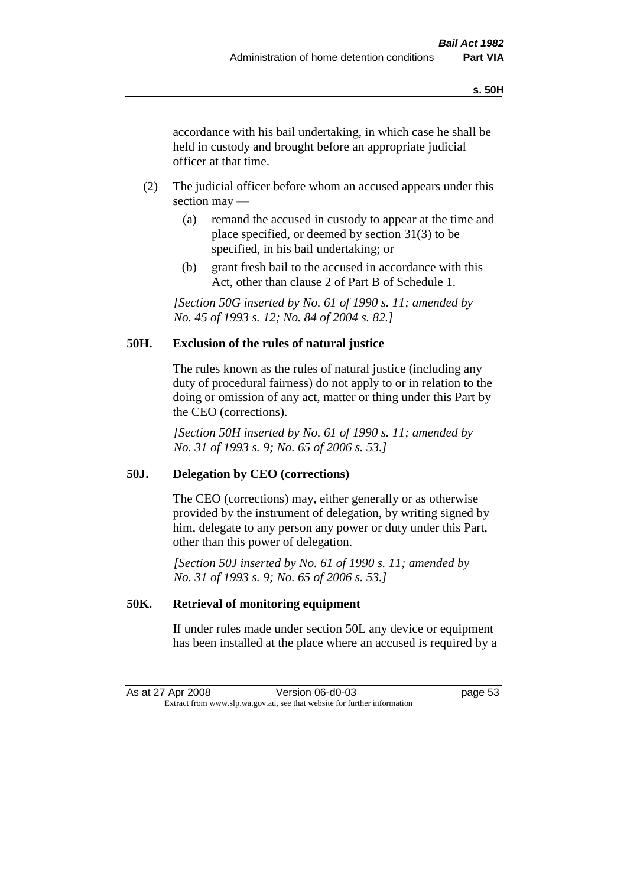accordance with his bail undertaking, in which case he shall be held in custody and brought before an appropriate judicial officer at that time.

- (2) The judicial officer before whom an accused appears under this section may —
	- (a) remand the accused in custody to appear at the time and place specified, or deemed by section 31(3) to be specified, in his bail undertaking; or
	- (b) grant fresh bail to the accused in accordance with this Act, other than clause 2 of Part B of Schedule 1.

*[Section 50G inserted by No. 61 of 1990 s. 11; amended by No. 45 of 1993 s. 12; No. 84 of 2004 s. 82.]* 

## **50H. Exclusion of the rules of natural justice**

The rules known as the rules of natural justice (including any duty of procedural fairness) do not apply to or in relation to the doing or omission of any act, matter or thing under this Part by the CEO (corrections).

*[Section 50H inserted by No. 61 of 1990 s. 11; amended by No. 31 of 1993 s. 9; No. 65 of 2006 s. 53.]* 

## **50J. Delegation by CEO (corrections)**

The CEO (corrections) may, either generally or as otherwise provided by the instrument of delegation, by writing signed by him, delegate to any person any power or duty under this Part, other than this power of delegation.

*[Section 50J inserted by No. 61 of 1990 s. 11; amended by No. 31 of 1993 s. 9; No. 65 of 2006 s. 53.]* 

## **50K. Retrieval of monitoring equipment**

If under rules made under section 50L any device or equipment has been installed at the place where an accused is required by a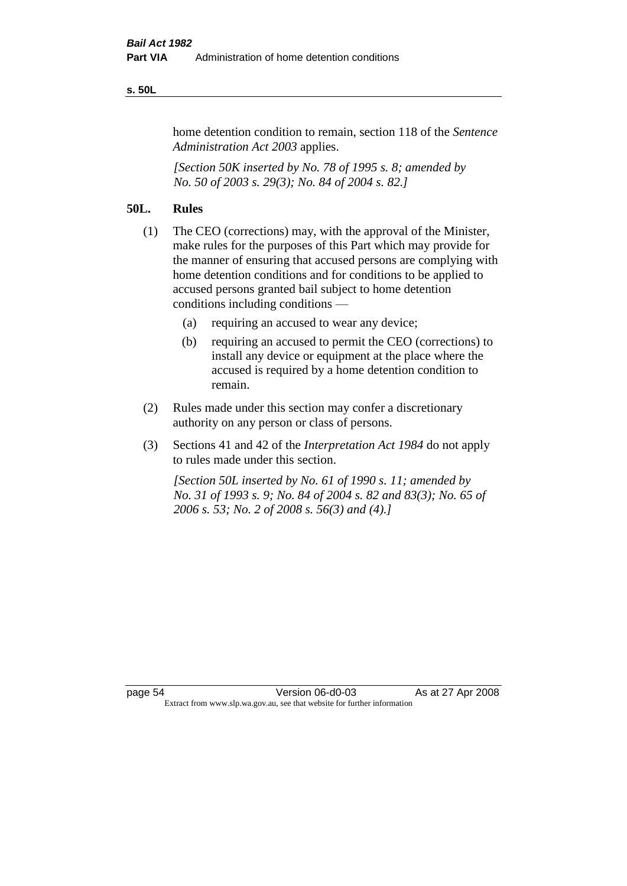#### **s. 50L**

home detention condition to remain, section 118 of the *Sentence Administration Act 2003* applies.

*[Section 50K inserted by No. 78 of 1995 s. 8; amended by No. 50 of 2003 s. 29(3); No. 84 of 2004 s. 82.]* 

# **50L. Rules**

- (1) The CEO (corrections) may, with the approval of the Minister, make rules for the purposes of this Part which may provide for the manner of ensuring that accused persons are complying with home detention conditions and for conditions to be applied to accused persons granted bail subject to home detention conditions including conditions —
	- (a) requiring an accused to wear any device;
	- (b) requiring an accused to permit the CEO (corrections) to install any device or equipment at the place where the accused is required by a home detention condition to remain.
- (2) Rules made under this section may confer a discretionary authority on any person or class of persons.
- (3) Sections 41 and 42 of the *Interpretation Act 1984* do not apply to rules made under this section.

*[Section 50L inserted by No. 61 of 1990 s. 11; amended by No. 31 of 1993 s. 9; No. 84 of 2004 s. 82 and 83(3); No. 65 of 2006 s. 53; No. 2 of 2008 s. 56(3) and (4).]*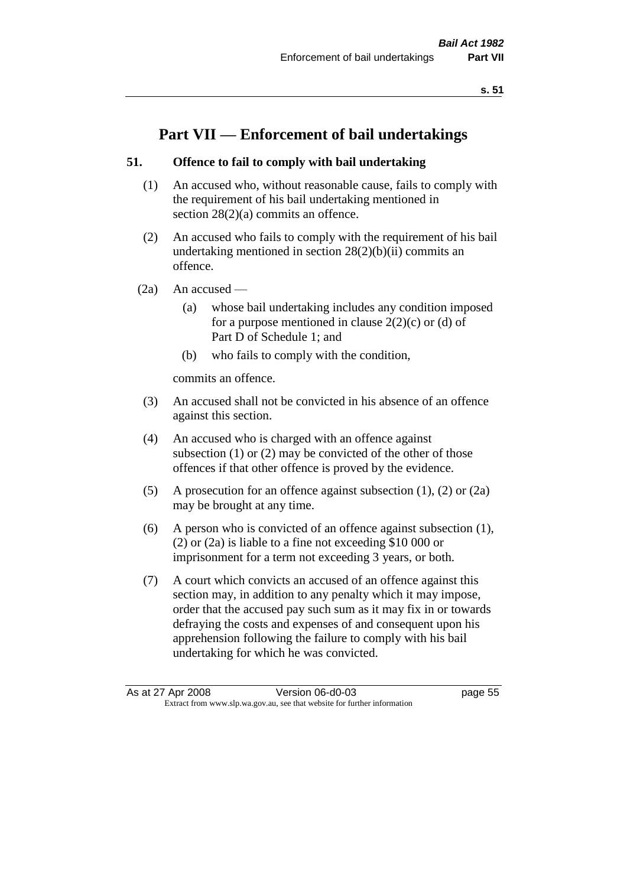# **Part VII — Enforcement of bail undertakings**

## **51. Offence to fail to comply with bail undertaking**

- (1) An accused who, without reasonable cause, fails to comply with the requirement of his bail undertaking mentioned in section  $28(2)(a)$  commits an offence.
- (2) An accused who fails to comply with the requirement of his bail undertaking mentioned in section  $28(2)(b)(ii)$  commits an offence.
- $(2a)$  An accused
	- (a) whose bail undertaking includes any condition imposed for a purpose mentioned in clause  $2(2)(c)$  or (d) of Part D of Schedule 1; and
	- (b) who fails to comply with the condition,

commits an offence.

- (3) An accused shall not be convicted in his absence of an offence against this section.
- (4) An accused who is charged with an offence against subsection (1) or (2) may be convicted of the other of those offences if that other offence is proved by the evidence.
- (5) A prosecution for an offence against subsection (1), (2) or (2a) may be brought at any time.
- (6) A person who is convicted of an offence against subsection (1), (2) or (2a) is liable to a fine not exceeding \$10 000 or imprisonment for a term not exceeding 3 years, or both.
- (7) A court which convicts an accused of an offence against this section may, in addition to any penalty which it may impose, order that the accused pay such sum as it may fix in or towards defraying the costs and expenses of and consequent upon his apprehension following the failure to comply with his bail undertaking for which he was convicted.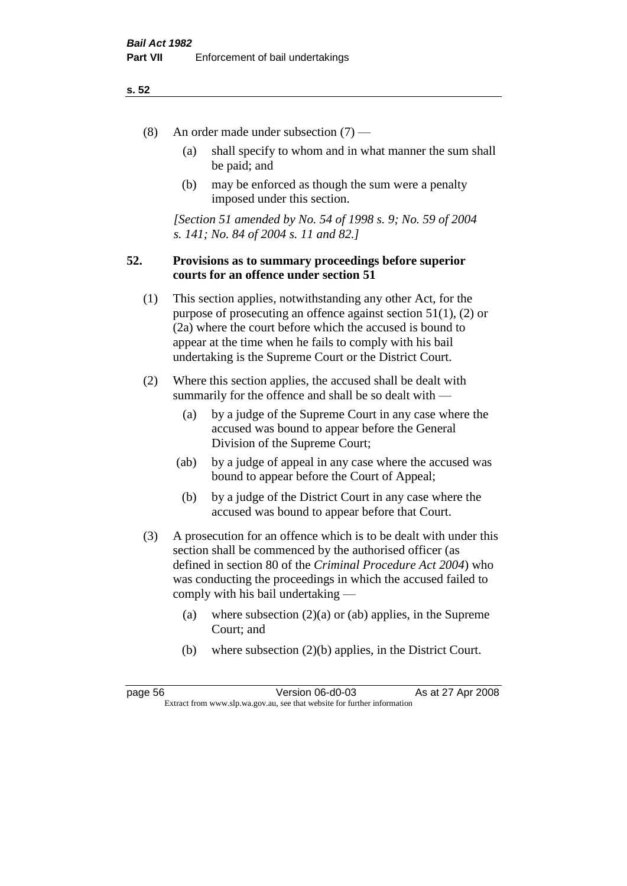- (8) An order made under subsection (7)
	- (a) shall specify to whom and in what manner the sum shall be paid; and
	- (b) may be enforced as though the sum were a penalty imposed under this section.

*[Section 51 amended by No. 54 of 1998 s. 9; No. 59 of 2004 s. 141; No. 84 of 2004 s. 11 and 82.]*

## **52. Provisions as to summary proceedings before superior courts for an offence under section 51**

- (1) This section applies, notwithstanding any other Act, for the purpose of prosecuting an offence against section 51(1), (2) or (2a) where the court before which the accused is bound to appear at the time when he fails to comply with his bail undertaking is the Supreme Court or the District Court.
- (2) Where this section applies, the accused shall be dealt with summarily for the offence and shall be so dealt with —
	- (a) by a judge of the Supreme Court in any case where the accused was bound to appear before the General Division of the Supreme Court;
	- (ab) by a judge of appeal in any case where the accused was bound to appear before the Court of Appeal;
	- (b) by a judge of the District Court in any case where the accused was bound to appear before that Court.
- (3) A prosecution for an offence which is to be dealt with under this section shall be commenced by the authorised officer (as defined in section 80 of the *Criminal Procedure Act 2004*) who was conducting the proceedings in which the accused failed to comply with his bail undertaking —
	- (a) where subsection  $(2)(a)$  or (ab) applies, in the Supreme Court; and
	- (b) where subsection (2)(b) applies, in the District Court.

page 56 Version 06-d0-03 As at 27 Apr 2008 Extract from www.slp.wa.gov.au, see that website for further information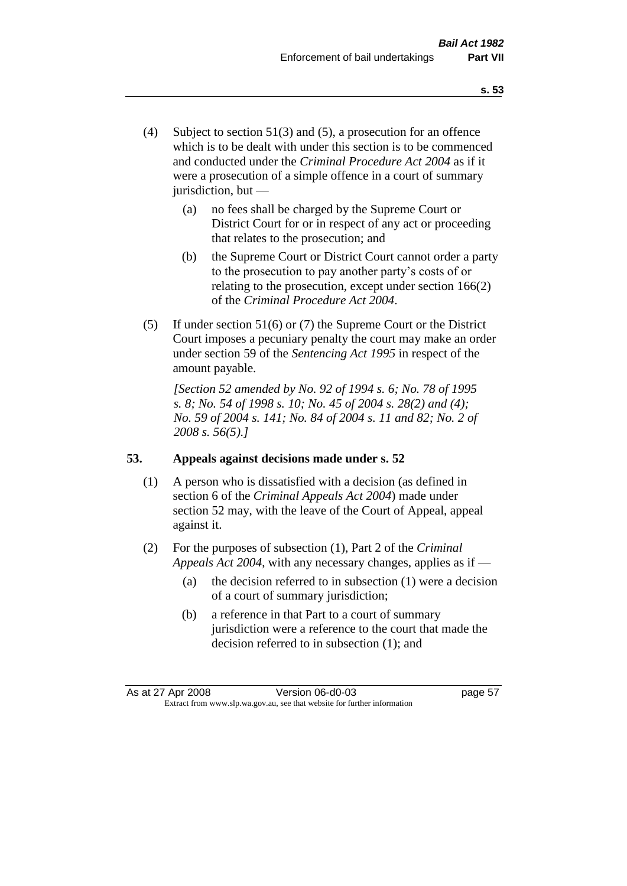- (4) Subject to section 51(3) and (5), a prosecution for an offence which is to be dealt with under this section is to be commenced and conducted under the *Criminal Procedure Act 2004* as if it were a prosecution of a simple offence in a court of summary jurisdiction, but —
	- (a) no fees shall be charged by the Supreme Court or District Court for or in respect of any act or proceeding that relates to the prosecution; and
	- (b) the Supreme Court or District Court cannot order a party to the prosecution to pay another party's costs of or relating to the prosecution, except under section 166(2) of the *Criminal Procedure Act 2004*.
- (5) If under section 51(6) or (7) the Supreme Court or the District Court imposes a pecuniary penalty the court may make an order under section 59 of the *Sentencing Act 1995* in respect of the amount payable.

*[Section 52 amended by No. 92 of 1994 s. 6; No. 78 of 1995 s. 8; No. 54 of 1998 s. 10; No. 45 of 2004 s. 28(2) and (4); No. 59 of 2004 s. 141; No. 84 of 2004 s. 11 and 82; No. 2 of 2008 s. 56(5).]* 

## **53. Appeals against decisions made under s. 52**

- (1) A person who is dissatisfied with a decision (as defined in section 6 of the *Criminal Appeals Act 2004*) made under section 52 may, with the leave of the Court of Appeal, appeal against it.
- (2) For the purposes of subsection (1), Part 2 of the *Criminal Appeals Act 2004*, with any necessary changes, applies as if —
	- (a) the decision referred to in subsection (1) were a decision of a court of summary jurisdiction;
	- (b) a reference in that Part to a court of summary jurisdiction were a reference to the court that made the decision referred to in subsection (1); and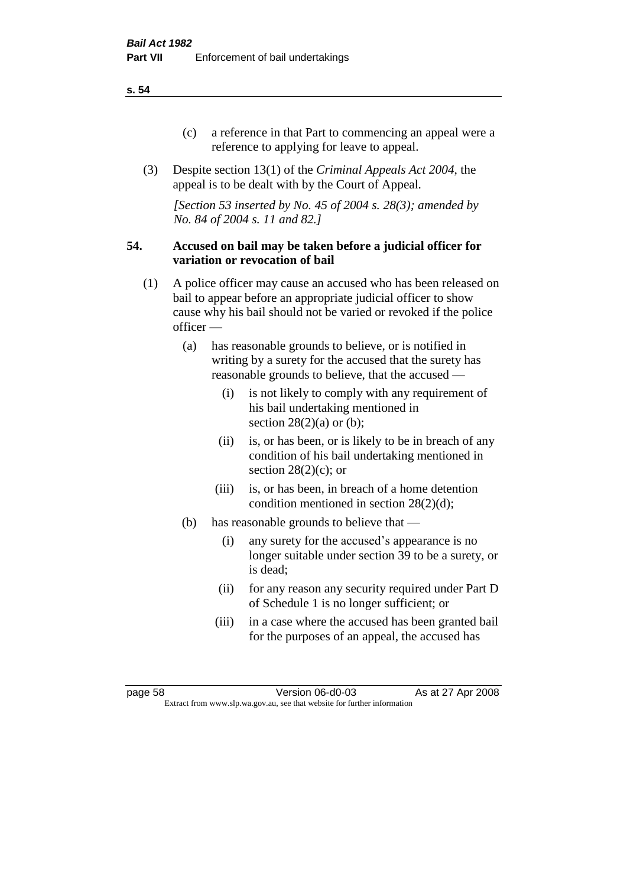- (c) a reference in that Part to commencing an appeal were a reference to applying for leave to appeal.
- (3) Despite section 13(1) of the *Criminal Appeals Act 2004*, the appeal is to be dealt with by the Court of Appeal.

*[Section 53 inserted by No. 45 of 2004 s. 28(3); amended by No. 84 of 2004 s. 11 and 82.]*

#### **54. Accused on bail may be taken before a judicial officer for variation or revocation of bail**

- (1) A police officer may cause an accused who has been released on bail to appear before an appropriate judicial officer to show cause why his bail should not be varied or revoked if the police officer —
	- (a) has reasonable grounds to believe, or is notified in writing by a surety for the accused that the surety has reasonable grounds to believe, that the accused —
		- (i) is not likely to comply with any requirement of his bail undertaking mentioned in section  $28(2)(a)$  or (b);
		- (ii) is, or has been, or is likely to be in breach of any condition of his bail undertaking mentioned in section  $28(2)(c)$ ; or
		- (iii) is, or has been, in breach of a home detention condition mentioned in section 28(2)(d);
	- (b) has reasonable grounds to believe that
		- (i) any surety for the accused's appearance is no longer suitable under section 39 to be a surety, or is dead;
		- (ii) for any reason any security required under Part D of Schedule 1 is no longer sufficient; or
		- (iii) in a case where the accused has been granted bail for the purposes of an appeal, the accused has

page 58 Version 06-d0-03 As at 27 Apr 2008 Extract from www.slp.wa.gov.au, see that website for further information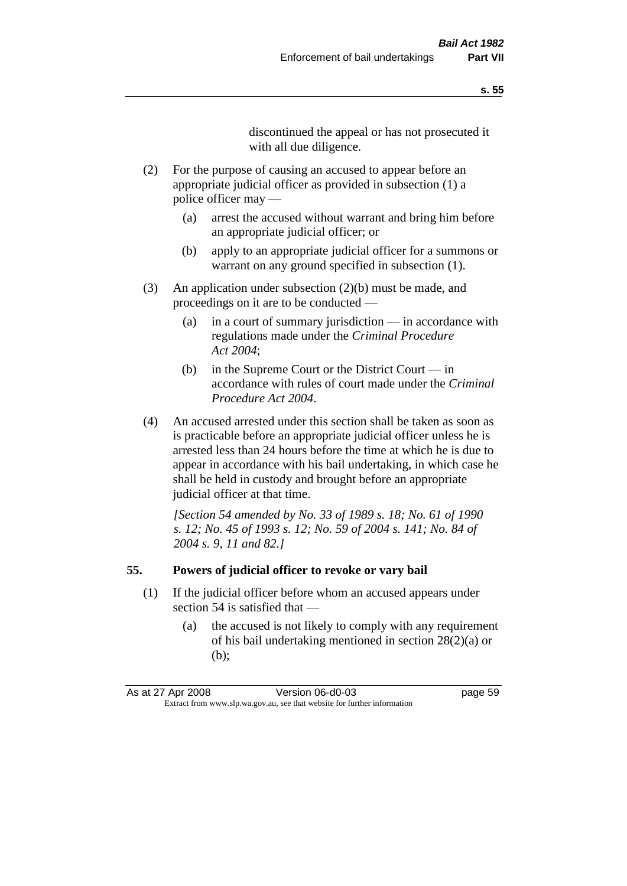discontinued the appeal or has not prosecuted it with all due diligence.

- (2) For the purpose of causing an accused to appear before an appropriate judicial officer as provided in subsection (1) a police officer may —
	- (a) arrest the accused without warrant and bring him before an appropriate judicial officer; or
	- (b) apply to an appropriate judicial officer for a summons or warrant on any ground specified in subsection  $(1)$ .
- (3) An application under subsection (2)(b) must be made, and proceedings on it are to be conducted —
	- (a) in a court of summary jurisdiction in accordance with regulations made under the *Criminal Procedure Act 2004*;
	- (b) in the Supreme Court or the District Court in accordance with rules of court made under the *Criminal Procedure Act 2004*.
- (4) An accused arrested under this section shall be taken as soon as is practicable before an appropriate judicial officer unless he is arrested less than 24 hours before the time at which he is due to appear in accordance with his bail undertaking, in which case he shall be held in custody and brought before an appropriate judicial officer at that time.

*[Section 54 amended by No. 33 of 1989 s. 18; No. 61 of 1990 s. 12; No. 45 of 1993 s. 12; No. 59 of 2004 s. 141; No. 84 of 2004 s. 9, 11 and 82.]* 

#### **55. Powers of judicial officer to revoke or vary bail**

- (1) If the judicial officer before whom an accused appears under section 54 is satisfied that —
	- (a) the accused is not likely to comply with any requirement of his bail undertaking mentioned in section 28(2)(a) or (b);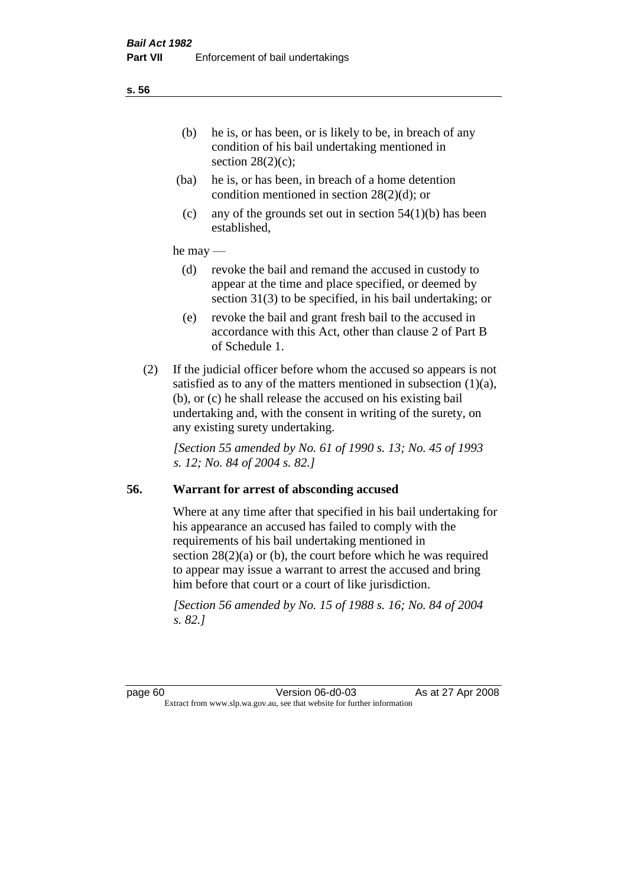- (ba) he is, or has been, in breach of a home detention condition mentioned in section 28(2)(d); or
- (c) any of the grounds set out in section  $54(1)(b)$  has been established,

#### he may —

- (d) revoke the bail and remand the accused in custody to appear at the time and place specified, or deemed by section 31(3) to be specified, in his bail undertaking; or
- (e) revoke the bail and grant fresh bail to the accused in accordance with this Act, other than clause 2 of Part B of Schedule 1.
- (2) If the judicial officer before whom the accused so appears is not satisfied as to any of the matters mentioned in subsection  $(1)(a)$ , (b), or (c) he shall release the accused on his existing bail undertaking and, with the consent in writing of the surety, on any existing surety undertaking.

*[Section 55 amended by No. 61 of 1990 s. 13; No. 45 of 1993 s. 12; No. 84 of 2004 s. 82.]* 

## **56. Warrant for arrest of absconding accused**

Where at any time after that specified in his bail undertaking for his appearance an accused has failed to comply with the requirements of his bail undertaking mentioned in section  $28(2)(a)$  or (b), the court before which he was required to appear may issue a warrant to arrest the accused and bring him before that court or a court of like jurisdiction.

*[Section 56 amended by No. 15 of 1988 s. 16; No. 84 of 2004 s. 82.]*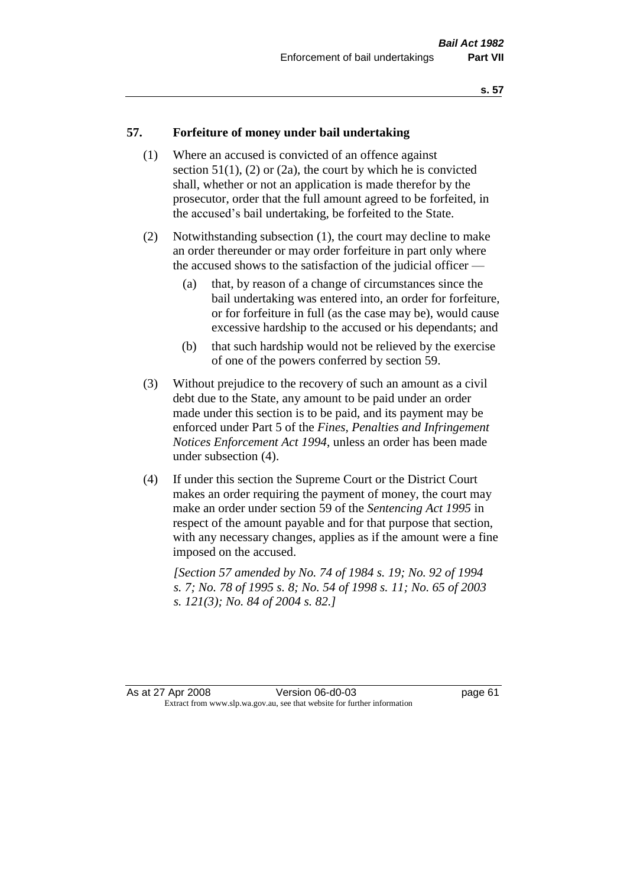#### **57. Forfeiture of money under bail undertaking**

- (1) Where an accused is convicted of an offence against section  $51(1)$ ,  $(2)$  or  $(2a)$ , the court by which he is convicted shall, whether or not an application is made therefor by the prosecutor, order that the full amount agreed to be forfeited, in the accused's bail undertaking, be forfeited to the State.
- (2) Notwithstanding subsection (1), the court may decline to make an order thereunder or may order forfeiture in part only where the accused shows to the satisfaction of the judicial officer —
	- (a) that, by reason of a change of circumstances since the bail undertaking was entered into, an order for forfeiture, or for forfeiture in full (as the case may be), would cause excessive hardship to the accused or his dependants; and
	- (b) that such hardship would not be relieved by the exercise of one of the powers conferred by section 59.
- (3) Without prejudice to the recovery of such an amount as a civil debt due to the State, any amount to be paid under an order made under this section is to be paid, and its payment may be enforced under Part 5 of the *Fines, Penalties and Infringement Notices Enforcement Act 1994*, unless an order has been made under subsection (4).
- (4) If under this section the Supreme Court or the District Court makes an order requiring the payment of money, the court may make an order under section 59 of the *Sentencing Act 1995* in respect of the amount payable and for that purpose that section, with any necessary changes, applies as if the amount were a fine imposed on the accused.

*[Section 57 amended by No. 74 of 1984 s. 19; No. 92 of 1994 s. 7; No. 78 of 1995 s. 8; No. 54 of 1998 s. 11; No. 65 of 2003 s. 121(3); No. 84 of 2004 s. 82.]*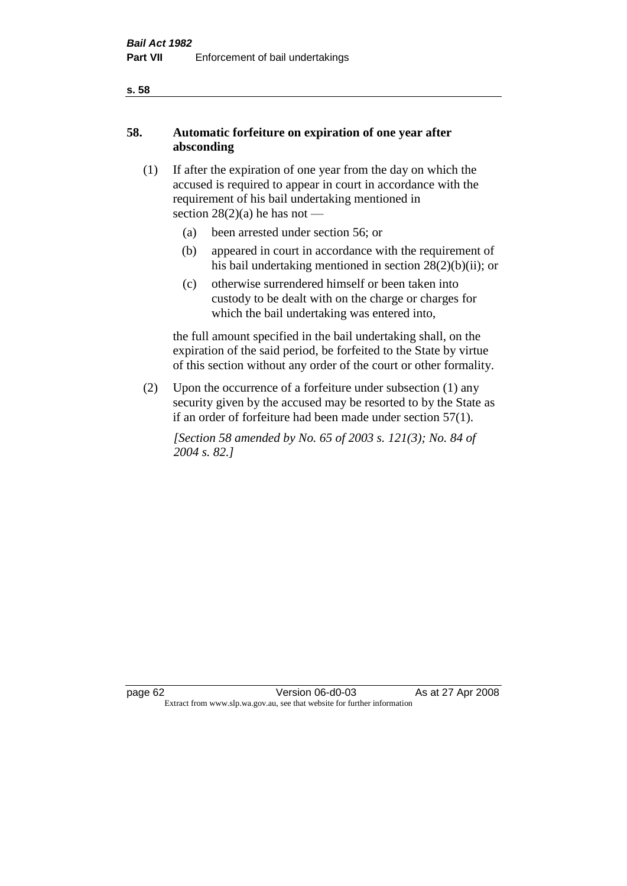# **58. Automatic forfeiture on expiration of one year after absconding**

- (1) If after the expiration of one year from the day on which the accused is required to appear in court in accordance with the requirement of his bail undertaking mentioned in section  $28(2)(a)$  he has not —
	- (a) been arrested under section 56; or
	- (b) appeared in court in accordance with the requirement of his bail undertaking mentioned in section 28(2)(b)(ii); or
	- (c) otherwise surrendered himself or been taken into custody to be dealt with on the charge or charges for which the bail undertaking was entered into,

the full amount specified in the bail undertaking shall, on the expiration of the said period, be forfeited to the State by virtue of this section without any order of the court or other formality.

(2) Upon the occurrence of a forfeiture under subsection (1) any security given by the accused may be resorted to by the State as if an order of forfeiture had been made under section 57(1).

*[Section 58 amended by No. 65 of 2003 s. 121(3); No. 84 of 2004 s. 82.]*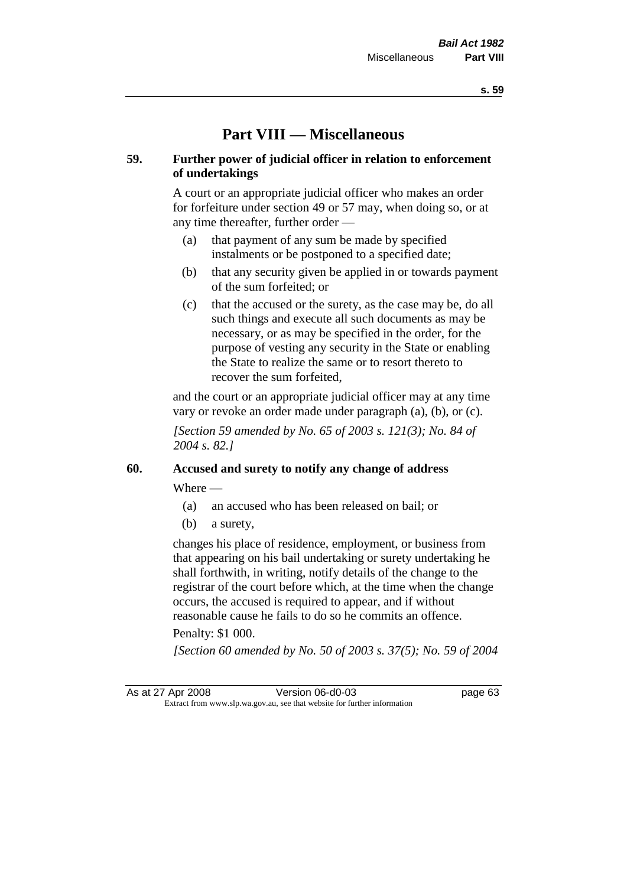# **Part VIII — Miscellaneous**

## **59. Further power of judicial officer in relation to enforcement of undertakings**

A court or an appropriate judicial officer who makes an order for forfeiture under section 49 or 57 may, when doing so, or at any time thereafter, further order —

- (a) that payment of any sum be made by specified instalments or be postponed to a specified date;
- (b) that any security given be applied in or towards payment of the sum forfeited; or
- (c) that the accused or the surety, as the case may be, do all such things and execute all such documents as may be necessary, or as may be specified in the order, for the purpose of vesting any security in the State or enabling the State to realize the same or to resort thereto to recover the sum forfeited,

and the court or an appropriate judicial officer may at any time vary or revoke an order made under paragraph (a), (b), or (c).

*[Section 59 amended by No. 65 of 2003 s. 121(3); No. 84 of 2004 s. 82.]*

## **60. Accused and surety to notify any change of address**

Where —

- (a) an accused who has been released on bail; or
- (b) a surety,

changes his place of residence, employment, or business from that appearing on his bail undertaking or surety undertaking he shall forthwith, in writing, notify details of the change to the registrar of the court before which, at the time when the change occurs, the accused is required to appear, and if without reasonable cause he fails to do so he commits an offence.

#### Penalty: \$1 000.

*[Section 60 amended by No. 50 of 2003 s. 37(5); No. 59 of 2004* 

As at 27 Apr 2008 Version 06-d0-03 page 63 Extract from www.slp.wa.gov.au, see that website for further information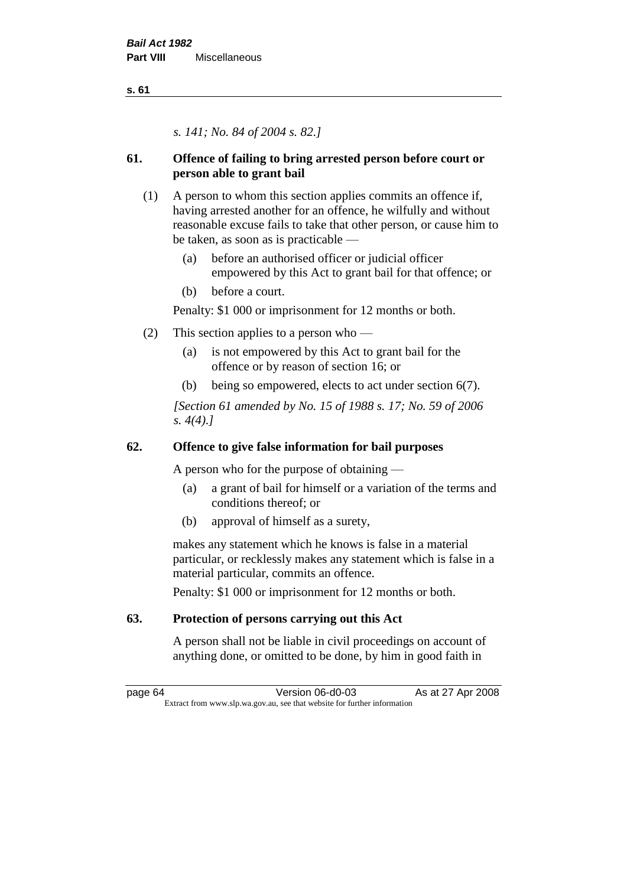*s. 141; No. 84 of 2004 s. 82.]*

# **61. Offence of failing to bring arrested person before court or person able to grant bail**

- (1) A person to whom this section applies commits an offence if, having arrested another for an offence, he wilfully and without reasonable excuse fails to take that other person, or cause him to be taken, as soon as is practicable —
	- (a) before an authorised officer or judicial officer empowered by this Act to grant bail for that offence; or
	- (b) before a court.

Penalty: \$1 000 or imprisonment for 12 months or both.

- (2) This section applies to a person who
	- (a) is not empowered by this Act to grant bail for the offence or by reason of section 16; or
	- (b) being so empowered, elects to act under section 6(7).

*[Section 61 amended by No. 15 of 1988 s. 17; No. 59 of 2006 s. 4(4).]* 

# **62. Offence to give false information for bail purposes**

A person who for the purpose of obtaining —

- (a) a grant of bail for himself or a variation of the terms and conditions thereof; or
- (b) approval of himself as a surety,

makes any statement which he knows is false in a material particular, or recklessly makes any statement which is false in a material particular, commits an offence.

Penalty: \$1 000 or imprisonment for 12 months or both.

# **63. Protection of persons carrying out this Act**

A person shall not be liable in civil proceedings on account of anything done, or omitted to be done, by him in good faith in

page 64 Version 06-d0-03 As at 27 Apr 2008 Extract from www.slp.wa.gov.au, see that website for further information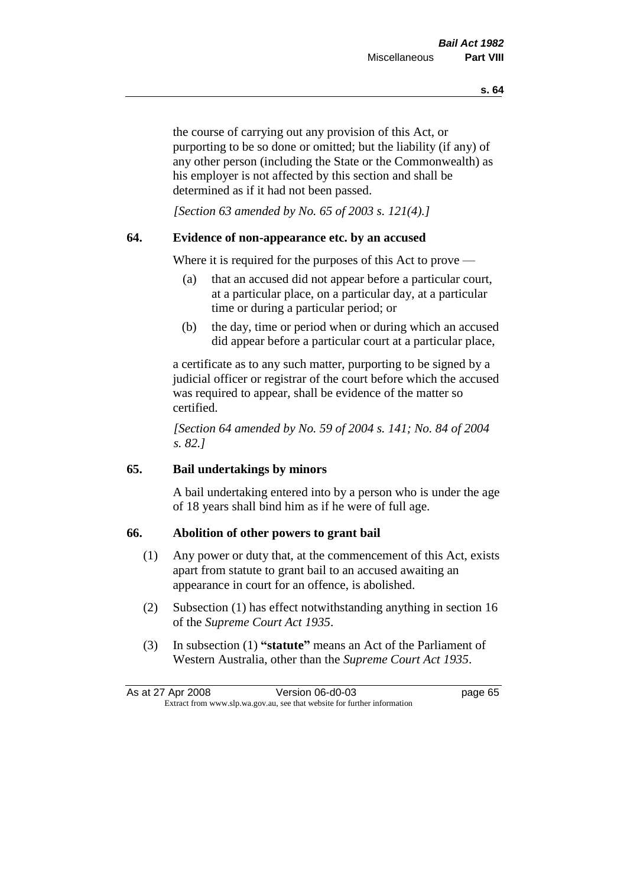the course of carrying out any provision of this Act, or purporting to be so done or omitted; but the liability (if any) of any other person (including the State or the Commonwealth) as his employer is not affected by this section and shall be determined as if it had not been passed.

*[Section 63 amended by No. 65 of 2003 s. 121(4).]*

# **64. Evidence of non-appearance etc. by an accused**

Where it is required for the purposes of this Act to prove —

- (a) that an accused did not appear before a particular court, at a particular place, on a particular day, at a particular time or during a particular period; or
- (b) the day, time or period when or during which an accused did appear before a particular court at a particular place,

a certificate as to any such matter, purporting to be signed by a judicial officer or registrar of the court before which the accused was required to appear, shall be evidence of the matter so certified.

*[Section 64 amended by No. 59 of 2004 s. 141; No. 84 of 2004 s. 82.]* 

# **65. Bail undertakings by minors**

A bail undertaking entered into by a person who is under the age of 18 years shall bind him as if he were of full age.

# **66. Abolition of other powers to grant bail**

- (1) Any power or duty that, at the commencement of this Act, exists apart from statute to grant bail to an accused awaiting an appearance in court for an offence, is abolished.
- (2) Subsection (1) has effect notwithstanding anything in section 16 of the *Supreme Court Act 1935*.
- (3) In subsection (1) **"statute"** means an Act of the Parliament of Western Australia, other than the *Supreme Court Act 1935*.

| As at 27 Apr 2008 | Version 06-d0-03                                                         | page 65 |
|-------------------|--------------------------------------------------------------------------|---------|
|                   | Extract from www.slp.wa.gov.au, see that website for further information |         |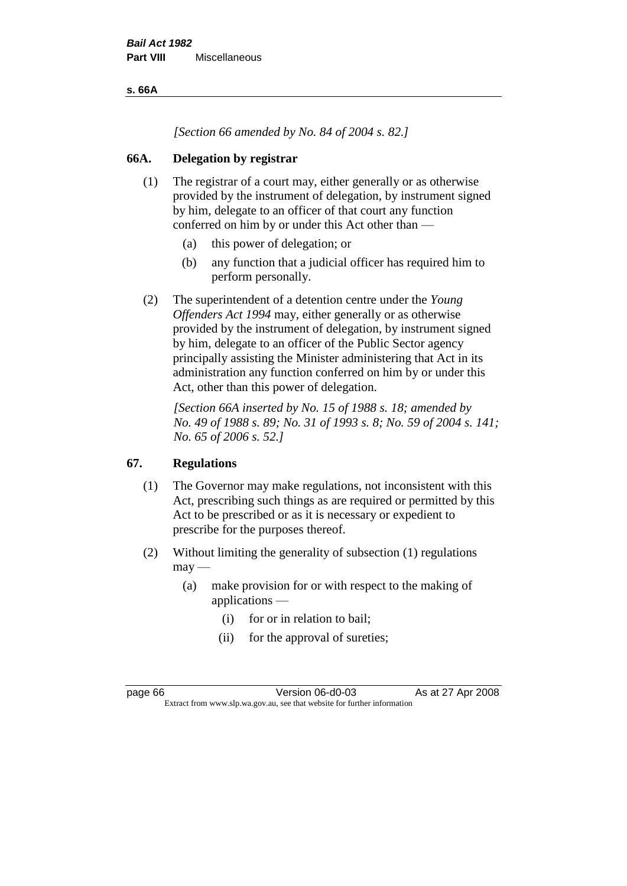**s. 66A**

*[Section 66 amended by No. 84 of 2004 s. 82.]*

# **66A. Delegation by registrar**

- (1) The registrar of a court may, either generally or as otherwise provided by the instrument of delegation, by instrument signed by him, delegate to an officer of that court any function conferred on him by or under this Act other than —
	- (a) this power of delegation; or
	- (b) any function that a judicial officer has required him to perform personally.
- (2) The superintendent of a detention centre under the *Young Offenders Act 1994* may, either generally or as otherwise provided by the instrument of delegation, by instrument signed by him, delegate to an officer of the Public Sector agency principally assisting the Minister administering that Act in its administration any function conferred on him by or under this Act, other than this power of delegation.

*[Section 66A inserted by No. 15 of 1988 s. 18; amended by No. 49 of 1988 s. 89; No. 31 of 1993 s. 8; No. 59 of 2004 s. 141; No. 65 of 2006 s. 52.]* 

# **67. Regulations**

- (1) The Governor may make regulations, not inconsistent with this Act, prescribing such things as are required or permitted by this Act to be prescribed or as it is necessary or expedient to prescribe for the purposes thereof.
- (2) Without limiting the generality of subsection (1) regulations  $may -$ 
	- (a) make provision for or with respect to the making of applications —
		- (i) for or in relation to bail;
		- (ii) for the approval of sureties;

page 66 Version 06-d0-03 As at 27 Apr 2008 Extract from www.slp.wa.gov.au, see that website for further information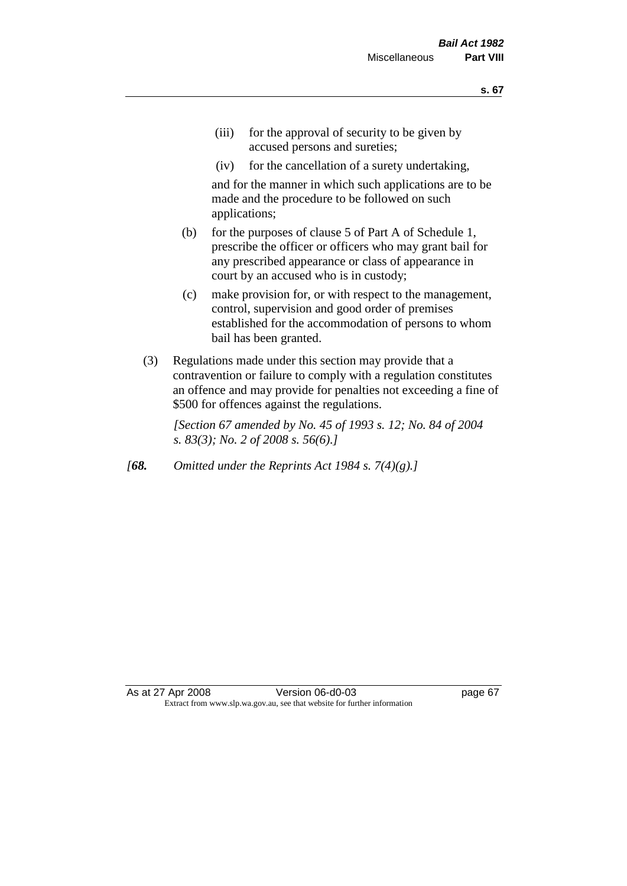- (iii) for the approval of security to be given by accused persons and sureties;
- (iv) for the cancellation of a surety undertaking,

and for the manner in which such applications are to be made and the procedure to be followed on such applications;

- (b) for the purposes of clause 5 of Part A of Schedule 1, prescribe the officer or officers who may grant bail for any prescribed appearance or class of appearance in court by an accused who is in custody;
- (c) make provision for, or with respect to the management, control, supervision and good order of premises established for the accommodation of persons to whom bail has been granted.
- (3) Regulations made under this section may provide that a contravention or failure to comply with a regulation constitutes an offence and may provide for penalties not exceeding a fine of \$500 for offences against the regulations.

*[Section 67 amended by No. 45 of 1993 s. 12; No. 84 of 2004 s. 83(3); No. 2 of 2008 s. 56(6).]* 

*[68. Omitted under the Reprints Act 1984 s. 7(4)(g).]*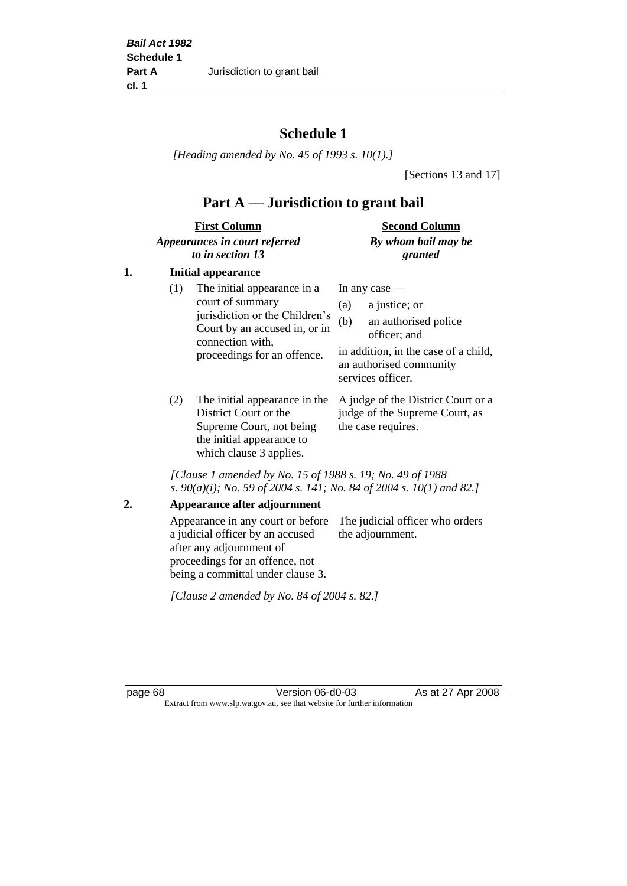# **Schedule 1**

*[Heading amended by No. 45 of 1993 s. 10(1).]*

[Sections 13 and 17]

# **Part A — Jurisdiction to grant bail**

| <b>First Column</b>           | <b>Second Column</b> |
|-------------------------------|----------------------|
| Appearances in court referred | By whom bail may be  |
| to in section 13              | granted              |

# **1. Initial appearance**

| (1) | The initial appearance in a<br>court of summary<br>jurisdiction or the Children's<br>Court by an accused in, or in<br>connection with,<br>proceedings for an offence. | In any case $-$<br>a justice; or<br>(a)<br>an authorised police<br>(b)<br>officer; and<br>in addition, in the case of a child,<br>an authorised community<br>services officer. |
|-----|-----------------------------------------------------------------------------------------------------------------------------------------------------------------------|--------------------------------------------------------------------------------------------------------------------------------------------------------------------------------|
|     |                                                                                                                                                                       |                                                                                                                                                                                |

District Court or the Supreme Court, not being the initial appearance to which clause 3 applies.

(2) The initial appearance in the A judge of the District Court or a judge of the Supreme Court, as the case requires.

*[Clause 1 amended by No. 15 of 1988 s. 19; No. 49 of 1988 s. 90(a)(i); No. 59 of 2004 s. 141; No. 84 of 2004 s. 10(1) and 82.]*

### **2. Appearance after adjournment**

Appearance in any court or before The judicial officer who orders a judicial officer by an accused after any adjournment of proceedings for an offence, not being a committal under clause 3. the adjournment.

*[Clause 2 amended by No. 84 of 2004 s. 82.]*

page 68 Version 06-d0-03 As at 27 Apr 2008 Extract from www.slp.wa.gov.au, see that website for further information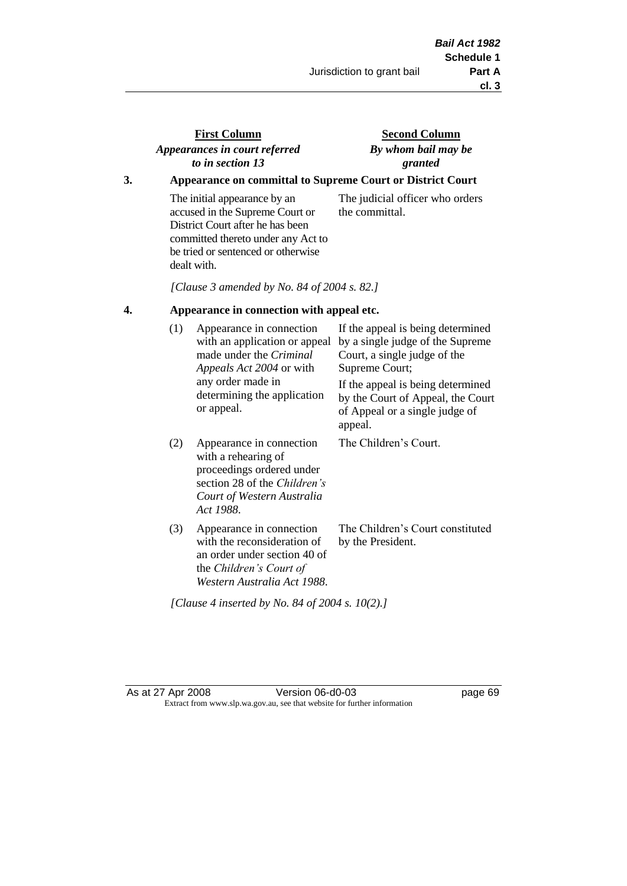# **First Column** *Appearances in court referred to in section 13*

**Second Column** *By whom bail may be granted*

# **3. Appearance on committal to Supreme Court or District Court**

The initial appearance by an accused in the Supreme Court or District Court after he has been committed thereto under any Act to be tried or sentenced or otherwise dealt with.

The judicial officer who orders the committal.

*[Clause 3 amended by No. 84 of 2004 s. 82.]*

# **4. Appearance in connection with appeal etc.**

| (1) | Appearance in connection<br>with an application or appeal<br>made under the <i>Criminal</i><br><i>Appeals Act 2004</i> or with<br>any order made in<br>determining the application<br>or appeal. | If the appeal is being determined<br>by a single judge of the Supreme<br>Court, a single judge of the<br>Supreme Court;<br>If the appeal is being determined<br>by the Court of Appeal, the Court<br>of Appeal or a single judge of<br>appeal. |
|-----|--------------------------------------------------------------------------------------------------------------------------------------------------------------------------------------------------|------------------------------------------------------------------------------------------------------------------------------------------------------------------------------------------------------------------------------------------------|
| (2) | Appearance in connection<br>with a rehearing of<br>proceedings ordered under<br>section 28 of the Children's<br>Court of Western Australia<br>Act 1988.                                          | The Children's Court.                                                                                                                                                                                                                          |
| (3) | Appearance in connection<br>with the reconsideration of<br>an order under section 40 of<br>the Children's Court of<br>Western Australia Act 1988.                                                | The Children's Court constituted<br>by the President.                                                                                                                                                                                          |

*[Clause 4 inserted by No. 84 of 2004 s. 10(2).]*

As at 27 Apr 2008 Version 06-d0-03 page 69 Extract from www.slp.wa.gov.au, see that website for further information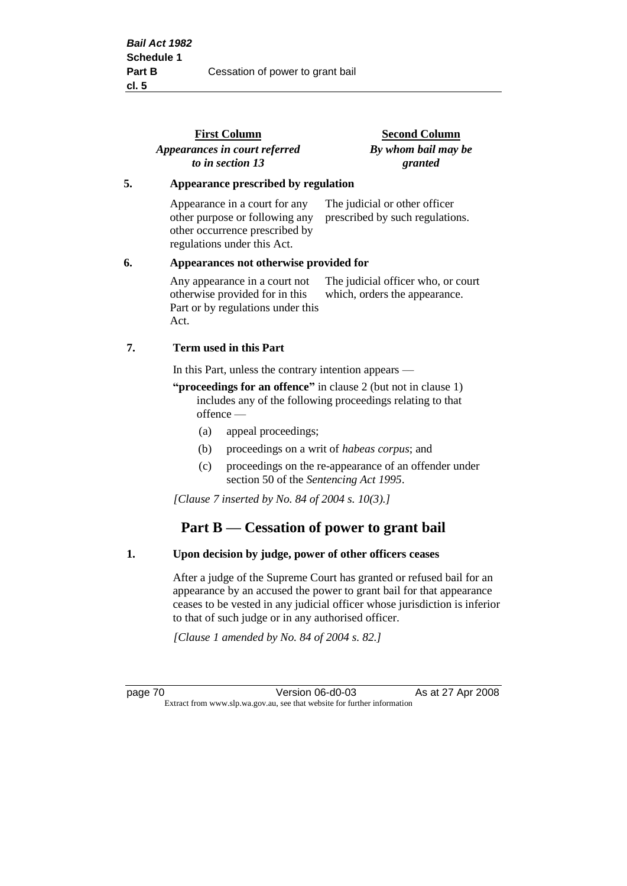|    | <b>First Column</b><br>Appearances in court referred<br>to in section 13                                                         | <b>Second Column</b><br>By whom bail may be<br>granted              |
|----|----------------------------------------------------------------------------------------------------------------------------------|---------------------------------------------------------------------|
| 5. | Appearance prescribed by regulation                                                                                              |                                                                     |
|    | Appearance in a court for any<br>other purpose or following any<br>other occurrence prescribed by<br>regulations under this Act. | The judicial or other officer<br>prescribed by such regulations.    |
| 6. | Appearances not otherwise provided for                                                                                           |                                                                     |
|    | Any appearance in a court not<br>otherwise provided for in this<br>Part or by regulations under this<br>Act.                     | The judicial officer who, or court<br>which, orders the appearance. |
| 7. | Term used in this Part                                                                                                           |                                                                     |
|    | In this Part, unless the contrary intention appears —                                                                            |                                                                     |
|    |                                                                                                                                  |                                                                     |

**"proceedings for an offence"** in clause 2 (but not in clause 1) includes any of the following proceedings relating to that offence —

- (a) appeal proceedings;
- (b) proceedings on a writ of *habeas corpus*; and
- (c) proceedings on the re-appearance of an offender under section 50 of the *Sentencing Act 1995*.

*[Clause 7 inserted by No. 84 of 2004 s. 10(3).]*

# **Part B — Cessation of power to grant bail**

### **1. Upon decision by judge, power of other officers ceases**

After a judge of the Supreme Court has granted or refused bail for an appearance by an accused the power to grant bail for that appearance ceases to be vested in any judicial officer whose jurisdiction is inferior to that of such judge or in any authorised officer.

*[Clause 1 amended by No. 84 of 2004 s. 82.]*

page 70 Version 06-d0-03 As at 27 Apr 2008 Extract from www.slp.wa.gov.au, see that website for further information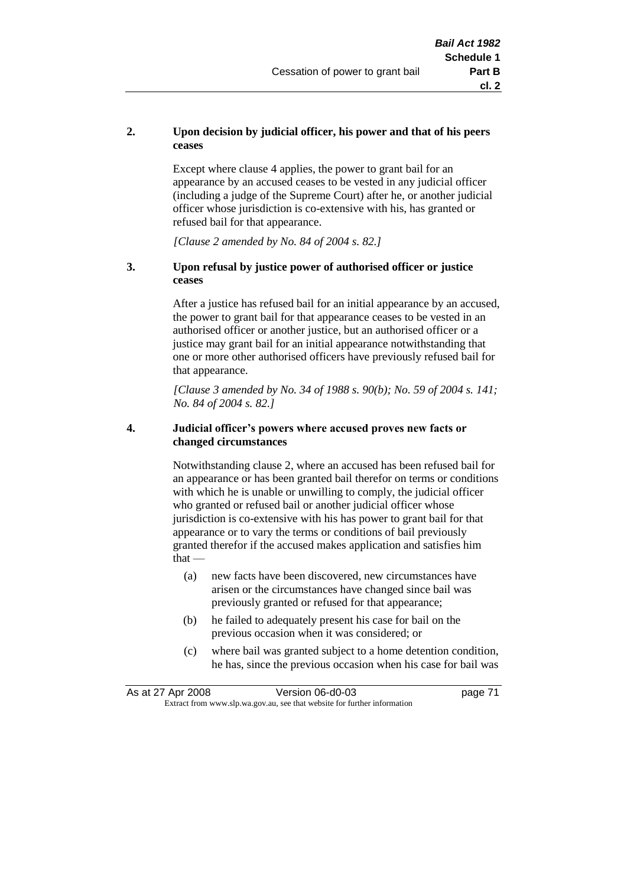# **2. Upon decision by judicial officer, his power and that of his peers ceases**

Except where clause 4 applies, the power to grant bail for an appearance by an accused ceases to be vested in any judicial officer (including a judge of the Supreme Court) after he, or another judicial officer whose jurisdiction is co-extensive with his, has granted or refused bail for that appearance.

*[Clause 2 amended by No. 84 of 2004 s. 82.]*

### **3. Upon refusal by justice power of authorised officer or justice ceases**

After a justice has refused bail for an initial appearance by an accused, the power to grant bail for that appearance ceases to be vested in an authorised officer or another justice, but an authorised officer or a justice may grant bail for an initial appearance notwithstanding that one or more other authorised officers have previously refused bail for that appearance.

*[Clause 3 amended by No. 34 of 1988 s. 90(b); No. 59 of 2004 s. 141; No. 84 of 2004 s. 82.]*

#### **4. Judicial officer's powers where accused proves new facts or changed circumstances**

Notwithstanding clause 2, where an accused has been refused bail for an appearance or has been granted bail therefor on terms or conditions with which he is unable or unwilling to comply, the judicial officer who granted or refused bail or another judicial officer whose jurisdiction is co-extensive with his has power to grant bail for that appearance or to vary the terms or conditions of bail previously granted therefor if the accused makes application and satisfies him  $that -$ 

- (a) new facts have been discovered, new circumstances have arisen or the circumstances have changed since bail was previously granted or refused for that appearance;
- (b) he failed to adequately present his case for bail on the previous occasion when it was considered; or
- (c) where bail was granted subject to a home detention condition, he has, since the previous occasion when his case for bail was

|                                                                          | As at 27 Apr 2008 | Version 06-d0-03 | page 71 |
|--------------------------------------------------------------------------|-------------------|------------------|---------|
| Extract from www.slp.wa.gov.au, see that website for further information |                   |                  |         |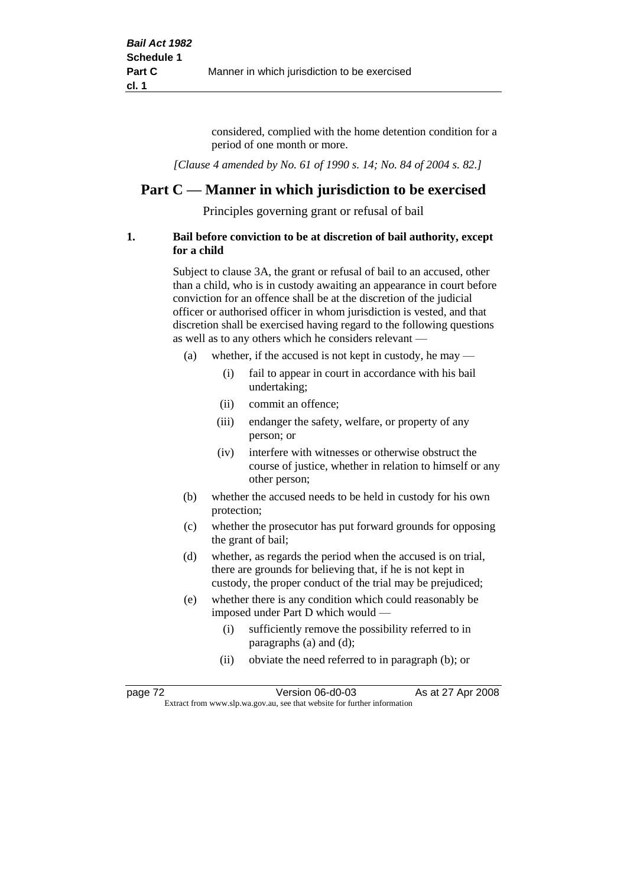considered, complied with the home detention condition for a period of one month or more.

*[Clause 4 amended by No. 61 of 1990 s. 14; No. 84 of 2004 s. 82.]*

# **Part C — Manner in which jurisdiction to be exercised**

Principles governing grant or refusal of bail

# **1. Bail before conviction to be at discretion of bail authority, except for a child**

Subject to clause 3A, the grant or refusal of bail to an accused, other than a child, who is in custody awaiting an appearance in court before conviction for an offence shall be at the discretion of the judicial officer or authorised officer in whom jurisdiction is vested, and that discretion shall be exercised having regard to the following questions as well as to any others which he considers relevant —

- (a) whether, if the accused is not kept in custody, he may
	- (i) fail to appear in court in accordance with his bail undertaking;
	- (ii) commit an offence;
	- (iii) endanger the safety, welfare, or property of any person; or
	- (iv) interfere with witnesses or otherwise obstruct the course of justice, whether in relation to himself or any other person;
- (b) whether the accused needs to be held in custody for his own protection;
- (c) whether the prosecutor has put forward grounds for opposing the grant of bail;
- (d) whether, as regards the period when the accused is on trial, there are grounds for believing that, if he is not kept in custody, the proper conduct of the trial may be prejudiced;
- (e) whether there is any condition which could reasonably be imposed under Part D which would —
	- (i) sufficiently remove the possibility referred to in paragraphs (a) and (d);
	- (ii) obviate the need referred to in paragraph (b); or

| page 72 | Version 06-d0-03                                                         | As at 27 Apr 2008 |  |
|---------|--------------------------------------------------------------------------|-------------------|--|
|         | Extract from www.slp.wa.gov.au, see that website for further information |                   |  |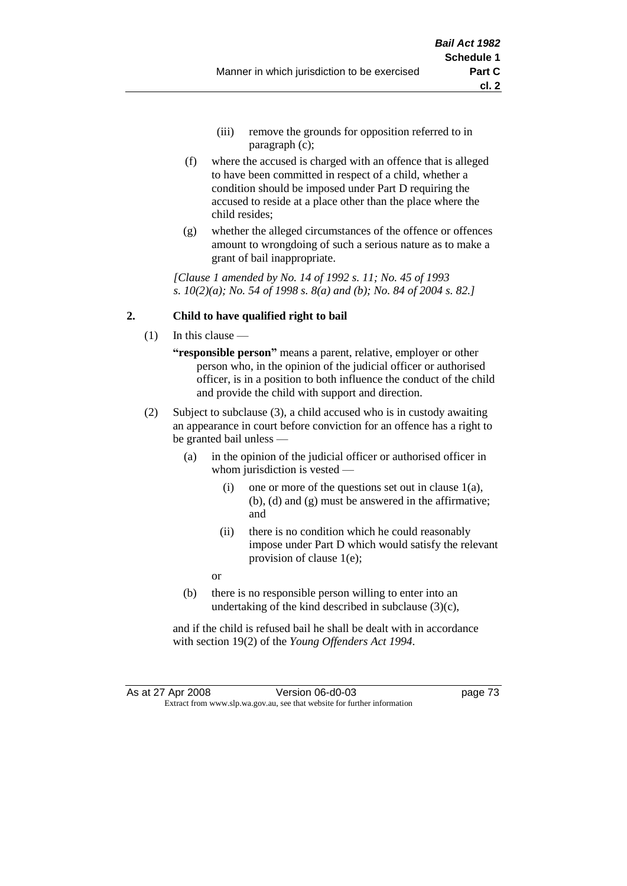- (iii) remove the grounds for opposition referred to in paragraph (c);
- (f) where the accused is charged with an offence that is alleged to have been committed in respect of a child, whether a condition should be imposed under Part D requiring the accused to reside at a place other than the place where the child resides;
- (g) whether the alleged circumstances of the offence or offences amount to wrongdoing of such a serious nature as to make a grant of bail inappropriate.

*[Clause 1 amended by No. 14 of 1992 s. 11; No. 45 of 1993 s. 10(2)(a); No. 54 of 1998 s. 8(a) and (b); No. 84 of 2004 s. 82.]*

# **2. Child to have qualified right to bail**

- (1) In this clause
	- **"responsible person"** means a parent, relative, employer or other person who, in the opinion of the judicial officer or authorised officer, is in a position to both influence the conduct of the child and provide the child with support and direction.
- (2) Subject to subclause (3), a child accused who is in custody awaiting an appearance in court before conviction for an offence has a right to be granted bail unless —
	- (a) in the opinion of the judicial officer or authorised officer in whom jurisdiction is vested —
		- (i) one or more of the questions set out in clause  $1(a)$ , (b), (d) and (g) must be answered in the affirmative; and
		- (ii) there is no condition which he could reasonably impose under Part D which would satisfy the relevant provision of clause 1(e);
		- or
	- (b) there is no responsible person willing to enter into an undertaking of the kind described in subclause (3)(c),

and if the child is refused bail he shall be dealt with in accordance with section 19(2) of the *Young Offenders Act 1994*.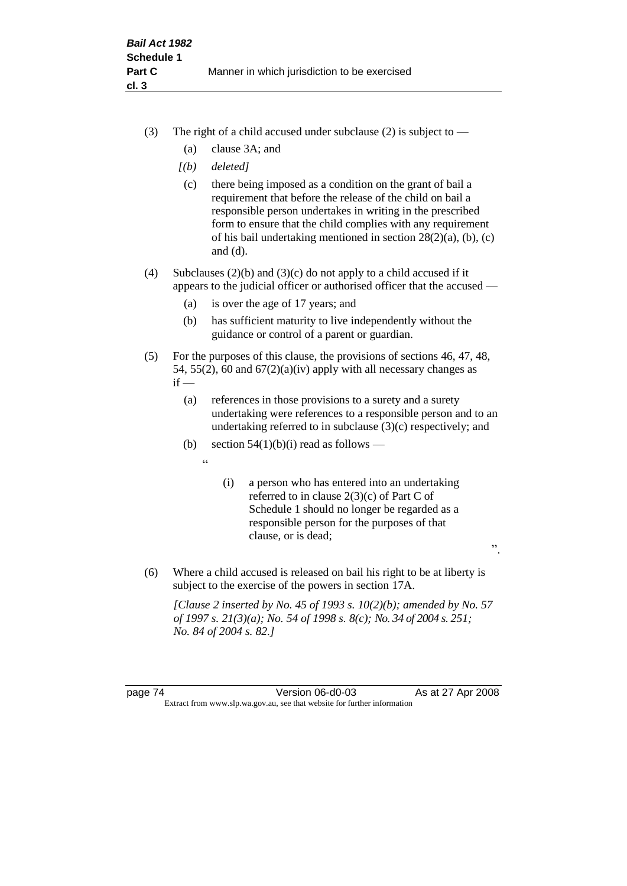- (3) The right of a child accused under subclause (2) is subject to  $-$ 
	- (a) clause 3A; and
	- *[(b) deleted]*
	- (c) there being imposed as a condition on the grant of bail a requirement that before the release of the child on bail a responsible person undertakes in writing in the prescribed form to ensure that the child complies with any requirement of his bail undertaking mentioned in section 28(2)(a), (b), (c) and (d).
- (4) Subclauses (2)(b) and (3)(c) do not apply to a child accused if it appears to the judicial officer or authorised officer that the accused —
	- (a) is over the age of 17 years; and
	- (b) has sufficient maturity to live independently without the guidance or control of a parent or guardian.
- (5) For the purposes of this clause, the provisions of sections 46, 47, 48, 54, 55(2), 60 and  $67(2)(a)(iv)$  apply with all necessary changes as  $if -$ 
	- (a) references in those provisions to a surety and a surety undertaking were references to a responsible person and to an undertaking referred to in subclause (3)(c) respectively; and
	- (b) section  $54(1)(b)(i)$  read as follows
		- $\epsilon$
- (i) a person who has entered into an undertaking referred to in clause 2(3)(c) of Part C of Schedule 1 should no longer be regarded as a responsible person for the purposes of that clause, or is dead;

".

(6) Where a child accused is released on bail his right to be at liberty is subject to the exercise of the powers in section 17A.

*[Clause 2 inserted by No. 45 of 1993 s. 10(2)(b); amended by No. 57 of 1997 s. 21(3)(a); No. 54 of 1998 s. 8(c); No. 34 of 2004 s. 251; No. 84 of 2004 s. 82.]*

page 74 Version 06-d0-03 As at 27 Apr 2008 Extract from www.slp.wa.gov.au, see that website for further information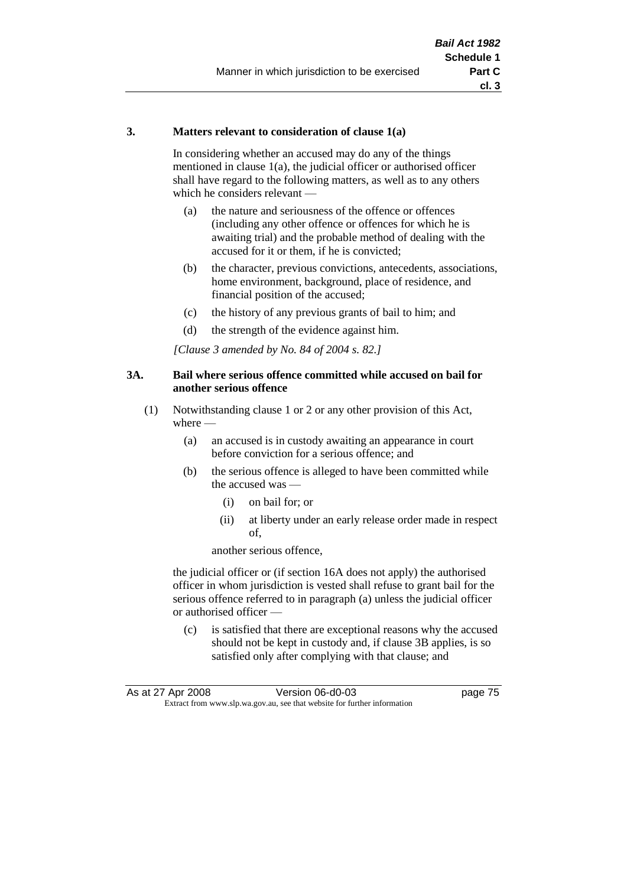#### **3. Matters relevant to consideration of clause 1(a)**

In considering whether an accused may do any of the things mentioned in clause 1(a), the judicial officer or authorised officer shall have regard to the following matters, as well as to any others which he considers relevant —

- (a) the nature and seriousness of the offence or offences (including any other offence or offences for which he is awaiting trial) and the probable method of dealing with the accused for it or them, if he is convicted;
- (b) the character, previous convictions, antecedents, associations, home environment, background, place of residence, and financial position of the accused;
- (c) the history of any previous grants of bail to him; and
- (d) the strength of the evidence against him.

*[Clause 3 amended by No. 84 of 2004 s. 82.]*

#### **3A. Bail where serious offence committed while accused on bail for another serious offence**

- (1) Notwithstanding clause 1 or 2 or any other provision of this Act, where —
	- (a) an accused is in custody awaiting an appearance in court before conviction for a serious offence; and
	- (b) the serious offence is alleged to have been committed while the accused was —
		- (i) on bail for; or
		- (ii) at liberty under an early release order made in respect of,

another serious offence,

the judicial officer or (if section 16A does not apply) the authorised officer in whom jurisdiction is vested shall refuse to grant bail for the serious offence referred to in paragraph (a) unless the judicial officer or authorised officer —

(c) is satisfied that there are exceptional reasons why the accused should not be kept in custody and, if clause 3B applies, is so satisfied only after complying with that clause; and

| As at 27 Apr 2008 | Version 06-d0-03                                                         | page 75 |
|-------------------|--------------------------------------------------------------------------|---------|
|                   | Extract from www.slp.wa.gov.au, see that website for further information |         |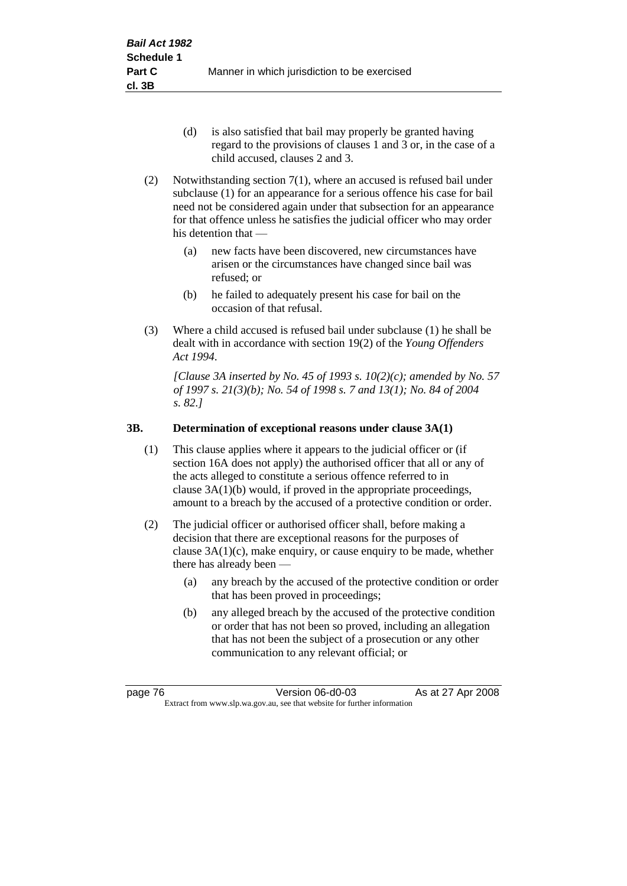- (d) is also satisfied that bail may properly be granted having regard to the provisions of clauses 1 and 3 or, in the case of a child accused, clauses 2 and 3.
- (2) Notwithstanding section 7(1), where an accused is refused bail under subclause (1) for an appearance for a serious offence his case for bail need not be considered again under that subsection for an appearance for that offence unless he satisfies the judicial officer who may order his detention that —
	- (a) new facts have been discovered, new circumstances have arisen or the circumstances have changed since bail was refused; or
	- (b) he failed to adequately present his case for bail on the occasion of that refusal.
- (3) Where a child accused is refused bail under subclause (1) he shall be dealt with in accordance with section 19(2) of the *Young Offenders Act 1994*.

*[Clause 3A inserted by No. 45 of 1993 s. 10(2)(c); amended by No. 57 of 1997 s. 21(3)(b); No. 54 of 1998 s. 7 and 13(1); No. 84 of 2004 s. 82.]*

# **3B. Determination of exceptional reasons under clause 3A(1)**

- (1) This clause applies where it appears to the judicial officer or (if section 16A does not apply) the authorised officer that all or any of the acts alleged to constitute a serious offence referred to in clause 3A(1)(b) would, if proved in the appropriate proceedings, amount to a breach by the accused of a protective condition or order.
- (2) The judicial officer or authorised officer shall, before making a decision that there are exceptional reasons for the purposes of clause  $3A(1)(c)$ , make enquiry, or cause enquiry to be made, whether there has already been -
	- (a) any breach by the accused of the protective condition or order that has been proved in proceedings;
	- (b) any alleged breach by the accused of the protective condition or order that has not been so proved, including an allegation that has not been the subject of a prosecution or any other communication to any relevant official; or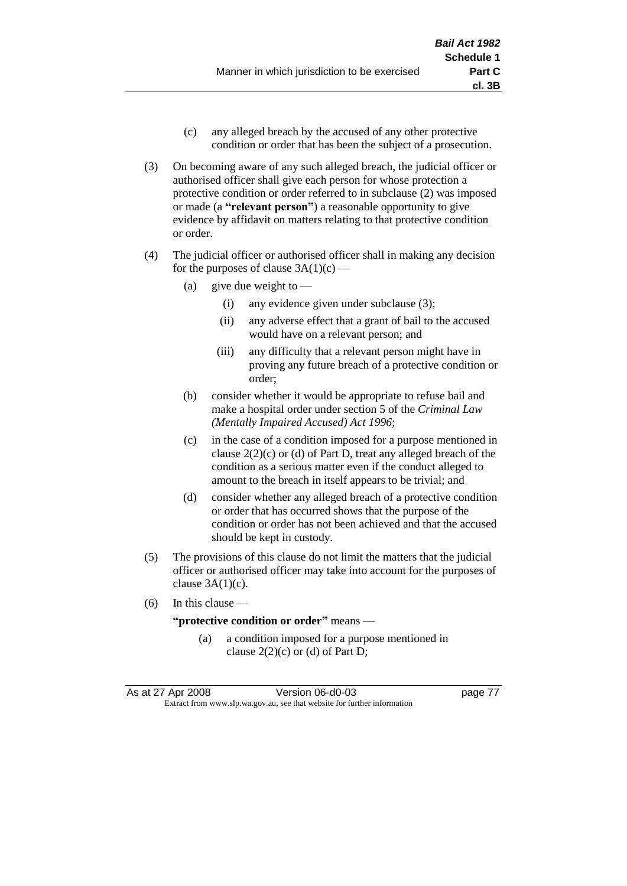- (c) any alleged breach by the accused of any other protective condition or order that has been the subject of a prosecution.
- (3) On becoming aware of any such alleged breach, the judicial officer or authorised officer shall give each person for whose protection a protective condition or order referred to in subclause (2) was imposed or made (a **"relevant person"**) a reasonable opportunity to give evidence by affidavit on matters relating to that protective condition or order.
- (4) The judicial officer or authorised officer shall in making any decision for the purposes of clause  $3A(1)(c)$  —
	- (a) give due weight to  $-$ 
		- (i) any evidence given under subclause (3);
		- (ii) any adverse effect that a grant of bail to the accused would have on a relevant person; and
		- (iii) any difficulty that a relevant person might have in proving any future breach of a protective condition or order;
	- (b) consider whether it would be appropriate to refuse bail and make a hospital order under section 5 of the *Criminal Law (Mentally Impaired Accused) Act 1996*;
	- (c) in the case of a condition imposed for a purpose mentioned in clause  $2(2)(c)$  or (d) of Part D, treat any alleged breach of the condition as a serious matter even if the conduct alleged to amount to the breach in itself appears to be trivial; and
	- (d) consider whether any alleged breach of a protective condition or order that has occurred shows that the purpose of the condition or order has not been achieved and that the accused should be kept in custody.
- (5) The provisions of this clause do not limit the matters that the judicial officer or authorised officer may take into account for the purposes of clause  $3A(1)(c)$ .
- (6) In this clause —

### **"protective condition or order"** means —

(a) a condition imposed for a purpose mentioned in clause  $2(2)(c)$  or (d) of Part D;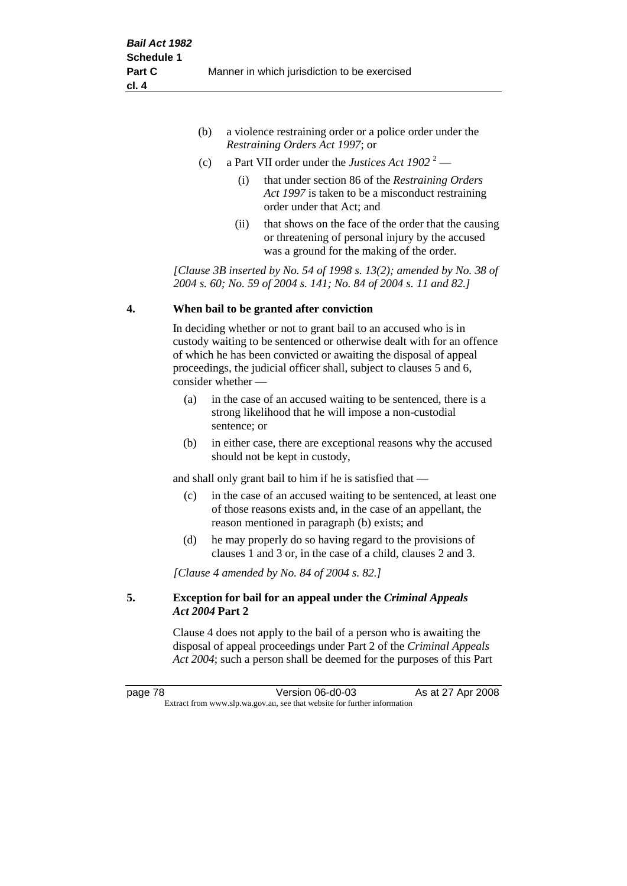| (b) | a violence restraining order or a police order under the |
|-----|----------------------------------------------------------|
|     | <i>Restraining Orders Act 1997; or</i>                   |

- (c) a Part VII order under the *Justices Act 1902* <sup>2</sup>
	- (i) that under section 86 of the *Restraining Orders Act 1997* is taken to be a misconduct restraining order under that Act; and
	- (ii) that shows on the face of the order that the causing or threatening of personal injury by the accused was a ground for the making of the order.

*[Clause 3B inserted by No. 54 of 1998 s. 13(2); amended by No. 38 of 2004 s. 60; No. 59 of 2004 s. 141; No. 84 of 2004 s. 11 and 82.]*

#### **4. When bail to be granted after conviction**

In deciding whether or not to grant bail to an accused who is in custody waiting to be sentenced or otherwise dealt with for an offence of which he has been convicted or awaiting the disposal of appeal proceedings, the judicial officer shall, subject to clauses 5 and 6, consider whether —

- (a) in the case of an accused waiting to be sentenced, there is a strong likelihood that he will impose a non-custodial sentence; or
- (b) in either case, there are exceptional reasons why the accused should not be kept in custody,

and shall only grant bail to him if he is satisfied that —

- (c) in the case of an accused waiting to be sentenced, at least one of those reasons exists and, in the case of an appellant, the reason mentioned in paragraph (b) exists; and
- (d) he may properly do so having regard to the provisions of clauses 1 and 3 or, in the case of a child, clauses 2 and 3.

*[Clause 4 amended by No. 84 of 2004 s. 82.]*

# **5. Exception for bail for an appeal under the** *Criminal Appeals Act 2004* **Part 2**

Clause 4 does not apply to the bail of a person who is awaiting the disposal of appeal proceedings under Part 2 of the *Criminal Appeals Act 2004*; such a person shall be deemed for the purposes of this Part

page 78 **Version 06-d0-03** As at 27 Apr 2008 Extract from www.slp.wa.gov.au, see that website for further information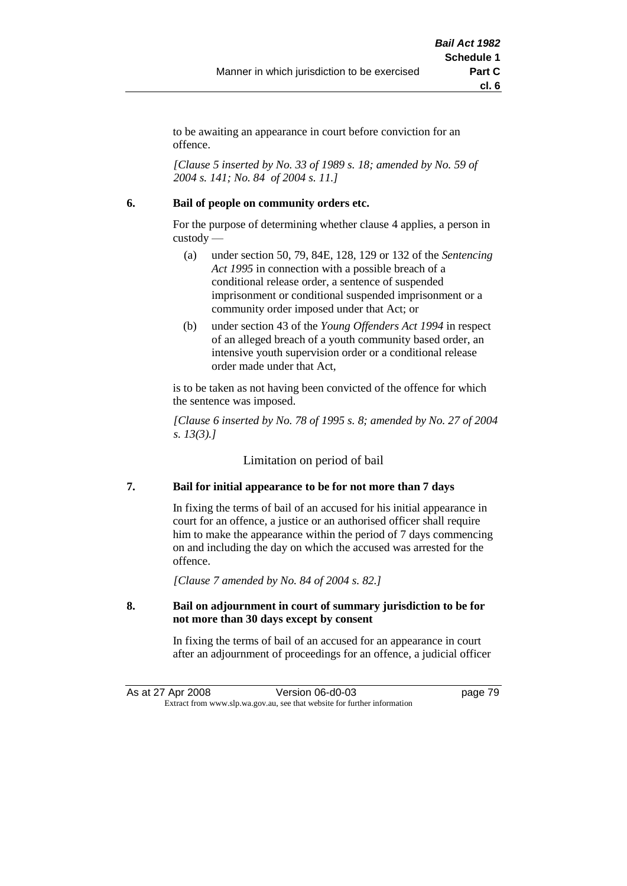to be awaiting an appearance in court before conviction for an offence.

*[Clause 5 inserted by No. 33 of 1989 s. 18; amended by No. 59 of 2004 s. 141; No. 84 of 2004 s. 11.]*

# **6. Bail of people on community orders etc.**

For the purpose of determining whether clause 4 applies, a person in custody —

- (a) under section 50, 79, 84E, 128, 129 or 132 of the *Sentencing Act 1995* in connection with a possible breach of a conditional release order, a sentence of suspended imprisonment or conditional suspended imprisonment or a community order imposed under that Act; or
- (b) under section 43 of the *Young Offenders Act 1994* in respect of an alleged breach of a youth community based order, an intensive youth supervision order or a conditional release order made under that Act,

is to be taken as not having been convicted of the offence for which the sentence was imposed.

*[Clause 6 inserted by No. 78 of 1995 s. 8; amended by No. 27 of 2004 s. 13(3).]*

Limitation on period of bail

# **7. Bail for initial appearance to be for not more than 7 days**

In fixing the terms of bail of an accused for his initial appearance in court for an offence, a justice or an authorised officer shall require him to make the appearance within the period of 7 days commencing on and including the day on which the accused was arrested for the offence.

*[Clause 7 amended by No. 84 of 2004 s. 82.]*

# **8. Bail on adjournment in court of summary jurisdiction to be for not more than 30 days except by consent**

In fixing the terms of bail of an accused for an appearance in court after an adjournment of proceedings for an offence, a judicial officer

As at 27 Apr 2008 Version 06-d0-03 page 79 Extract from www.slp.wa.gov.au, see that website for further information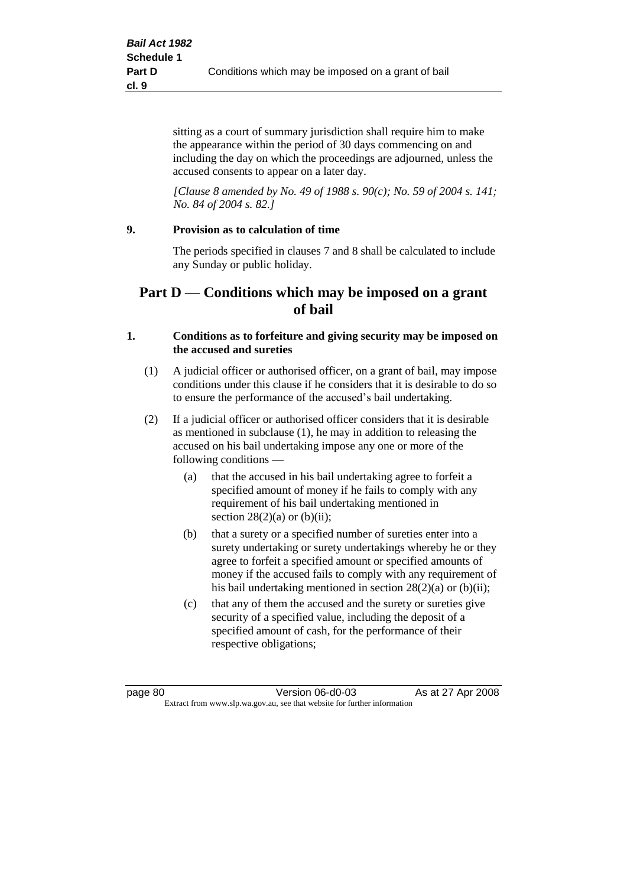sitting as a court of summary jurisdiction shall require him to make the appearance within the period of 30 days commencing on and including the day on which the proceedings are adjourned, unless the accused consents to appear on a later day.

*[Clause 8 amended by No. 49 of 1988 s. 90(c); No. 59 of 2004 s. 141; No. 84 of 2004 s. 82.]*

# **9. Provision as to calculation of time**

The periods specified in clauses 7 and 8 shall be calculated to include any Sunday or public holiday.

# **Part D — Conditions which may be imposed on a grant of bail**

### **1. Conditions as to forfeiture and giving security may be imposed on the accused and sureties**

- (1) A judicial officer or authorised officer, on a grant of bail, may impose conditions under this clause if he considers that it is desirable to do so to ensure the performance of the accused's bail undertaking.
- (2) If a judicial officer or authorised officer considers that it is desirable as mentioned in subclause (1), he may in addition to releasing the accused on his bail undertaking impose any one or more of the following conditions —
	- (a) that the accused in his bail undertaking agree to forfeit a specified amount of money if he fails to comply with any requirement of his bail undertaking mentioned in section  $28(2)(a)$  or  $(b)(ii)$ ;
	- (b) that a surety or a specified number of sureties enter into a surety undertaking or surety undertakings whereby he or they agree to forfeit a specified amount or specified amounts of money if the accused fails to comply with any requirement of his bail undertaking mentioned in section 28(2)(a) or (b)(ii);
	- (c) that any of them the accused and the surety or sureties give security of a specified value, including the deposit of a specified amount of cash, for the performance of their respective obligations;

page 80 Version 06-d0-03 As at 27 Apr 2008 Extract from www.slp.wa.gov.au, see that website for further information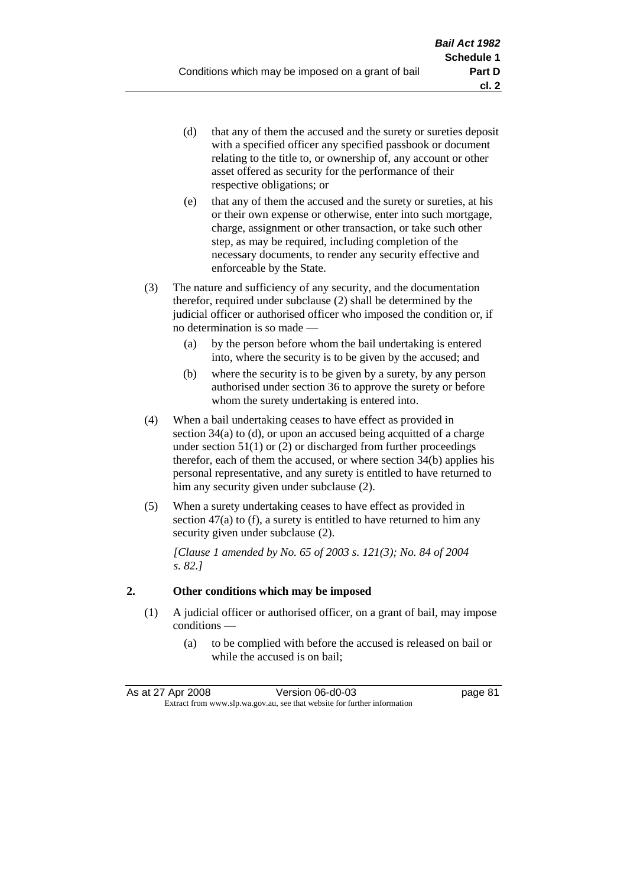- (d) that any of them the accused and the surety or sureties deposit with a specified officer any specified passbook or document relating to the title to, or ownership of, any account or other asset offered as security for the performance of their respective obligations; or
- (e) that any of them the accused and the surety or sureties, at his or their own expense or otherwise, enter into such mortgage, charge, assignment or other transaction, or take such other step, as may be required, including completion of the necessary documents, to render any security effective and enforceable by the State.
- (3) The nature and sufficiency of any security, and the documentation therefor, required under subclause (2) shall be determined by the judicial officer or authorised officer who imposed the condition or, if no determination is so made —
	- (a) by the person before whom the bail undertaking is entered into, where the security is to be given by the accused; and
	- (b) where the security is to be given by a surety, by any person authorised under section 36 to approve the surety or before whom the surety undertaking is entered into.
- (4) When a bail undertaking ceases to have effect as provided in section 34(a) to (d), or upon an accused being acquitted of a charge under section  $51(1)$  or (2) or discharged from further proceedings therefor, each of them the accused, or where section 34(b) applies his personal representative, and any surety is entitled to have returned to him any security given under subclause (2).
- (5) When a surety undertaking ceases to have effect as provided in section 47(a) to (f), a surety is entitled to have returned to him any security given under subclause  $(2)$ .

*[Clause 1 amended by No. 65 of 2003 s. 121(3); No. 84 of 2004 s. 82.]*

# **2. Other conditions which may be imposed**

- (1) A judicial officer or authorised officer, on a grant of bail, may impose conditions —
	- (a) to be complied with before the accused is released on bail or while the accused is on bail;

| As at 27 Apr 2008                                                        | Version 06-d0-03 | page 81 |
|--------------------------------------------------------------------------|------------------|---------|
| Extract from www.slp.wa.gov.au, see that website for further information |                  |         |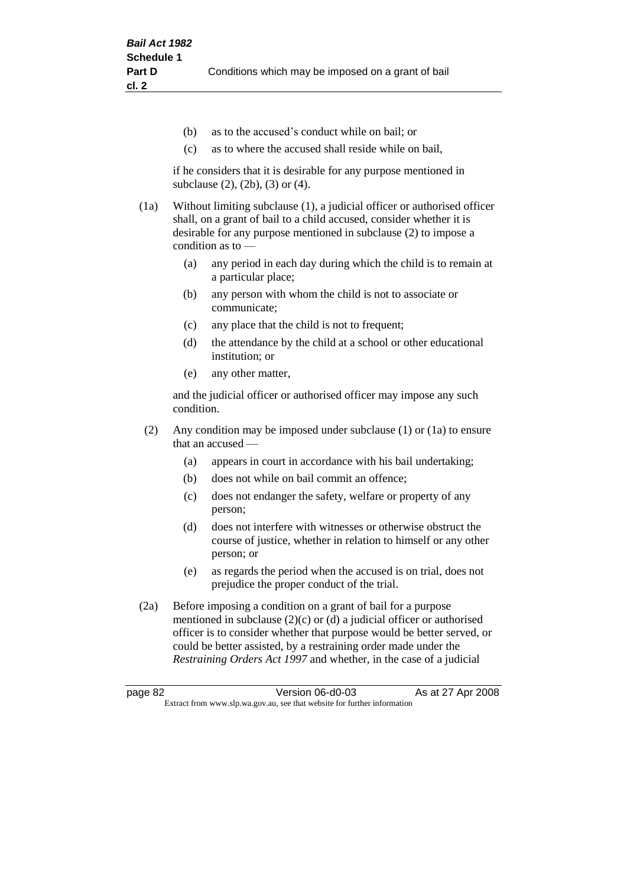- (b) as to the accused's conduct while on bail; or
- (c) as to where the accused shall reside while on bail,

if he considers that it is desirable for any purpose mentioned in subclause (2), (2b), (3) or (4).

(1a) Without limiting subclause (1), a judicial officer or authorised officer shall, on a grant of bail to a child accused, consider whether it is desirable for any purpose mentioned in subclause (2) to impose a condition as to —

- (a) any period in each day during which the child is to remain at a particular place;
- (b) any person with whom the child is not to associate or communicate;
- (c) any place that the child is not to frequent;
- (d) the attendance by the child at a school or other educational institution; or
- (e) any other matter,

and the judicial officer or authorised officer may impose any such condition.

- (2) Any condition may be imposed under subclause (1) or (1a) to ensure that an accused —
	- (a) appears in court in accordance with his bail undertaking;
	- (b) does not while on bail commit an offence;
	- (c) does not endanger the safety, welfare or property of any person;
	- (d) does not interfere with witnesses or otherwise obstruct the course of justice, whether in relation to himself or any other person; or
	- (e) as regards the period when the accused is on trial, does not prejudice the proper conduct of the trial.
- (2a) Before imposing a condition on a grant of bail for a purpose mentioned in subclause (2)(c) or (d) a judicial officer or authorised officer is to consider whether that purpose would be better served, or could be better assisted, by a restraining order made under the *Restraining Orders Act 1997* and whether, in the case of a judicial

page 82 **Version 06-d0-03** As at 27 Apr 2008 Extract from www.slp.wa.gov.au, see that website for further information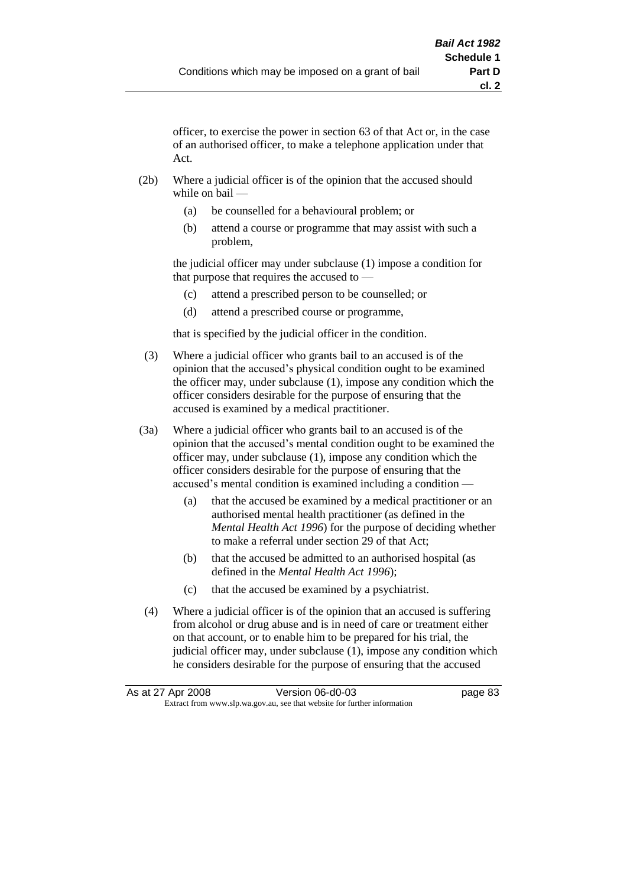officer, to exercise the power in section 63 of that Act or, in the case of an authorised officer, to make a telephone application under that Act.

- (2b) Where a judicial officer is of the opinion that the accused should while on bail —
	- (a) be counselled for a behavioural problem; or
	- (b) attend a course or programme that may assist with such a problem,

the judicial officer may under subclause (1) impose a condition for that purpose that requires the accused to —

- (c) attend a prescribed person to be counselled; or
- (d) attend a prescribed course or programme,

that is specified by the judicial officer in the condition.

- (3) Where a judicial officer who grants bail to an accused is of the opinion that the accused's physical condition ought to be examined the officer may, under subclause (1), impose any condition which the officer considers desirable for the purpose of ensuring that the accused is examined by a medical practitioner.
- (3a) Where a judicial officer who grants bail to an accused is of the opinion that the accused's mental condition ought to be examined the officer may, under subclause (1), impose any condition which the officer considers desirable for the purpose of ensuring that the accused's mental condition is examined including a condition —
	- (a) that the accused be examined by a medical practitioner or an authorised mental health practitioner (as defined in the *Mental Health Act 1996*) for the purpose of deciding whether to make a referral under section 29 of that Act;
	- (b) that the accused be admitted to an authorised hospital (as defined in the *Mental Health Act 1996*);
	- (c) that the accused be examined by a psychiatrist.
- (4) Where a judicial officer is of the opinion that an accused is suffering from alcohol or drug abuse and is in need of care or treatment either on that account, or to enable him to be prepared for his trial, the judicial officer may, under subclause (1), impose any condition which he considers desirable for the purpose of ensuring that the accused

| As at 27 Apr 2008 | Version 06-d0-03                                                         | page 83 |
|-------------------|--------------------------------------------------------------------------|---------|
|                   | Extract from www.slp.wa.gov.au, see that website for further information |         |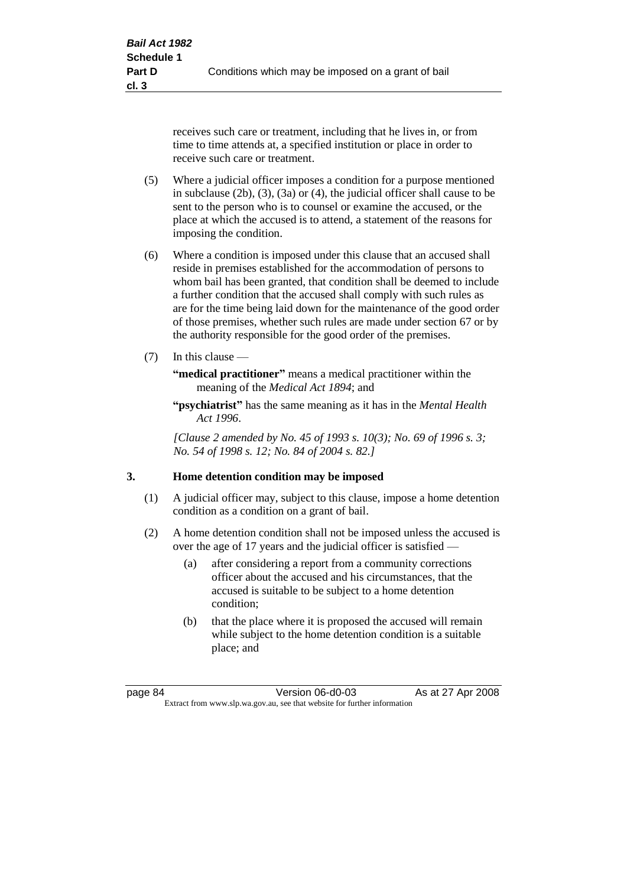receives such care or treatment, including that he lives in, or from time to time attends at, a specified institution or place in order to receive such care or treatment.

- (5) Where a judicial officer imposes a condition for a purpose mentioned in subclause (2b), (3), (3a) or (4), the judicial officer shall cause to be sent to the person who is to counsel or examine the accused, or the place at which the accused is to attend, a statement of the reasons for imposing the condition.
- (6) Where a condition is imposed under this clause that an accused shall reside in premises established for the accommodation of persons to whom bail has been granted, that condition shall be deemed to include a further condition that the accused shall comply with such rules as are for the time being laid down for the maintenance of the good order of those premises, whether such rules are made under section 67 or by the authority responsible for the good order of the premises.
- (7) In this clause —

**"medical practitioner"** means a medical practitioner within the meaning of the *Medical Act 1894*; and

**"psychiatrist"** has the same meaning as it has in the *Mental Health Act 1996*.

*[Clause 2 amended by No. 45 of 1993 s. 10(3); No. 69 of 1996 s. 3; No. 54 of 1998 s. 12; No. 84 of 2004 s. 82.]*

#### **3. Home detention condition may be imposed**

- (1) A judicial officer may, subject to this clause, impose a home detention condition as a condition on a grant of bail.
- (2) A home detention condition shall not be imposed unless the accused is over the age of 17 years and the judicial officer is satisfied —
	- (a) after considering a report from a community corrections officer about the accused and his circumstances, that the accused is suitable to be subject to a home detention condition;
	- (b) that the place where it is proposed the accused will remain while subject to the home detention condition is a suitable place; and

page 84 Version 06-d0-03 As at 27 Apr 2008 Extract from www.slp.wa.gov.au, see that website for further information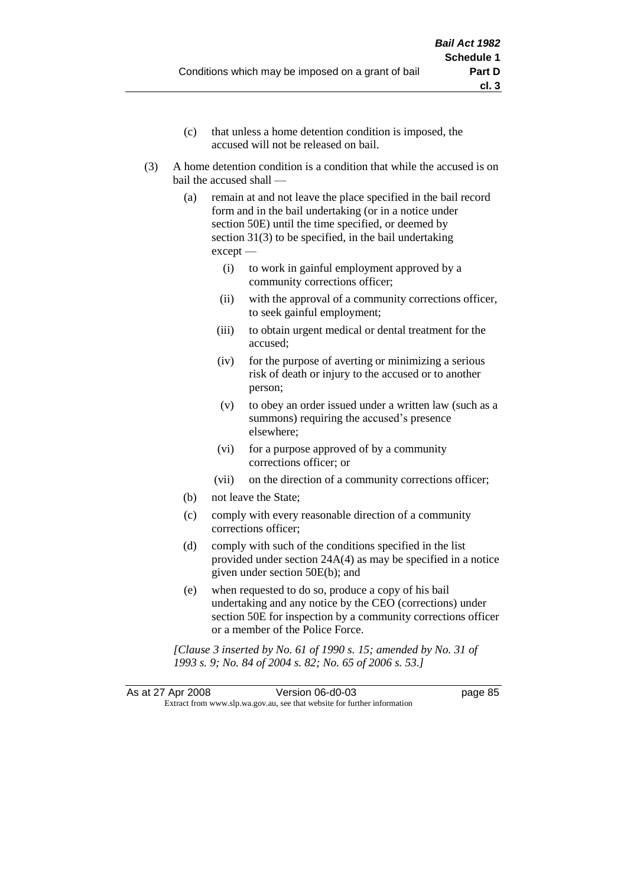- (c) that unless a home detention condition is imposed, the accused will not be released on bail.
- (3) A home detention condition is a condition that while the accused is on bail the accused shall —
	- (a) remain at and not leave the place specified in the bail record form and in the bail undertaking (or in a notice under section 50E) until the time specified, or deemed by section 31(3) to be specified, in the bail undertaking except —
		- (i) to work in gainful employment approved by a community corrections officer;
		- (ii) with the approval of a community corrections officer, to seek gainful employment;
		- (iii) to obtain urgent medical or dental treatment for the accused;
		- (iv) for the purpose of averting or minimizing a serious risk of death or injury to the accused or to another person;
		- (v) to obey an order issued under a written law (such as a summons) requiring the accused's presence elsewhere;
		- (vi) for a purpose approved of by a community corrections officer; or
		- (vii) on the direction of a community corrections officer;
	- (b) not leave the State;
	- (c) comply with every reasonable direction of a community corrections officer;
	- (d) comply with such of the conditions specified in the list provided under section 24A(4) as may be specified in a notice given under section 50E(b); and
	- (e) when requested to do so, produce a copy of his bail undertaking and any notice by the CEO (corrections) under section 50E for inspection by a community corrections officer or a member of the Police Force.

*[Clause 3 inserted by No. 61 of 1990 s. 15; amended by No. 31 of 1993 s. 9; No. 84 of 2004 s. 82; No. 65 of 2006 s. 53.]*

As at 27 Apr 2008 Version 06-d0-03 page 85 Extract from www.slp.wa.gov.au, see that website for further information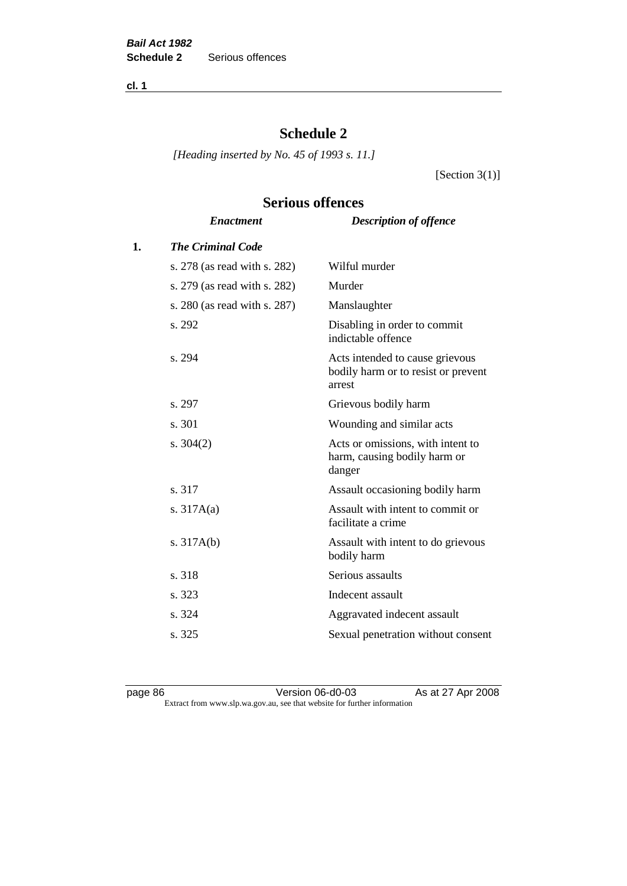**cl. 1**

# **Schedule 2**

**Serious offences**

*[Heading inserted by No. 45 of 1993 s. 11.]*

[Section  $3(1)$ ]

# *Enactment Description of offence* **1.** *The Criminal Code* s. 278 (as read with s. 282) Wilful murder s. 279 (as read with s. 282) Murder s. 280 (as read with s. 287) Manslaughter s. 292 Disabling in order to commit indictable offence s. 294 Acts intended to cause grievous bodily harm or to resist or prevent arrest s. 297 Grievous bodily harm s. 301 Wounding and similar acts s. 304(2) Acts or omissions, with intent to harm, causing bodily harm or danger s. 317 Assault occasioning bodily harm s. 317A(a) Assault with intent to commit or facilitate a crime s. 317A(b) Assault with intent to do grievous bodily harm s. 318 Serious assaults s. 323 Indecent assault s. 324 Aggravated indecent assault s. 325 Sexual penetration without consent

page 86 Version 06-d0-03 As at 27 Apr 2008 Extract from www.slp.wa.gov.au, see that website for further information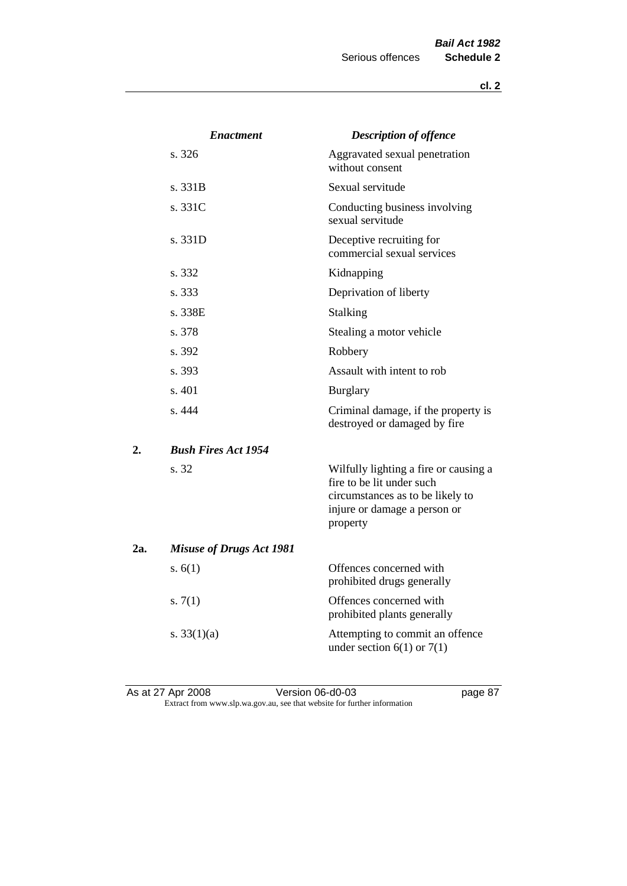|     | <b>Enactment</b>                | <b>Description of offence</b>                                                                                                                      |
|-----|---------------------------------|----------------------------------------------------------------------------------------------------------------------------------------------------|
|     | s. 326                          | Aggravated sexual penetration<br>without consent                                                                                                   |
|     | s. 331B                         | Sexual servitude                                                                                                                                   |
|     | s. 331C                         | Conducting business involving<br>sexual servitude                                                                                                  |
|     | s. 331D                         | Deceptive recruiting for<br>commercial sexual services                                                                                             |
|     | s. 332                          | Kidnapping                                                                                                                                         |
|     | s. 333                          | Deprivation of liberty                                                                                                                             |
|     | s. 338E                         | Stalking                                                                                                                                           |
|     | s. 378                          | Stealing a motor vehicle                                                                                                                           |
|     | s. 392                          | Robbery                                                                                                                                            |
|     | s. 393                          | Assault with intent to rob                                                                                                                         |
|     | s. 401                          | <b>Burglary</b>                                                                                                                                    |
|     | s. 444                          | Criminal damage, if the property is<br>destroyed or damaged by fire                                                                                |
| 2.  | <b>Bush Fires Act 1954</b>      |                                                                                                                                                    |
|     | s. 32                           | Wilfully lighting a fire or causing a<br>fire to be lit under such<br>circumstances as to be likely to<br>injure or damage a person or<br>property |
| 2a. | <b>Misuse of Drugs Act 1981</b> |                                                                                                                                                    |
|     | s. $6(1)$                       | Offences concerned with<br>prohibited drugs generally                                                                                              |
|     | s. $7(1)$                       | Offences concerned with<br>prohibited plants generally                                                                                             |
|     | s. $33(1)(a)$                   | Attempting to commit an offence<br>under section $6(1)$ or $7(1)$                                                                                  |

As at 27 Apr 2008 Version 06-d0-03 page 87 Extract from www.slp.wa.gov.au, see that website for further information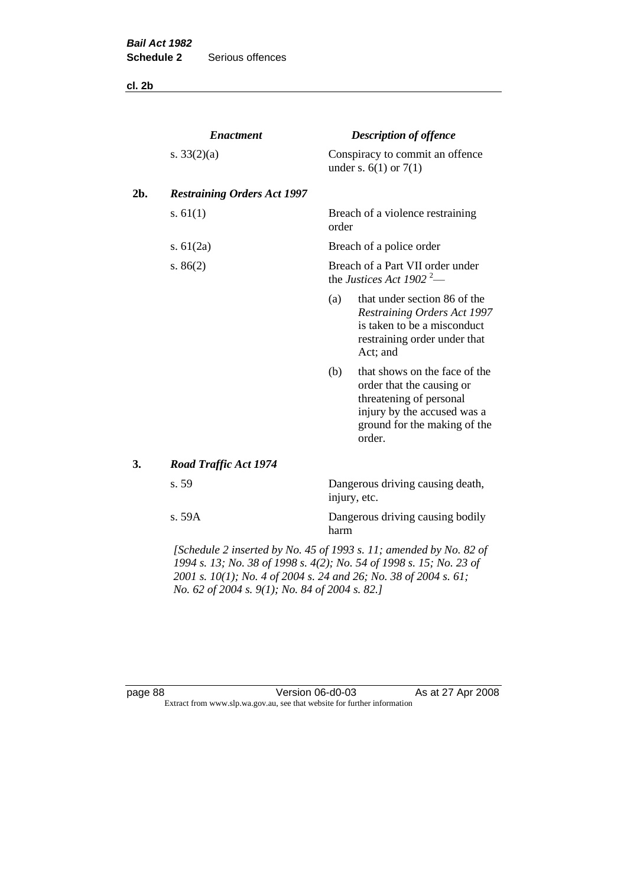**cl. 2b**

|     | <b>Enactment</b>                                                   |                                                  | <b>Description of offence</b>                                                                                                                                  |
|-----|--------------------------------------------------------------------|--------------------------------------------------|----------------------------------------------------------------------------------------------------------------------------------------------------------------|
|     | s. $33(2)(a)$                                                      |                                                  | Conspiracy to commit an offence<br>under s. $6(1)$ or $7(1)$                                                                                                   |
| 2b. | <b>Restraining Orders Act 1997</b>                                 |                                                  |                                                                                                                                                                |
|     | s. $61(1)$                                                         | order                                            | Breach of a violence restraining                                                                                                                               |
|     | s. $61(2a)$                                                        |                                                  | Breach of a police order                                                                                                                                       |
|     | s. $86(2)$                                                         |                                                  | Breach of a Part VII order under<br>the Justices Act 1902 <sup>2</sup> —                                                                                       |
|     |                                                                    | (a)                                              | that under section 86 of the<br>Restraining Orders Act 1997<br>is taken to be a misconduct<br>restraining order under that<br>Act; and                         |
|     |                                                                    | (b)                                              | that shows on the face of the<br>order that the causing or<br>threatening of personal<br>injury by the accused was a<br>ground for the making of the<br>order. |
| 3.  | <b>Road Traffic Act 1974</b>                                       |                                                  |                                                                                                                                                                |
|     | s. 59                                                              | Dangerous driving causing death,<br>injury, etc. |                                                                                                                                                                |
|     | s. 59A                                                             | harm                                             | Dangerous driving causing bodily                                                                                                                               |
|     | [Schedule 2 inserted by No. 45 of 1993 s. 11; amended by No. 82 of |                                                  |                                                                                                                                                                |

*1994 s. 13; No. 38 of 1998 s. 4(2); No. 54 of 1998 s. 15; No. 23 of 2001 s. 10(1); No. 4 of 2004 s. 24 and 26; No. 38 of 2004 s. 61; No. 62 of 2004 s. 9(1); No. 84 of 2004 s. 82.]* 

page 88 Version 06-d0-03 As at 27 Apr 2008 Extract from www.slp.wa.gov.au, see that website for further information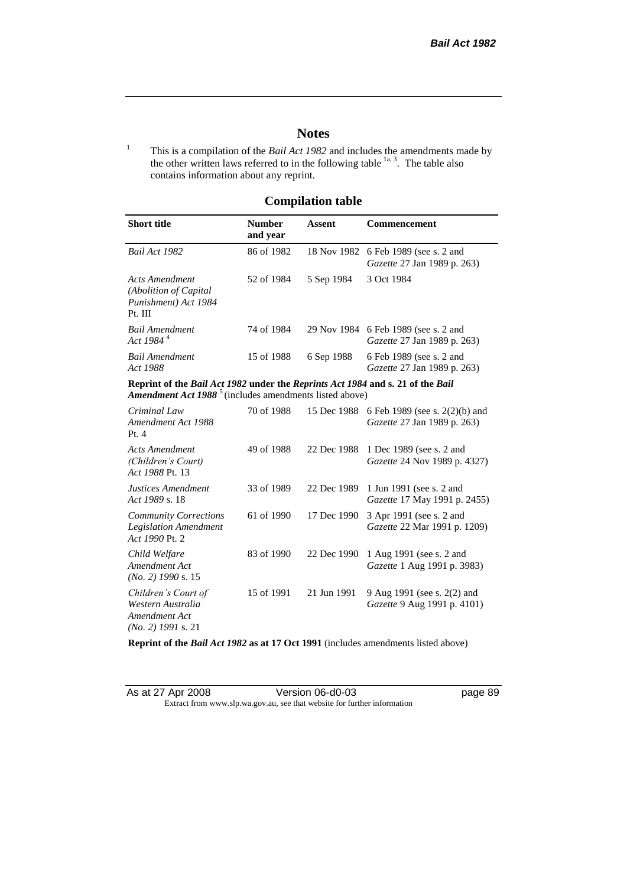# **Notes**

<sup>1</sup> This is a compilation of the *Bail Act 1982* and includes the amendments made by the other written laws referred to in the following table  $\frac{1}{a}$ , The table also contains information about any reprint.

# **Compilation table**

| Short title                                                                                                                                                 | <b>Number</b><br>and year | Assent     | <b>Commencement</b>                                                              |
|-------------------------------------------------------------------------------------------------------------------------------------------------------------|---------------------------|------------|----------------------------------------------------------------------------------|
| Bail Act 1982                                                                                                                                               | 86 of 1982                |            | 18 Nov 1982 6 Feb 1989 (see s. 2 and<br><i>Gazette</i> 27 Jan 1989 p. 263)       |
| Acts Amendment<br>(Abolition of Capital)<br>Punishment) Act 1984<br>Pt. III                                                                                 | 52 of 1984                | 5 Sep 1984 | 3 Oct 1984                                                                       |
| <b>Bail Amendment</b><br>Act 1984 <sup>4</sup>                                                                                                              | 74 of 1984                |            | 29 Nov 1984 6 Feb 1989 (see s. 2 and<br><i>Gazette</i> 27 Jan 1989 p. 263)       |
| Bail Amendment<br>Act 1988                                                                                                                                  | 15 of 1988                | 6 Sep 1988 | 6 Feb 1989 (see s. 2 and<br><i>Gazette</i> 27 Jan 1989 p. 263)                   |
| Reprint of the Bail Act 1982 under the Reprints Act 1984 and s. 21 of the Bail<br><b>Amendment Act 1988</b> <sup>5</sup> (includes amendments listed above) |                           |            |                                                                                  |
| Criminal Law<br>Amendment Act 1988                                                                                                                          | 70 of 1988                |            | 15 Dec 1988 6 Feb 1989 (see s. 2(2)(b) and<br><i>Gazette</i> 27 Jan 1989 p. 263) |

| Chininal Law<br>Amendment Act 1988<br>Pt.4                                        | 10.011200  |             | $1.9$ Dee 1766 - 0.1 CO 1767 (See S. 2(2)(0) and<br><i>Gazette</i> 27 Jan 1989 p. 263) |
|-----------------------------------------------------------------------------------|------------|-------------|----------------------------------------------------------------------------------------|
| <b>Acts Amendment</b><br>(Children's Court)<br>Act 1988 Pt. 13                    | 49 of 1988 | 22 Dec 1988 | 1 Dec 1989 (see s. 2 and<br>Gazette 24 Nov 1989 p. 4327)                               |
| Justices Amendment<br>Act 1989 s. 18                                              | 33 of 1989 | 22 Dec 1989 | 1 Jun 1991 (see s. 2 and<br><i>Gazette</i> 17 May 1991 p. 2455)                        |
| <b>Community Corrections</b><br><b>Legislation Amendment</b><br>Act 1990 Pt. 2    | 61 of 1990 | 17 Dec 1990 | 3 Apr 1991 (see s. 2 and<br>Gazette 22 Mar 1991 p. 1209)                               |
| Child Welfare<br>Amendment Act<br>$(No. 2)$ 1990 s. 15                            | 83 of 1990 | 22 Dec 1990 | 1 Aug 1991 (see s. 2 and<br><i>Gazette</i> 1 Aug 1991 p. 3983)                         |
| Children's Court of<br>Western Australia<br>Amendment Act<br>$(No. 2)$ 1991 s. 21 | 15 of 1991 | 21 Jun 1991 | 9 Aug 1991 (see s. 2(2) and<br>Gazette 9 Aug 1991 p. 4101)                             |

**Reprint of the** *Bail Act 1982* **as at 17 Oct 1991** (includes amendments listed above)

| As at 27 Apr 2008 | Version 06-d0-03                                                         |
|-------------------|--------------------------------------------------------------------------|
|                   | Extract from www.slp.wa.gov.au, see that website for further information |

page 89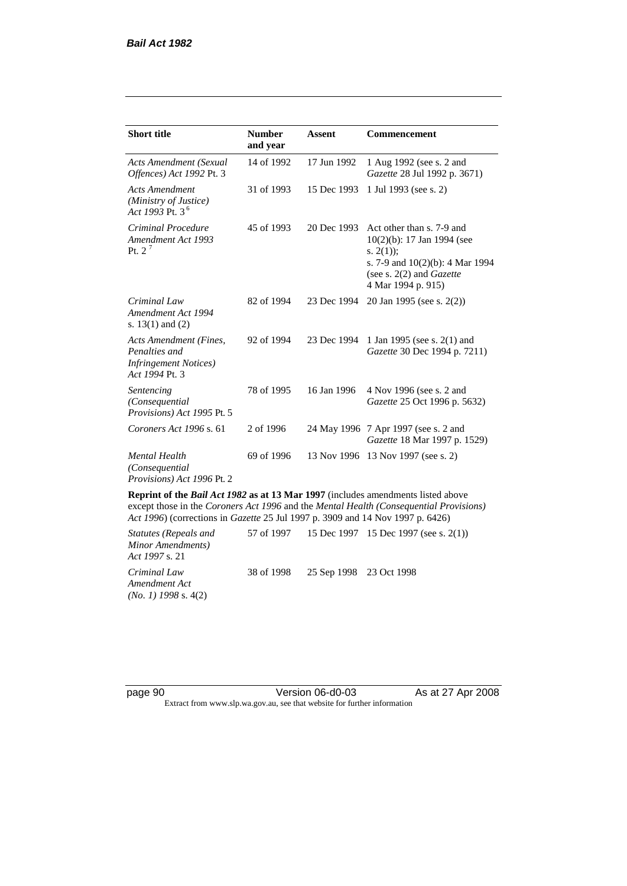| <b>Short title</b>                                                                         | <b>Number</b><br>and year | <b>Assent</b> | <b>Commencement</b>                                                                                                                                                        |
|--------------------------------------------------------------------------------------------|---------------------------|---------------|----------------------------------------------------------------------------------------------------------------------------------------------------------------------------|
| <b>Acts Amendment (Sexual</b><br>Offences) Act 1992 Pt. 3                                  | 14 of 1992                | 17 Jun 1992   | 1 Aug 1992 (see s. 2 and<br>Gazette 28 Jul 1992 p. 3671)                                                                                                                   |
| <b>Acts Amendment</b><br>(Ministry of Justice)<br>Act 1993 Pt. 3 <sup>6</sup>              | 31 of 1993                | 15 Dec 1993   | 1 Jul 1993 (see s. 2)                                                                                                                                                      |
| Criminal Procedure<br>Amendment Act 1993<br>Pt. $2^7$                                      | 45 of 1993                | 20 Dec 1993   | Act other than s. 7-9 and<br>$10(2)(b)$ : 17 Jan 1994 (see<br>s. $2(1)$ ;<br>s. 7-9 and $10(2)(b)$ : 4 Mar 1994<br>(see s. $2(2)$ and <i>Gazette</i><br>4 Mar 1994 p. 915) |
| Criminal Law<br>Amendment Act 1994<br>s. $13(1)$ and $(2)$                                 | 82 of 1994                | 23 Dec 1994   | 20 Jan 1995 (see s. 2(2))                                                                                                                                                  |
| Acts Amendment (Fines,<br>Penalties and<br><b>Infringement Notices</b> )<br>Act 1994 Pt. 3 | 92 of 1994                | 23 Dec 1994   | 1 Jan 1995 (see s. 2(1) and<br>Gazette 30 Dec 1994 p. 7211)                                                                                                                |
| Sentencing<br>(Consequential<br>Provisions) Act 1995 Pt. 5                                 | 78 of 1995                | 16 Jan 1996   | 4 Nov 1996 (see s. 2 and<br><i>Gazette</i> 25 Oct 1996 p. 5632)                                                                                                            |
| Coroners Act 1996 s. 61                                                                    | 2 of 1996                 |               | 24 May 1996 7 Apr 1997 (see s. 2 and<br>Gazette 18 Mar 1997 p. 1529)                                                                                                       |
| <b>Mental Health</b><br>(Consequential<br>Provisions) Act 1996 Pt. 2                       | 69 of 1996                | 13 Nov 1996   | 13 Nov 1997 (see s. 2)                                                                                                                                                     |

**Reprint of the** *Bail Act 1982* **as at 13 Mar 1997** (includes amendments listed above except those in the *Coroners Act 1996* and the *Mental Health (Consequential Provisions) Act 1996*) (corrections in *Gazette* 25 Jul 1997 p. 3909 and 14 Nov 1997 p. 6426)

*Statutes (Repeals and Minor Amendments) Act 1997* s. 21 57 of 1997 15 Dec 1997 15 Dec 1997 (see s. 2(1)) *Criminal Law Amendment Act (No. 1) 1998* s. 4(2) 38 of 1998 25 Sep 1998 23 Oct 1998

page 90 Version 06-d0-03 As at 27 Apr 2008 Extract from www.slp.wa.gov.au, see that website for further information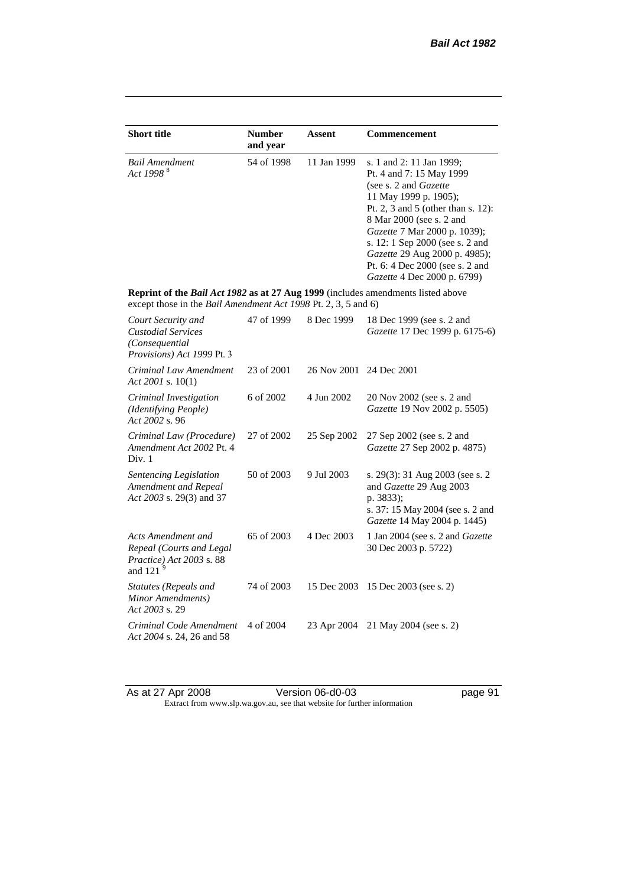| <b>Short title</b>                                                                                                                                 | <b>Number</b><br>and year | <b>Assent</b> | <b>Commencement</b>                                                                                                                                                                                                                                                                                                                                   |
|----------------------------------------------------------------------------------------------------------------------------------------------------|---------------------------|---------------|-------------------------------------------------------------------------------------------------------------------------------------------------------------------------------------------------------------------------------------------------------------------------------------------------------------------------------------------------------|
| <b>Bail Amendment</b><br>Act 1998 <sup>8</sup>                                                                                                     | 54 of 1998                | 11 Jan 1999   | s. 1 and 2: 11 Jan 1999;<br>Pt. 4 and 7: 15 May 1999<br>(see s. 2 and <i>Gazette</i><br>11 May 1999 p. 1905);<br>Pt. 2, 3 and 5 (other than s. 12):<br>8 Mar 2000 (see s. 2 and<br>Gazette 7 Mar 2000 p. 1039);<br>s. 12: 1 Sep 2000 (see s. 2 and<br>Gazette 29 Aug 2000 p. 4985);<br>Pt. 6: 4 Dec 2000 (see s. 2 and<br>Gazette 4 Dec 2000 p. 6799) |
| Reprint of the Bail Act 1982 as at 27 Aug 1999 (includes amendments listed above<br>except those in the Bail Amendment Act 1998 Pt. 2, 3, 5 and 6) |                           |               |                                                                                                                                                                                                                                                                                                                                                       |
| Court Security and<br><b>Custodial Services</b><br>(Consequential<br>Provisions) Act 1999 Pt. 3                                                    | 47 of 1999                | 8 Dec 1999    | 18 Dec 1999 (see s. 2 and<br>Gazette 17 Dec 1999 p. 6175-6)                                                                                                                                                                                                                                                                                           |
| Criminal Law Amendment<br>Act 2001 s. $10(1)$                                                                                                      | 23 of 2001                | 26 Nov 2001   | 24 Dec 2001                                                                                                                                                                                                                                                                                                                                           |
| Criminal Investigation<br>(Identifying People)<br>Act 2002 s. 96                                                                                   | 6 of 2002                 | 4 Jun 2002    | 20 Nov 2002 (see s. 2 and<br>Gazette 19 Nov 2002 p. 5505)                                                                                                                                                                                                                                                                                             |
| Criminal Law (Procedure)<br>Amendment Act 2002 Pt. 4<br>Div. 1                                                                                     | 27 of 2002                | 25 Sep 2002   | 27 Sep 2002 (see s. 2 and<br>Gazette 27 Sep 2002 p. 4875)                                                                                                                                                                                                                                                                                             |
| Sentencing Legislation<br>Amendment and Repeal<br>Act 2003 s. 29(3) and 37                                                                         | 50 of 2003                | 9 Jul 2003    | s. 29(3): 31 Aug 2003 (see s. 2<br>and Gazette 29 Aug 2003<br>p. 3833);<br>s. 37: 15 May 2004 (see s. 2 and<br>Gazette 14 May 2004 p. 1445)                                                                                                                                                                                                           |
| Acts Amendment and<br>Repeal (Courts and Legal<br>Practice) Act 2003 s. 88<br>and 121 $9$                                                          | 65 of 2003                | 4 Dec 2003    | 1 Jan 2004 (see s. 2 and <i>Gazette</i><br>30 Dec 2003 p. 5722)                                                                                                                                                                                                                                                                                       |
| Statutes (Repeals and<br>Minor Amendments)<br>Act 2003 s. 29                                                                                       | 74 of 2003                | 15 Dec 2003   | 15 Dec 2003 (see s. 2)                                                                                                                                                                                                                                                                                                                                |
| Criminal Code Amendment<br>Act 2004 s. 24, 26 and 58                                                                                               | 4 of 2004                 | 23 Apr 2004   | 21 May 2004 (see s. 2)                                                                                                                                                                                                                                                                                                                                |

As at 27 Apr 2008 Version 06-d0-03 page 91 Extract from www.slp.wa.gov.au, see that website for further information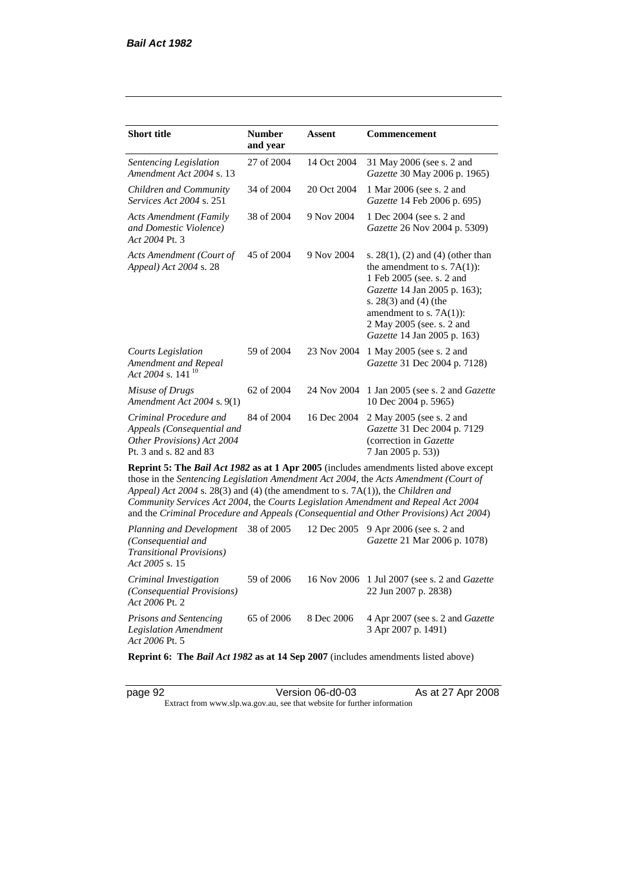*Act 2006* Pt. 2

| <b>Short title</b>                                                                                           | <b>Number</b><br>and year | Assent      | <b>Commencement</b>                                                                                                                                                                                                                                                                                                                                          |
|--------------------------------------------------------------------------------------------------------------|---------------------------|-------------|--------------------------------------------------------------------------------------------------------------------------------------------------------------------------------------------------------------------------------------------------------------------------------------------------------------------------------------------------------------|
| Sentencing Legislation<br>Amendment Act 2004 s. 13                                                           | 27 of 2004                | 14 Oct 2004 | 31 May 2006 (see s. 2 and<br>Gazette 30 May 2006 p. 1965)                                                                                                                                                                                                                                                                                                    |
| Children and Community<br>Services Act 2004 s. 251                                                           | 34 of 2004                | 20 Oct 2004 | 1 Mar 2006 (see s. 2 and<br>Gazette 14 Feb 2006 p. 695)                                                                                                                                                                                                                                                                                                      |
| <b>Acts Amendment (Family</b><br>and Domestic Violence)<br>Act 2004 Pt. 3                                    | 38 of 2004                | 9 Nov 2004  | 1 Dec 2004 (see s. 2 and<br>Gazette 26 Nov 2004 p. 5309)                                                                                                                                                                                                                                                                                                     |
| Acts Amendment (Court of<br>Appeal) Act 2004 s. 28                                                           | 45 of 2004                | 9 Nov 2004  | s. $28(1)$ , (2) and (4) (other than<br>the amendment to s. $7A(1)$ :<br>1 Feb 2005 (see. s. 2 and<br>Gazette 14 Jan 2005 p. 163);<br>s. $28(3)$ and $(4)$ (the<br>amendment to s. $7A(1)$ :<br>2 May 2005 (see. s. 2 and<br>Gazette 14 Jan 2005 p. 163)                                                                                                     |
| Courts Legislation<br>Amendment and Repeal<br>Act 2004 s. 141 $10$                                           | 59 of 2004                | 23 Nov 2004 | 1 May 2005 (see s. 2 and<br>Gazette 31 Dec 2004 p. 7128)                                                                                                                                                                                                                                                                                                     |
| Misuse of Drugs<br>Amendment Act 2004 s. 9(1)                                                                | 62 of 2004                | 24 Nov 2004 | 1 Jan 2005 (see s. 2 and <i>Gazette</i><br>10 Dec 2004 p. 5965)                                                                                                                                                                                                                                                                                              |
| Criminal Procedure and<br>Appeals (Consequential and<br>Other Provisions) Act 2004<br>Pt. 3 and s. 82 and 83 | 84 of 2004                | 16 Dec 2004 | 2 May 2005 (see s. 2 and<br>Gazette 31 Dec 2004 p. 7129<br>(correction in Gazette<br>7 Jan 2005 p. 53))                                                                                                                                                                                                                                                      |
| Appeal) Act 2004 s. 28(3) and (4) (the amendment to s. 7A(1)), the Children and                              |                           |             | Reprint 5: The Bail Act 1982 as at 1 Apr 2005 (includes amendments listed above except<br>those in the Sentencing Legislation Amendment Act 2004, the Acts Amendment (Court of<br>Community Services Act 2004, the Courts Legislation Amendment and Repeal Act 2004<br>and the Criminal Procedure and Appeals (Consequential and Other Provisions) Act 2004) |
| Planning and Development<br>(Consequential and<br><b>Transitional Provisions</b> )<br>Act 2005 s. 15         | 38 of 2005                | 12 Dec 2005 | 9 Apr 2006 (see s. 2 and<br>Gazette 21 Mar 2006 p. 1078)                                                                                                                                                                                                                                                                                                     |
| Criminal Investigation<br>(Consequential Provisions)                                                         | 59 of 2006                | 16 Nov 2006 | 1 Jul 2007 (see s. 2 and <i>Gazette</i><br>22 Jun 2007 p. 2838)                                                                                                                                                                                                                                                                                              |

*Prisons and Sentencing Legislation Amendment Act 2006* Pt. 5 65 of 2006 8 Dec 2006 4 Apr 2007 (see s. 2 and *Gazette* 3 Apr 2007 p. 1491)

**Reprint 6: The** *Bail Act 1982* **as at 14 Sep 2007** (includes amendments listed above)

page 92 Version 06-d0-03 As at 27 Apr 2008 Extract from www.slp.wa.gov.au, see that website for further information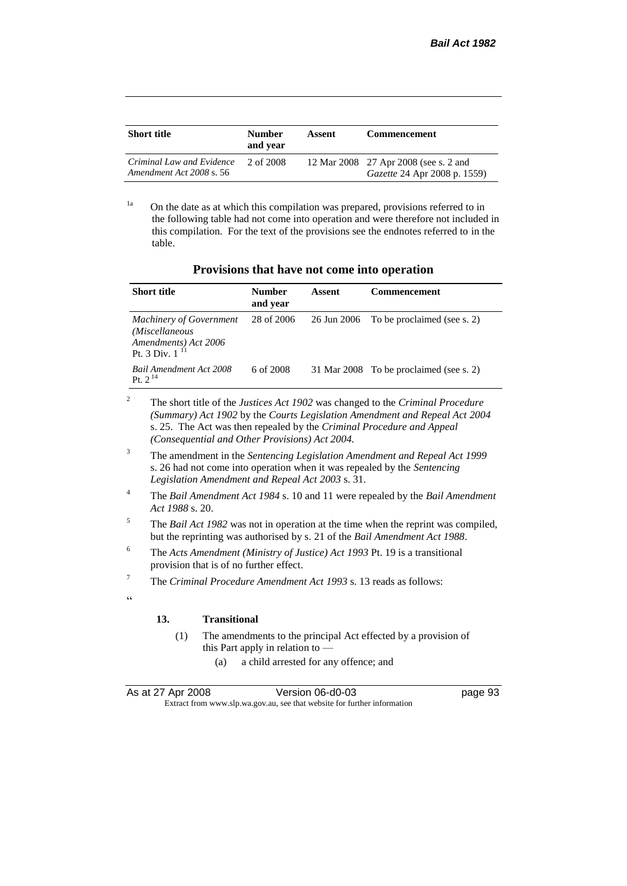| <b>Short title</b>                                    | <b>Number</b><br>and vear | Assent | <b>Commencement</b>                                                          |
|-------------------------------------------------------|---------------------------|--------|------------------------------------------------------------------------------|
| Criminal Law and Evidence<br>Amendment Act 2008 s. 56 | 2 of 2008                 |        | 12 Mar 2008 27 Apr 2008 (see s. 2 and<br><i>Gazette</i> 24 Apr 2008 p. 1559) |

<sup>1a</sup> On the date as at which this compilation was prepared, provisions referred to in the following table had not come into operation and were therefore not included in this compilation. For the text of the provisions see the endnotes referred to in the table.

| Provisions that have not come into operation |  |  |
|----------------------------------------------|--|--|
|----------------------------------------------|--|--|

| <b>Short title</b>                                                                              | Number<br>and year | Assent      | <b>Commencement</b>                     |
|-------------------------------------------------------------------------------------------------|--------------------|-------------|-----------------------------------------|
| <b>Machinery of Government</b><br>(Miscellaneous<br>Amendments) Act 2006<br>Pt. 3 Div. $1^{11}$ | 28 of 2006         | 26 Jun 2006 | To be proclaimed (see s. 2)             |
| Bail Amendment Act 2008<br>Pt. $2^{14}$                                                         | 6 of 2008          |             | 31 Mar 2008 To be proclaimed (see s. 2) |

- <sup>2</sup> The short title of the *Justices Act 1902* was changed to the *Criminal Procedure (Summary) Act 1902* by the *Courts Legislation Amendment and Repeal Act 2004*  s. 25. The Act was then repealed by the *Criminal Procedure and Appeal (Consequential and Other Provisions) Act 2004.*
- <sup>3</sup> The amendment in the *Sentencing Legislation Amendment and Repeal Act 1999* s. 26 had not come into operation when it was repealed by the *Sentencing Legislation Amendment and Repeal Act 2003* s. 31.
- <sup>4</sup> The *Bail Amendment Act 1984* s. 10 and 11 were repealed by the *Bail Amendment Act 1988* s. 20.
- <sup>5</sup> The *Bail Act 1982* was not in operation at the time when the reprint was compiled, but the reprinting was authorised by s. 21 of the *Bail Amendment Act 1988*.
- <sup>6</sup> The *Acts Amendment (Ministry of Justice) Act 1993* Pt. 19 is a transitional provision that is of no further effect.
- <sup>7</sup> The *Criminal Procedure Amendment Act 1993* s. 13 reads as follows:

#### **13. Transitional**

 $\epsilon$ 

- (1) The amendments to the principal Act effected by a provision of this Part apply in relation to —
	- (a) a child arrested for any offence; and

| As at 27 Apr 2008 | Version 06-d0-03                                                         |
|-------------------|--------------------------------------------------------------------------|
|                   | Extract from www.slp.wa.gov.au, see that website for further information |

page 93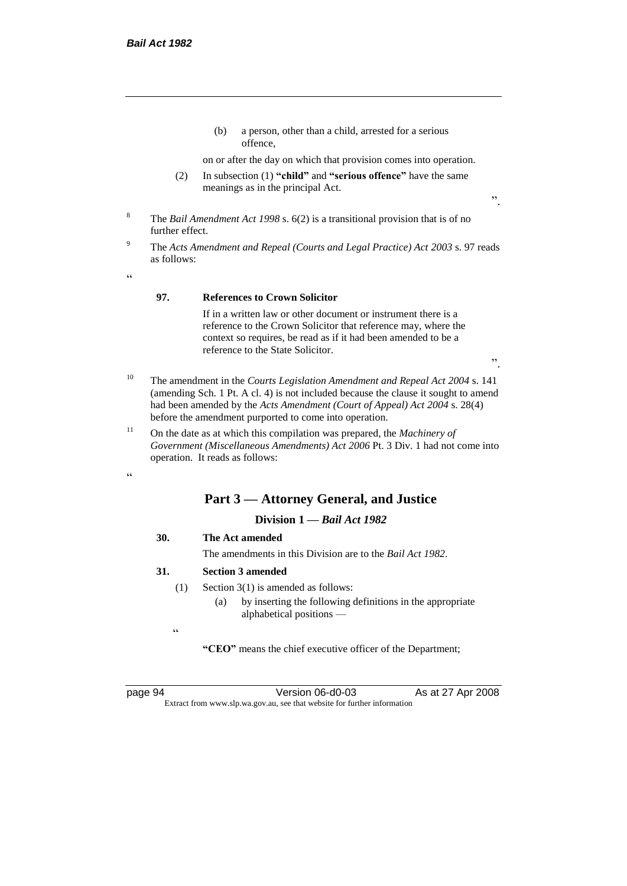(b) a person, other than a child, arrested for a serious offence,

on or after the day on which that provision comes into operation.

(2) In subsection (1) **"child"** and **"serious offence"** have the same meanings as in the principal Act.

".

- <sup>8</sup> The *Bail Amendment Act 1998* s. 6(2) is a transitional provision that is of no further effect.
- <sup>9</sup> The *Acts Amendment and Repeal (Courts and Legal Practice) Act 2003* s. 97 reads as follows:

 $cc$ 

#### **97. References to Crown Solicitor**

If in a written law or other document or instrument there is a reference to the Crown Solicitor that reference may, where the context so requires, be read as if it had been amended to be a reference to the State Solicitor.

".

- <sup>10</sup> The amendment in the *Courts Legislation Amendment and Repeal Act 2004* s. 141 (amending Sch. 1 Pt. A cl. 4) is not included because the clause it sought to amend had been amended by the *Acts Amendment (Court of Appeal) Act 2004* s. 28(4) before the amendment purported to come into operation.
- <sup>11</sup> On the date as at which this compilation was prepared, the *Machinery of Government (Miscellaneous Amendments) Act 2006* Pt. 3 Div. 1 had not come into operation. It reads as follows:

 $cc$ 

# **Part 3 — Attorney General, and Justice**

#### **Division 1 —** *Bail Act 1982*

#### **30. The Act amended**

The amendments in this Division are to the *Bail Act 1982*.

#### **31. Section 3 amended**

- (1) Section 3(1) is amended as follows:
	- (a) by inserting the following definitions in the appropriate alphabetical positions —

.<br>.

**"CEO"** means the chief executive officer of the Department;

page 94 Version 06-d0-03 As at 27 Apr 2008 Extract from www.slp.wa.gov.au, see that website for further information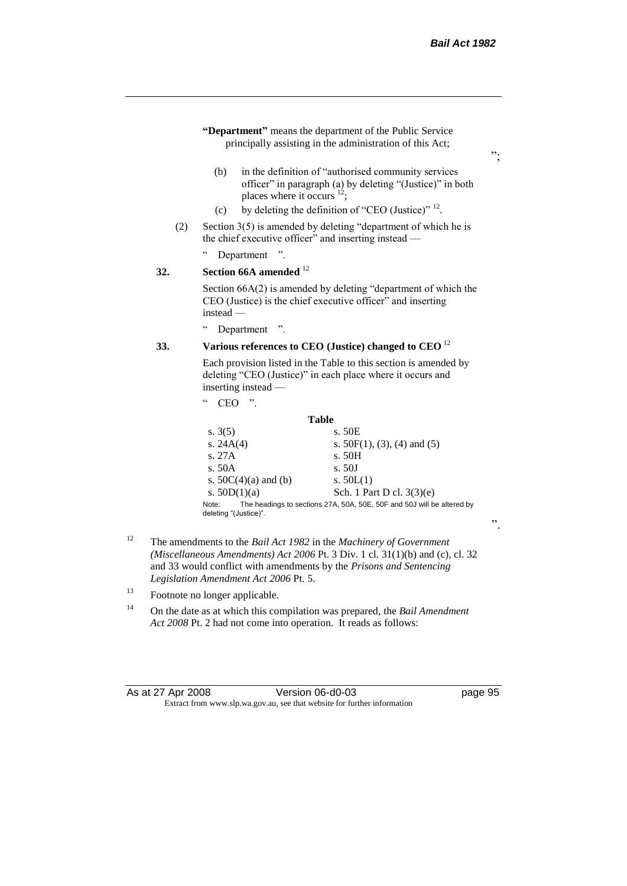";

- **"Department"** means the department of the Public Service principally assisting in the administration of this Act;
	- (b) in the definition of "authorised community services officer" in paragraph (a) by deleting "(Justice)" in both places where it occurs<sup>12</sup>;
	- (c) by deleting the definition of "CEO (Justice)"  $^{12}$ .
- (2) Section 3(5) is amended by deleting "department of which he is the chief executive officer" and inserting instead —
	- Department ".

#### **32. Section 66A amended** <sup>12</sup>

Section 66A(2) is amended by deleting "department of which the CEO (Justice) is the chief executive officer" and inserting instead —

" Department ".

#### **33. Various references to CEO (Justice) changed to CEO** <sup>12</sup>

Each provision listed in the Table to this section is amended by deleting "CEO (Justice)" in each place where it occurs and inserting instead —

" CEO ".

| Table                          |                                                                        |
|--------------------------------|------------------------------------------------------------------------|
| s. $3(5)$                      | s. 50E                                                                 |
| s. $24A(4)$                    | s. $50F(1)$ , (3), (4) and (5)                                         |
| s. 27A                         | s. 50H                                                                 |
| s.50A                          | s.50J                                                                  |
| s. $50C(4)(a)$ and (b)         | s. $50L(1)$                                                            |
| s. $50D(1)(a)$                 | Sch. 1 Part D cl. $3(3)(e)$                                            |
| Note:<br>deleting "(Justice)". | The headings to sections 27A, 50A, 50E, 50F and 50J will be altered by |

- <sup>12</sup> The amendments to the *Bail Act 1982* in the *Machinery of Government (Miscellaneous Amendments) Act 2006* Pt. 3 Div. 1 cl. 31(1)(b) and (c), cl. 32 and 33 would conflict with amendments by the *Prisons and Sentencing Legislation Amendment Act 2006* Pt. 5.
- <sup>13</sup> Footnote no longer applicable.
- <sup>14</sup> On the date as at which this compilation was prepared, the *Bail Amendment Act 2008* Pt. 2 had not come into operation. It reads as follows:

".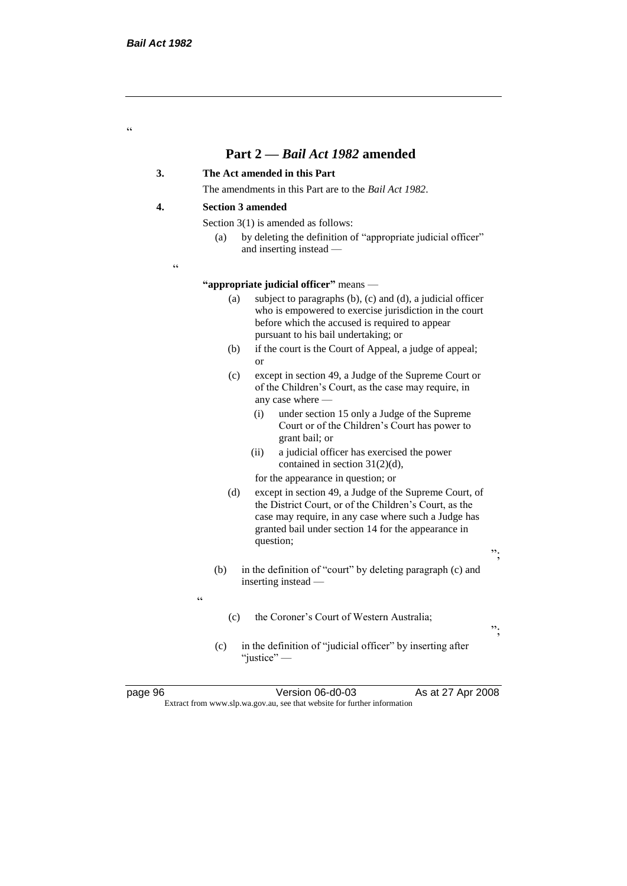.<br>C

# **Part 2 —** *Bail Act 1982* **amended**

### **3. The Act amended in this Part**

The amendments in this Part are to the *Bail Act 1982*.

#### **4. Section 3 amended**

Section 3(1) is amended as follows:

- (a) by deleting the definition of "appropriate judicial officer" and inserting instead —
- $\epsilon$

#### **"appropriate judicial officer"** means —

- (a) subject to paragraphs (b), (c) and (d), a judicial officer who is empowered to exercise jurisdiction in the court before which the accused is required to appear pursuant to his bail undertaking; or
- (b) if the court is the Court of Appeal, a judge of appeal; or
- (c) except in section 49, a Judge of the Supreme Court or of the Children's Court, as the case may require, in any case where -
	- (i) under section 15 only a Judge of the Supreme Court or of the Children's Court has power to grant bail; or
	- (ii) a judicial officer has exercised the power contained in section 31(2)(d),
	- for the appearance in question; or
- (d) except in section 49, a Judge of the Supreme Court, of the District Court, or of the Children's Court, as the case may require, in any case where such a Judge has granted bail under section 14 for the appearance in question;

";

";

- (b) in the definition of "court" by deleting paragraph (c) and inserting instead —
- 

 $\epsilon$ 

- (c) the Coroner's Court of Western Australia;
- (c) in the definition of "judicial officer" by inserting after "justice" —

page 96 Version 06-d0-03 As at 27 Apr 2008 Extract from www.slp.wa.gov.au, see that website for further information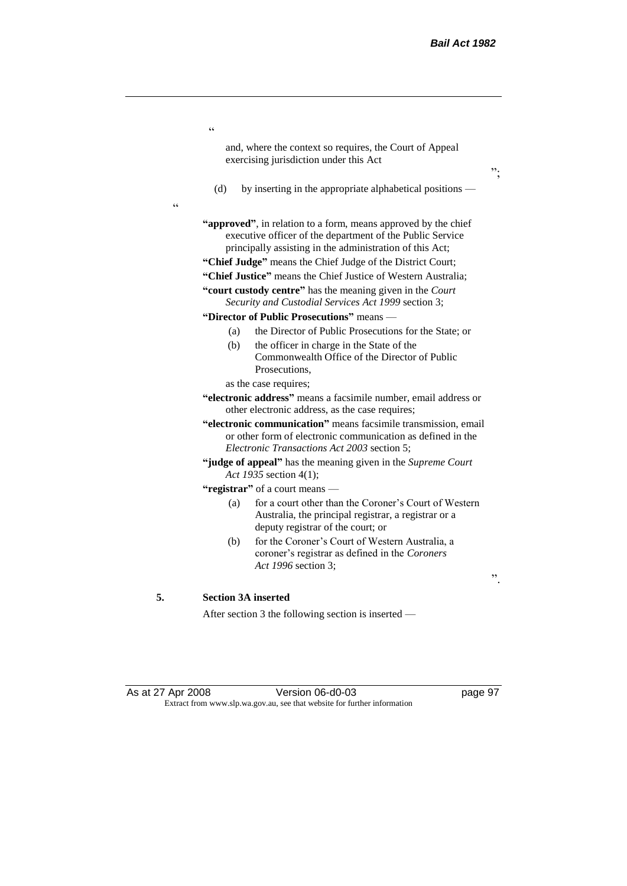|            | $\boldsymbol{\varsigma}$ $\boldsymbol{\varsigma}$                                                                                                                                                                                                                                                                      |    |
|------------|------------------------------------------------------------------------------------------------------------------------------------------------------------------------------------------------------------------------------------------------------------------------------------------------------------------------|----|
|            | and, where the context so requires, the Court of Appeal<br>exercising jurisdiction under this Act                                                                                                                                                                                                                      | ". |
| $\epsilon$ | (d)<br>by inserting in the appropriate alphabetical positions —                                                                                                                                                                                                                                                        |    |
|            | "approved", in relation to a form, means approved by the chief<br>executive officer of the department of the Public Service<br>principally assisting in the administration of this Act;<br>"Chief Judge" means the Chief Judge of the District Court;<br>"Chief Justice" means the Chief Justice of Western Australia; |    |
|            | "court custody centre" has the meaning given in the Court<br>Security and Custodial Services Act 1999 section 3;                                                                                                                                                                                                       |    |
|            | "Director of Public Prosecutions" means -                                                                                                                                                                                                                                                                              |    |
|            | the Director of Public Prosecutions for the State; or<br>(a)                                                                                                                                                                                                                                                           |    |
|            | the officer in charge in the State of the<br>(b)<br>Commonwealth Office of the Director of Public<br>Prosecutions,                                                                                                                                                                                                     |    |
|            | as the case requires;                                                                                                                                                                                                                                                                                                  |    |
|            | "electronic address" means a facsimile number, email address or<br>other electronic address, as the case requires;                                                                                                                                                                                                     |    |
|            | "electronic communication" means facsimile transmission, email<br>or other form of electronic communication as defined in the<br>Electronic Transactions Act 2003 section 5;                                                                                                                                           |    |
|            | "judge of appeal" has the meaning given in the Supreme Court<br>Act 1935 section 4(1);                                                                                                                                                                                                                                 |    |
|            | "registrar" of a court means —                                                                                                                                                                                                                                                                                         |    |
|            | for a court other than the Coroner's Court of Western<br>(a)<br>Australia, the principal registrar, a registrar or a<br>deputy registrar of the court; or                                                                                                                                                              |    |
|            | for the Coroner's Court of Western Australia, a<br>(b)<br>coroner's registrar as defined in the Coroners<br>Act 1996 section 3;                                                                                                                                                                                        | ,, |
|            |                                                                                                                                                                                                                                                                                                                        |    |
| 5.         | <b>Section 3A inserted</b>                                                                                                                                                                                                                                                                                             |    |

After section 3 the following section is inserted —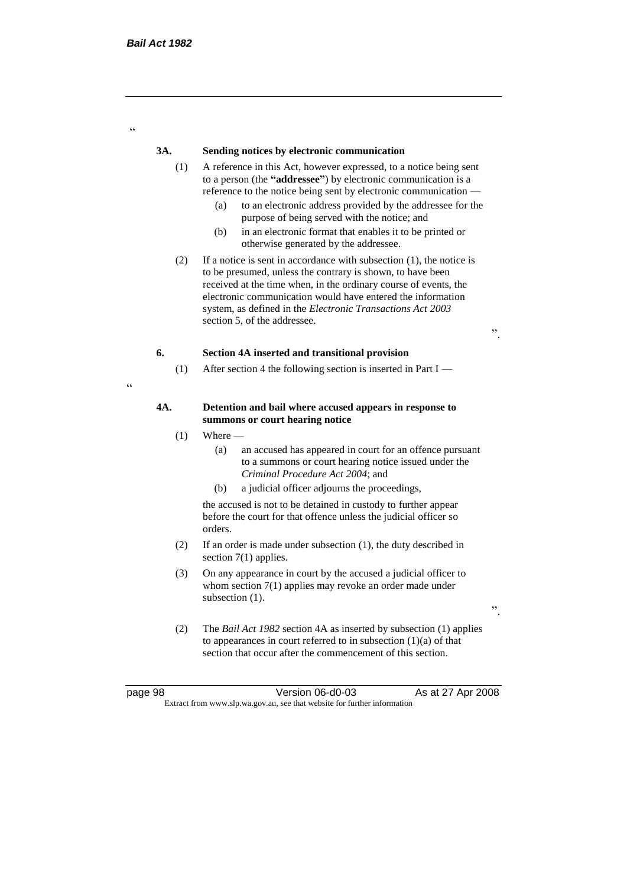$\epsilon$ 

#### **3A. Sending notices by electronic communication**

- (1) A reference in this Act, however expressed, to a notice being sent to a person (the **"addressee"**) by electronic communication is a reference to the notice being sent by electronic communication —
	- (a) to an electronic address provided by the addressee for the purpose of being served with the notice; and
	- (b) in an electronic format that enables it to be printed or otherwise generated by the addressee.
- (2) If a notice is sent in accordance with subsection (1), the notice is to be presumed, unless the contrary is shown, to have been received at the time when, in the ordinary course of events, the electronic communication would have entered the information system, as defined in the *Electronic Transactions Act 2003* section 5, of the addressee.

#### **6. Section 4A inserted and transitional provision**

(1) After section 4 the following section is inserted in Part I —

"

#### **4A. Detention and bail where accused appears in response to summons or court hearing notice**

- $(1)$  Where
	- (a) an accused has appeared in court for an offence pursuant to a summons or court hearing notice issued under the *Criminal Procedure Act 2004*; and
	- (b) a judicial officer adjourns the proceedings,

the accused is not to be detained in custody to further appear before the court for that offence unless the judicial officer so orders.

- (2) If an order is made under subsection (1), the duty described in section 7(1) applies.
- (3) On any appearance in court by the accused a judicial officer to whom section 7(1) applies may revoke an order made under subsection  $(1)$ .
- (2) The *Bail Act 1982* section 4A as inserted by subsection (1) applies to appearances in court referred to in subsection (1)(a) of that section that occur after the commencement of this section.

#### page 98 Version 06-d0-03 As at 27 Apr 2008 Extract from www.slp.wa.gov.au, see that website for further information

".

".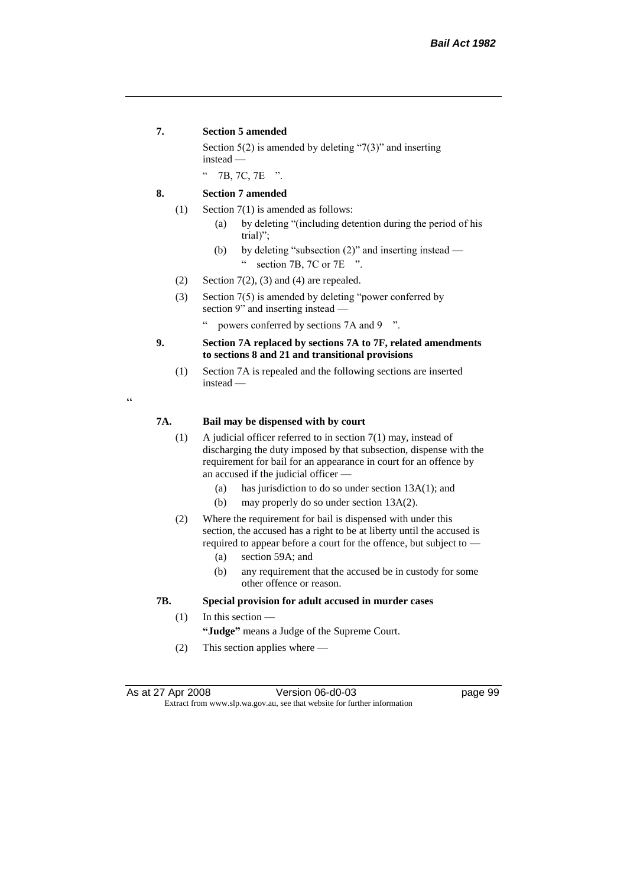#### **7. Section 5 amended**

Section 5(2) is amended by deleting "7(3)" and inserting instead —

" 7B, 7C, 7E ".

#### **8. Section 7 amended**

- (1) Section 7(1) is amended as follows:
	- (a) by deleting "(including detention during the period of his trial)";
	- (b) by deleting "subsection (2)" and inserting instead " section 7B, 7C or  $7E$  ".
- (2) Section  $7(2)$ , (3) and (4) are repealed.
- (3) Section 7(5) is amended by deleting "power conferred by section 9" and inserting instead —
	- " powers conferred by sections 7A and 9 ".

#### **9. Section 7A replaced by sections 7A to 7F, related amendments to sections 8 and 21 and transitional provisions**

(1) Section 7A is repealed and the following sections are inserted instead —

 $\epsilon$ 

#### **7A. Bail may be dispensed with by court**

- (1) A judicial officer referred to in section 7(1) may, instead of discharging the duty imposed by that subsection, dispense with the requirement for bail for an appearance in court for an offence by an accused if the judicial officer —
	- (a) has jurisdiction to do so under section 13A(1); and
	- (b) may properly do so under section 13A(2).
- (2) Where the requirement for bail is dispensed with under this section, the accused has a right to be at liberty until the accused is required to appear before a court for the offence, but subject to —
	- (a) section 59A; and
	- (b) any requirement that the accused be in custody for some other offence or reason.

#### **7B. Special provision for adult accused in murder cases**

- (1) In this section **"Judge"** means a Judge of the Supreme Court.
- (2) This section applies where —

As at 27 Apr 2008 Version 06-d0-03 page 99 Extract from www.slp.wa.gov.au, see that website for further information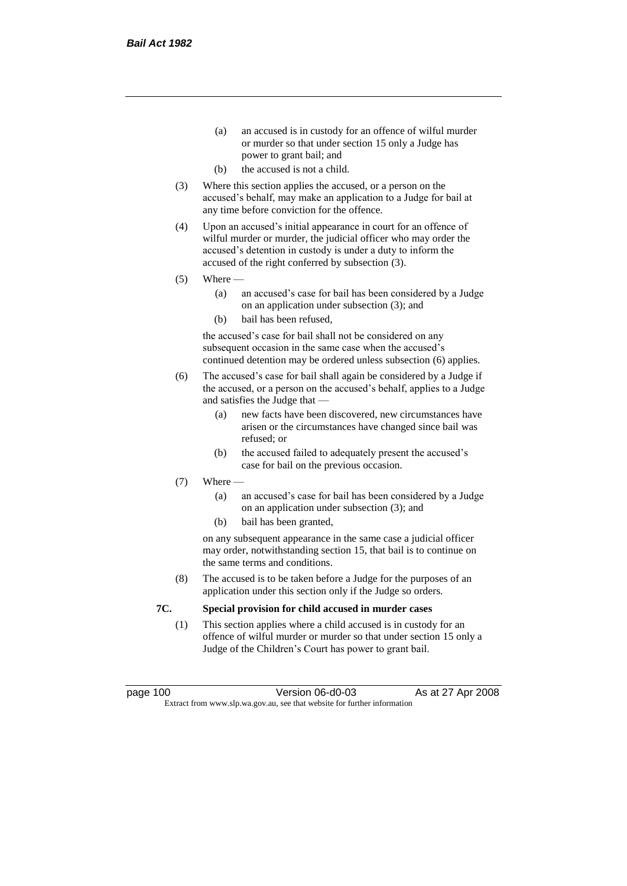- (a) an accused is in custody for an offence of wilful murder or murder so that under section 15 only a Judge has power to grant bail; and
- (b) the accused is not a child.
- (3) Where this section applies the accused, or a person on the accused's behalf, may make an application to a Judge for bail at any time before conviction for the offence.
- (4) Upon an accused's initial appearance in court for an offence of wilful murder or murder, the judicial officer who may order the accused's detention in custody is under a duty to inform the accused of the right conferred by subsection (3).
- $(5)$  Where
	- (a) an accused's case for bail has been considered by a Judge on an application under subsection (3); and
	- (b) bail has been refused,

the accused's case for bail shall not be considered on any subsequent occasion in the same case when the accused's continued detention may be ordered unless subsection (6) applies.

- (6) The accused's case for bail shall again be considered by a Judge if the accused, or a person on the accused's behalf, applies to a Judge and satisfies the Judge that —
	- (a) new facts have been discovered, new circumstances have arisen or the circumstances have changed since bail was refused; or
	- (b) the accused failed to adequately present the accused's case for bail on the previous occasion.
- $(7)$  Where
	- (a) an accused's case for bail has been considered by a Judge on an application under subsection (3); and
	- (b) bail has been granted,

on any subsequent appearance in the same case a judicial officer may order, notwithstanding section 15, that bail is to continue on the same terms and conditions.

(8) The accused is to be taken before a Judge for the purposes of an application under this section only if the Judge so orders.

#### **7C. Special provision for child accused in murder cases**

(1) This section applies where a child accused is in custody for an offence of wilful murder or murder so that under section 15 only a Judge of the Children's Court has power to grant bail.

page 100 Version 06-d0-03 As at 27 Apr 2008 Extract from www.slp.wa.gov.au, see that website for further information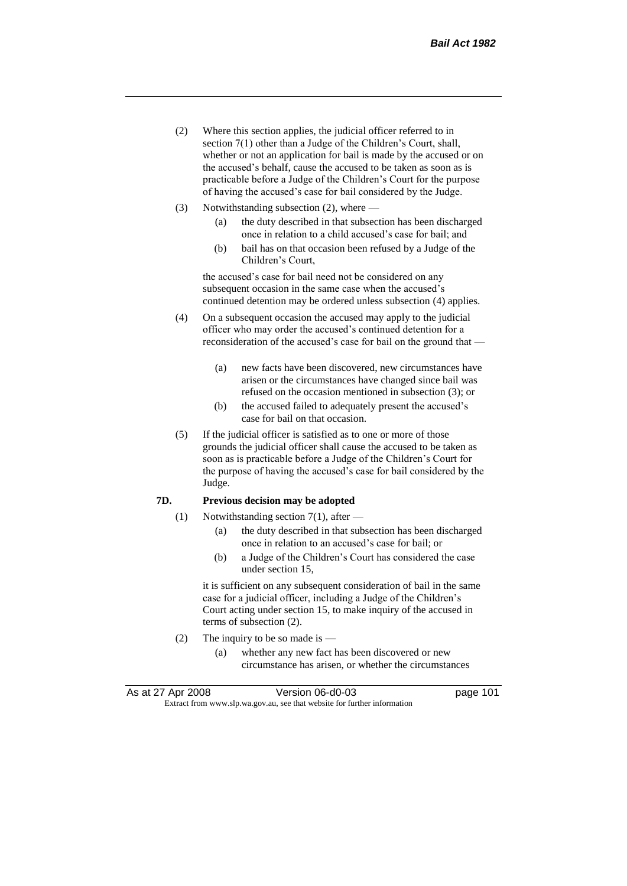- (2) Where this section applies, the judicial officer referred to in section 7(1) other than a Judge of the Children's Court, shall, whether or not an application for bail is made by the accused or on the accused's behalf, cause the accused to be taken as soon as is practicable before a Judge of the Children's Court for the purpose of having the accused's case for bail considered by the Judge.
- (3) Notwithstanding subsection (2), where
	- (a) the duty described in that subsection has been discharged once in relation to a child accused's case for bail; and
	- (b) bail has on that occasion been refused by a Judge of the Children's Court,

the accused's case for bail need not be considered on any subsequent occasion in the same case when the accused's continued detention may be ordered unless subsection (4) applies.

- (4) On a subsequent occasion the accused may apply to the judicial officer who may order the accused's continued detention for a reconsideration of the accused's case for bail on the ground that —
	- (a) new facts have been discovered, new circumstances have arisen or the circumstances have changed since bail was refused on the occasion mentioned in subsection (3); or
	- (b) the accused failed to adequately present the accused's case for bail on that occasion.
- (5) If the judicial officer is satisfied as to one or more of those grounds the judicial officer shall cause the accused to be taken as soon as is practicable before a Judge of the Children's Court for the purpose of having the accused's case for bail considered by the Judge.

# **7D. Previous decision may be adopted**

- (1) Notwithstanding section 7(1), after
	- (a) the duty described in that subsection has been discharged once in relation to an accused's case for bail; or
	- (b) a Judge of the Children's Court has considered the case under section 15,

it is sufficient on any subsequent consideration of bail in the same case for a judicial officer, including a Judge of the Children's Court acting under section 15, to make inquiry of the accused in terms of subsection (2).

- (2) The inquiry to be so made is  $-$ 
	- (a) whether any new fact has been discovered or new circumstance has arisen, or whether the circumstances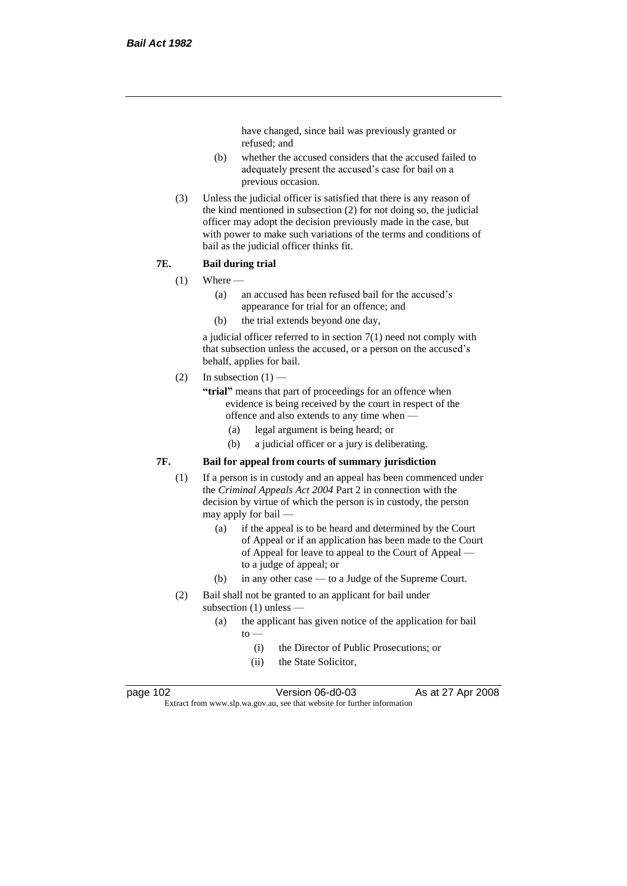have changed, since bail was previously granted or refused; and

- (b) whether the accused considers that the accused failed to adequately present the accused's case for bail on a previous occasion.
- (3) Unless the judicial officer is satisfied that there is any reason of the kind mentioned in subsection (2) for not doing so, the judicial officer may adopt the decision previously made in the case, but with power to make such variations of the terms and conditions of bail as the judicial officer thinks fit.

# **7E. Bail during trial**

- $(1)$  Where
	- (a) an accused has been refused bail for the accused's appearance for trial for an offence; and
	- (b) the trial extends beyond one day,

a judicial officer referred to in section 7(1) need not comply with that subsection unless the accused, or a person on the accused's behalf, applies for bail.

# $(2)$  In subsection  $(1)$  -

**"trial"** means that part of proceedings for an offence when evidence is being received by the court in respect of the offence and also extends to any time when —

- (a) legal argument is being heard; or
- (b) a judicial officer or a jury is deliberating.

# **7F. Bail for appeal from courts of summary jurisdiction**

- (1) If a person is in custody and an appeal has been commenced under the *Criminal Appeals Act 2004* Part 2 in connection with the decision by virtue of which the person is in custody, the person may apply for bail —
	- (a) if the appeal is to be heard and determined by the Court of Appeal or if an application has been made to the Court of Appeal for leave to appeal to the Court of Appeal to a judge of appeal; or
	- (b) in any other case to a Judge of the Supreme Court.
- (2) Bail shall not be granted to an applicant for bail under subsection (1) unless —
	- (a) the applicant has given notice of the application for bail  $t_0$  —
		- (i) the Director of Public Prosecutions; or
		- (ii) the State Solicitor,

page 102 Version 06-d0-03 As at 27 Apr 2008 Extract from www.slp.wa.gov.au, see that website for further information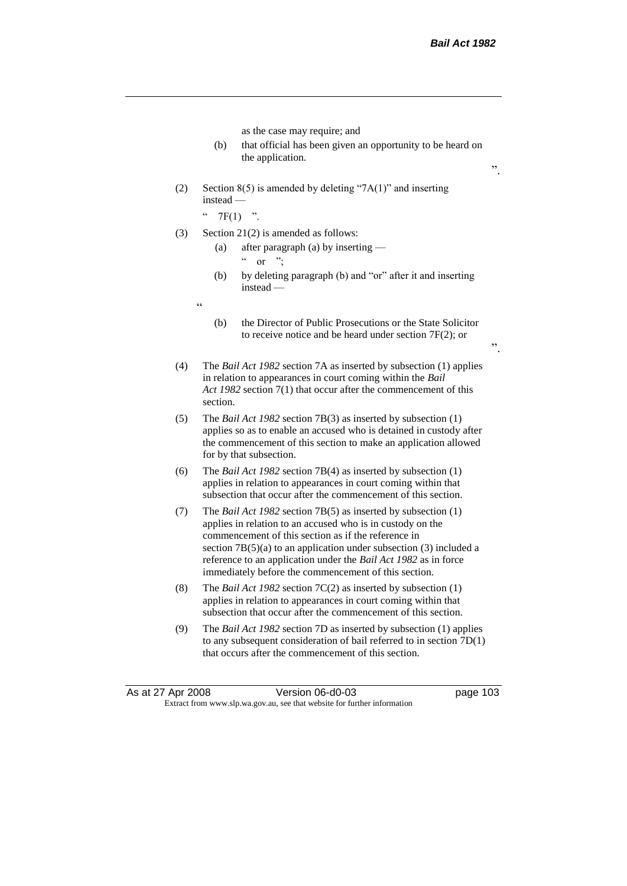".

as the case may require; and

- (b) that official has been given an opportunity to be heard on the application.
- (2) Section  $8(5)$  is amended by deleting "7A(1)" and inserting instead —

 $C^2$  7F(1)  $\frac{1}{2}$ 

- (3) Section 21(2) is amended as follows:
	- (a) after paragraph (a) by inserting or  $\dddot{ }$  :
	- (b) by deleting paragraph (b) and "or" after it and inserting instead —
	- .<br>.
- (b) the Director of Public Prosecutions or the State Solicitor to receive notice and be heard under section 7F(2); or
- (4) The *Bail Act 1982* section 7A as inserted by subsection (1) applies in relation to appearances in court coming within the *Bail Act 1982* section 7(1) that occur after the commencement of this section.
- (5) The *Bail Act 1982* section 7B(3) as inserted by subsection (1) applies so as to enable an accused who is detained in custody after the commencement of this section to make an application allowed for by that subsection.
- (6) The *Bail Act 1982* section 7B(4) as inserted by subsection (1) applies in relation to appearances in court coming within that subsection that occur after the commencement of this section.
- (7) The *Bail Act 1982* section 7B(5) as inserted by subsection (1) applies in relation to an accused who is in custody on the commencement of this section as if the reference in section  $7B(5)(a)$  to an application under subsection (3) included a reference to an application under the *Bail Act 1982* as in force immediately before the commencement of this section.
- (8) The *Bail Act 1982* section 7C(2) as inserted by subsection (1) applies in relation to appearances in court coming within that subsection that occur after the commencement of this section.
- (9) The *Bail Act 1982* section 7D as inserted by subsection (1) applies to any subsequent consideration of bail referred to in section 7D(1) that occurs after the commencement of this section.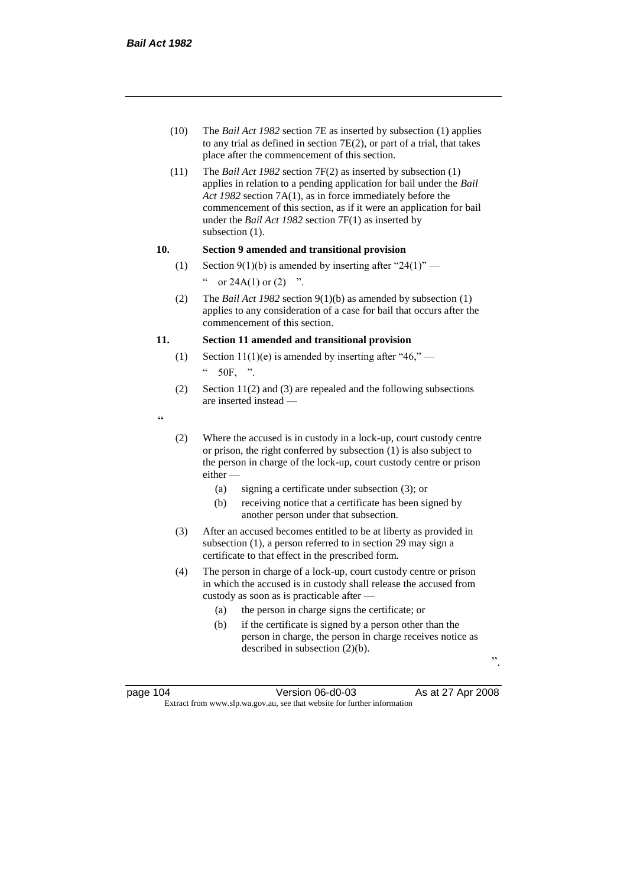- (10) The *Bail Act 1982* section 7E as inserted by subsection (1) applies to any trial as defined in section 7E(2), or part of a trial, that takes place after the commencement of this section.
- (11) The *Bail Act 1982* section 7F(2) as inserted by subsection (1) applies in relation to a pending application for bail under the *Bail Act 1982* section 7A(1), as in force immediately before the commencement of this section, as if it were an application for bail under the *Bail Act 1982* section 7F(1) as inserted by subsection (1).

# **10. Section 9 amended and transitional provision**

- (1) Section 9(1)(b) is amended by inserting after "24(1)" or  $24A(1)$  or  $(2)$  ".
- (2) The *Bail Act 1982* section 9(1)(b) as amended by subsection (1) applies to any consideration of a case for bail that occurs after the commencement of this section.

#### **11. Section 11 amended and transitional provision**

- (1) Section 11(1)(e) is amended by inserting after "46," 50F.
- (2) Section 11(2) and (3) are repealed and the following subsections are inserted instead —
- $\epsilon$

(2) Where the accused is in custody in a lock-up, court custody centre or prison, the right conferred by subsection (1) is also subject to the person in charge of the lock-up, court custody centre or prison either —

- (a) signing a certificate under subsection (3); or
- (b) receiving notice that a certificate has been signed by another person under that subsection.
- (3) After an accused becomes entitled to be at liberty as provided in subsection (1), a person referred to in section 29 may sign a certificate to that effect in the prescribed form.
- (4) The person in charge of a lock-up, court custody centre or prison in which the accused is in custody shall release the accused from custody as soon as is practicable after —
	- (a) the person in charge signs the certificate; or
	- (b) if the certificate is signed by a person other than the person in charge, the person in charge receives notice as described in subsection (2)(b).

#### page 104 Version 06-d0-03 As at 27 Apr 2008 Extract from www.slp.wa.gov.au, see that website for further information

".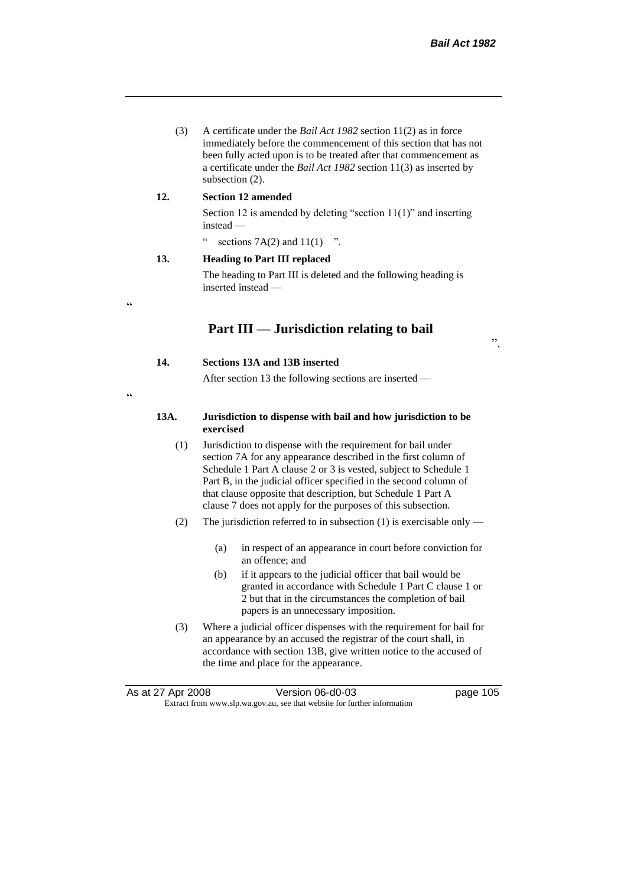(3) A certificate under the *Bail Act 1982* section 11(2) as in force immediately before the commencement of this section that has not been fully acted upon is to be treated after that commencement as a certificate under the *Bail Act 1982* section 11(3) as inserted by subsection (2).

#### **12. Section 12 amended**

"

 $\epsilon$ 

Section 12 is amended by deleting "section 11(1)" and inserting instead —

sections  $7A(2)$  and  $11(1)$  ".

## **13. Heading to Part III replaced**

The heading to Part III is deleted and the following heading is inserted instead —

# **Part III — Jurisdiction relating to bail**

".

#### **14. Sections 13A and 13B inserted**

After section 13 the following sections are inserted —

#### **13A. Jurisdiction to dispense with bail and how jurisdiction to be exercised**

- (1) Jurisdiction to dispense with the requirement for bail under section 7A for any appearance described in the first column of Schedule 1 Part A clause 2 or 3 is vested, subject to Schedule 1 Part B, in the judicial officer specified in the second column of that clause opposite that description, but Schedule 1 Part A clause 7 does not apply for the purposes of this subsection.
- (2) The jurisdiction referred to in subsection (1) is exercisable only
	- (a) in respect of an appearance in court before conviction for an offence; and
	- (b) if it appears to the judicial officer that bail would be granted in accordance with Schedule 1 Part C clause 1 or 2 but that in the circumstances the completion of bail papers is an unnecessary imposition.
- (3) Where a judicial officer dispenses with the requirement for bail for an appearance by an accused the registrar of the court shall, in accordance with section 13B, give written notice to the accused of the time and place for the appearance.

|                                                                          | As at 27 Apr 2008 | Version 06-d0-03 | page 105 |
|--------------------------------------------------------------------------|-------------------|------------------|----------|
| Extract from www.slp.wa.gov.au, see that website for further information |                   |                  |          |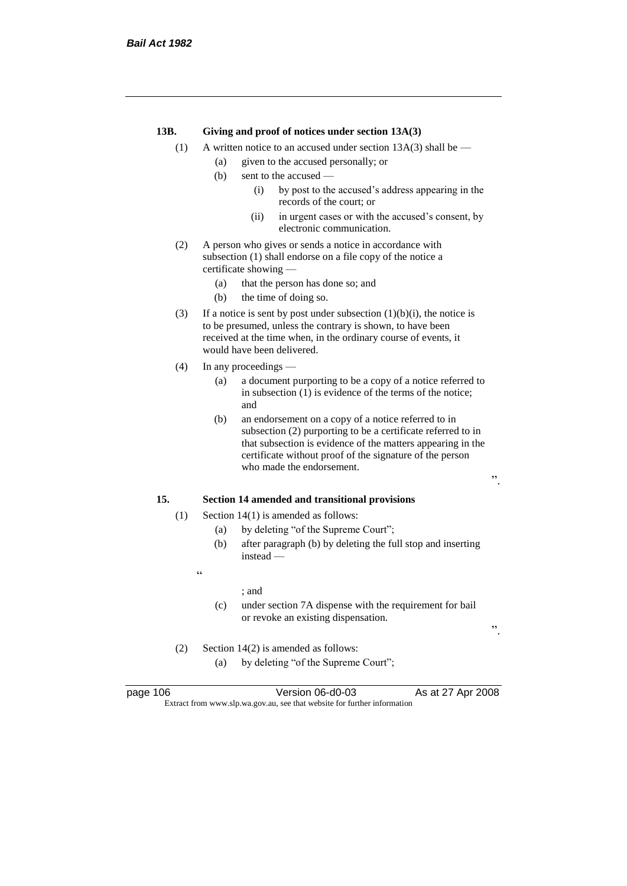#### **13B. Giving and proof of notices under section 13A(3)**

- (1) A written notice to an accused under section 13A(3) shall be
	- (a) given to the accused personally; or
	- (b) sent to the accused
		- (i) by post to the accused's address appearing in the records of the court; or
		- (ii) in urgent cases or with the accused's consent, by electronic communication.
- (2) A person who gives or sends a notice in accordance with subsection (1) shall endorse on a file copy of the notice a certificate showing —
	- (a) that the person has done so; and
	- (b) the time of doing so.
- (3) If a notice is sent by post under subsection  $(1)(b)(i)$ , the notice is to be presumed, unless the contrary is shown, to have been received at the time when, in the ordinary course of events, it would have been delivered.
- (4) In any proceedings
	- (a) a document purporting to be a copy of a notice referred to in subsection (1) is evidence of the terms of the notice; and
	- (b) an endorsement on a copy of a notice referred to in subsection (2) purporting to be a certificate referred to in that subsection is evidence of the matters appearing in the certificate without proof of the signature of the person who made the endorsement.

# **15. Section 14 amended and transitional provisions**

- (1) Section 14(1) is amended as follows:
	- (a) by deleting "of the Supreme Court";
	- (b) after paragraph (b) by deleting the full stop and inserting instead —
	- $\epsilon$

# ; and

- (c) under section 7A dispense with the requirement for bail or revoke an existing dispensation.
- ".

".

(2) Section 14(2) is amended as follows: (a) by deleting "of the Supreme Court";

page 106 Version 06-d0-03 As at 27 Apr 2008 Extract from www.slp.wa.gov.au, see that website for further information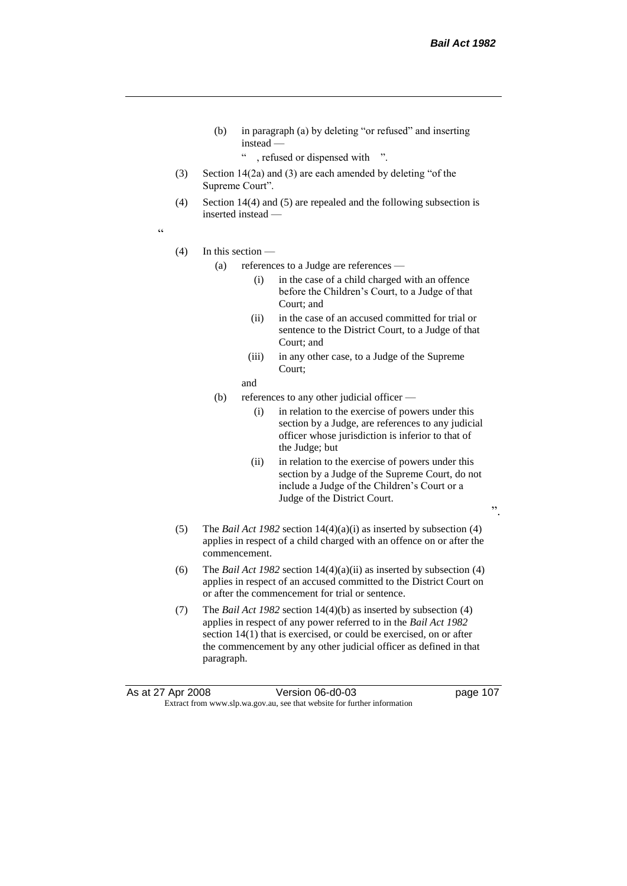(b) in paragraph (a) by deleting "or refused" and inserting instead —

" , refused or dispensed with ".

- (3) Section 14(2a) and (3) are each amended by deleting "of the Supreme Court".
- (4) Section 14(4) and (5) are repealed and the following subsection is inserted instead —

 $\epsilon$ 

# (4) In this section —

- (a) references to a Judge are references
	- (i) in the case of a child charged with an offence before the Children's Court, to a Judge of that Court; and
	- (ii) in the case of an accused committed for trial or sentence to the District Court, to a Judge of that Court; and
	- (iii) in any other case, to a Judge of the Supreme Court;

and

- (b) references to any other judicial officer
	- (i) in relation to the exercise of powers under this section by a Judge, are references to any judicial officer whose jurisdiction is inferior to that of the Judge; but
	- (ii) in relation to the exercise of powers under this section by a Judge of the Supreme Court, do not include a Judge of the Children's Court or a Judge of the District Court.
- (5) The *Bail Act 1982* section 14(4)(a)(i) as inserted by subsection (4) applies in respect of a child charged with an offence on or after the commencement.
- (6) The *Bail Act 1982* section 14(4)(a)(ii) as inserted by subsection (4) applies in respect of an accused committed to the District Court on or after the commencement for trial or sentence.
- (7) The *Bail Act 1982* section 14(4)(b) as inserted by subsection (4) applies in respect of any power referred to in the *Bail Act 1982* section 14(1) that is exercised, or could be exercised, on or after the commencement by any other judicial officer as defined in that paragraph.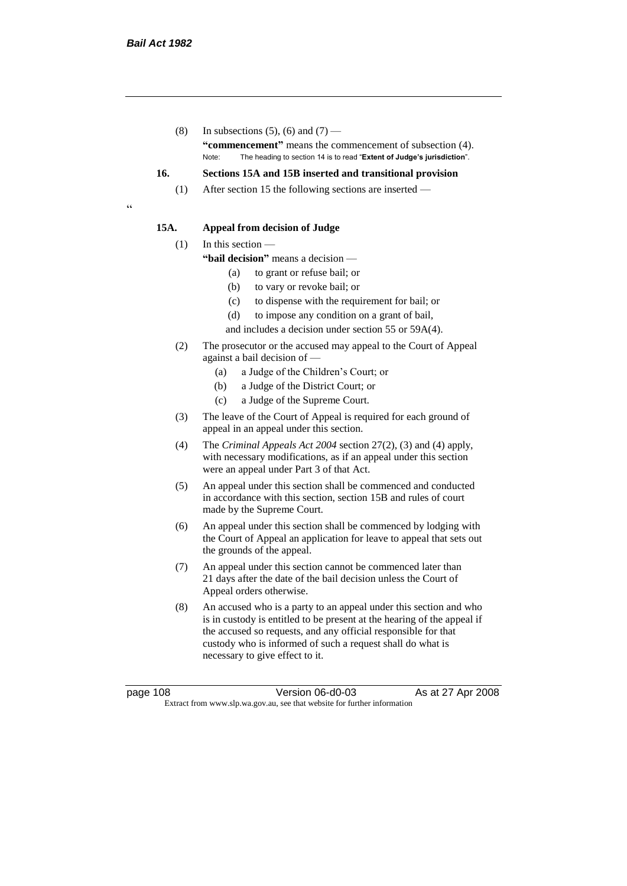$\alpha$ 

(8) In subsections (5), (6) and (7) — **"commencement"** means the commencement of subsection (4). Note: The heading to section 14 is to read "**Extent of Judge's jurisdiction**".

## **16. Sections 15A and 15B inserted and transitional provision**

(1) After section 15 the following sections are inserted —

# **15A. Appeal from decision of Judge**

#### $(1)$  In this section —

**"bail decision"** means a decision —

- (a) to grant or refuse bail; or
- (b) to vary or revoke bail; or
- (c) to dispense with the requirement for bail; or
- (d) to impose any condition on a grant of bail,
- and includes a decision under section 55 or 59A(4).
- (2) The prosecutor or the accused may appeal to the Court of Appeal against a bail decision of —
	- (a) a Judge of the Children's Court; or
	- (b) a Judge of the District Court; or
	- (c) a Judge of the Supreme Court.
- (3) The leave of the Court of Appeal is required for each ground of appeal in an appeal under this section.
- (4) The *Criminal Appeals Act 2004* section 27(2), (3) and (4) apply, with necessary modifications, as if an appeal under this section were an appeal under Part 3 of that Act.
- (5) An appeal under this section shall be commenced and conducted in accordance with this section, section 15B and rules of court made by the Supreme Court.
- (6) An appeal under this section shall be commenced by lodging with the Court of Appeal an application for leave to appeal that sets out the grounds of the appeal.
- (7) An appeal under this section cannot be commenced later than 21 days after the date of the bail decision unless the Court of Appeal orders otherwise.
- (8) An accused who is a party to an appeal under this section and who is in custody is entitled to be present at the hearing of the appeal if the accused so requests, and any official responsible for that custody who is informed of such a request shall do what is necessary to give effect to it.

page 108 Version 06-d0-03 As at 27 Apr 2008 Extract from www.slp.wa.gov.au, see that website for further information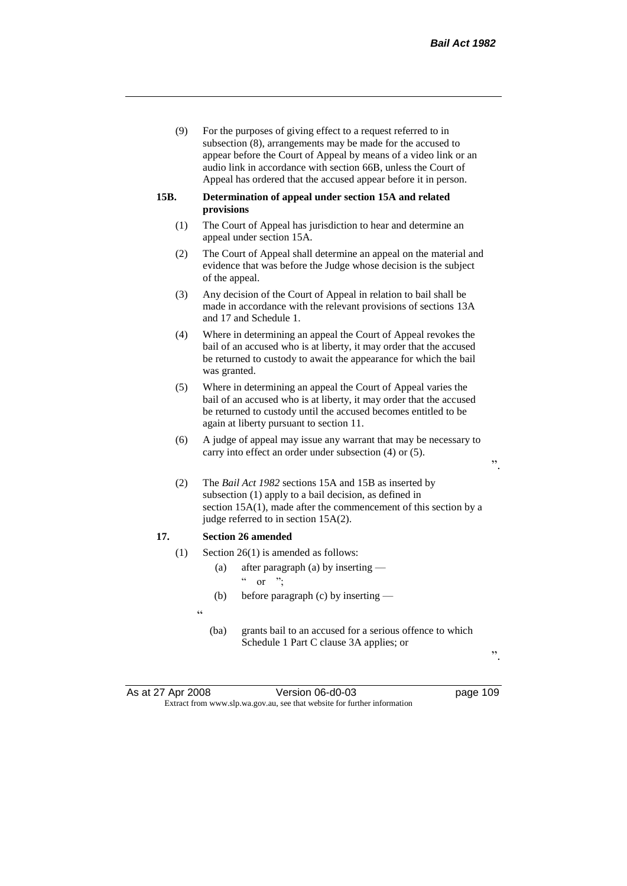(9) For the purposes of giving effect to a request referred to in subsection (8), arrangements may be made for the accused to appear before the Court of Appeal by means of a video link or an audio link in accordance with section 66B, unless the Court of Appeal has ordered that the accused appear before it in person.

#### **15B. Determination of appeal under section 15A and related provisions**

- (1) The Court of Appeal has jurisdiction to hear and determine an appeal under section 15A.
- (2) The Court of Appeal shall determine an appeal on the material and evidence that was before the Judge whose decision is the subject of the appeal.
- (3) Any decision of the Court of Appeal in relation to bail shall be made in accordance with the relevant provisions of sections 13A and 17 and Schedule 1.
- (4) Where in determining an appeal the Court of Appeal revokes the bail of an accused who is at liberty, it may order that the accused be returned to custody to await the appearance for which the bail was granted.
- (5) Where in determining an appeal the Court of Appeal varies the bail of an accused who is at liberty, it may order that the accused be returned to custody until the accused becomes entitled to be again at liberty pursuant to section 11.
- (6) A judge of appeal may issue any warrant that may be necessary to carry into effect an order under subsection (4) or (5).
- (2) The *Bail Act 1982* sections 15A and 15B as inserted by subsection (1) apply to a bail decision, as defined in section 15A(1), made after the commencement of this section by a judge referred to in section 15A(2).

# **17. Section 26 amended**

- (1) Section 26(1) is amended as follows:
	- (a) after paragraph (a) by inserting  $\alpha$  or ";
	- (b) before paragraph (c) by inserting —
	- $\epsilon$
- (ba) grants bail to an accused for a serious offence to which Schedule 1 Part C clause 3A applies; or

".

As at 27 Apr 2008 Version 06-d0-03 page 109 Extract from www.slp.wa.gov.au, see that website for further information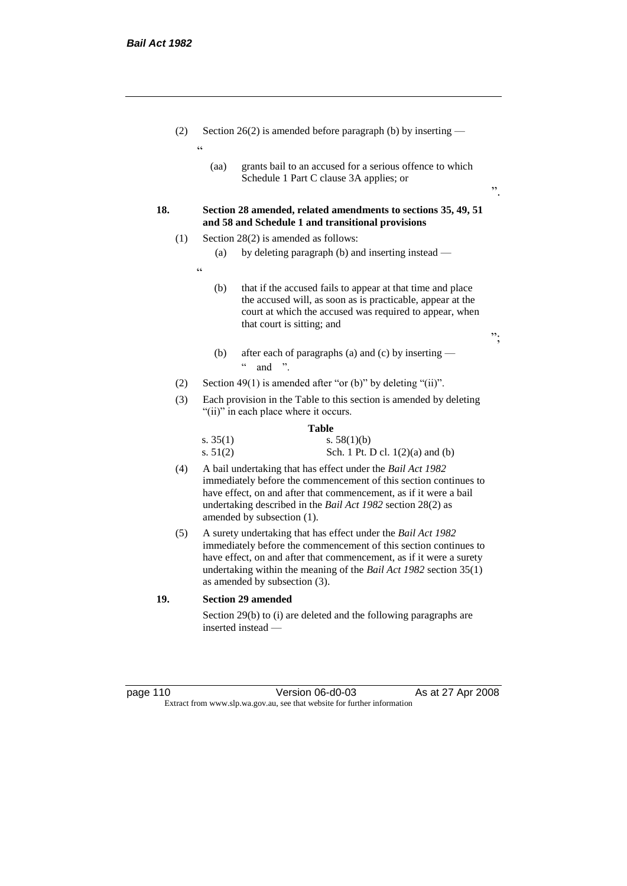|     | (2) | Section 26(2) is amended before paragraph (b) by inserting $-$                                                                                                                                                                                                                                   |                                                                                                                                                                                                                   |    |
|-----|-----|--------------------------------------------------------------------------------------------------------------------------------------------------------------------------------------------------------------------------------------------------------------------------------------------------|-------------------------------------------------------------------------------------------------------------------------------------------------------------------------------------------------------------------|----|
|     |     | $\boldsymbol{\varsigma}$ $\boldsymbol{\varsigma}$                                                                                                                                                                                                                                                |                                                                                                                                                                                                                   |    |
|     |     | (aa)                                                                                                                                                                                                                                                                                             | grants bail to an accused for a serious offence to which<br>Schedule 1 Part C clause 3A applies; or                                                                                                               | ,, |
| 18. |     |                                                                                                                                                                                                                                                                                                  | Section 28 amended, related amendments to sections 35, 49, 51<br>and 58 and Schedule 1 and transitional provisions                                                                                                |    |
|     | (1) |                                                                                                                                                                                                                                                                                                  | Section 28(2) is amended as follows:                                                                                                                                                                              |    |
|     |     | (a)                                                                                                                                                                                                                                                                                              | by deleting paragraph (b) and inserting instead —                                                                                                                                                                 |    |
|     |     | C C                                                                                                                                                                                                                                                                                              |                                                                                                                                                                                                                   |    |
|     |     | (b)                                                                                                                                                                                                                                                                                              | that if the accused fails to appear at that time and place<br>the accused will, as soon as is practicable, appear at the<br>court at which the accused was required to appear, when<br>that court is sitting; and | ". |
|     |     | (b)                                                                                                                                                                                                                                                                                              | after each of paragraphs (a) and (c) by inserting $-$<br>$\epsilon$<br>and<br>$\rightarrow$                                                                                                                       |    |
|     | (2) |                                                                                                                                                                                                                                                                                                  | Section 49(1) is amended after "or (b)" by deleting "(ii)".                                                                                                                                                       |    |
|     | (3) |                                                                                                                                                                                                                                                                                                  | Each provision in the Table to this section is amended by deleting<br>"(ii)" in each place where it occurs.                                                                                                       |    |
|     |     |                                                                                                                                                                                                                                                                                                  | <b>Table</b>                                                                                                                                                                                                      |    |
|     |     | s. $35(1)$<br>s. $51(2)$                                                                                                                                                                                                                                                                         | s. $58(1)(b)$<br>Sch. 1 Pt. D cl. $1(2)(a)$ and (b)                                                                                                                                                               |    |
|     | (4) | A bail undertaking that has effect under the Bail Act 1982<br>immediately before the commencement of this section continues to<br>have effect, on and after that commencement, as if it were a bail<br>undertaking described in the Bail Act 1982 section 28(2) as<br>amended by subsection (1). |                                                                                                                                                                                                                   |    |
|     | (5) |                                                                                                                                                                                                                                                                                                  | A surety undertaking that has effect under the Bail Act 1982                                                                                                                                                      |    |

immediately before the commencement of this section continues to have effect, on and after that commencement, as if it were a surety undertaking within the meaning of the *Bail Act 1982* section 35(1) as amended by subsection (3).

# **19. Section 29 amended**

Section 29(b) to (i) are deleted and the following paragraphs are inserted instead —

| page 110 |  |  |
|----------|--|--|
|----------|--|--|

Version 06-d0-03 As at 27 Apr 2008 Extract from www.slp.wa.gov.au, see that website for further information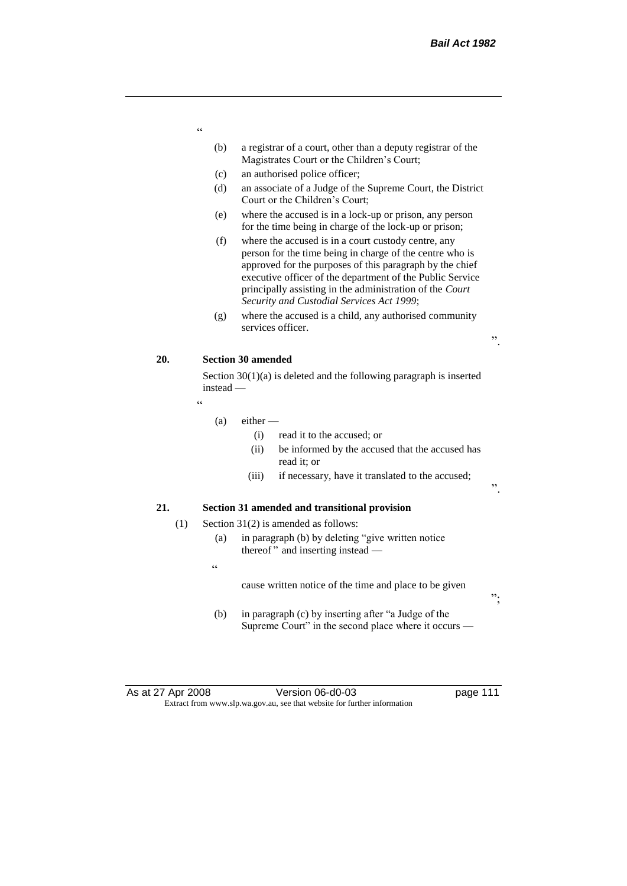- $\epsilon$
- (b) a registrar of a court, other than a deputy registrar of the Magistrates Court or the Children's Court;
- (c) an authorised police officer;
- (d) an associate of a Judge of the Supreme Court, the District Court or the Children's Court;
- (e) where the accused is in a lock-up or prison, any person for the time being in charge of the lock-up or prison;
- (f) where the accused is in a court custody centre, any person for the time being in charge of the centre who is approved for the purposes of this paragraph by the chief executive officer of the department of the Public Service principally assisting in the administration of the *Court Security and Custodial Services Act 1999*;
- (g) where the accused is a child, any authorised community services officer.

".

 $,$ 

# **20. Section 30 amended**

Section 30(1)(a) is deleted and the following paragraph is inserted instead —

"

- $(a)$  either
	- (i) read it to the accused; or
	- (ii) be informed by the accused that the accused has read it; or
	- (iii) if necessary, have it translated to the accused;

# **21. Section 31 amended and transitional provision**

- (1) Section 31(2) is amended as follows:
	- (a) in paragraph (b) by deleting "give written notice thereof " and inserting instead —
	- .<br>44

cause written notice of the time and place to be given

(b) in paragraph (c) by inserting after "a Judge of the Supreme Court" in the second place where it occurs —

As at 27 Apr 2008 Version 06-d0-03 Page 111 Extract from www.slp.wa.gov.au, see that website for further information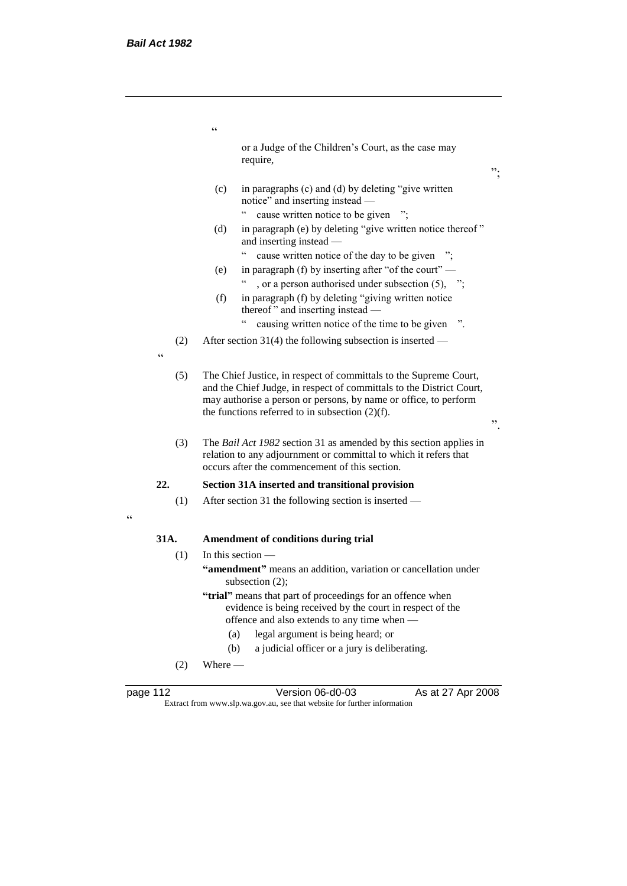|            | $\epsilon$                                                                                                                                                                                                                                                                |    |  |
|------------|---------------------------------------------------------------------------------------------------------------------------------------------------------------------------------------------------------------------------------------------------------------------------|----|--|
|            | or a Judge of the Children's Court, as the case may<br>require,                                                                                                                                                                                                           | ᠉. |  |
|            | in paragraphs (c) and (d) by deleting "give written<br>(c)<br>notice" and inserting instead -                                                                                                                                                                             |    |  |
|            | cause written notice to be given<br>in paragraph (e) by deleting "give written notice thereof"<br>(d)<br>and inserting instead -                                                                                                                                          |    |  |
|            | $\boldsymbol{\varsigma}$ $\boldsymbol{\varsigma}$<br>cause written notice of the day to be given ";<br>in paragraph (f) by inserting after "of the court" —<br>(e)                                                                                                        |    |  |
|            | , or a person authorised under subsection $(5)$ , ";                                                                                                                                                                                                                      |    |  |
|            | in paragraph (f) by deleting "giving written notice<br>(f)<br>thereof" and inserting instead —                                                                                                                                                                            |    |  |
|            | $\epsilon$<br>causing written notice of the time to be given<br>$\ddot{\phantom{1}}$                                                                                                                                                                                      |    |  |
| (2)        | After section $31(4)$ the following subsection is inserted —                                                                                                                                                                                                              |    |  |
| $\epsilon$ |                                                                                                                                                                                                                                                                           |    |  |
| (5)        | The Chief Justice, in respect of committals to the Supreme Court,<br>and the Chief Judge, in respect of committals to the District Court,<br>may authorise a person or persons, by name or office, to perform<br>the functions referred to in subsection $(2)(f)$ .<br>,, |    |  |
| (3)        | The Bail Act 1982 section 31 as amended by this section applies in<br>relation to any adjournment or committal to which it refers that<br>occurs after the commencement of this section.                                                                                  |    |  |
| 22.        | Section 31A inserted and transitional provision                                                                                                                                                                                                                           |    |  |
| (1)        | After section 31 the following section is inserted —                                                                                                                                                                                                                      |    |  |
|            |                                                                                                                                                                                                                                                                           |    |  |
| 31A.       | Amendment of conditions during trial                                                                                                                                                                                                                                      |    |  |
| (1)        | In this section $-$                                                                                                                                                                                                                                                       |    |  |
|            | "amendment" means an addition, variation or cancellation under<br>subsection $(2)$ ;                                                                                                                                                                                      |    |  |
|            | "trial" means that part of proceedings for an offence when<br>evidence is being received by the court in respect of the<br>offence and also extends to any time when -<br>(a)<br>legal argument is being heard; or                                                        |    |  |
|            | a judicial officer or a jury is deliberating.<br>(b)                                                                                                                                                                                                                      |    |  |

 $(2)$  Where —

 $\epsilon$ 

page 112 Version 06-d0-03 As at 27 Apr 2008 Extract from www.slp.wa.gov.au, see that website for further information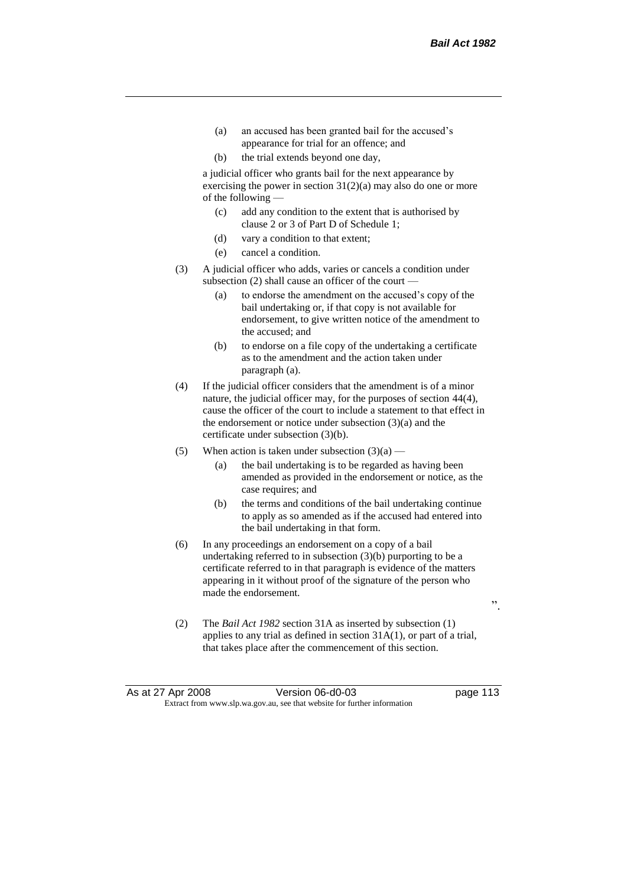- (a) an accused has been granted bail for the accused's appearance for trial for an offence; and
- (b) the trial extends beyond one day,

a judicial officer who grants bail for the next appearance by exercising the power in section  $31(2)(a)$  may also do one or more of the following —

- (c) add any condition to the extent that is authorised by clause 2 or 3 of Part D of Schedule 1;
- (d) vary a condition to that extent;
- (e) cancel a condition.
- (3) A judicial officer who adds, varies or cancels a condition under subsection (2) shall cause an officer of the court —
	- (a) to endorse the amendment on the accused's copy of the bail undertaking or, if that copy is not available for endorsement, to give written notice of the amendment to the accused; and
	- (b) to endorse on a file copy of the undertaking a certificate as to the amendment and the action taken under paragraph (a).
- (4) If the judicial officer considers that the amendment is of a minor nature, the judicial officer may, for the purposes of section 44(4), cause the officer of the court to include a statement to that effect in the endorsement or notice under subsection (3)(a) and the certificate under subsection (3)(b).
- (5) When action is taken under subsection  $(3)(a)$ 
	- (a) the bail undertaking is to be regarded as having been amended as provided in the endorsement or notice, as the case requires; and
	- (b) the terms and conditions of the bail undertaking continue to apply as so amended as if the accused had entered into the bail undertaking in that form.
- (6) In any proceedings an endorsement on a copy of a bail undertaking referred to in subsection (3)(b) purporting to be a certificate referred to in that paragraph is evidence of the matters appearing in it without proof of the signature of the person who made the endorsement.
- (2) The *Bail Act 1982* section 31A as inserted by subsection (1) applies to any trial as defined in section 31A(1), or part of a trial, that takes place after the commencement of this section.

".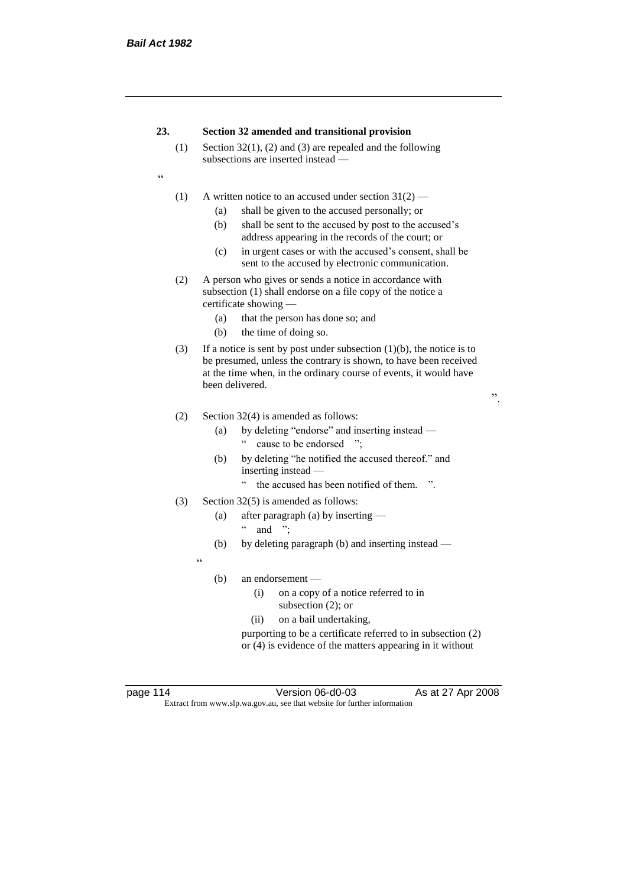#### **23. Section 32 amended and transitional provision**

- (1) Section 32(1), (2) and (3) are repealed and the following subsections are inserted instead —
- <u>،</u>
- (1) A written notice to an accused under section  $31(2)$ 
	- (a) shall be given to the accused personally; or
	- (b) shall be sent to the accused by post to the accused's address appearing in the records of the court; or
	- (c) in urgent cases or with the accused's consent, shall be sent to the accused by electronic communication.
- (2) A person who gives or sends a notice in accordance with subsection (1) shall endorse on a file copy of the notice a certificate showing —
	- (a) that the person has done so; and
	- (b) the time of doing so.
- (3) If a notice is sent by post under subsection  $(1)(b)$ , the notice is to be presumed, unless the contrary is shown, to have been received at the time when, in the ordinary course of events, it would have been delivered.

".

#### (2) Section 32(4) is amended as follows:

- (a) by deleting "endorse" and inserting instead " cause to be endorsed ";
- (b) by deleting "he notified the accused thereof." and inserting instead —
	- " the accused has been notified of them. ".
- (3) Section 32(5) is amended as follows:
	- (a) after paragraph (a) by inserting
		- $\ldots$  and ";
	- (b) by deleting paragraph (b) and inserting instead —
	- $\alpha$ 
		- (b) an endorsement
			- (i) on a copy of a notice referred to in subsection (2); or
			- (ii) on a bail undertaking,

purporting to be a certificate referred to in subsection (2) or (4) is evidence of the matters appearing in it without

page 114 Version 06-d0-03 As at 27 Apr 2008

Extract from www.slp.wa.gov.au, see that website for further information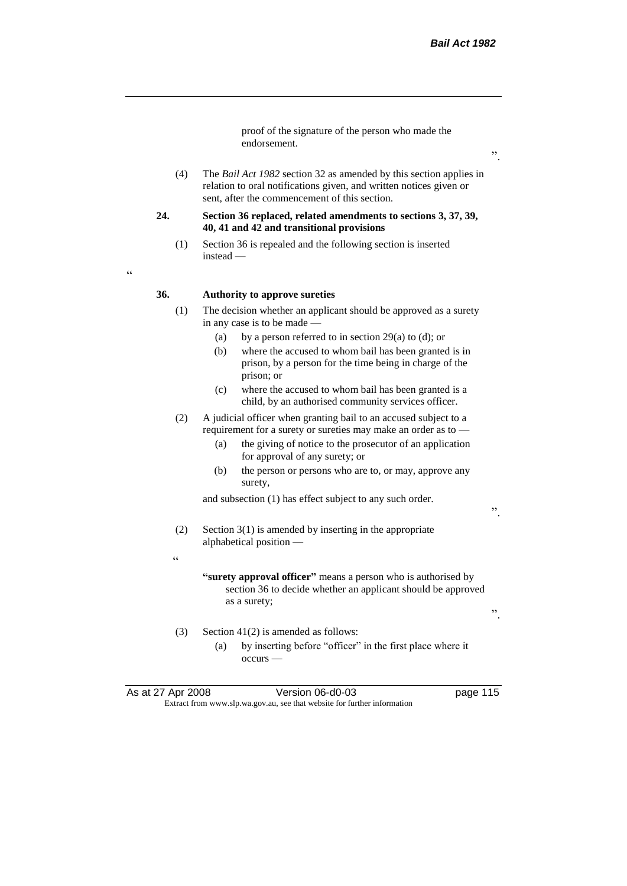".

".

proof of the signature of the person who made the endorsement.

(4) The *Bail Act 1982* section 32 as amended by this section applies in relation to oral notifications given, and written notices given or sent, after the commencement of this section.

#### **24. Section 36 replaced, related amendments to sections 3, 37, 39, 40, 41 and 42 and transitional provisions**

(1) Section 36 is repealed and the following section is inserted instead —

 $\epsilon$ 

# **36. Authority to approve sureties**

- (1) The decision whether an applicant should be approved as a surety in any case is to be made —
	- (a) by a person referred to in section 29(a) to (d); or
	- (b) where the accused to whom bail has been granted is in prison, by a person for the time being in charge of the prison; or
	- (c) where the accused to whom bail has been granted is a child, by an authorised community services officer.
- (2) A judicial officer when granting bail to an accused subject to a requirement for a surety or sureties may make an order as to —
	- (a) the giving of notice to the prosecutor of an application for approval of any surety; or
	- (b) the person or persons who are to, or may, approve any surety,

and subsection (1) has effect subject to any such order.

- (2) Section 3(1) is amended by inserting in the appropriate alphabetical position —
- $\ddot{\epsilon}$
- **"surety approval officer"** means a person who is authorised by section 36 to decide whether an applicant should be approved as a surety;
- (3) Section 41(2) is amended as follows:
	- (a) by inserting before "officer" in the first place where it occurs —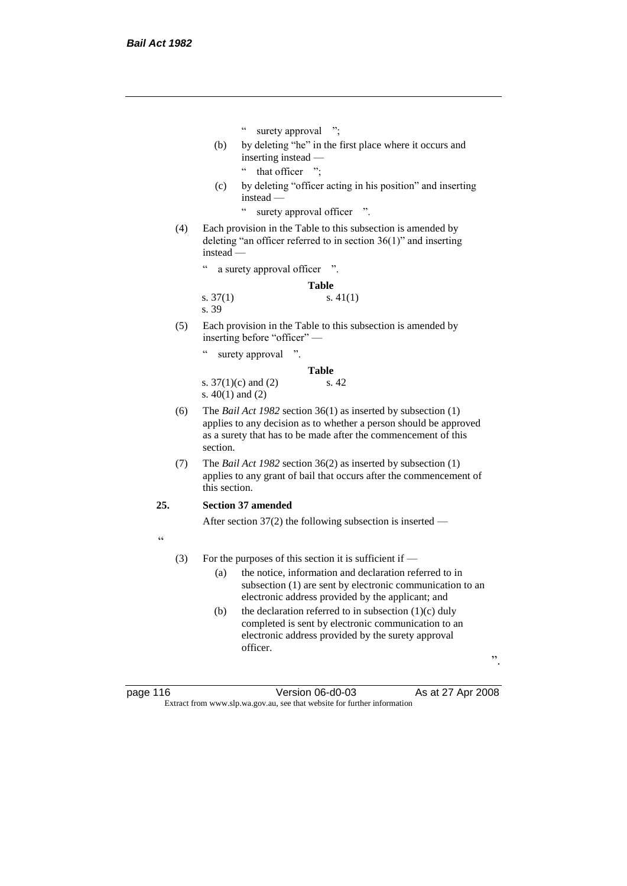- " surety approval ";
- (b) by deleting "he" in the first place where it occurs and inserting instead —
	- " that officer ":
- (c) by deleting "officer acting in his position" and inserting instead
	- surety approval officer ".
- (4) Each provision in the Table to this subsection is amended by deleting "an officer referred to in section 36(1)" and inserting instead —

" a surety approval officer ".

#### **Table**

| s. $37(1)$ | s. $41(1)$ |
|------------|------------|
| s. 39      |            |

(5) Each provision in the Table to this subsection is amended by inserting before "officer" —

" surety approval ".

**Table** s. 37(1)(c) and (2) s. 42 s. 40(1) and (2)

- (6) The *Bail Act 1982* section 36(1) as inserted by subsection (1) applies to any decision as to whether a person should be approved as a surety that has to be made after the commencement of this section.
- (7) The *Bail Act 1982* section 36(2) as inserted by subsection (1) applies to any grant of bail that occurs after the commencement of this section.

# **25. Section 37 amended**

After section 37(2) the following subsection is inserted —

.<br>.

- (3) For the purposes of this section it is sufficient if
	- (a) the notice, information and declaration referred to in subsection (1) are sent by electronic communication to an electronic address provided by the applicant; and
	- (b) the declaration referred to in subsection  $(1)(c)$  duly completed is sent by electronic communication to an electronic address provided by the surety approval officer.

page 116 Version 06-d0-03 As at 27 Apr 2008 Extract from www.slp.wa.gov.au, see that website for further information

".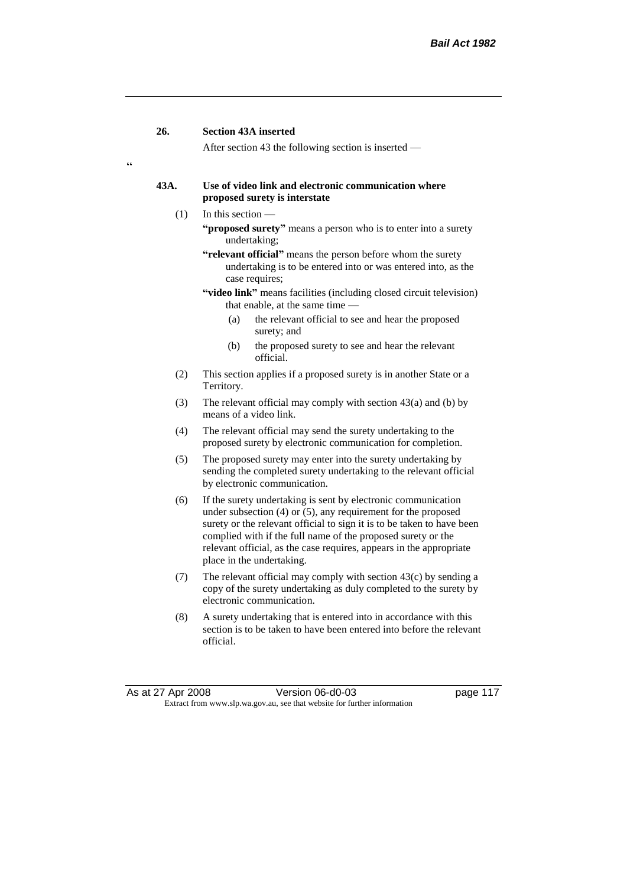# **26. Section 43A inserted**

 $\epsilon$ 

After section 43 the following section is inserted —

#### **43A. Use of video link and electronic communication where proposed surety is interstate**

- $(1)$  In this section
	- **"proposed surety"** means a person who is to enter into a surety undertaking;
	- **"relevant official"** means the person before whom the surety undertaking is to be entered into or was entered into, as the case requires;
	- **"video link"** means facilities (including closed circuit television) that enable, at the same time —
		- (a) the relevant official to see and hear the proposed surety; and
		- (b) the proposed surety to see and hear the relevant official.
- (2) This section applies if a proposed surety is in another State or a Territory.
- (3) The relevant official may comply with section 43(a) and (b) by means of a video link.
- (4) The relevant official may send the surety undertaking to the proposed surety by electronic communication for completion.
- (5) The proposed surety may enter into the surety undertaking by sending the completed surety undertaking to the relevant official by electronic communication.
- (6) If the surety undertaking is sent by electronic communication under subsection  $(4)$  or  $(5)$ , any requirement for the proposed surety or the relevant official to sign it is to be taken to have been complied with if the full name of the proposed surety or the relevant official, as the case requires, appears in the appropriate place in the undertaking.
- (7) The relevant official may comply with section 43(c) by sending a copy of the surety undertaking as duly completed to the surety by electronic communication.
- (8) A surety undertaking that is entered into in accordance with this section is to be taken to have been entered into before the relevant official.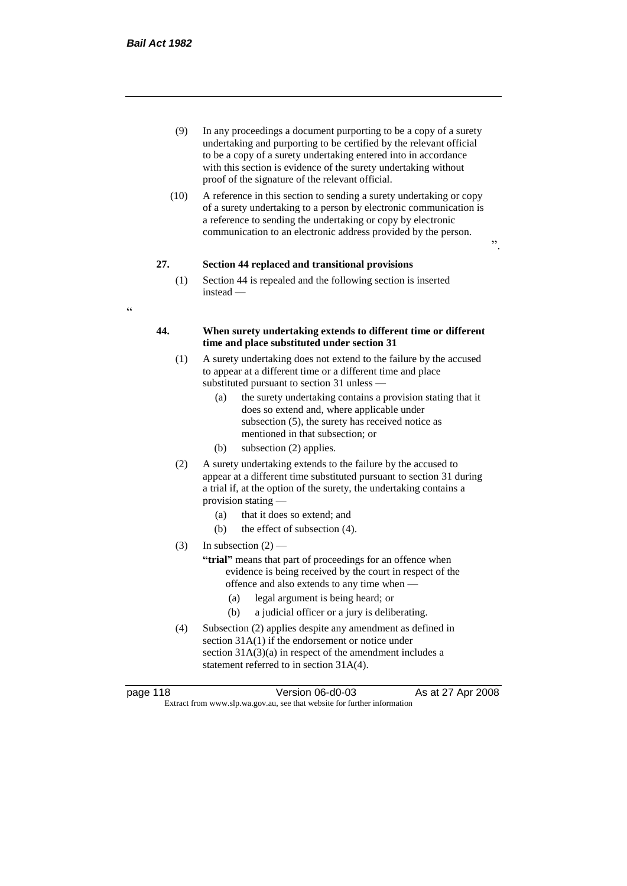- (9) In any proceedings a document purporting to be a copy of a surety undertaking and purporting to be certified by the relevant official to be a copy of a surety undertaking entered into in accordance with this section is evidence of the surety undertaking without proof of the signature of the relevant official.
- (10) A reference in this section to sending a surety undertaking or copy of a surety undertaking to a person by electronic communication is a reference to sending the undertaking or copy by electronic communication to an electronic address provided by the person.

 $\cdot$ ,

# **27. Section 44 replaced and transitional provisions**

(1) Section 44 is repealed and the following section is inserted instead —

#### **44. When surety undertaking extends to different time or different time and place substituted under section 31**

- (1) A surety undertaking does not extend to the failure by the accused to appear at a different time or a different time and place substituted pursuant to section 31 unless —
	- (a) the surety undertaking contains a provision stating that it does so extend and, where applicable under subsection (5), the surety has received notice as mentioned in that subsection; or
	- (b) subsection (2) applies.
- (2) A surety undertaking extends to the failure by the accused to appear at a different time substituted pursuant to section 31 during a trial if, at the option of the surety, the undertaking contains a provision stating —
	- (a) that it does so extend; and
	- (b) the effect of subsection (4).
- (3) In subsection  $(2)$ 
	- **"trial"** means that part of proceedings for an offence when evidence is being received by the court in respect of the offence and also extends to any time when —
		- (a) legal argument is being heard; or
		- (b) a judicial officer or a jury is deliberating.
- (4) Subsection (2) applies despite any amendment as defined in section 31A(1) if the endorsement or notice under section  $31A(3)(a)$  in respect of the amendment includes a statement referred to in section 31A(4).

 $\epsilon$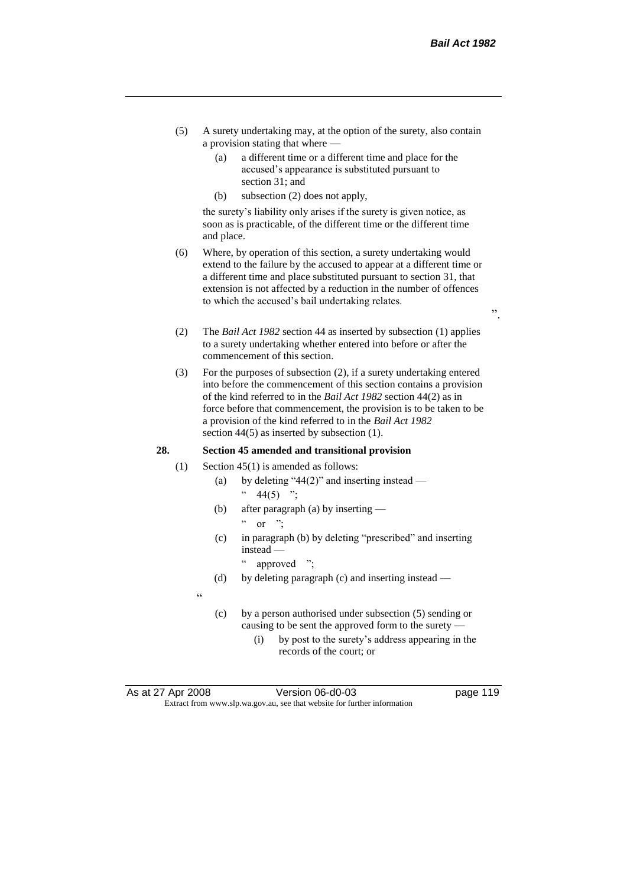- (5) A surety undertaking may, at the option of the surety, also contain a provision stating that where —
	- (a) a different time or a different time and place for the accused's appearance is substituted pursuant to section 31; and
	- (b) subsection (2) does not apply,

the surety's liability only arises if the surety is given notice, as soon as is practicable, of the different time or the different time and place.

- (6) Where, by operation of this section, a surety undertaking would extend to the failure by the accused to appear at a different time or a different time and place substituted pursuant to section 31, that extension is not affected by a reduction in the number of offences to which the accused's bail undertaking relates.
- (2) The *Bail Act 1982* section 44 as inserted by subsection (1) applies to a surety undertaking whether entered into before or after the commencement of this section.
- (3) For the purposes of subsection (2), if a surety undertaking entered into before the commencement of this section contains a provision of the kind referred to in the *Bail Act 1982* section 44(2) as in force before that commencement, the provision is to be taken to be a provision of the kind referred to in the *Bail Act 1982*  section 44(5) as inserted by subsection (1).

#### **28. Section 45 amended and transitional provision**

- (1) Section 45(1) is amended as follows:
	- (a) by deleting "44(2)" and inserting instead  $44(5)$  ";
	- (b) after paragraph (a) by inserting  $\alpha$  or ";
	- (c) in paragraph (b) by deleting "prescribed" and inserting instead —
		- " approved ":
	- (d) by deleting paragraph (c) and inserting instead —
	- "
- (c) by a person authorised under subsection (5) sending or causing to be sent the approved form to the surety —
	- (i) by post to the surety's address appearing in the records of the court; or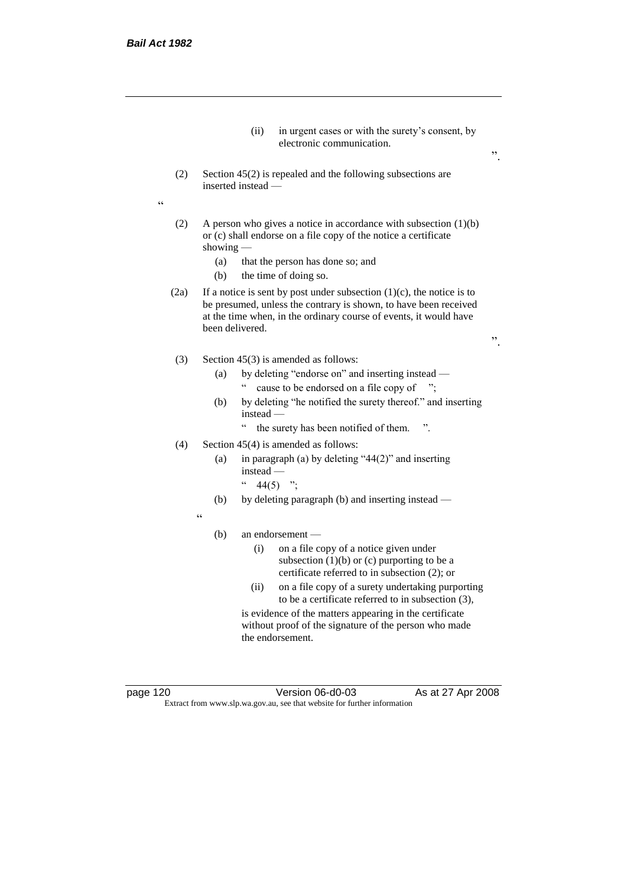$\ddot{\mathcal{C}}$ 

|      |                   | (ii)                                                                                                                                     | in urgent cases or with the surety's consent, by<br>electronic communication.                                                                                                                                     | ,, |  |  |
|------|-------------------|------------------------------------------------------------------------------------------------------------------------------------------|-------------------------------------------------------------------------------------------------------------------------------------------------------------------------------------------------------------------|----|--|--|
| (2)  |                   | Section $45(2)$ is repealed and the following subsections are<br>inserted instead —                                                      |                                                                                                                                                                                                                   |    |  |  |
| (2)  | showing $-$       |                                                                                                                                          | A person who gives a notice in accordance with subsection $(1)(b)$<br>or (c) shall endorse on a file copy of the notice a certificate                                                                             |    |  |  |
|      | (a)<br>(b)        |                                                                                                                                          | that the person has done so; and<br>the time of doing so.                                                                                                                                                         |    |  |  |
| (2a) |                   | been delivered.                                                                                                                          | If a notice is sent by post under subsection $(1)(c)$ , the notice is to<br>be presumed, unless the contrary is shown, to have been received<br>at the time when, in the ordinary course of events, it would have | ,, |  |  |
| (3)  |                   |                                                                                                                                          | Section $45(3)$ is amended as follows:                                                                                                                                                                            |    |  |  |
|      | (a)               | $\epsilon$                                                                                                                               | by deleting "endorse on" and inserting instead —<br>cause to be endorsed on a file copy of                                                                                                                        |    |  |  |
|      | (b)               | instead -                                                                                                                                | by deleting "he notified the surety thereof." and inserting                                                                                                                                                       |    |  |  |
|      |                   | $\boldsymbol{\varsigma}$                                                                                                                 | the surety has been notified of them.                                                                                                                                                                             |    |  |  |
| (4)  |                   | Section $45(4)$ is amended as follows:                                                                                                   |                                                                                                                                                                                                                   |    |  |  |
|      | (a)               | in paragraph (a) by deleting " $44(2)$ " and inserting<br>$instead -$<br>$\boldsymbol{\varsigma}$ $\boldsymbol{\varsigma}$<br>$44(5)$ "; |                                                                                                                                                                                                                   |    |  |  |
|      | (b)               |                                                                                                                                          | by deleting paragraph (b) and inserting instead —                                                                                                                                                                 |    |  |  |
|      | $\epsilon$<br>(b) |                                                                                                                                          | an endorsement -                                                                                                                                                                                                  |    |  |  |
|      |                   | (i)                                                                                                                                      | on a file copy of a notice given under<br>subsection $(1)(b)$ or $(c)$ purporting to be a<br>certificate referred to in subsection (2); or                                                                        |    |  |  |
|      |                   | (ii)                                                                                                                                     | on a file copy of a surety undertaking purporting<br>to be a certificate referred to in subsection (3),                                                                                                           |    |  |  |
|      |                   |                                                                                                                                          | is evidence of the matters appearing in the certificate<br>without proof of the signature of the person who made                                                                                                  |    |  |  |

the endorsement.

page 120 Version 06-d0-03 As at 27 Apr 2008 Extract from www.slp.wa.gov.au, see that website for further information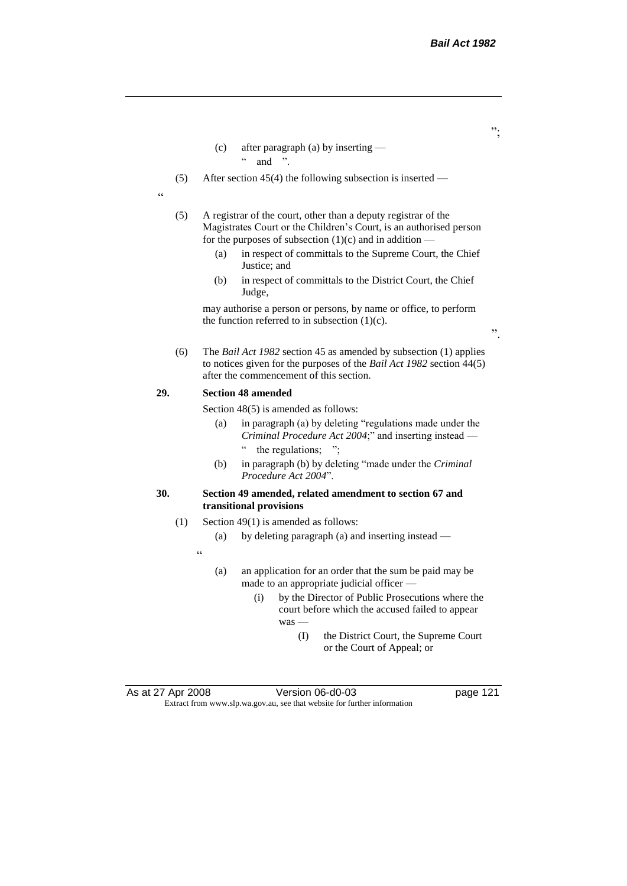";

".

- (c) after paragraph (a) by inserting  $\ldots$  and ".
- (5) After section 45(4) the following subsection is inserted —
- "
- (5) A registrar of the court, other than a deputy registrar of the Magistrates Court or the Children's Court, is an authorised person for the purposes of subsection  $(1)(c)$  and in addition —
	- (a) in respect of committals to the Supreme Court, the Chief Justice; and
	- (b) in respect of committals to the District Court, the Chief Judge,

may authorise a person or persons, by name or office, to perform the function referred to in subsection  $(1)(c)$ .

(6) The *Bail Act 1982* section 45 as amended by subsection (1) applies to notices given for the purposes of the *Bail Act 1982* section 44(5) after the commencement of this section.

#### **29. Section 48 amended**

Section 48(5) is amended as follows:

- (a) in paragraph (a) by deleting "regulations made under the *Criminal Procedure Act 2004*;" and inserting instead
	- the regulations;
- (b) in paragraph (b) by deleting "made under the *Criminal Procedure Act 2004*".

# **30. Section 49 amended, related amendment to section 67 and transitional provisions**

- (1) Section 49(1) is amended as follows:
	- (a) by deleting paragraph (a) and inserting instead —
	- .<br>.
- (a) an application for an order that the sum be paid may be made to an appropriate judicial officer —
	- (i) by the Director of Public Prosecutions where the court before which the accused failed to appear was —
		- (I) the District Court, the Supreme Court or the Court of Appeal; or

As at 27 Apr 2008 Version 06-d0-03 page 121 Extract from www.slp.wa.gov.au, see that website for further information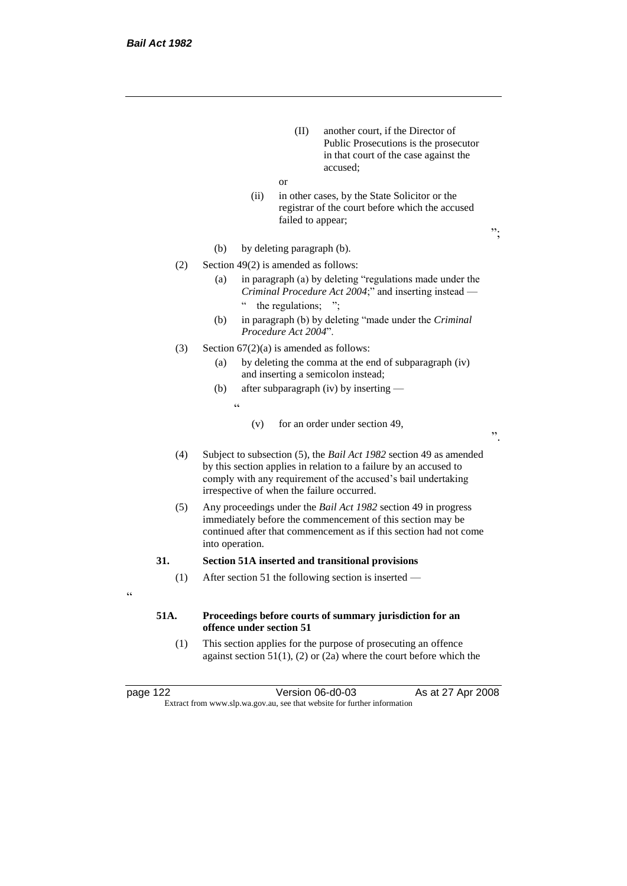- (II) another court, if the Director of Public Prosecutions is the prosecutor in that court of the case against the accused;
- or
- (ii) in other cases, by the State Solicitor or the registrar of the court before which the accused failed to appear;

";

(b) by deleting paragraph (b).

# (2) Section 49(2) is amended as follows:

- (a) in paragraph (a) by deleting "regulations made under the *Criminal Procedure Act 2004*;" and inserting instead the regulations; ";
- (b) in paragraph (b) by deleting "made under the *Criminal Procedure Act 2004*".
- (3) Section  $67(2)(a)$  is amended as follows:
	- (a) by deleting the comma at the end of subparagraph (iv) and inserting a semicolon instead;
	- (b) after subparagraph (iv) by inserting
		- "
- (v) for an order under section 49,

(4) Subject to subsection (5), the *Bail Act 1982* section 49 as amended by this section applies in relation to a failure by an accused to comply with any requirement of the accused's bail undertaking irrespective of when the failure occurred.

(5) Any proceedings under the *Bail Act 1982* section 49 in progress immediately before the commencement of this section may be continued after that commencement as if this section had not come into operation.

#### **31. Section 51A inserted and transitional provisions**

(1) After section 51 the following section is inserted —

## **51A. Proceedings before courts of summary jurisdiction for an offence under section 51**

(1) This section applies for the purpose of prosecuting an offence against section  $51(1)$ , (2) or (2a) where the court before which the

"

page 122 Version 06-d0-03 As at 27 Apr 2008 Extract from www.slp.wa.gov.au, see that website for further information

".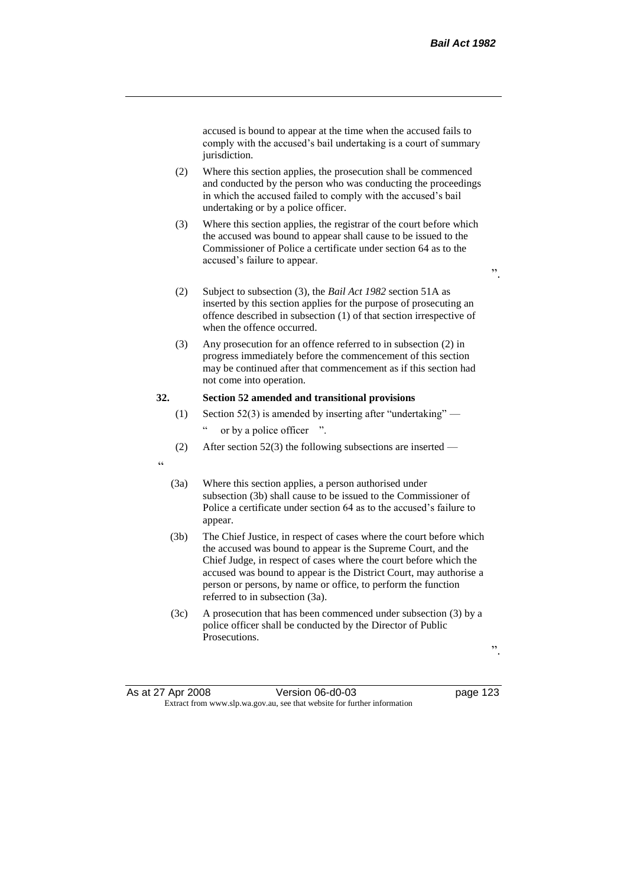accused is bound to appear at the time when the accused fails to comply with the accused's bail undertaking is a court of summary jurisdiction.

- (2) Where this section applies, the prosecution shall be commenced and conducted by the person who was conducting the proceedings in which the accused failed to comply with the accused's bail undertaking or by a police officer.
- (3) Where this section applies, the registrar of the court before which the accused was bound to appear shall cause to be issued to the Commissioner of Police a certificate under section 64 as to the accused's failure to appear.
- ".
- (2) Subject to subsection (3), the *Bail Act 1982* section 51A as inserted by this section applies for the purpose of prosecuting an offence described in subsection (1) of that section irrespective of when the offence occurred.
- (3) Any prosecution for an offence referred to in subsection (2) in progress immediately before the commencement of this section may be continued after that commencement as if this section had not come into operation.

#### **32. Section 52 amended and transitional provisions**

- (1) Section 52(3) is amended by inserting after "undertaking"
	- or by a police officer ".
- (2) After section 52(3) the following subsections are inserted —
- $\alpha$
- (3a) Where this section applies, a person authorised under subsection (3b) shall cause to be issued to the Commissioner of Police a certificate under section 64 as to the accused's failure to appear.
- (3b) The Chief Justice, in respect of cases where the court before which the accused was bound to appear is the Supreme Court, and the Chief Judge, in respect of cases where the court before which the accused was bound to appear is the District Court, may authorise a person or persons, by name or office, to perform the function referred to in subsection (3a).
- (3c) A prosecution that has been commenced under subsection (3) by a police officer shall be conducted by the Director of Public Prosecutions.

".

As at 27 Apr 2008 Version 06-d0-03 page 123 Extract from www.slp.wa.gov.au, see that website for further information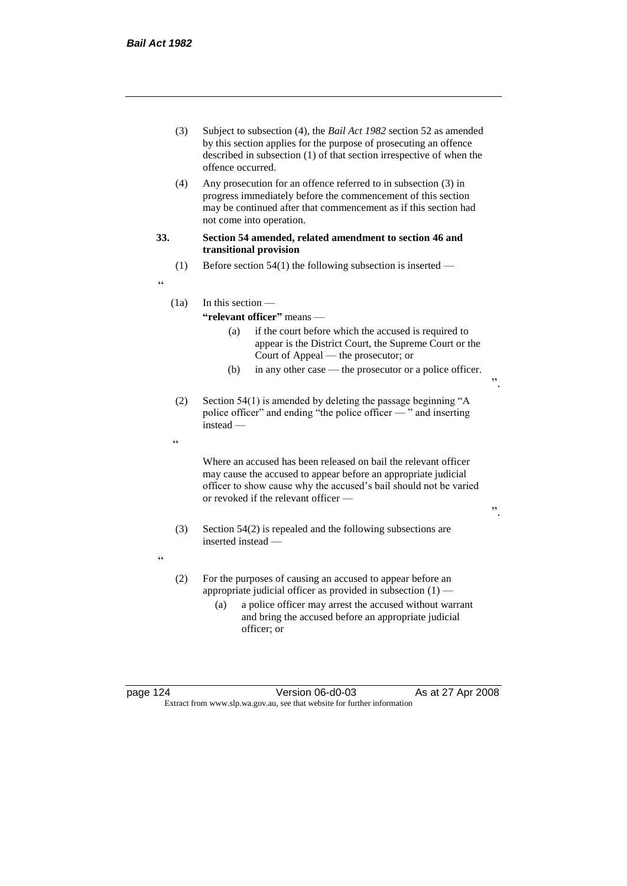- (3) Subject to subsection (4), the *Bail Act 1982* section 52 as amended by this section applies for the purpose of prosecuting an offence described in subsection (1) of that section irrespective of when the offence occurred.
- (4) Any prosecution for an offence referred to in subsection (3) in progress immediately before the commencement of this section may be continued after that commencement as if this section had not come into operation.
- **33. Section 54 amended, related amendment to section 46 and transitional provision**
	- (1) Before section  $54(1)$  the following subsection is inserted —
- "

# (1a) In this section —

**"relevant officer"** means —

- (a) if the court before which the accused is required to appear is the District Court, the Supreme Court or the Court of Appeal — the prosecutor; or
- (b) in any other case the prosecutor or a police officer.
- (2) Section 54(1) is amended by deleting the passage beginning "A police officer" and ending "the police officer — " and inserting instead —
- $\epsilon$

Where an accused has been released on bail the relevant officer may cause the accused to appear before an appropriate judicial officer to show cause why the accused's bail should not be varied or revoked if the relevant officer —

- (3) Section 54(2) is repealed and the following subsections are inserted instead —
- $\epsilon$
- (2) For the purposes of causing an accused to appear before an appropriate judicial officer as provided in subsection  $(1)$  —
	- (a) a police officer may arrest the accused without warrant and bring the accused before an appropriate judicial officer; or
- 

page 124 Version 06-d0-03 As at 27 Apr 2008 Extract from www.slp.wa.gov.au, see that website for further information

".

".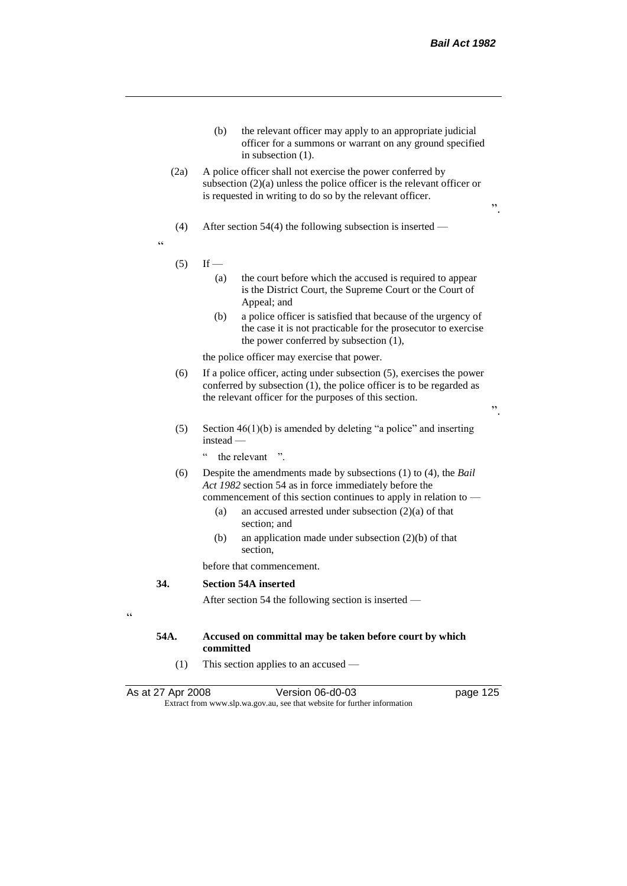- (b) the relevant officer may apply to an appropriate judicial officer for a summons or warrant on any ground specified in subsection (1).
- (2a) A police officer shall not exercise the power conferred by subsection (2)(a) unless the police officer is the relevant officer or is requested in writing to do so by the relevant officer.
- (4) After section 54(4) the following subsection is inserted —

"

- $(5)$  If
	- (a) the court before which the accused is required to appear is the District Court, the Supreme Court or the Court of Appeal; and
	- (b) a police officer is satisfied that because of the urgency of the case it is not practicable for the prosecutor to exercise the power conferred by subsection (1),

the police officer may exercise that power.

- (6) If a police officer, acting under subsection (5), exercises the power conferred by subsection (1), the police officer is to be regarded as the relevant officer for the purposes of this section.
- ".

 $\cdot$ ,

- (5) Section  $46(1)(b)$  is amended by deleting "a police" and inserting instead —
	- " the relevant ".
- (6) Despite the amendments made by subsections (1) to (4), the *Bail Act 1982* section 54 as in force immediately before the commencement of this section continues to apply in relation to —
	- (a) an accused arrested under subsection (2)(a) of that section: and
	- (b) an application made under subsection (2)(b) of that section,

before that commencement.

# **34. Section 54A inserted**

After section 54 the following section is inserted —

# **54A. Accused on committal may be taken before court by which committed**

(1) This section applies to an accused —

As at 27 Apr 2008 Version 06-d0-03 page 125 Extract from www.slp.wa.gov.au, see that website for further information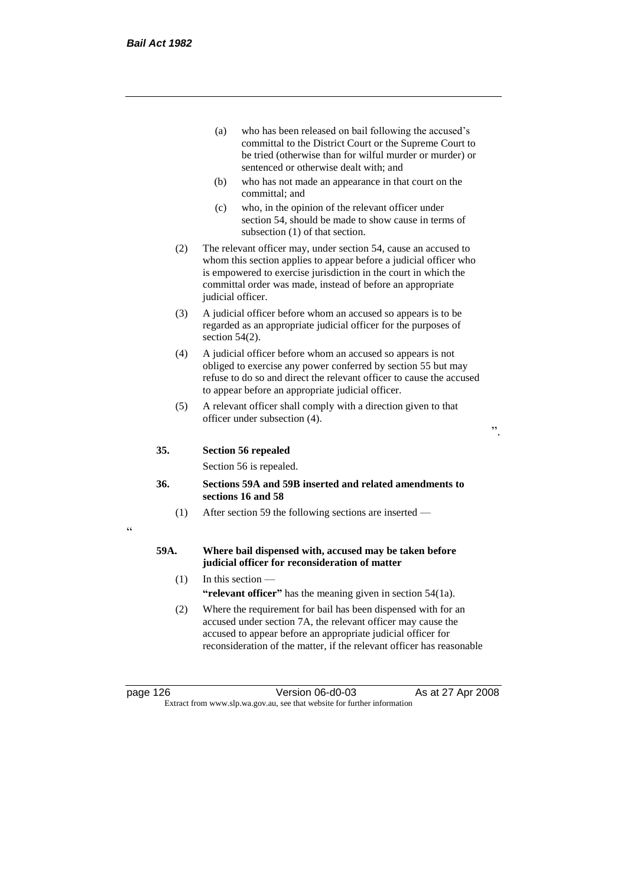- (a) who has been released on bail following the accused's committal to the District Court or the Supreme Court to be tried (otherwise than for wilful murder or murder) or sentenced or otherwise dealt with; and
- (b) who has not made an appearance in that court on the committal; and
- (c) who, in the opinion of the relevant officer under section 54, should be made to show cause in terms of subsection (1) of that section.
- (2) The relevant officer may, under section 54, cause an accused to whom this section applies to appear before a judicial officer who is empowered to exercise jurisdiction in the court in which the committal order was made, instead of before an appropriate judicial officer.
- (3) A judicial officer before whom an accused so appears is to be regarded as an appropriate judicial officer for the purposes of section 54(2).
- (4) A judicial officer before whom an accused so appears is not obliged to exercise any power conferred by section 55 but may refuse to do so and direct the relevant officer to cause the accused to appear before an appropriate judicial officer.
- (5) A relevant officer shall comply with a direction given to that officer under subsection (4).

#### **35. Section 56 repealed**

Section 56 is repealed.

- **36. Sections 59A and 59B inserted and related amendments to sections 16 and 58**
	- (1) After section 59 the following sections are inserted —

#### $\epsilon$

#### **59A. Where bail dispensed with, accused may be taken before judicial officer for reconsideration of matter**

- (1) In this section **"relevant officer"** has the meaning given in section 54(1a).
- (2) Where the requirement for bail has been dispensed with for an accused under section 7A, the relevant officer may cause the accused to appear before an appropriate judicial officer for reconsideration of the matter, if the relevant officer has reasonable

page 126 **Version 06-d0-03** As at 27 Apr 2008 Extract from www.slp.wa.gov.au, see that website for further information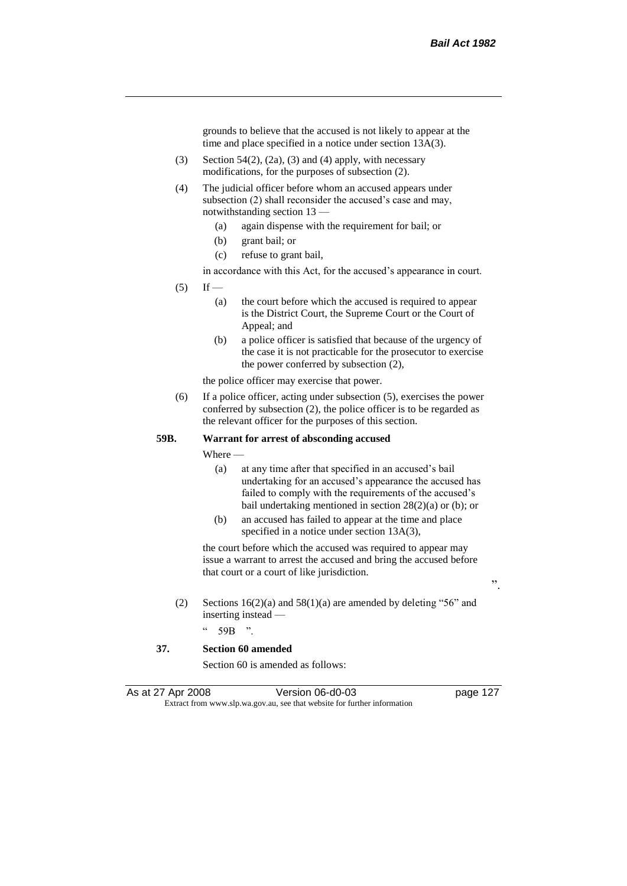grounds to believe that the accused is not likely to appear at the time and place specified in a notice under section 13A(3).

- (3) Section 54(2), (2a), (3) and (4) apply, with necessary modifications, for the purposes of subsection (2).
- (4) The judicial officer before whom an accused appears under subsection (2) shall reconsider the accused's case and may, notwithstanding section 13 —
	- (a) again dispense with the requirement for bail; or
	- (b) grant bail; or
	- (c) refuse to grant bail,

in accordance with this Act, for the accused's appearance in court.

- $(5)$  If
	- (a) the court before which the accused is required to appear is the District Court, the Supreme Court or the Court of Appeal; and
	- (b) a police officer is satisfied that because of the urgency of the case it is not practicable for the prosecutor to exercise the power conferred by subsection (2),

the police officer may exercise that power.

(6) If a police officer, acting under subsection (5), exercises the power conferred by subsection (2), the police officer is to be regarded as the relevant officer for the purposes of this section.

## **59B. Warrant for arrest of absconding accused**

Where —

- (a) at any time after that specified in an accused's bail undertaking for an accused's appearance the accused has failed to comply with the requirements of the accused's bail undertaking mentioned in section 28(2)(a) or (b); or
- (b) an accused has failed to appear at the time and place specified in a notice under section 13A(3),

the court before which the accused was required to appear may issue a warrant to arrest the accused and bring the accused before that court or a court of like jurisdiction.

".

(2) Sections  $16(2)(a)$  and  $58(1)(a)$  are amended by deleting "56" and inserting instead —

 $\degree$  59B  $\degree$ .

**37. Section 60 amended**

Section 60 is amended as follows: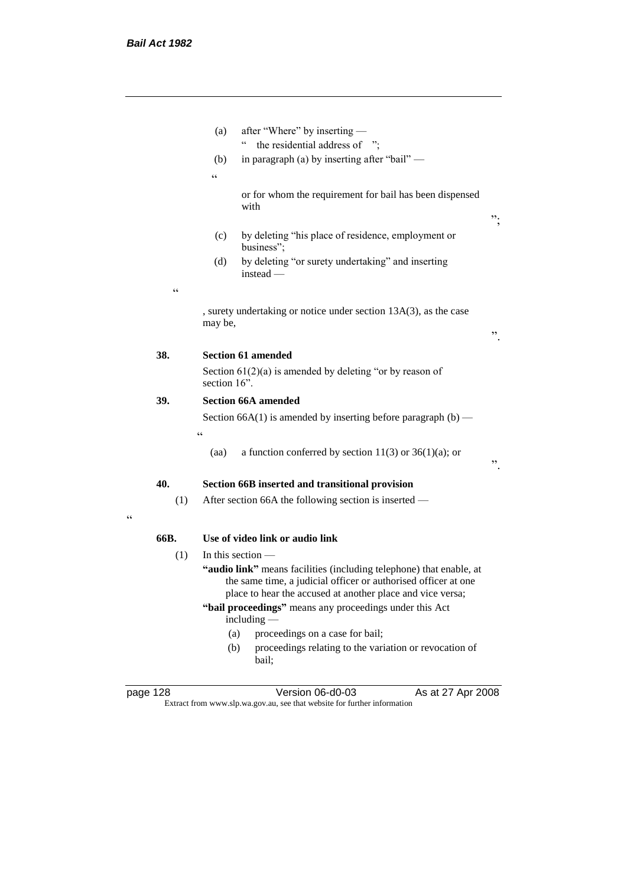|            | after "Where" by inserting -<br>(a)                                                                                                                                                                 |    |
|------------|-----------------------------------------------------------------------------------------------------------------------------------------------------------------------------------------------------|----|
|            | $\mathsf{c}\,\mathsf{c}$<br>the residential address of ";                                                                                                                                           |    |
|            | in paragraph (a) by inserting after "bail" —<br>(b)                                                                                                                                                 |    |
|            | $\epsilon$                                                                                                                                                                                          |    |
|            | or for whom the requirement for bail has been dispensed<br>with                                                                                                                                     | ". |
|            | by deleting "his place of residence, employment or<br>(c)<br>business";                                                                                                                             |    |
|            | by deleting "or surety undertaking" and inserting<br>(d)<br>$instead -$                                                                                                                             |    |
| $\epsilon$ |                                                                                                                                                                                                     |    |
|            | , surety undertaking or notice under section 13A(3), as the case<br>may be,                                                                                                                         |    |
|            |                                                                                                                                                                                                     | ,, |
| 38.        | <b>Section 61 amended</b>                                                                                                                                                                           |    |
|            | Section $61(2)(a)$ is amended by deleting "or by reason of<br>section 16".                                                                                                                          |    |
| 39.        | <b>Section 66A amended</b>                                                                                                                                                                          |    |
|            | Section 66A(1) is amended by inserting before paragraph $(b)$ —                                                                                                                                     |    |
|            | $\epsilon$                                                                                                                                                                                          |    |
|            | a function conferred by section 11(3) or $36(1)(a)$ ; or<br>(aa)                                                                                                                                    | ,, |
| 40.        | Section 66B inserted and transitional provision                                                                                                                                                     |    |
| (1)        | After section 66A the following section is inserted -                                                                                                                                               |    |
| 66B.       | Use of video link or audio link                                                                                                                                                                     |    |
| (1)        | In this section -                                                                                                                                                                                   |    |
|            | "audio link" means facilities (including telephone) that enable, at<br>the same time, a judicial officer or authorised officer at one<br>place to hear the accused at another place and vice versa; |    |
|            | "bail proceedings" means any proceedings under this Act<br>including -                                                                                                                              |    |
|            | proceedings on a case for bail;<br>(a)                                                                                                                                                              |    |
|            | proceedings relating to the variation or revocation of<br>(b)<br>bail;                                                                                                                              |    |

 $\overline{\mathfrak{c}}$   $\overline{\mathfrak{c}}$ 

page 128 Version 06-d0-03 As at 27 Apr 2008 Extract from www.slp.wa.gov.au, see that website for further information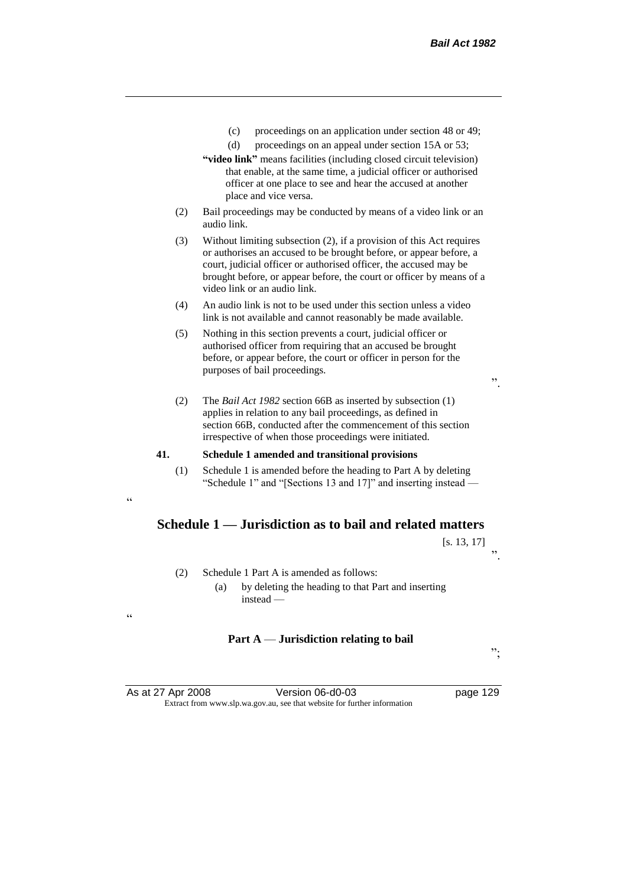- (c) proceedings on an application under section 48 or 49;
- (d) proceedings on an appeal under section 15A or 53;
- **"video link"** means facilities (including closed circuit television) that enable, at the same time, a judicial officer or authorised officer at one place to see and hear the accused at another place and vice versa.
- (2) Bail proceedings may be conducted by means of a video link or an audio link.
- (3) Without limiting subsection (2), if a provision of this Act requires or authorises an accused to be brought before, or appear before, a court, judicial officer or authorised officer, the accused may be brought before, or appear before, the court or officer by means of a video link or an audio link.
- (4) An audio link is not to be used under this section unless a video link is not available and cannot reasonably be made available.
- (5) Nothing in this section prevents a court, judicial officer or authorised officer from requiring that an accused be brought before, or appear before, the court or officer in person for the purposes of bail proceedings.

(2) The *Bail Act 1982* section 66B as inserted by subsection (1) applies in relation to any bail proceedings, as defined in section 66B, conducted after the commencement of this section irrespective of when those proceedings were initiated.

# **41. Schedule 1 amended and transitional provisions**

(1) Schedule 1 is amended before the heading to Part A by deleting "Schedule 1" and "[Sections 13 and 17]" and inserting instead

# **Schedule 1 — Jurisdiction as to bail and related matters**

[s. 13, 17] ".

(2) Schedule 1 Part A is amended as follows:

.<br>.

 $\epsilon$ 

(a) by deleting the heading to that Part and inserting instead —

#### **Part A** — **Jurisdiction relating to bail**

";

As at 27 Apr 2008 Version 06-d0-03 Page 129 Extract from www.slp.wa.gov.au, see that website for further information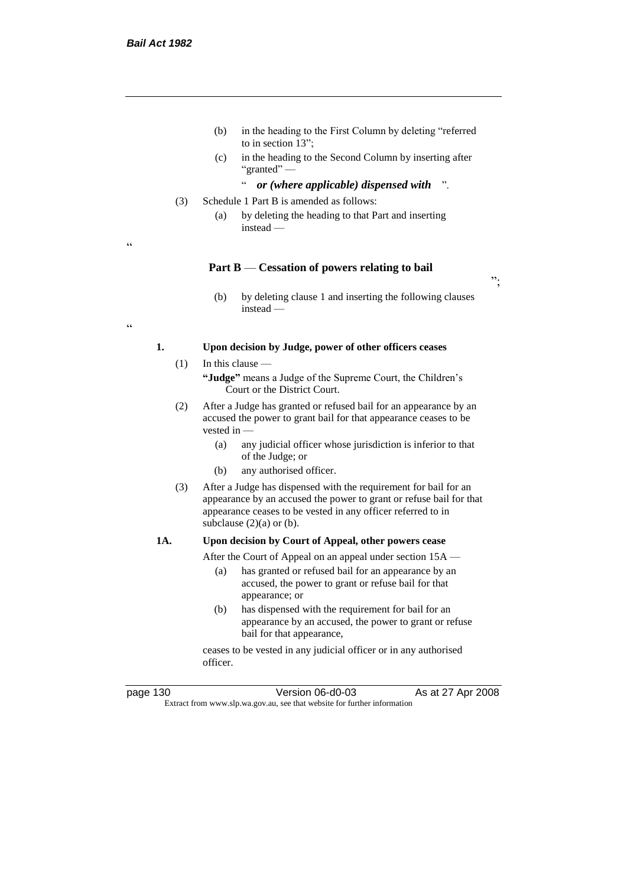$\epsilon$ 

- (b) in the heading to the First Column by deleting "referred to in section 13";
- (c) in the heading to the Second Column by inserting after "granted" —

# " *or (where applicable) dispensed with* ".

- (3) Schedule 1 Part B is amended as follows:
	- (a) by deleting the heading to that Part and inserting instead —

#### **Part B** — **Cessation of powers relating to bail**

(b) by deleting clause 1 and inserting the following clauses instead —

#### **1. Upon decision by Judge, power of other officers ceases**

- (1) In this clause **"Judge"** means a Judge of the Supreme Court, the Children's Court or the District Court.
- (2) After a Judge has granted or refused bail for an appearance by an accused the power to grant bail for that appearance ceases to be vested in -
	- (a) any judicial officer whose jurisdiction is inferior to that of the Judge; or
	- (b) any authorised officer.
- (3) After a Judge has dispensed with the requirement for bail for an appearance by an accused the power to grant or refuse bail for that appearance ceases to be vested in any officer referred to in subclause  $(2)(a)$  or  $(b)$ .

# **1A. Upon decision by Court of Appeal, other powers cease**

After the Court of Appeal on an appeal under section 15A —

- (a) has granted or refused bail for an appearance by an accused, the power to grant or refuse bail for that appearance; or
- (b) has dispensed with the requirement for bail for an appearance by an accused, the power to grant or refuse bail for that appearance,

ceases to be vested in any judicial officer or in any authorised officer.

page 130 Version 06-d0-03 As at 27 Apr 2008 Extract from www.slp.wa.gov.au, see that website for further information

";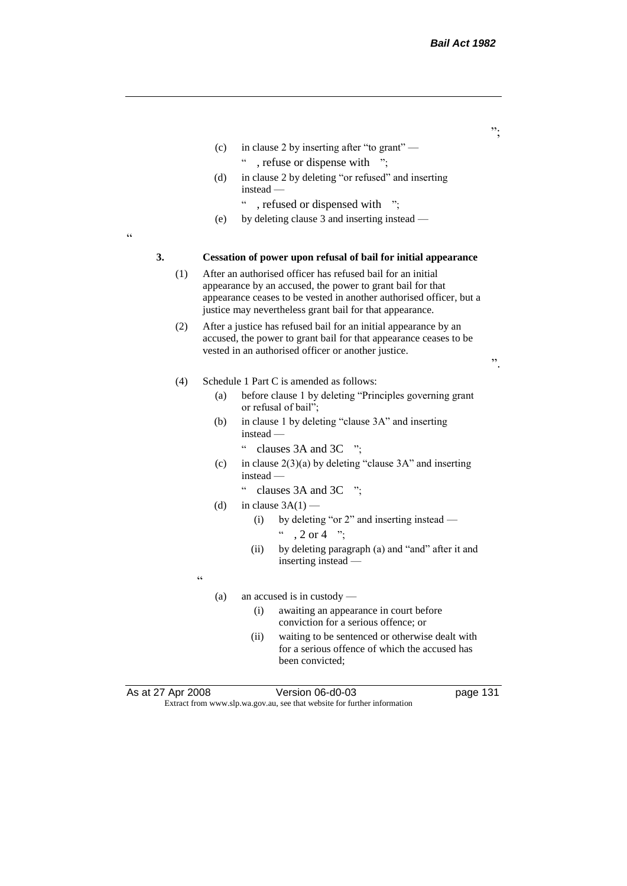- (c) in clause 2 by inserting after "to grant" " , refuse or dispense with ";
- (d) in clause 2 by deleting "or refused" and inserting instead —
	- " , refused or dispensed with ";
- (e) by deleting clause 3 and inserting instead —

# **3. Cessation of power upon refusal of bail for initial appearance**

- (1) After an authorised officer has refused bail for an initial appearance by an accused, the power to grant bail for that appearance ceases to be vested in another authorised officer, but a justice may nevertheless grant bail for that appearance.
- (2) After a justice has refused bail for an initial appearance by an accused, the power to grant bail for that appearance ceases to be vested in an authorised officer or another justice.

".

#### (4) Schedule 1 Part C is amended as follows:

- (a) before clause 1 by deleting "Principles governing grant or refusal of bail";
- (b) in clause 1 by deleting "clause 3A" and inserting instead
	- clauses  $3A$  and  $3C$  ";
- (c) in clause  $2(3)(a)$  by deleting "clause 3A" and inserting instead —
	- " clauses 3A and 3C ";
- (d) in clause  $3A(1)$ 
	- (i) by deleting "or 2" and inserting instead  $\degree$  , 2 or 4  $\degree$  ;
	- (ii) by deleting paragraph (a) and "and" after it and inserting instead —

 $\epsilon$ 

- (a) an accused is in custody
	- (i) awaiting an appearance in court before conviction for a serious offence; or
	- (ii) waiting to be sentenced or otherwise dealt with for a serious offence of which the accused has been convicted;

As at 27 Apr 2008 Version 06-d0-03 Page 131

Extract from www.slp.wa.gov.au, see that website for further information

";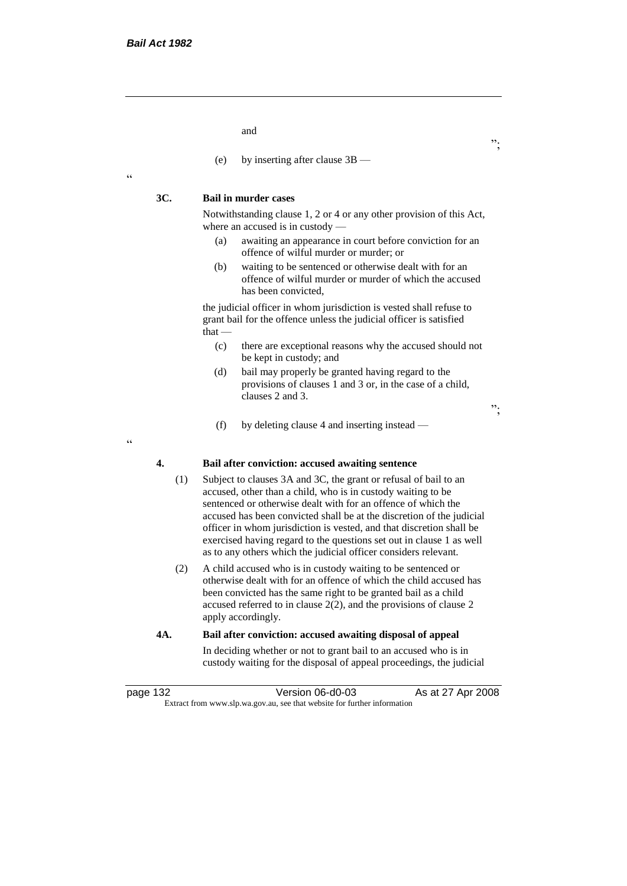and

(e) by inserting after clause 3B —

#### **3C. Bail in murder cases**

Notwithstanding clause 1, 2 or 4 or any other provision of this Act, where an accused is in custody —

";

";

- (a) awaiting an appearance in court before conviction for an offence of wilful murder or murder; or
- (b) waiting to be sentenced or otherwise dealt with for an offence of wilful murder or murder of which the accused has been convicted,

the judicial officer in whom jurisdiction is vested shall refuse to grant bail for the offence unless the judicial officer is satisfied that —

- (c) there are exceptional reasons why the accused should not be kept in custody; and
- (d) bail may properly be granted having regard to the provisions of clauses 1 and 3 or, in the case of a child, clauses 2 and 3.
- (f) by deleting clause 4 and inserting instead —

# "

#### **4. Bail after conviction: accused awaiting sentence**

- (1) Subject to clauses 3A and 3C, the grant or refusal of bail to an accused, other than a child, who is in custody waiting to be sentenced or otherwise dealt with for an offence of which the accused has been convicted shall be at the discretion of the judicial officer in whom jurisdiction is vested, and that discretion shall be exercised having regard to the questions set out in clause 1 as well as to any others which the judicial officer considers relevant.
- (2) A child accused who is in custody waiting to be sentenced or otherwise dealt with for an offence of which the child accused has been convicted has the same right to be granted bail as a child accused referred to in clause 2(2), and the provisions of clause 2 apply accordingly.

#### **4A. Bail after conviction: accused awaiting disposal of appeal**

In deciding whether or not to grant bail to an accused who is in custody waiting for the disposal of appeal proceedings, the judicial

| page 132 | Version 06-d0-03                                                         | As at 27 Apr 2008 |  |
|----------|--------------------------------------------------------------------------|-------------------|--|
|          | Extract from www.slp.wa.gov.au, see that website for further information |                   |  |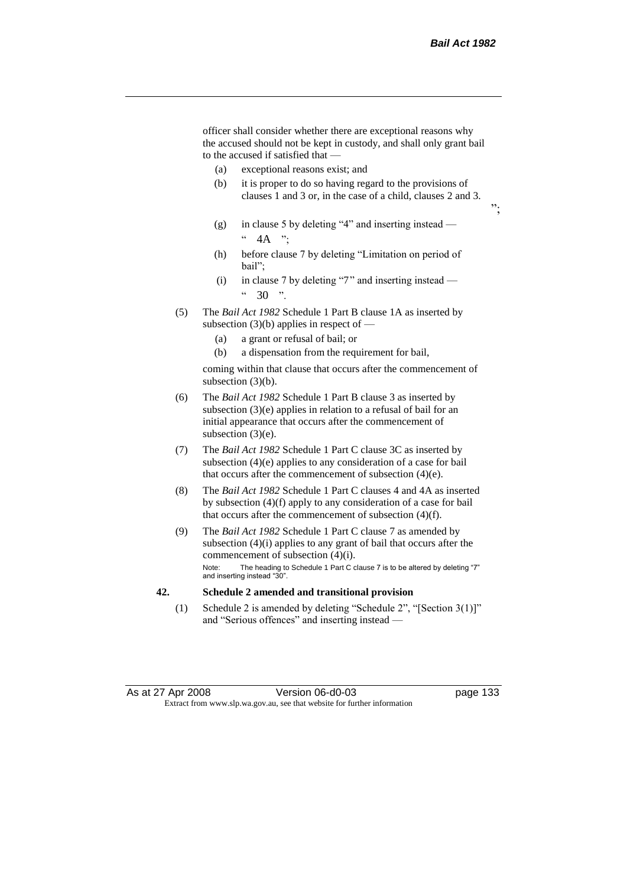";

officer shall consider whether there are exceptional reasons why the accused should not be kept in custody, and shall only grant bail to the accused if satisfied that —

- (a) exceptional reasons exist; and
- (b) it is proper to do so having regard to the provisions of clauses 1 and 3 or, in the case of a child, clauses 2 and 3.
- (g) in clause 5 by deleting "4" and inserting instead  $\degree$  4A ".
- (h) before clause 7 by deleting "Limitation on period of bail";
- (i) in clause 7 by deleting "7" and inserting instead  $^{44}$  30  $^{19}$
- (5) The *Bail Act 1982* Schedule 1 Part B clause 1A as inserted by subsection  $(3)(b)$  applies in respect of  $-$ 
	- (a) a grant or refusal of bail; or
	- (b) a dispensation from the requirement for bail,

coming within that clause that occurs after the commencement of subsection (3)(b).

- (6) The *Bail Act 1982* Schedule 1 Part B clause 3 as inserted by subsection (3)(e) applies in relation to a refusal of bail for an initial appearance that occurs after the commencement of subsection  $(3)(e)$ .
- (7) The *Bail Act 1982* Schedule 1 Part C clause 3C as inserted by subsection (4)(e) applies to any consideration of a case for bail that occurs after the commencement of subsection (4)(e).
- (8) The *Bail Act 1982* Schedule 1 Part C clauses 4 and 4A as inserted by subsection (4)(f) apply to any consideration of a case for bail that occurs after the commencement of subsection (4)(f).
- (9) The *Bail Act 1982* Schedule 1 Part C clause 7 as amended by subsection (4)(i) applies to any grant of bail that occurs after the commencement of subsection (4)(i). Note: The heading to Schedule 1 Part C clause 7 is to be altered by deleting "7" and inserting instead "30".

#### **42. Schedule 2 amended and transitional provision**

(1) Schedule 2 is amended by deleting "Schedule 2", "[Section 3(1)]" and "Serious offences" and inserting instead —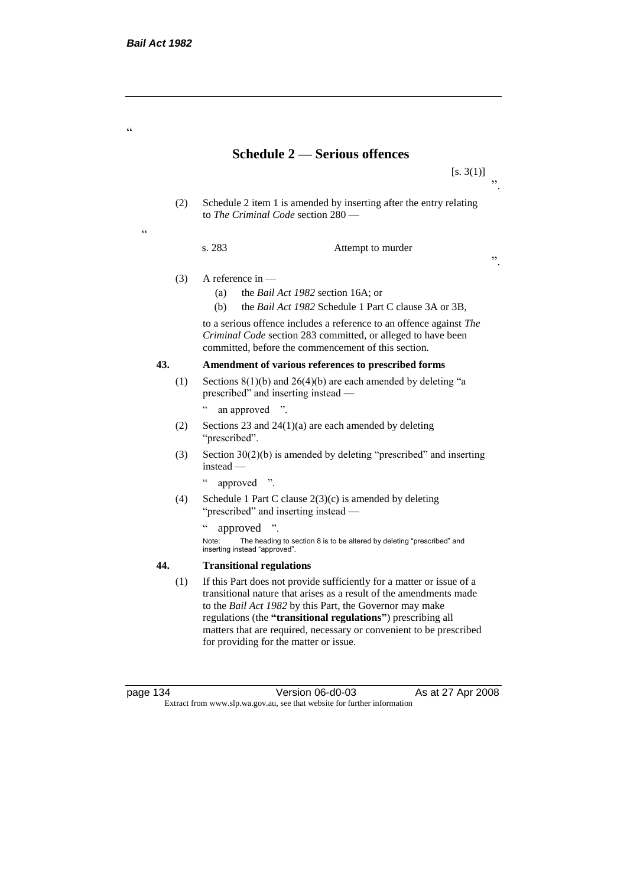"

 $\epsilon$ 

# **Schedule 2 — Serious offences**

 $[s, 3(1)]$  $\cdot$ ,

- (2) Schedule 2 item 1 is amended by inserting after the entry relating to *The Criminal Code* section 280
	- s. 283 Attempt to murder
- (3) A reference in
	- (a) the *Bail Act 1982* section 16A; or
	- (b) the *Bail Act 1982* Schedule 1 Part C clause 3A or 3B,

to a serious offence includes a reference to an offence against *The Criminal Code* section 283 committed, or alleged to have been committed, before the commencement of this section.

# **43. Amendment of various references to prescribed forms**

- (1) Sections  $8(1)(b)$  and  $26(4)(b)$  are each amended by deleting "a prescribed" and inserting instead —
	- " an approved ".
- (2) Sections 23 and 24(1)(a) are each amended by deleting "prescribed".
- (3) Section 30(2)(b) is amended by deleting "prescribed" and inserting instead —
	- " approved ".
- (4) Schedule 1 Part C clause  $2(3)(c)$  is amended by deleting "prescribed" and inserting instead —
	- " approved ".

Note: The heading to section 8 is to be altered by deleting "prescribed" and inserting instead "approved".

# **44. Transitional regulations**

(1) If this Part does not provide sufficiently for a matter or issue of a transitional nature that arises as a result of the amendments made to the *Bail Act 1982* by this Part, the Governor may make regulations (the **"transitional regulations"**) prescribing all matters that are required, necessary or convenient to be prescribed for providing for the matter or issue.

page 134 Version 06-d0-03 As at 27 Apr 2008 Extract from www.slp.wa.gov.au, see that website for further information

".